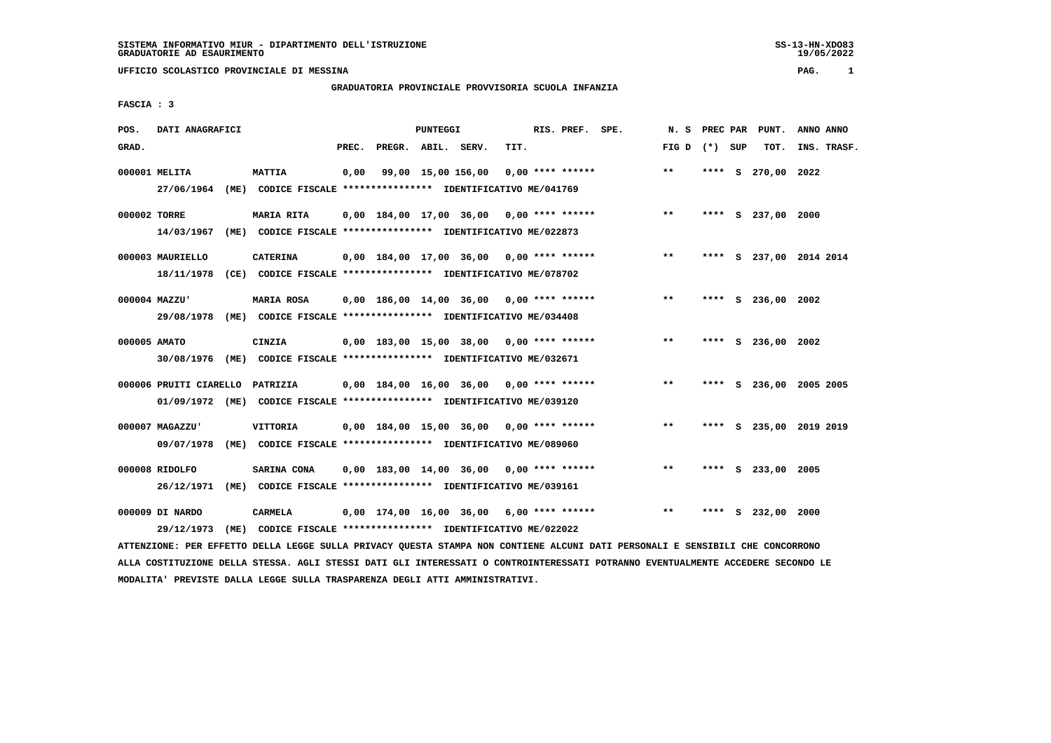## **GRADUATORIA PROVINCIALE PROVVISORIA SCUOLA INFANZIA**

 **FASCIA : 3**

| POS.         | DATI ANAGRAFICI        |                                                                         |      |                          | PUNTEGGI |                                            |      | RIS. PREF.         | SPE. | N.S   | <b>PREC PAR</b> |     | PUNT.              | ANNO ANNO               |
|--------------|------------------------|-------------------------------------------------------------------------|------|--------------------------|----------|--------------------------------------------|------|--------------------|------|-------|-----------------|-----|--------------------|-------------------------|
| GRAD.        |                        |                                                                         |      | PREC. PREGR. ABIL. SERV. |          |                                            | TIT. |                    |      | FIG D | $(*)$           | SUP | TOT.               | INS. TRASF.             |
|              | 000001 MELITA          | <b>MATTIA</b>                                                           | 0,00 |                          |          | 99,00 15,00 156,00                         |      | $0,00$ **** ****** |      | $***$ |                 |     | **** S 270,00 2022 |                         |
|              | 27/06/1964             | (ME) CODICE FISCALE **************** IDENTIFICATIVO ME/041769           |      |                          |          |                                            |      |                    |      |       |                 |     |                    |                         |
| 000002 TORRE |                        | MARIA RITA                                                              |      |                          |          | $0.00$ 184.00 17.00 36.00 0.00 **** ****** |      |                    |      | $***$ |                 |     | **** S 237,00 2000 |                         |
|              | 14/03/1967             | (ME) CODICE FISCALE **************** IDENTIFICATIVO ME/022873           |      |                          |          |                                            |      |                    |      |       |                 |     |                    |                         |
|              | 000003 MAURIELLO       | <b>CATERINA</b>                                                         |      |                          |          | $0,00$ 184,00 17,00 36,00 0,00 **** ****** |      |                    |      | $***$ | ****            |     |                    | S 237,00 2014 2014      |
|              | 18/11/1978             | (CE) CODICE FISCALE *************** IDENTIFICATIVO ME/078702            |      |                          |          |                                            |      |                    |      |       |                 |     |                    |                         |
|              | 000004 MAZZU'          | <b>MARIA ROSA</b>                                                       |      |                          |          | $0,00$ 186,00 14,00 36,00 0,00 **** ****** |      |                    |      | $***$ | ****            |     | S 236,00 2002      |                         |
|              | 29/08/1978             | (ME) CODICE FISCALE **************** IDENTIFICATIVO ME/034408           |      |                          |          |                                            |      |                    |      |       |                 |     |                    |                         |
| 000005 AMATO |                        | CINZIA                                                                  |      |                          |          | 0,00 183,00 15,00 38,00                    |      | $0,00$ **** ****** |      | $***$ | ****            |     | S 236,00           | 2002                    |
|              |                        | 30/08/1976 (ME) CODICE FISCALE *************** IDENTIFICATIVO ME/032671 |      |                          |          |                                            |      |                    |      |       |                 |     |                    |                         |
|              | 000006 PRUITI CIARELLO | <b>PATRIZIA</b>                                                         |      |                          |          | $0,00$ 184,00 16,00 36,00 0,00 **** ****** |      |                    |      | $**$  |                 |     |                    | **** S 236,00 2005 2005 |
|              |                        | 01/09/1972 (ME) CODICE FISCALE *************** IDENTIFICATIVO ME/039120 |      |                          |          |                                            |      |                    |      |       |                 |     |                    |                         |
|              | 000007 MAGAZZU'        | <b>VITTORIA</b>                                                         |      |                          |          | $0,00$ 184,00 15,00 36,00 0,00 **** ****** |      |                    |      | $**$  |                 |     |                    | **** S 235,00 2019 2019 |
|              | 09/07/1978             | (ME) CODICE FISCALE **************** IDENTIFICATIVO ME/089060           |      |                          |          |                                            |      |                    |      |       |                 |     |                    |                         |
|              | 000008 RIDOLFO         | SARINA CONA                                                             |      |                          |          | $0,00$ 183,00 14,00 36,00 0,00 **** ****** |      |                    |      | $**$  | ****            |     | S 233,00 2005      |                         |
|              |                        | 26/12/1971 (ME) CODICE FISCALE *************** IDENTIFICATIVO ME/039161 |      |                          |          |                                            |      |                    |      |       |                 |     |                    |                         |
|              | 000009 DI NARDO        | CARMELA                                                                 |      |                          |          | $0,00$ 174,00 16,00 36,00 6,00 **** ****** |      |                    |      | $**$  |                 |     | S 232,00 2000      |                         |
|              | 29/12/1973             | (ME) CODICE FISCALE **************** IDENTIFICATIVO ME/022022           |      |                          |          |                                            |      |                    |      |       |                 |     |                    |                         |

 **ATTENZIONE: PER EFFETTO DELLA LEGGE SULLA PRIVACY QUESTA STAMPA NON CONTIENE ALCUNI DATI PERSONALI E SENSIBILI CHE CONCORRONO ALLA COSTITUZIONE DELLA STESSA. AGLI STESSI DATI GLI INTERESSATI O CONTROINTERESSATI POTRANNO EVENTUALMENTE ACCEDERE SECONDO LE MODALITA' PREVISTE DALLA LEGGE SULLA TRASPARENZA DEGLI ATTI AMMINISTRATIVI.**

19/05/2022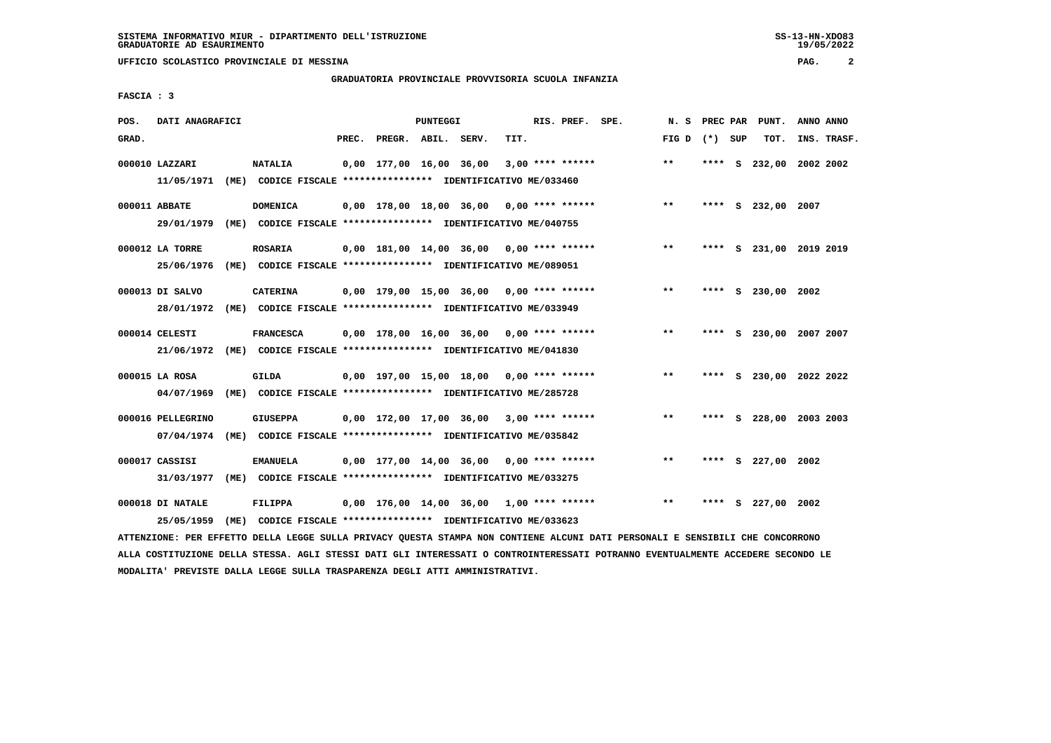**UFFICIO SCOLASTICO PROVINCIALE DI MESSINA PAG. 2**

### **GRADUATORIA PROVINCIALE PROVVISORIA SCUOLA INFANZIA**

 **FASCIA : 3**

| POS.  | DATI ANAGRAFICI                 |      |                                                                                             |       |                         | PUNTEGGI |                                            |      | RIS. PREF. SPE.    | N.S             |      | PREC PAR PUNT.          | ANNO ANNO   |  |
|-------|---------------------------------|------|---------------------------------------------------------------------------------------------|-------|-------------------------|----------|--------------------------------------------|------|--------------------|-----------------|------|-------------------------|-------------|--|
| GRAD. |                                 |      |                                                                                             | PREC. | PREGR. ABIL. SERV.      |          |                                            | TIT. |                    | FIG D $(*)$ SUP |      | TOT.                    | INS. TRASF. |  |
|       | 000010 LAZZARI<br>11/05/1971    |      | <b>NATALIA</b><br>(ME) CODICE FISCALE **************** IDENTIFICATIVO ME/033460             |       | 0,00 177,00 16,00 36,00 |          |                                            |      | $3,00$ **** ****** | $***$           | **** | S 232,00 2002 2002      |             |  |
|       | 000011 ABBATE<br>29/01/1979     |      | <b>DOMENICA</b><br>(ME) CODICE FISCALE **************** IDENTIFICATIVO ME/040755            |       |                         |          | $0,00$ 178,00 18,00 36,00 0,00 **** ****** |      |                    | $***$           |      | **** S 232,00 2007      |             |  |
|       | 000012 LA TORRE<br>25/06/1976   |      | <b>ROSARIA</b><br>(ME) CODICE FISCALE **************** IDENTIFICATIVO ME/089051             |       |                         |          | $0,00$ 181,00 14,00 36,00 0,00 **** ****** |      |                    | $***$           |      | **** S 231,00 2019 2019 |             |  |
|       | 000013 DI SALVO<br>28/01/1972   |      | <b>CATERINA</b><br>(ME) CODICE FISCALE **************** IDENTIFICATIVO ME/033949            |       |                         |          | 0,00 179,00 15,00 36,00 0,00 **** ******   |      |                    | $* *$           | **** | S 230,00 2002           |             |  |
|       | 000014 CELESTI                  |      | <b>FRANCESCA</b><br>21/06/1972 (ME) CODICE FISCALE *************** IDENTIFICATIVO ME/041830 |       |                         |          | 0,00 178,00 16,00 36,00 0,00 **** ******   |      |                    | $**$            |      | **** S 230,00 2007 2007 |             |  |
|       | 000015 LA ROSA<br>04/07/1969    | (ME) | GILDA<br>CODICE FISCALE **************** IDENTIFICATIVO ME/285728                           |       |                         |          | $0,00$ 197,00 15,00 18,00 0,00 **** ****** |      |                    | $* *$           | **** | S 230,00 2022 2022      |             |  |
|       | 000016 PELLEGRINO<br>07/04/1974 | (ME) | <b>GIUSEPPA</b><br>CODICE FISCALE **************** IDENTIFICATIVO ME/035842                 |       |                         |          | $0,00$ 172,00 17,00 36,00 3,00 **** ****** |      |                    | $***$           |      | **** S 228,00 2003 2003 |             |  |
|       | 000017 CASSISI<br>31/03/1977    | (ME) | <b>EMANUELA</b><br>CODICE FISCALE **************** IDENTIFICATIVO ME/033275                 |       |                         |          | $0,00$ 177,00 14,00 36,00 0,00 **** ****** |      |                    | $**$            | **** | S 227,00 2002           |             |  |
|       | 000018 DI NATALE<br>25/05/1959  |      | FILIPPA<br>(ME) CODICE FISCALE **************** IDENTIFICATIVO ME/033623                    |       |                         |          | 0,00 176,00 14,00 36,00 1,00 **** ******   |      |                    | $***$           | **** | S 227,00 2002           |             |  |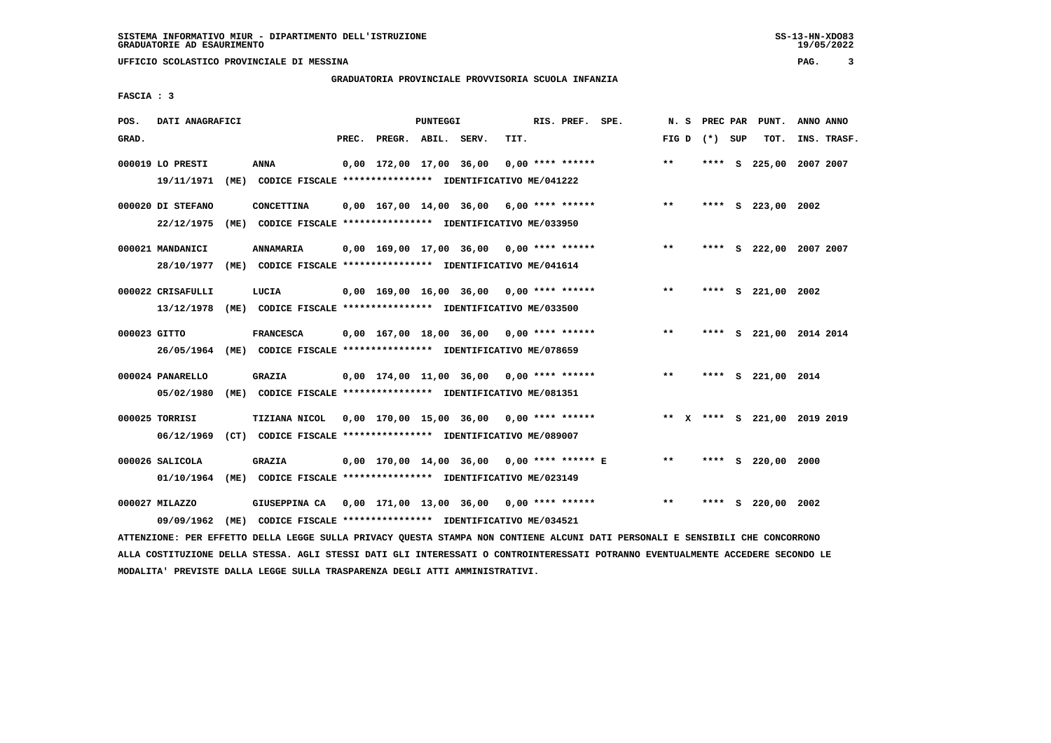### **GRADUATORIA PROVINCIALE PROVVISORIA SCUOLA INFANZIA**

 $19/05/2022$ 

 **FASCIA : 3**

| POS.         | DATI ANAGRAFICI   |                                                               |       |                         | PUNTEGGI |                                            |      | RIS. PREF. SPE.    | N.S          | PREC PAR        | PUNT.                        | ANNO ANNO |             |
|--------------|-------------------|---------------------------------------------------------------|-------|-------------------------|----------|--------------------------------------------|------|--------------------|--------------|-----------------|------------------------------|-----------|-------------|
| GRAD.        |                   |                                                               | PREC. | PREGR. ABIL. SERV.      |          |                                            | TIT. |                    |              | FIG D $(*)$ SUP | TOT.                         |           | INS. TRASF. |
|              | 000019 LO PRESTI  | <b>ANNA</b>                                                   |       | 0,00 172,00 17,00 36,00 |          |                                            |      | $0.00$ **** ****** | $* *$        | ****            | S 225,00 2007 2007           |           |             |
|              | 19/11/1971        | (ME) CODICE FISCALE **************** IDENTIFICATIVO ME/041222 |       |                         |          |                                            |      |                    |              |                 |                              |           |             |
|              | 000020 DI STEFANO | <b>CONCETTINA</b>                                             |       |                         |          | $0,00$ 167,00 14,00 36,00 6,00 **** ****** |      |                    | $* *$        |                 | **** S 223,00 2002           |           |             |
|              | 22/12/1975        | (ME) CODICE FISCALE **************** IDENTIFICATIVO ME/033950 |       |                         |          |                                            |      |                    |              |                 |                              |           |             |
|              | 000021 MANDANICI  | <b>ANNAMARIA</b>                                              |       |                         |          | $0,00$ 169,00 17,00 36,00 0,00 **** ****** |      |                    | $**$         |                 | **** S 222,00 2007 2007      |           |             |
|              | 28/10/1977        | (ME) CODICE FISCALE **************** IDENTIFICATIVO ME/041614 |       |                         |          |                                            |      |                    |              |                 |                              |           |             |
|              | 000022 CRISAFULLI | LUCIA                                                         |       |                         |          | $0.00$ 169.00 16.00 36.00 0.00 **** ****** |      |                    | $**$         |                 | **** S 221,00 2002           |           |             |
|              | 13/12/1978        | (ME) CODICE FISCALE **************** IDENTIFICATIVO ME/033500 |       |                         |          |                                            |      |                    |              |                 |                              |           |             |
| 000023 GITTO |                   | <b>FRANCESCA</b>                                              |       |                         |          | $0.00$ 167.00 18.00 36.00 0.00 **** ****** |      |                    | $* *$        |                 | **** S 221,00 2014 2014      |           |             |
|              | 26/05/1964        | (ME) CODICE FISCALE **************** IDENTIFICATIVO ME/078659 |       |                         |          |                                            |      |                    |              |                 |                              |           |             |
|              | 000024 PANARELLO  | <b>GRAZIA</b>                                                 |       |                         |          | $0,00$ 174,00 11,00 36,00 0,00 **** ****** |      |                    | $***$        |                 | **** S 221,00 2014           |           |             |
|              | 05/02/1980        | (ME) CODICE FISCALE **************** IDENTIFICATIVO ME/081351 |       |                         |          |                                            |      |                    |              |                 |                              |           |             |
|              | 000025 TORRISI    | TIZIANA NICOL                                                 |       |                         |          | 0,00 170,00 15,00 36,00 0,00 **** ******   |      |                    |              |                 | ** X **** S 221,00 2019 2019 |           |             |
|              | 06/12/1969        | (CT) CODICE FISCALE **************** IDENTIFICATIVO ME/089007 |       |                         |          |                                            |      |                    |              |                 |                              |           |             |
|              | 000026 SALICOLA   | GRAZIA                                                        |       |                         |          | 0,00 170,00 14,00 36,00 0,00 **** ****** E |      |                    | $* *$        |                 | **** S 220,00 2000           |           |             |
|              | 01/10/1964        | (ME) CODICE FISCALE **************** IDENTIFICATIVO ME/023149 |       |                         |          |                                            |      |                    |              |                 |                              |           |             |
|              | 000027 MILAZZO    | GIUSEPPINA CA 0,00 171,00 13,00 36,00 0,00 **** ******        |       |                         |          |                                            |      |                    | $\star\star$ | ****            | S 220,00 2002                |           |             |
|              | 09/09/1962        | (ME) CODICE FISCALE **************** IDENTIFICATIVO ME/034521 |       |                         |          |                                            |      |                    |              |                 |                              |           |             |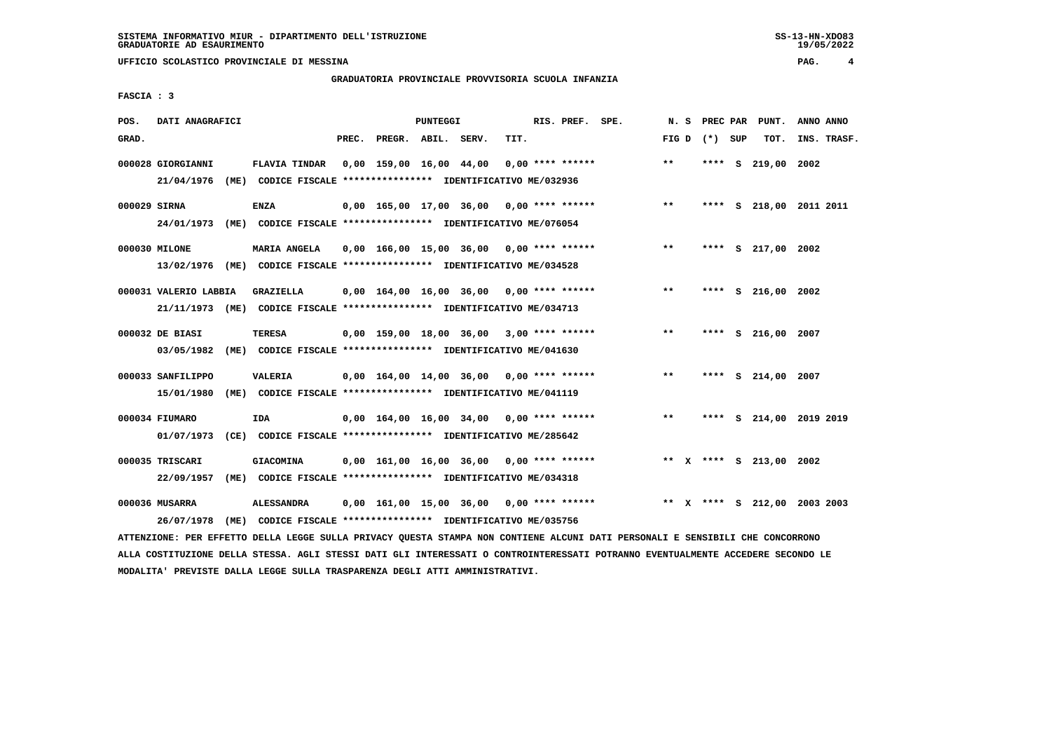### **GRADUATORIA PROVINCIALE PROVVISORIA SCUOLA INFANZIA**

 **FASCIA : 3**

| POS.         | DATI ANAGRAFICI                 |                                                                                         |       |                    | PUNTEGGI |                                            |      | RIS. PREF. SPE.    |                                            | N. S  |                 | PREC PAR PUNT.               | ANNO ANNO |             |
|--------------|---------------------------------|-----------------------------------------------------------------------------------------|-------|--------------------|----------|--------------------------------------------|------|--------------------|--------------------------------------------|-------|-----------------|------------------------------|-----------|-------------|
| GRAD.        |                                 |                                                                                         | PREC. | PREGR. ABIL. SERV. |          |                                            | TIT. |                    |                                            |       | FIG D $(*)$ SUP | TOT.                         |           | INS. TRASF. |
|              | 000028 GIORGIANNI<br>21/04/1976 | <b>FLAVIA TINDAR</b><br>(ME) CODICE FISCALE **************** IDENTIFICATIVO ME/032936   |       |                    |          | 0,00 159,00 16,00 44,00                    |      | $0.00$ **** ****** |                                            | $***$ |                 | **** S 219,00 2002           |           |             |
| 000029 SIRNA |                                 | <b>ENZA</b><br>24/01/1973 (ME) CODICE FISCALE *************** IDENTIFICATIVO ME/076054  |       |                    |          |                                            |      |                    | $0,00$ 165,00 17,00 36,00 0,00 **** ****** | $***$ |                 | **** S 218,00 2011 2011      |           |             |
|              | 000030 MILONE                   | MARIA ANGELA<br>13/02/1976 (ME) CODICE FISCALE *************** IDENTIFICATIVO ME/034528 |       |                    |          | 0,00 166,00 15,00 36,00 0,00 **** ******   |      |                    |                                            | $***$ |                 | **** S 217,00 2002           |           |             |
|              | 000031 VALERIO LABBIA           | GRAZIELLA<br>21/11/1973 (ME) CODICE FISCALE *************** IDENTIFICATIVO ME/034713    |       |                    |          | $0.00$ 164.00 16.00 36.00 0.00 **** ****** |      |                    |                                            | $* *$ | ****            | S 216,00 2002                |           |             |
|              | 000032 DE BIASI<br>03/05/1982   | TERESA<br>(ME) CODICE FISCALE **************** IDENTIFICATIVO ME/041630                 |       |                    |          | 0,00 159,00 18,00 36,00 3,00 **** ******   |      |                    |                                            | $***$ |                 | **** S 216,00 2007           |           |             |
|              | 000033 SANFILIPPO<br>15/01/1980 | VALERIA<br>(ME) CODICE FISCALE *************** IDENTIFICATIVO ME/041119                 |       |                    |          | $0.00$ 164.00 14.00 36.00 0.00 **** ****** |      |                    |                                            | $* *$ |                 | **** S 214,00 2007           |           |             |
|              | 000034 FIUMARO                  | <b>IDA</b><br>01/07/1973 (CE) CODICE FISCALE *************** IDENTIFICATIVO ME/285642   |       |                    |          | $0.00$ 164.00 16.00 34.00 0.00 **** ****** |      |                    |                                            | $***$ |                 | **** S 214,00 2019 2019      |           |             |
|              | 000035 TRISCARI<br>22/09/1957   | <b>GIACOMINA</b><br>(ME) CODICE FISCALE **************** IDENTIFICATIVO ME/034318       |       |                    |          | $0,00$ 161,00 16,00 36,00 0,00 **** ****** |      |                    |                                            |       |                 | ** X **** S 213,00 2002      |           |             |
|              | 000036 MUSARRA<br>26/07/1978    | <b>ALESSANDRA</b><br>(ME) CODICE FISCALE **************** IDENTIFICATIVO ME/035756      |       |                    |          |                                            |      |                    | 0,00 161,00 15,00 36,00 0,00 **** ******   |       |                 | ** X **** S 212,00 2003 2003 |           |             |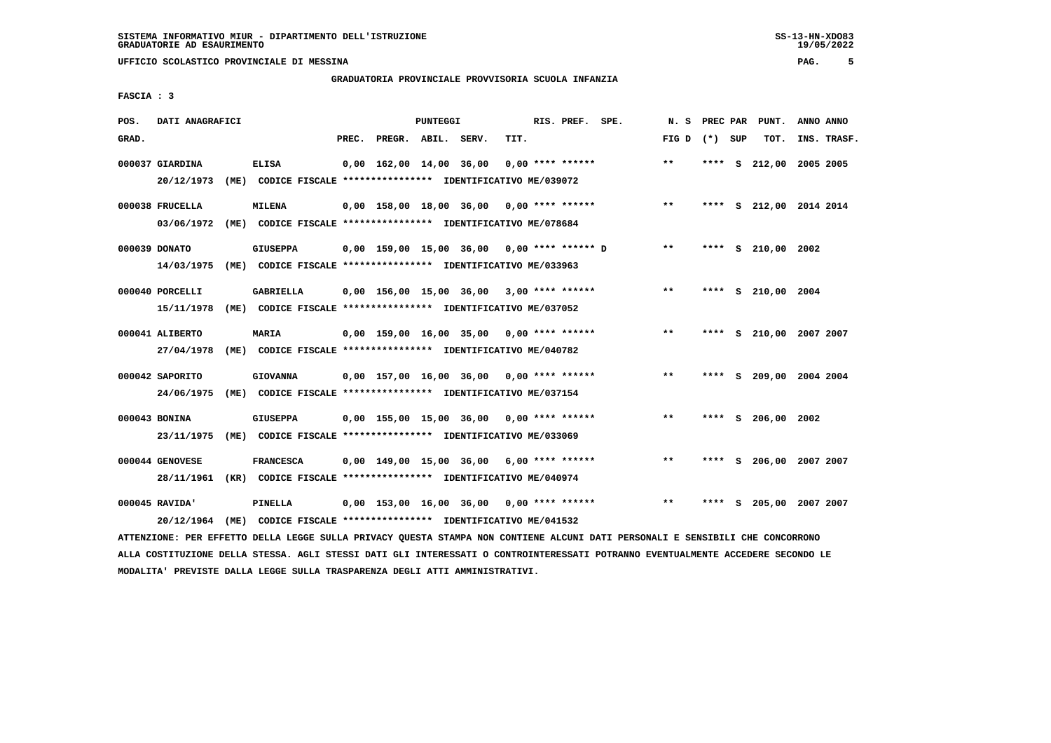### **GRADUATORIA PROVINCIALE PROVVISORIA SCUOLA INFANZIA**

 **FASCIA : 3**

| POS.  | DATI ANAGRAFICI               |      |                                                                                    |       |                         | PUNTEGGI |                                              |      | RIS. PREF. SPE.    | N.S   | PREC PAR |    | PUNT.              | ANNO ANNO |             |
|-------|-------------------------------|------|------------------------------------------------------------------------------------|-------|-------------------------|----------|----------------------------------------------|------|--------------------|-------|----------|----|--------------------|-----------|-------------|
| GRAD. |                               |      |                                                                                    | PREC. | PREGR. ABIL. SERV.      |          |                                              | TIT. |                    | FIG D | (*) SUP  |    | TOT.               |           | INS. TRASF. |
|       | 000037 GIARDINA<br>20/12/1973 |      | <b>ELISA</b><br>(ME) CODICE FISCALE **************** IDENTIFICATIVO ME/039072      |       | 0,00 162,00 14,00 36,00 |          |                                              |      | $0.00$ **** ****** | $***$ | ****     |    | S 212,00 2005 2005 |           |             |
|       | 000038 FRUCELLA<br>03/06/1972 | (ME) | <b>MILENA</b><br>CODICE FISCALE **************** IDENTIFICATIVO ME/078684          |       |                         |          | $0,00$ 158,00 18,00 36,00 0,00 **** ******   |      |                    | $***$ | ****     |    | S 212,00 2014 2014 |           |             |
|       | 000039 DONATO<br>14/03/1975   |      | <b>GIUSEPPA</b><br>(ME) CODICE FISCALE **************** IDENTIFICATIVO ME/033963   |       |                         |          | $0.00$ 159.00 15.00 36.00 0.00 **** ****** D |      |                    | $***$ |          |    | **** S 210,00 2002 |           |             |
|       | 000040 PORCELLI<br>15/11/1978 |      | GABRIELLA<br>(ME) CODICE FISCALE **************** IDENTIFICATIVO ME/037052         |       |                         |          | $0,00$ 156,00 15,00 36,00 3,00 **** ******   |      |                    | $* *$ | ****     |    | S 210,00 2004      |           |             |
|       | 000041 ALIBERTO<br>27/04/1978 |      | <b>MARIA</b><br>(ME) CODICE FISCALE **************** IDENTIFICATIVO ME/040782      |       |                         |          | $0,00$ 159,00 16,00 35,00 0,00 **** ******   |      |                    | $***$ | ****     |    | S 210,00 2007 2007 |           |             |
|       | 000042 SAPORITO<br>24/06/1975 | (ME) | <b>GIOVANNA</b><br>CODICE FISCALE **************** IDENTIFICATIVO ME/037154        |       |                         |          | $0.00$ 157.00 16.00 36.00 0.00 **** ******   |      |                    | $**$  | ****     | S. | 209,00 2004 2004   |           |             |
|       | 000043 BONINA<br>23/11/1975   |      | <b>GIUSEPPA</b><br>(ME) CODICE FISCALE **************** IDENTIFICATIVO ME/033069   |       |                         |          | $0.00$ 155.00 15.00 36.00 0.00 **** ******   |      |                    | $* *$ |          |    | **** S 206,00 2002 |           |             |
|       | 000044 GENOVESE<br>28/11/1961 | (KR) | <b>FRANCESCA</b><br>CODICE FISCALE **************** IDENTIFICATIVO ME/040974       |       |                         |          | $0,00$ 149,00 15,00 36,00 6,00 **** ******   |      |                    | $* *$ | ****     |    | S 206,00 2007 2007 |           |             |
|       | 000045 RAVIDA'                |      | PINELLA<br>20/12/1964 (ME) CODICE FISCALE *************** IDENTIFICATIVO ME/041532 |       |                         |          | 0,00 153,00 16,00 36,00                      |      | $0.00$ **** ****** | $* *$ |          | s  | 205,00 2007 2007   |           |             |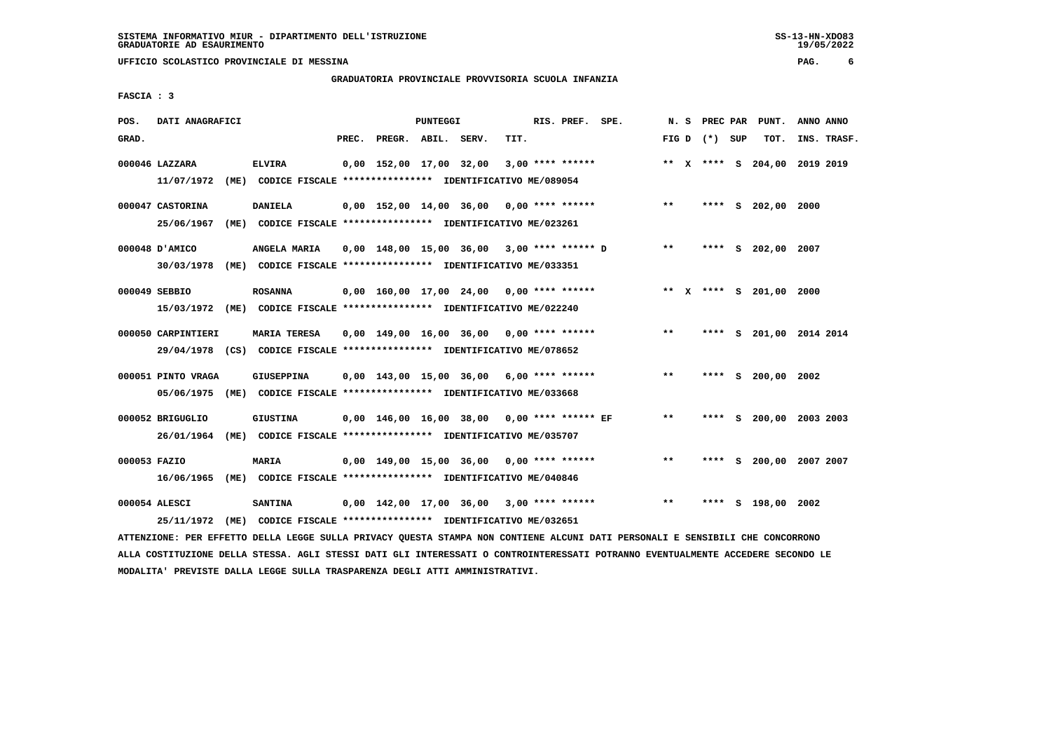### **GRADUATORIA PROVINCIALE PROVVISORIA SCUOLA INFANZIA**

 $19/05/2022$ 

 **FASCIA : 3**

| POS.  | DATI ANAGRAFICI                |      |                                                                                                |       |                         | PUNTEGGI |                                               |      | RIS. PREF. SPE.    |                                              | N.S   | PREC PAR        |          | PUNT.                        | ANNO ANNO |             |
|-------|--------------------------------|------|------------------------------------------------------------------------------------------------|-------|-------------------------|----------|-----------------------------------------------|------|--------------------|----------------------------------------------|-------|-----------------|----------|------------------------------|-----------|-------------|
| GRAD. |                                |      |                                                                                                | PREC. | PREGR. ABIL. SERV.      |          |                                               | TIT. |                    |                                              |       | FIG D $(*)$ SUP |          | TOT.                         |           | INS. TRASF. |
|       | 000046 LAZZARA<br>11/07/1972   |      | <b>ELVIRA</b><br>(ME) CODICE FISCALE **************** IDENTIFICATIVO ME/089054                 |       | 0,00 152,00 17,00 32,00 |          |                                               |      | $3,00$ **** ****** |                                              |       |                 |          | ** X **** S 204,00 2019 2019 |           |             |
|       | 000047 CASTORINA<br>25/06/1967 |      | <b>DANIELA</b><br>(ME) CODICE FISCALE **************** IDENTIFICATIVO ME/023261                |       |                         |          | 0,00 152,00 14,00 36,00 0,00 **** ******      |      |                    |                                              | $***$ |                 |          | **** S 202,00 2000           |           |             |
|       | 000048 D'AMICO<br>30/03/1978   |      | ANGELA MARIA<br>(ME) CODICE FISCALE **************** IDENTIFICATIVO ME/033351                  |       |                         |          |                                               |      |                    | $0,00$ 148,00 15,00 36,00 3,00 **** ****** D | $***$ |                 |          | **** S 202,00                | 2007      |             |
|       | 000049 SEBBIO                  |      | <b>ROSANNA</b><br>15/03/1972 (ME) CODICE FISCALE *************** IDENTIFICATIVO ME/022240      |       |                         |          | 0,00 160,00 17,00 24,00 0,00 **** ******      |      |                    |                                              |       |                 |          | ** X **** S 201,00 2000      |           |             |
|       | 000050 CARPINTIERI             |      | <b>MARIA TERESA</b><br>29/04/1978 (CS) CODICE FISCALE *************** IDENTIFICATIVO ME/078652 |       |                         |          | $0,00$ 149,00 16,00 36,00 0,00 **** ******    |      |                    |                                              | $***$ | ****            |          | S 201,00 2014 2014           |           |             |
|       | 000051 PINTO VRAGA             |      | GIUSEPPINA<br>05/06/1975 (ME) CODICE FISCALE *************** IDENTIFICATIVO ME/033668          |       |                         |          | $0.00$ 143.00 15.00 36.00 6.00 **** ******    |      |                    |                                              | $***$ |                 |          | **** S 200,00 2002           |           |             |
|       | 000052 BRIGUGLIO<br>26/01/1964 |      | <b>GIUSTINA</b><br>(ME) CODICE FISCALE **************** IDENTIFICATIVO ME/035707               |       |                         |          | $0,00$ 146,00 16,00 38,00 0,00 **** ****** EF |      |                    |                                              | $***$ |                 |          | **** S 200,00 2003 2003      |           |             |
|       | 000053 FAZIO<br>16/06/1965     |      | <b>MARIA</b><br>(ME) CODICE FISCALE **************** IDENTIFICATIVO ME/040846                  |       |                         |          | $0.00$ 149.00 15.00 36.00 0.00 **** ******    |      |                    |                                              | $* *$ | ****            | <b>S</b> | 200,00 2007 2007             |           |             |
|       | 000054 ALESCI<br>25/11/1972    | (ME) | <b>SANTINA</b><br>CODICE FISCALE **************** IDENTIFICATIVO ME/032651                     |       |                         |          | $0,00$ 142,00 17,00 36,00 3,00 **** ******    |      |                    |                                              | $***$ | ****            |          | S 198,00 2002                |           |             |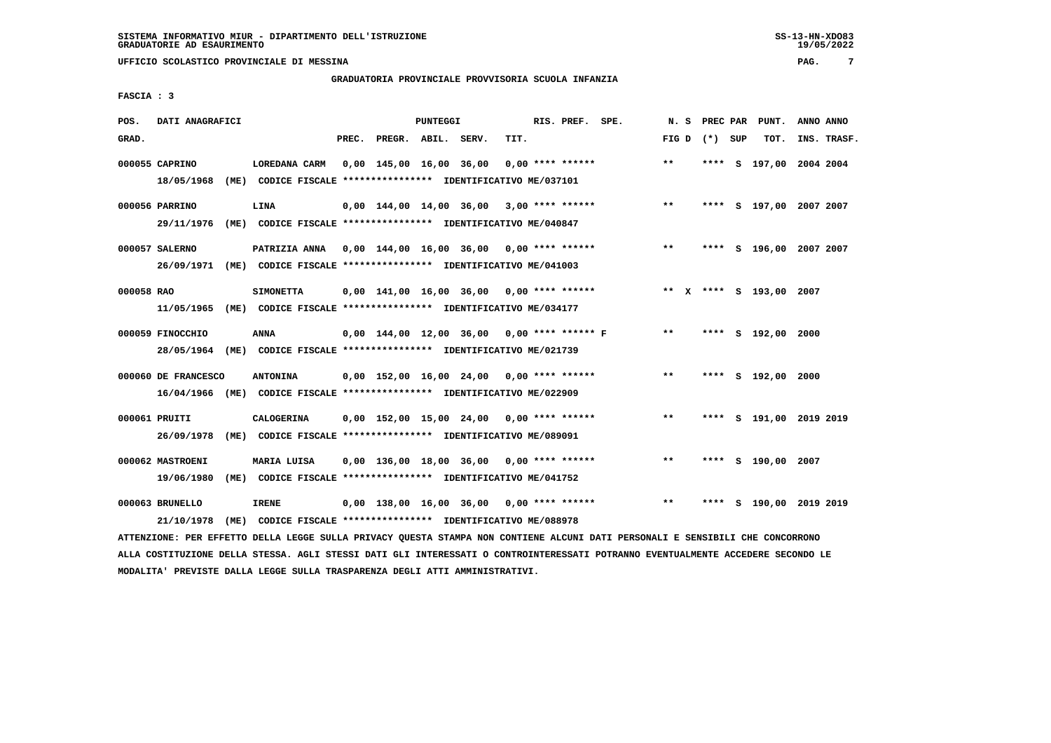#### **GRADUATORIA PROVINCIALE PROVVISORIA SCUOLA INFANZIA**

 **FASCIA : 3**

| GRAD.<br>PREC.<br>TIT.<br>TOT.<br>PREGR. ABIL. SERV.<br>FIG D $(*)$ SUP<br>INS. TRASF.<br>$***$<br>**** S 197,00 2004 2004<br>000055 CAPRINO<br>LOREDANA CARM<br>0,00 145,00 16,00 36,00<br>0,00 **** ******<br>18/05/1968<br>(ME) CODICE FISCALE **************** IDENTIFICATIVO ME/037101<br>$***$<br>000056 PARRINO<br>LINA<br>0,00 144,00 14,00 36,00<br>$3,00$ **** ******<br>S 197,00 2007 2007<br>****<br>29/11/1976<br>(ME) CODICE FISCALE **************** IDENTIFICATIVO ME/040847<br>$0,00$ 144,00 16,00 36,00 0,00 **** ******<br>$***$<br>000057 SALERNO<br>PATRIZIA ANNA<br>**** S 196,00 2007 2007<br>26/09/1971 (ME) CODICE FISCALE *************** IDENTIFICATIVO ME/041003<br>000058 RAO<br>$0.00$ 141.00 16.00 36.00 0.00 **** ******<br>** X **** S 193,00 2007<br><b>SIMONETTA</b><br>11/05/1965<br>(ME) CODICE FISCALE **************** IDENTIFICATIVO ME/034177<br>000059 FINOCCHIO<br><b>ANNA</b><br>0,00 144,00 12,00 36,00 0,00 **** ****** F<br>$***$<br>**** S 192,00 2000<br>28/05/1964 (ME) CODICE FISCALE *************** IDENTIFICATIVO ME/021739<br>$* *$<br>000060 DE FRANCESCO<br><b>ANTONINA</b><br>$0.00$ 152,00 16,00 24,00 0,00 **** ******<br>**** S 192,00 2000<br>16/04/1966 (ME) CODICE FISCALE *************** IDENTIFICATIVO ME/022909<br>000061 PRUITI<br>0,00 152,00 15,00 24,00<br>$0.00$ **** ******<br>$***$<br>S 191,00 2019 2019<br><b>CALOGERINA</b><br>****<br>26/09/1978<br>(ME)<br>CODICE FISCALE **************** IDENTIFICATIVO ME/089091 | POS. | DATI ANAGRAFICI |             |  | PUNTEGGI |  | RIS. PREF. SPE. | N.S   | PREC PAR | PUNT. | ANNO ANNO |  |
|-----------------------------------------------------------------------------------------------------------------------------------------------------------------------------------------------------------------------------------------------------------------------------------------------------------------------------------------------------------------------------------------------------------------------------------------------------------------------------------------------------------------------------------------------------------------------------------------------------------------------------------------------------------------------------------------------------------------------------------------------------------------------------------------------------------------------------------------------------------------------------------------------------------------------------------------------------------------------------------------------------------------------------------------------------------------------------------------------------------------------------------------------------------------------------------------------------------------------------------------------------------------------------------------------------------------------------------------------------------------------------------------------------------------------------------------------------------------------------------------------------|------|-----------------|-------------|--|----------|--|-----------------|-------|----------|-------|-----------|--|
|                                                                                                                                                                                                                                                                                                                                                                                                                                                                                                                                                                                                                                                                                                                                                                                                                                                                                                                                                                                                                                                                                                                                                                                                                                                                                                                                                                                                                                                                                                     |      |                 |             |  |          |  |                 |       |          |       |           |  |
|                                                                                                                                                                                                                                                                                                                                                                                                                                                                                                                                                                                                                                                                                                                                                                                                                                                                                                                                                                                                                                                                                                                                                                                                                                                                                                                                                                                                                                                                                                     |      |                 |             |  |          |  |                 |       |          |       |           |  |
|                                                                                                                                                                                                                                                                                                                                                                                                                                                                                                                                                                                                                                                                                                                                                                                                                                                                                                                                                                                                                                                                                                                                                                                                                                                                                                                                                                                                                                                                                                     |      |                 |             |  |          |  |                 |       |          |       |           |  |
|                                                                                                                                                                                                                                                                                                                                                                                                                                                                                                                                                                                                                                                                                                                                                                                                                                                                                                                                                                                                                                                                                                                                                                                                                                                                                                                                                                                                                                                                                                     |      |                 |             |  |          |  |                 |       |          |       |           |  |
|                                                                                                                                                                                                                                                                                                                                                                                                                                                                                                                                                                                                                                                                                                                                                                                                                                                                                                                                                                                                                                                                                                                                                                                                                                                                                                                                                                                                                                                                                                     |      |                 |             |  |          |  |                 |       |          |       |           |  |
|                                                                                                                                                                                                                                                                                                                                                                                                                                                                                                                                                                                                                                                                                                                                                                                                                                                                                                                                                                                                                                                                                                                                                                                                                                                                                                                                                                                                                                                                                                     |      |                 |             |  |          |  |                 |       |          |       |           |  |
|                                                                                                                                                                                                                                                                                                                                                                                                                                                                                                                                                                                                                                                                                                                                                                                                                                                                                                                                                                                                                                                                                                                                                                                                                                                                                                                                                                                                                                                                                                     |      |                 |             |  |          |  |                 |       |          |       |           |  |
|                                                                                                                                                                                                                                                                                                                                                                                                                                                                                                                                                                                                                                                                                                                                                                                                                                                                                                                                                                                                                                                                                                                                                                                                                                                                                                                                                                                                                                                                                                     |      |                 |             |  |          |  |                 |       |          |       |           |  |
|                                                                                                                                                                                                                                                                                                                                                                                                                                                                                                                                                                                                                                                                                                                                                                                                                                                                                                                                                                                                                                                                                                                                                                                                                                                                                                                                                                                                                                                                                                     |      |                 |             |  |          |  |                 |       |          |       |           |  |
|                                                                                                                                                                                                                                                                                                                                                                                                                                                                                                                                                                                                                                                                                                                                                                                                                                                                                                                                                                                                                                                                                                                                                                                                                                                                                                                                                                                                                                                                                                     |      |                 |             |  |          |  |                 |       |          |       |           |  |
|                                                                                                                                                                                                                                                                                                                                                                                                                                                                                                                                                                                                                                                                                                                                                                                                                                                                                                                                                                                                                                                                                                                                                                                                                                                                                                                                                                                                                                                                                                     |      |                 |             |  |          |  |                 |       |          |       |           |  |
|                                                                                                                                                                                                                                                                                                                                                                                                                                                                                                                                                                                                                                                                                                                                                                                                                                                                                                                                                                                                                                                                                                                                                                                                                                                                                                                                                                                                                                                                                                     |      |                 |             |  |          |  |                 |       |          |       |           |  |
|                                                                                                                                                                                                                                                                                                                                                                                                                                                                                                                                                                                                                                                                                                                                                                                                                                                                                                                                                                                                                                                                                                                                                                                                                                                                                                                                                                                                                                                                                                     |      |                 |             |  |          |  |                 |       |          |       |           |  |
|                                                                                                                                                                                                                                                                                                                                                                                                                                                                                                                                                                                                                                                                                                                                                                                                                                                                                                                                                                                                                                                                                                                                                                                                                                                                                                                                                                                                                                                                                                     |      |                 |             |  |          |  |                 |       |          |       |           |  |
|                                                                                                                                                                                                                                                                                                                                                                                                                                                                                                                                                                                                                                                                                                                                                                                                                                                                                                                                                                                                                                                                                                                                                                                                                                                                                                                                                                                                                                                                                                     |      |                 |             |  |          |  |                 |       |          |       |           |  |
|                                                                                                                                                                                                                                                                                                                                                                                                                                                                                                                                                                                                                                                                                                                                                                                                                                                                                                                                                                                                                                                                                                                                                                                                                                                                                                                                                                                                                                                                                                     |      |                 |             |  |          |  |                 |       |          |       |           |  |
|                                                                                                                                                                                                                                                                                                                                                                                                                                                                                                                                                                                                                                                                                                                                                                                                                                                                                                                                                                                                                                                                                                                                                                                                                                                                                                                                                                                                                                                                                                     |      |                 |             |  |          |  |                 |       |          |       |           |  |
|                                                                                                                                                                                                                                                                                                                                                                                                                                                                                                                                                                                                                                                                                                                                                                                                                                                                                                                                                                                                                                                                                                                                                                                                                                                                                                                                                                                                                                                                                                     |      |                 |             |  |          |  |                 |       |          |       |           |  |
|                                                                                                                                                                                                                                                                                                                                                                                                                                                                                                                                                                                                                                                                                                                                                                                                                                                                                                                                                                                                                                                                                                                                                                                                                                                                                                                                                                                                                                                                                                     |      |                 |             |  |          |  |                 |       |          |       |           |  |
| $0,00$ 136,00 18,00 36,00 0,00 **** ******<br>S 190,00 2007<br>000062 MASTROENI<br>****                                                                                                                                                                                                                                                                                                                                                                                                                                                                                                                                                                                                                                                                                                                                                                                                                                                                                                                                                                                                                                                                                                                                                                                                                                                                                                                                                                                                             |      |                 | MARIA LUISA |  |          |  |                 | $***$ |          |       |           |  |
| 19/06/1980<br>(ME) CODICE FISCALE **************** IDENTIFICATIVO ME/041752                                                                                                                                                                                                                                                                                                                                                                                                                                                                                                                                                                                                                                                                                                                                                                                                                                                                                                                                                                                                                                                                                                                                                                                                                                                                                                                                                                                                                         |      |                 |             |  |          |  |                 |       |          |       |           |  |
| 000063 BRUNELLO<br><b>IRENE</b><br>**<br>$0,00$ 138,00 16,00 36,00 0,00 **** ******<br>S 190,00 2019 2019<br>****                                                                                                                                                                                                                                                                                                                                                                                                                                                                                                                                                                                                                                                                                                                                                                                                                                                                                                                                                                                                                                                                                                                                                                                                                                                                                                                                                                                   |      |                 |             |  |          |  |                 |       |          |       |           |  |
| 21/10/1978<br>(ME)<br>CODICE FISCALE **************** IDENTIFICATIVO ME/088978                                                                                                                                                                                                                                                                                                                                                                                                                                                                                                                                                                                                                                                                                                                                                                                                                                                                                                                                                                                                                                                                                                                                                                                                                                                                                                                                                                                                                      |      |                 |             |  |          |  |                 |       |          |       |           |  |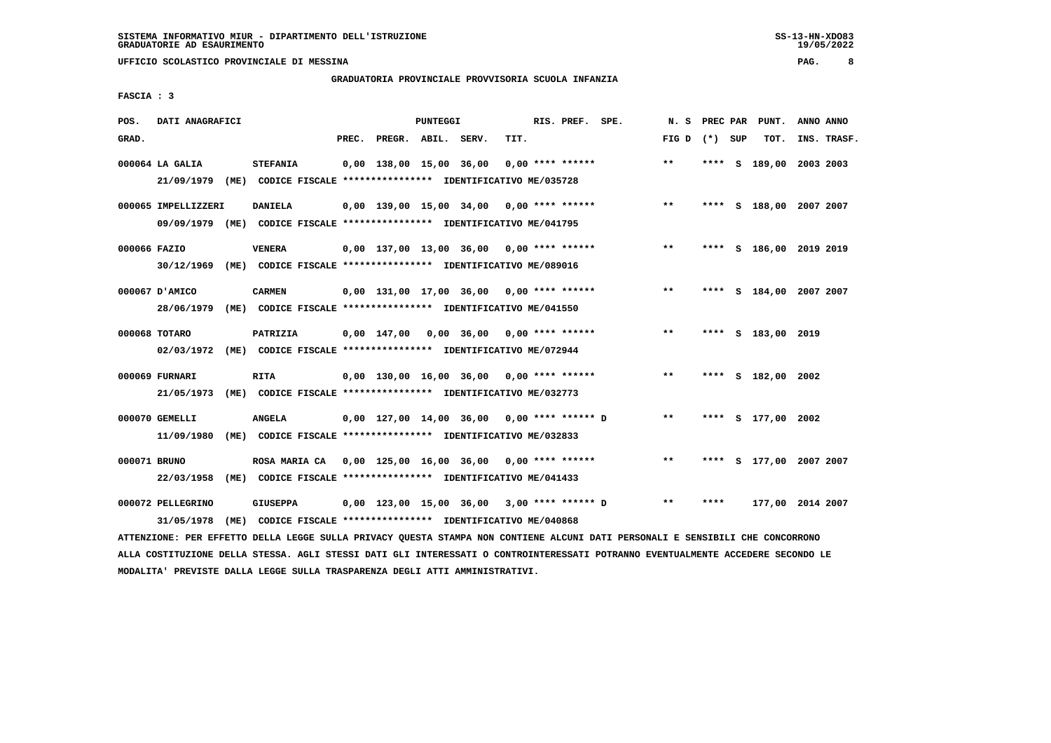#### **GRADUATORIA PROVINCIALE PROVVISORIA SCUOLA INFANZIA**

 **FASCIA : 3**

| POS.         | DATI ANAGRAFICI                 |                                                                                                                               |       |                         | <b>PUNTEGGI</b> |                                            |      | RIS. PREF. SPE.    |                                             | N.S             | PREC PAR | PUNT.                   | ANNO ANNO |             |
|--------------|---------------------------------|-------------------------------------------------------------------------------------------------------------------------------|-------|-------------------------|-----------------|--------------------------------------------|------|--------------------|---------------------------------------------|-----------------|----------|-------------------------|-----------|-------------|
| GRAD.        |                                 |                                                                                                                               | PREC. | PREGR. ABIL. SERV.      |                 |                                            | TIT. |                    |                                             | FIG D $(*)$ SUP |          | TOT.                    |           | INS. TRASF. |
|              | 000064 LA GALIA<br>21/09/1979   | <b>STEFANIA</b><br>(ME) CODICE FISCALE **************** IDENTIFICATIVO ME/035728                                              |       | 0,00 138,00 15,00 36,00 |                 |                                            |      | $0.00$ **** ****** |                                             | $***$           |          | **** S 189,00           | 2003 2003 |             |
|              | 000065 IMPELLIZZERI             | <b>DANIELA</b><br>09/09/1979 (ME) CODICE FISCALE *************** IDENTIFICATIVO ME/041795                                     |       |                         |                 | $0,00$ 139,00 15,00 34,00 0,00 **** ****** |      |                    |                                             | $***$           |          | **** S 188,00 2007 2007 |           |             |
| 000066 FAZIO | 30/12/1969                      | <b>VENERA</b><br>(ME) CODICE FISCALE **************** IDENTIFICATIVO ME/089016                                                |       |                         |                 | $0.00$ 137,00 13,00 36,00 0,00 **** ****** |      |                    |                                             | **              |          | **** S 186,00 2019 2019 |           |             |
|              | 000067 D'AMICO<br>28/06/1979    | <b>CARMEN</b><br>(ME) CODICE FISCALE **************** IDENTIFICATIVO ME/041550                                                |       |                         |                 | $0,00$ 131,00 17,00 36,00 0,00 **** ****** |      |                    |                                             | $***$           |          | **** S 184,00 2007 2007 |           |             |
|              | 000068 TOTARO<br>02/03/1972     | PATRIZIA<br>(ME) CODICE FISCALE **************** IDENTIFICATIVO ME/072944                                                     |       |                         |                 | $0,00$ 147,00 0,00 36,00 0,00 **** ******  |      |                    |                                             | $* *$           |          | **** S 183,00 2019      |           |             |
|              | 000069 FURNARI<br>21/05/1973    | <b>RITA</b><br>(ME) CODICE FISCALE **************** IDENTIFICATIVO ME/032773                                                  |       |                         |                 | $0,00$ 130,00 16,00 36,00 0,00 **** ****** |      |                    |                                             | **              |          | **** S 182,00 2002      |           |             |
|              | 000070 GEMELLI<br>11/09/1980    | <b>ANGELA</b><br>(ME) CODICE FISCALE **************** IDENTIFICATIVO ME/032833                                                |       |                         |                 | 0,00 127,00 14,00 36,00 0,00 **** ****** D |      |                    |                                             | $* *$           |          | **** S 177,00 2002      |           |             |
| 000071 BRUNO | 22/03/1958                      | ROSA MARIA CA 0,00 125,00 16,00 36,00 0,00 **** ******<br>(ME) CODICE FISCALE **************** IDENTIFICATIVO ME/041433       |       |                         |                 |                                            |      |                    |                                             | $***$           |          | **** S 177,00 2007 2007 |           |             |
|              | 000072 PELLEGRINO<br>31/05/1978 | <b>GIUSEPPA</b><br>(ME) CODICE FISCALE **************** IDENTIFICATIVO ME/040868                                              |       |                         |                 |                                            |      |                    | 0,00 123,00 15,00 36,00  3,00 **** ****** D | $***$           | ****     | 177,00 2014 2007        |           |             |
|              |                                 | ATTENZIONE: PER EFFETTO DELLA LEGGE SULLA PRIVACY QUESTA STAMPA NON CONTIENE ALCUNI DATI PERSONALI E SENSIBILI CHE CONCORRONO |       |                         |                 |                                            |      |                    |                                             |                 |          |                         |           |             |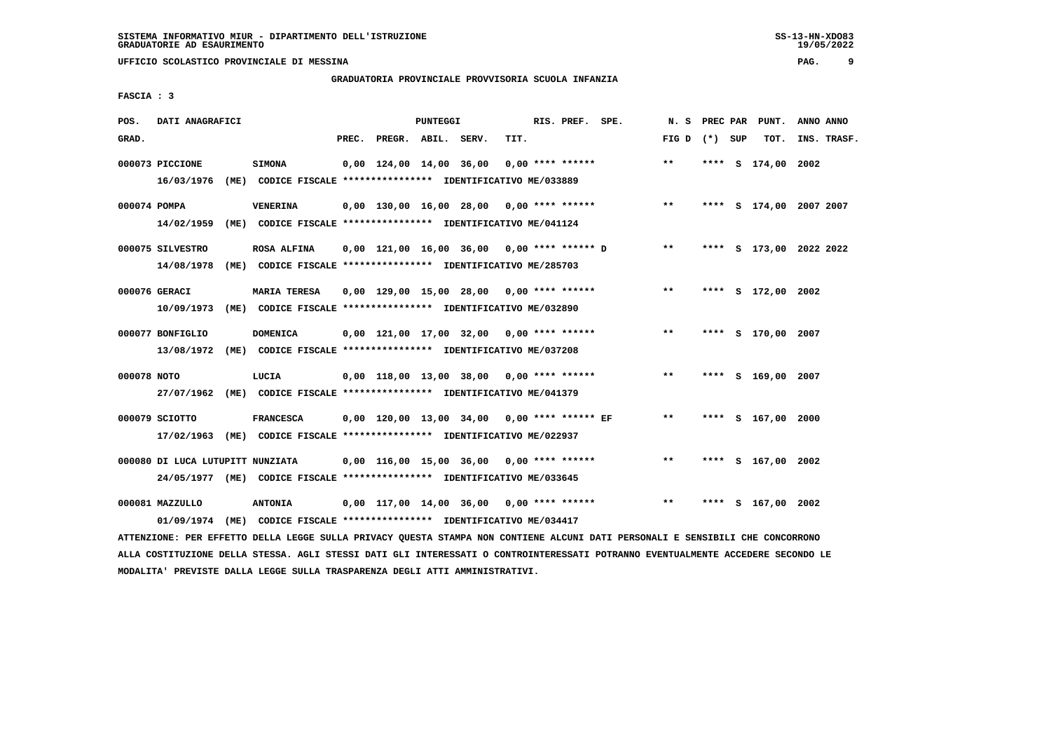### **GRADUATORIA PROVINCIALE PROVVISORIA SCUOLA INFANZIA**

 **FASCIA : 3**

| POS.         | DATI ANAGRAFICI                  |      |                                                                                      |       |                         | <b>PUNTEGGI</b> |                                              |      | RIS. PREF. SPE.    |                                            | N. S            |  | PREC PAR PUNT.          | ANNO ANNO |             |
|--------------|----------------------------------|------|--------------------------------------------------------------------------------------|-------|-------------------------|-----------------|----------------------------------------------|------|--------------------|--------------------------------------------|-----------------|--|-------------------------|-----------|-------------|
| GRAD.        |                                  |      |                                                                                      | PREC. | PREGR. ABIL. SERV.      |                 |                                              | TIT. |                    |                                            | FIG D $(*)$ SUP |  | TOT.                    |           | INS. TRASF. |
|              | 000073 PICCIONE<br>16/03/1976    |      | <b>SIMONA</b><br>(ME) CODICE FISCALE **************** IDENTIFICATIVO ME/033889       |       | 0,00 124,00 14,00 36,00 |                 |                                              |      | $0.00$ **** ****** |                                            | **              |  | **** S 174,00 2002      |           |             |
| 000074 POMPA | 14/02/1959                       |      | <b>VENERINA</b><br>(ME) CODICE FISCALE *************** IDENTIFICATIVO ME/041124      |       |                         |                 |                                              |      |                    | $0,00$ 130,00 16,00 28,00 0,00 **** ****** | $***$           |  | **** S 174,00 2007 2007 |           |             |
|              | 000075 SILVESTRO<br>14/08/1978   |      | ROSA ALFINA<br>(ME) CODICE FISCALE **************** IDENTIFICATIVO ME/285703         |       |                         |                 | $0,00$ 121,00 16,00 36,00 0,00 **** ****** D |      |                    |                                            | $***$           |  | **** S 173,00 2022 2022 |           |             |
|              | 000076 GERACI<br>10/09/1973      |      | <b>MARIA TERESA</b><br>(ME) CODICE FISCALE **************** IDENTIFICATIVO ME/032890 |       |                         |                 | $0.00$ 129.00 15.00 28.00 0.00 **** ******   |      |                    |                                            | $**$            |  | **** S 172,00 2002      |           |             |
|              | 000077 BONFIGLIO<br>13/08/1972   |      | <b>DOMENICA</b><br>(ME) CODICE FISCALE **************** IDENTIFICATIVO ME/037208     |       |                         |                 | $0,00$ 121,00 17,00 32,00 0,00 **** ******   |      |                    |                                            | $***$           |  | **** S 170,00 2007      |           |             |
| 000078 NOTO  | 27/07/1962                       |      | LUCIA<br>(ME) CODICE FISCALE **************** IDENTIFICATIVO ME/041379               |       |                         |                 | 0,00 118,00 13,00 38,00 0,00 **** ******     |      |                    |                                            | $* *$           |  | **** S 169,00 2007      |           |             |
|              | 000079 SCIOTTO<br>17/02/1963     |      | <b>FRANCESCA</b><br>(ME) CODICE FISCALE **************** IDENTIFICATIVO ME/022937    |       |                         |                 | 0,00 120,00 13,00 34,00 0,00 **** ****** EF  |      |                    |                                            | $\star\star$    |  | **** S 167,00 2000      |           |             |
|              | 000080 DI LUCA LUTUPITT NUNZIATA |      | 24/05/1977 (ME) CODICE FISCALE *************** IDENTIFICATIVO ME/033645              |       |                         |                 | 0,00 116,00 15,00 36,00                      |      | $0.00$ **** ****** |                                            | $***$           |  | **** S 167,00 2002      |           |             |
|              | 000081 MAZZULLO<br>01/09/1974    | (ME) | <b>ANTONIA</b><br>CODICE FISCALE **************** IDENTIFICATIVO ME/034417           |       |                         |                 | $0.00$ 117,00 14,00 36,00 0,00 **** ******   |      |                    |                                            | $***$           |  | **** S 167,00 2002      |           |             |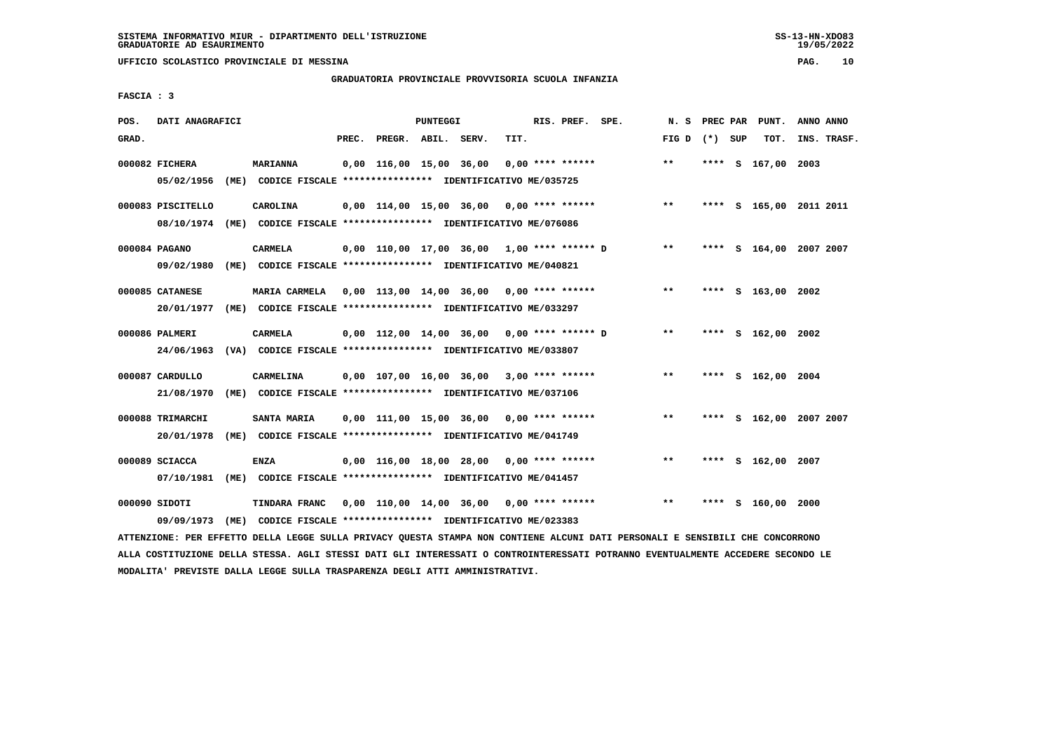**UFFICIO SCOLASTICO PROVINCIALE DI MESSINA PAG. 10**

#### **GRADUATORIA PROVINCIALE PROVVISORIA SCUOLA INFANZIA**

 **FASCIA : 3**

| POS.  | DATI ANAGRAFICI                 |      |                                                                                                                        |       |                         | PUNTEGGI |                                              |      | RIS. PREF. SPE.    | N.S             | PREC PAR | PUNT.                   | ANNO ANNO |             |
|-------|---------------------------------|------|------------------------------------------------------------------------------------------------------------------------|-------|-------------------------|----------|----------------------------------------------|------|--------------------|-----------------|----------|-------------------------|-----------|-------------|
| GRAD. |                                 |      |                                                                                                                        | PREC. | PREGR. ABIL. SERV.      |          |                                              | TIT. |                    | FIG D $(*)$ SUP |          | TOT.                    |           | INS. TRASF. |
|       | 000082 FICHERA                  |      | <b>MARIANNA</b><br>05/02/1956 (ME) CODICE FISCALE *************** IDENTIFICATIVO ME/035725                             |       | 0,00 116,00 15,00 36,00 |          |                                              |      | $0.00$ **** ****** | $***$           |          | **** S 167,00 2003      |           |             |
|       | 000083 PISCITELLO<br>08/10/1974 |      | CAROLINA<br>(ME) CODICE FISCALE **************** IDENTIFICATIVO ME/076086                                              |       |                         |          | $0.00$ 114.00 15.00 36.00 0.00 **** ******   |      |                    | $* *$           |          | **** S 165,00 2011 2011 |           |             |
|       | 000084 PAGANO<br>09/02/1980     |      | CARMELA<br>(ME) CODICE FISCALE **************** IDENTIFICATIVO ME/040821                                               |       |                         |          | $0.00$ 110.00 17.00 36.00 1.00 **** ****** D |      |                    | $***$           |          | **** S 164,00 2007 2007 |           |             |
|       | 000085 CATANESE<br>20/01/1977   |      | MARIA CARMELA 0,00 113,00 14,00 36,00 0,00 **** ******<br>(ME) CODICE FISCALE *************** IDENTIFICATIVO ME/033297 |       |                         |          |                                              |      |                    | $***$           |          | **** S 163,00 2002      |           |             |
|       | 000086 PALMERI<br>24/06/1963    |      | CARMELA<br>(VA) CODICE FISCALE **************** IDENTIFICATIVO ME/033807                                               |       |                         |          | 0,00 112,00 14,00 36,00 0,00 **** ****** D   |      |                    | $* *$           |          | **** S 162,00 2002      |           |             |
|       | 000087 CARDULLO<br>21/08/1970   | (ME) | CARMELINA<br>CODICE FISCALE **************** IDENTIFICATIVO ME/037106                                                  |       |                         |          | $0,00$ 107,00 16,00 36,00 3,00 **** ******   |      |                    | $***$           |          | **** S 162,00 2004      |           |             |
|       | 000088 TRIMARCHI<br>20/01/1978  |      | SANTA MARIA<br>(ME) CODICE FISCALE **************** IDENTIFICATIVO ME/041749                                           |       |                         |          | $0,00$ 111,00 15,00 36,00 0,00 **** ******   |      |                    | **              |          | **** S 162,00 2007 2007 |           |             |
|       | 000089 SCIACCA<br>07/10/1981    |      | ENZA<br>(ME) CODICE FISCALE **************** IDENTIFICATIVO ME/041457                                                  |       |                         |          | $0,00$ 116,00 18,00 28,00 0,00 **** ******   |      |                    | $**$            | ****     | S 162,00 2007           |           |             |
|       | 000090 SIDOTI<br>09/09/1973     |      | TINDARA FRANC<br>(ME) CODICE FISCALE **************** IDENTIFICATIVO ME/023383                                         |       |                         |          | 0,00 110,00 14,00 36,00                      |      | $0.00$ **** ****** | $\star\star$    | ****     | S 160,00 2000           |           |             |
|       |                                 |      |                                                                                                                        |       |                         |          |                                              |      |                    |                 |          |                         |           |             |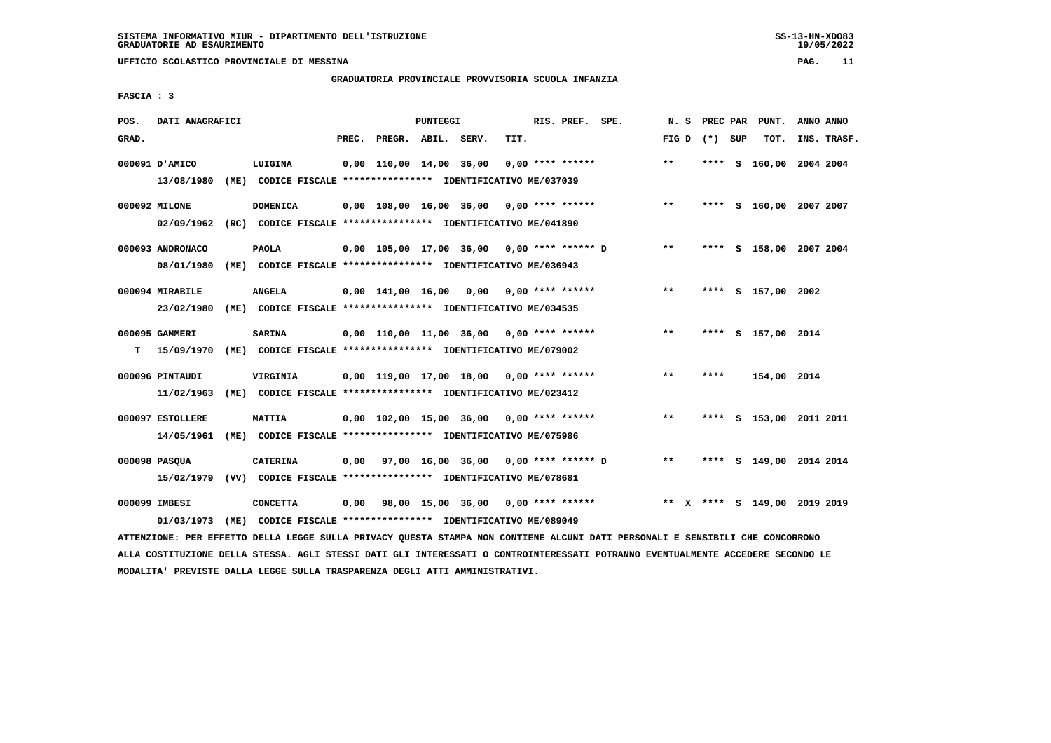#### **GRADUATORIA PROVINCIALE PROVVISORIA SCUOLA INFANZIA**

 **FASCIA : 3**

| POS.  | DATI ANAGRAFICI  |                                                                                                                               |       |                    | PUNTEGGI |                                                          |      | RIS. PREF. SPE.    |                                    | N. S  |                 | PREC PAR PUNT.               | ANNO ANNO   |
|-------|------------------|-------------------------------------------------------------------------------------------------------------------------------|-------|--------------------|----------|----------------------------------------------------------|------|--------------------|------------------------------------|-------|-----------------|------------------------------|-------------|
| GRAD. |                  |                                                                                                                               | PREC. | PREGR. ABIL. SERV. |          |                                                          | TIT. |                    |                                    |       | FIG D $(*)$ SUP | TOT.                         | INS. TRASF. |
|       | 000091 D'AMICO   | LUIGINA                                                                                                                       |       |                    |          | 0,00 110,00 14,00 36,00                                  |      | $0,00$ **** ****** |                                    | $**$  |                 | **** S 160,00 2004 2004      |             |
|       | 13/08/1980       | (ME) CODICE FISCALE **************** IDENTIFICATIVO ME/037039                                                                 |       |                    |          |                                                          |      |                    |                                    |       |                 |                              |             |
|       | 000092 MILONE    | <b>DOMENICA</b>                                                                                                               |       |                    |          | $0,00$ 108,00 16,00 36,00 0,00 **** ******               |      |                    |                                    | $***$ |                 | **** S 160,00 2007 2007      |             |
|       | 02/09/1962       | (RC) CODICE FISCALE *************** IDENTIFICATIVO ME/041890                                                                  |       |                    |          |                                                          |      |                    |                                    |       |                 |                              |             |
|       | 000093 ANDRONACO | <b>PAOLA</b>                                                                                                                  |       |                    |          | 0,00 105,00 17,00 36,00 0,00 **** ****** D               |      |                    |                                    | $***$ |                 | **** S 158,00 2007 2004      |             |
|       | 08/01/1980       | (ME) CODICE FISCALE **************** IDENTIFICATIVO ME/036943                                                                 |       |                    |          |                                                          |      |                    |                                    |       |                 |                              |             |
|       | 000094 MIRABILE  | <b>ANGELA</b>                                                                                                                 |       |                    |          | 0,00 141,00 16,00 0,00                                   |      | $0.00$ **** ****** |                                    | $* *$ |                 | **** S 157,00 2002           |             |
|       | 23/02/1980       | (ME) CODICE FISCALE **************** IDENTIFICATIVO ME/034535                                                                 |       |                    |          |                                                          |      |                    |                                    |       |                 |                              |             |
|       | 000095 GAMMERI   | <b>SARINA</b>                                                                                                                 |       |                    |          | $0,00$ 110,00 11,00 36,00 0,00 **** ******               |      |                    |                                    | $***$ |                 | **** S 157,00 2014           |             |
| т     | 15/09/1970       | (ME) CODICE FISCALE **************** IDENTIFICATIVO ME/079002                                                                 |       |                    |          |                                                          |      |                    |                                    |       |                 |                              |             |
|       | 000096 PINTAUDI  | <b>VIRGINIA</b>                                                                                                               |       |                    |          | 0,00 119,00 17,00 18,00 0,00 **** ******                 |      |                    |                                    | $* *$ | ****            | 154,00 2014                  |             |
|       | 11/02/1963       | (ME) CODICE FISCALE **************** IDENTIFICATIVO ME/023412                                                                 |       |                    |          |                                                          |      |                    |                                    |       |                 |                              |             |
|       | 000097 ESTOLLERE | <b>MATTIA</b>                                                                                                                 |       |                    |          | $0,00$ $102,00$ $15,00$ $36,00$ $0,00$ $***$ **** ****** |      |                    |                                    | **    |                 | **** S 153,00 2011 2011      |             |
|       | 14/05/1961       | (ME) CODICE FISCALE **************** IDENTIFICATIVO ME/075986                                                                 |       |                    |          |                                                          |      |                    |                                    |       |                 |                              |             |
|       | 000098 PASQUA    | <b>CATERINA</b>                                                                                                               |       |                    |          | 0,00 97,00 16,00 36,00 0,00 **** ****** D                |      |                    |                                    | $***$ |                 | **** S 149,00 2014 2014      |             |
|       |                  | 15/02/1979 (VV) CODICE FISCALE **************** IDENTIFICATIVO ME/078681                                                      |       |                    |          |                                                          |      |                    |                                    |       |                 |                              |             |
|       | 000099 IMBESI    | <b>CONCETTA</b>                                                                                                               | 0,00  |                    |          |                                                          |      |                    | 98,00 15,00 36,00 0,00 **** ****** |       |                 | ** X **** S 149,00 2019 2019 |             |
|       | 01/03/1973       | (ME) CODICE FISCALE **************** IDENTIFICATIVO ME/089049                                                                 |       |                    |          |                                                          |      |                    |                                    |       |                 |                              |             |
|       |                  | ATTENZIONE: PER EFFETTO DELLA LEGGE SULLA PRIVACY QUESTA STAMPA NON CONTIENE ALCUNI DATI PERSONALI E SENSIBILI CHE CONCORRONO |       |                    |          |                                                          |      |                    |                                    |       |                 |                              |             |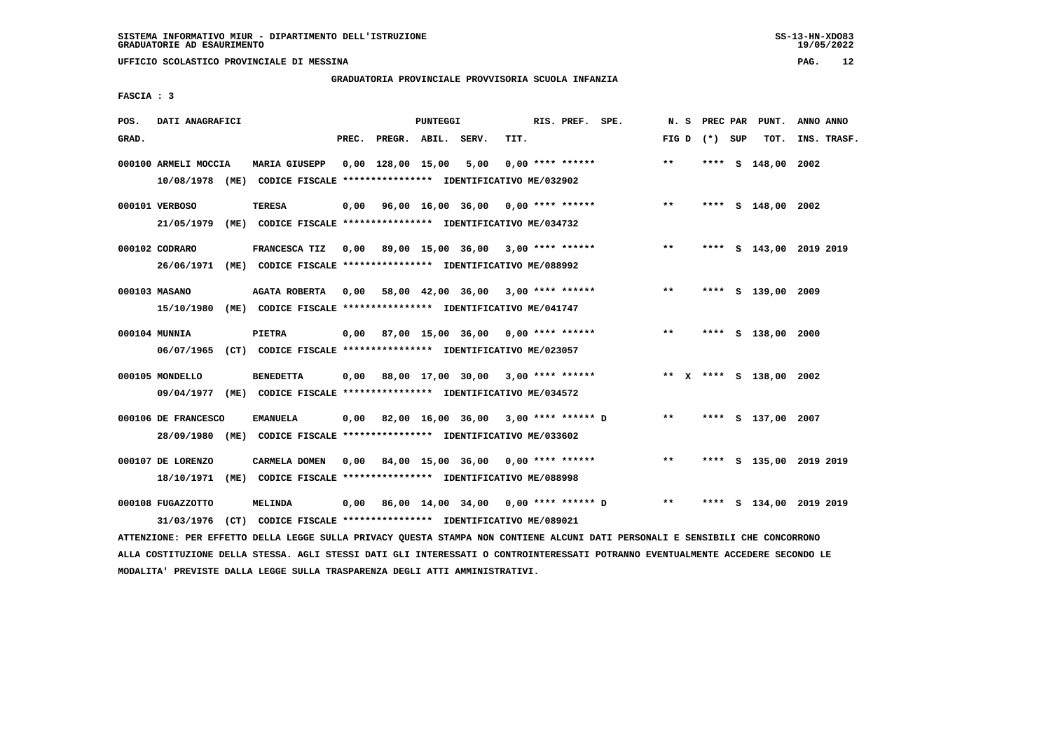#### **GRADUATORIA PROVINCIALE PROVVISORIA SCUOLA INFANZIA**

 **FASCIA : 3**

| POS.  | DATI ANAGRAFICI      |                                                                         |       |                    | PUNTEGGI |                                           |      | RIS. PREF. SPE.    |                    | N.S   | PREC PAR        | PUNT.                   | ANNO ANNO |             |
|-------|----------------------|-------------------------------------------------------------------------|-------|--------------------|----------|-------------------------------------------|------|--------------------|--------------------|-------|-----------------|-------------------------|-----------|-------------|
| GRAD. |                      |                                                                         | PREC. | PREGR. ABIL. SERV. |          |                                           | TIT. |                    |                    |       | FIG D $(*)$ SUP | TOT.                    |           | INS. TRASF. |
|       | 000100 ARMELI MOCCIA | <b>MARIA GIUSEPP</b>                                                    |       | 0,00 128,00 15,00  |          | 5,00                                      |      | $0.00$ **** ****** |                    | $**$  |                 | **** S 148,00           | 2002      |             |
|       |                      | 10/08/1978 (ME) CODICE FISCALE *************** IDENTIFICATIVO ME/032902 |       |                    |          |                                           |      |                    |                    |       |                 |                         |           |             |
|       | 000101 VERBOSO       | <b>TERESA</b>                                                           | 0,00  |                    |          | 96,00 16,00 36,00 0,00 **** ******        |      |                    |                    | $***$ |                 | **** S 148,00 2002      |           |             |
|       | 21/05/1979           | (ME) CODICE FISCALE **************** IDENTIFICATIVO ME/034732           |       |                    |          |                                           |      |                    |                    |       |                 |                         |           |             |
|       | 000102 CODRARO       | FRANCESCA TIZ                                                           |       |                    |          | 0,00 89,00 15,00 36,00 3,00 **** ******   |      |                    |                    | $**$  |                 | **** S 143,00 2019 2019 |           |             |
|       |                      | 26/06/1971 (ME) CODICE FISCALE *************** IDENTIFICATIVO ME/088992 |       |                    |          |                                           |      |                    |                    |       |                 |                         |           |             |
|       | 000103 MASANO        | <b>AGATA ROBERTA</b>                                                    |       |                    |          | 0,00 58,00 42,00 36,00 3,00 **** ******   |      |                    |                    | $***$ |                 | **** S 139,00 2009      |           |             |
|       | 15/10/1980           | (ME) CODICE FISCALE **************** IDENTIFICATIVO ME/041747           |       |                    |          |                                           |      |                    |                    |       |                 |                         |           |             |
|       | 000104 MUNNIA        | PIETRA                                                                  |       |                    |          | $0,00$ 87,00 15,00 36,00 0,00 **** ****** |      |                    |                    | $***$ |                 | **** S 138,00           | 2000      |             |
|       |                      | 06/07/1965 (CT) CODICE FISCALE *************** IDENTIFICATIVO ME/023057 |       |                    |          |                                           |      |                    |                    |       |                 |                         |           |             |
|       | 000105 MONDELLO      | <b>BENEDETTA</b>                                                        | 0,00  |                    |          | 88,00 17,00 30,00 3,00 **** ******        |      |                    |                    |       |                 | ** X **** S 138,00 2002 |           |             |
|       |                      | 09/04/1977 (ME) CODICE FISCALE *************** IDENTIFICATIVO ME/034572 |       |                    |          |                                           |      |                    |                    |       |                 |                         |           |             |
|       |                      |                                                                         |       |                    |          |                                           |      |                    |                    |       |                 |                         |           |             |
|       | 000106 DE FRANCESCO  | <b>EMANUELA</b>                                                         | 0,00  |                    |          | 82,00 16,00 36,00 3,00 **** ****** D      |      |                    |                    | $**$  |                 | **** S 137,00 2007      |           |             |
|       | 28/09/1980           | (ME) CODICE FISCALE **************** IDENTIFICATIVO ME/033602           |       |                    |          |                                           |      |                    |                    |       |                 |                         |           |             |
|       | 000107 DE LORENZO    | CARMELA DOMEN                                                           | 0.00  |                    |          | 84,00 15,00 36,00 0,00 **** ******        |      |                    |                    | $***$ |                 | **** S 135,00 2019 2019 |           |             |
|       | 18/10/1971           | (ME) CODICE FISCALE *************** IDENTIFICATIVO ME/088998            |       |                    |          |                                           |      |                    |                    |       |                 |                         |           |             |
|       | 000108 FUGAZZOTTO    | <b>MELINDA</b>                                                          | 0,00  |                    |          | 86,00 14,00 34,00                         |      |                    | 0,00 **** ****** D | $* *$ | ****            | S 134,00 2019 2019      |           |             |
|       |                      | 31/03/1976 (CT) CODICE FISCALE *************** IDENTIFICATIVO ME/089021 |       |                    |          |                                           |      |                    |                    |       |                 |                         |           |             |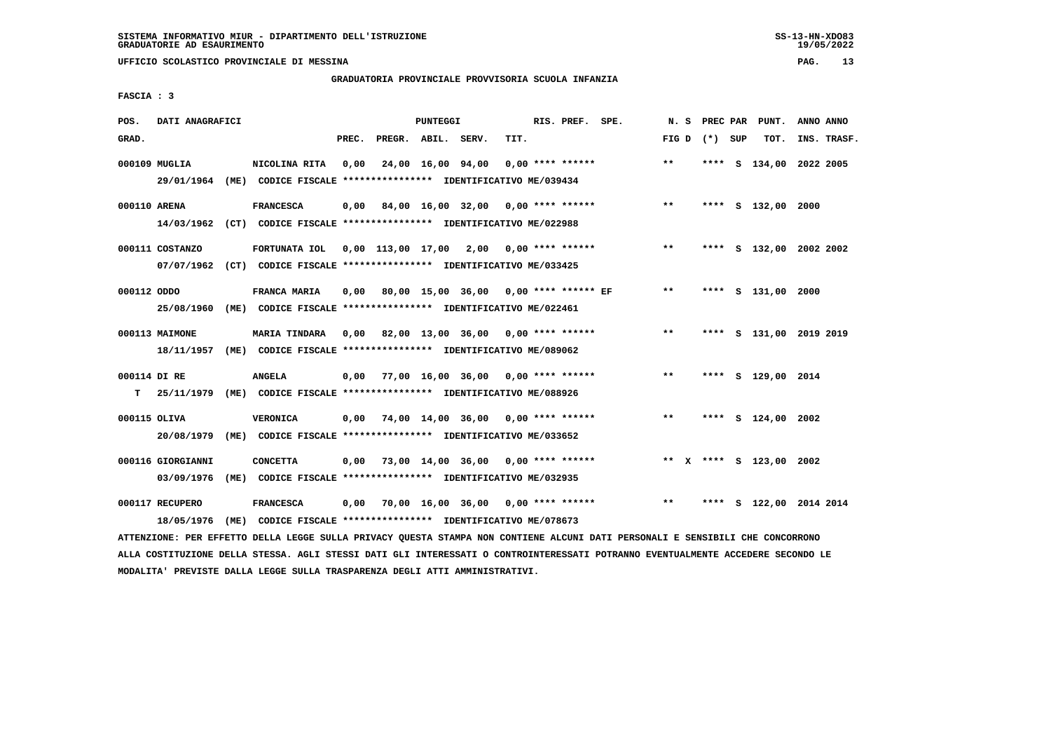#### **GRADUATORIA PROVINCIALE PROVVISORIA SCUOLA INFANZIA**

 **FASCIA : 3**

| POS.         | DATI ANAGRAFICI   |                                                                                                                               |       |                    | PUNTEGGI |                                                   |      | RIS. PREF. SPE. |                                                         |       |                 | N. S PREC PAR PUNT.     | ANNO ANNO |             |
|--------------|-------------------|-------------------------------------------------------------------------------------------------------------------------------|-------|--------------------|----------|---------------------------------------------------|------|-----------------|---------------------------------------------------------|-------|-----------------|-------------------------|-----------|-------------|
| GRAD.        |                   |                                                                                                                               | PREC. | PREGR. ABIL. SERV. |          |                                                   | TIT. |                 |                                                         |       | FIG D $(*)$ SUP | TOT.                    |           | INS. TRASF. |
|              | 000109 MUGLIA     | NICOLINA RITA                                                                                                                 | 0,00  |                    |          | 24,00 16,00 94,00 0,00 **** ******                |      |                 |                                                         | $***$ |                 | **** S 134,00 2022 2005 |           |             |
|              |                   | 29/01/1964 (ME) CODICE FISCALE *************** IDENTIFICATIVO ME/039434                                                       |       |                    |          |                                                   |      |                 |                                                         |       |                 |                         |           |             |
| 000110 ARENA |                   | <b>FRANCESCA</b>                                                                                                              |       |                    |          | $0,00$ 84,00 16,00 32,00 0,00 **** ******         |      |                 |                                                         | $***$ |                 | **** S 132,00 2000      |           |             |
|              |                   | 14/03/1962 (CT) CODICE FISCALE *************** IDENTIFICATIVO ME/022988                                                       |       |                    |          |                                                   |      |                 |                                                         |       |                 |                         |           |             |
|              | 000111 COSTANZO   | FORTUNATA IOL 0,00 113,00 17,00 2,00 0,00 **** ******                                                                         |       |                    |          |                                                   |      |                 |                                                         | $***$ |                 | **** S 132,00 2002 2002 |           |             |
|              |                   | 07/07/1962 (CT) CODICE FISCALE *************** IDENTIFICATIVO ME/033425                                                       |       |                    |          |                                                   |      |                 |                                                         |       |                 |                         |           |             |
| 000112 ODDO  |                   | FRANCA MARIA                                                                                                                  |       |                    |          |                                                   |      |                 | 0,00 80,00 15,00 36,00 0,00 **** ****** EF              | $***$ |                 | **** S 131,00 2000      |           |             |
|              | 25/08/1960        | (ME) CODICE FISCALE **************** IDENTIFICATIVO ME/022461                                                                 |       |                    |          |                                                   |      |                 |                                                         |       |                 |                         |           |             |
|              | 000113 MAIMONE    | <b>MARIA TINDARA</b>                                                                                                          | 0,00  |                    |          | 82,00 13,00 36,00 0,00 **** ******                |      |                 |                                                         | $**$  |                 | **** S 131,00 2019 2019 |           |             |
|              |                   | 18/11/1957 (ME) CODICE FISCALE *************** IDENTIFICATIVO ME/089062                                                       |       |                    |          |                                                   |      |                 |                                                         |       |                 |                         |           |             |
| 000114 DI RE |                   | <b>ANGELA</b>                                                                                                                 |       |                    |          | 0,00 77,00 16,00 36,00 0,00 **** ******           |      |                 |                                                         | $***$ |                 | **** S 129,00 2014      |           |             |
|              |                   | T 25/11/1979 (ME) CODICE FISCALE *************** IDENTIFICATIVO ME/088926                                                     |       |                    |          |                                                   |      |                 |                                                         |       |                 |                         |           |             |
| 000115 OLIVA |                   | <b>VERONICA</b>                                                                                                               |       |                    |          | $0,00$ $74,00$ $14,00$ $36,00$ $0,00$ **** ****** |      |                 |                                                         | $***$ |                 | **** S 124,00 2002      |           |             |
|              | 20/08/1979        | (ME) CODICE FISCALE **************** IDENTIFICATIVO ME/033652                                                                 |       |                    |          |                                                   |      |                 |                                                         |       |                 |                         |           |             |
|              | 000116 GIORGIANNI | <b>CONCETTA</b>                                                                                                               |       |                    |          | $0,00$ 73,00 14,00 36,00 0,00 **** ******         |      |                 |                                                         |       |                 | ** X **** S 123,00 2002 |           |             |
|              | 03/09/1976        | (ME) CODICE FISCALE **************** IDENTIFICATIVO ME/032935                                                                 |       |                    |          |                                                   |      |                 |                                                         |       |                 |                         |           |             |
|              | 000117 RECUPERO   | <b>FRANCESCA</b>                                                                                                              |       |                    |          |                                                   |      |                 | $0,00$ $70,00$ $16,00$ $36,00$ $0,00$ $***$ $***$ $***$ |       |                 | **** S 122,00 2014 2014 |           |             |
|              | 18/05/1976        | (ME) CODICE FISCALE **************** IDENTIFICATIVO ME/078673                                                                 |       |                    |          |                                                   |      |                 |                                                         |       |                 |                         |           |             |
|              |                   | ATTENZIONE: PER EFFETTO DELLA LEGGE SULLA PRIVACY QUESTA STAMPA NON CONTIENE ALCUNI DATI PERSONALI E SENSIBILI CHE CONCORRONO |       |                    |          |                                                   |      |                 |                                                         |       |                 |                         |           |             |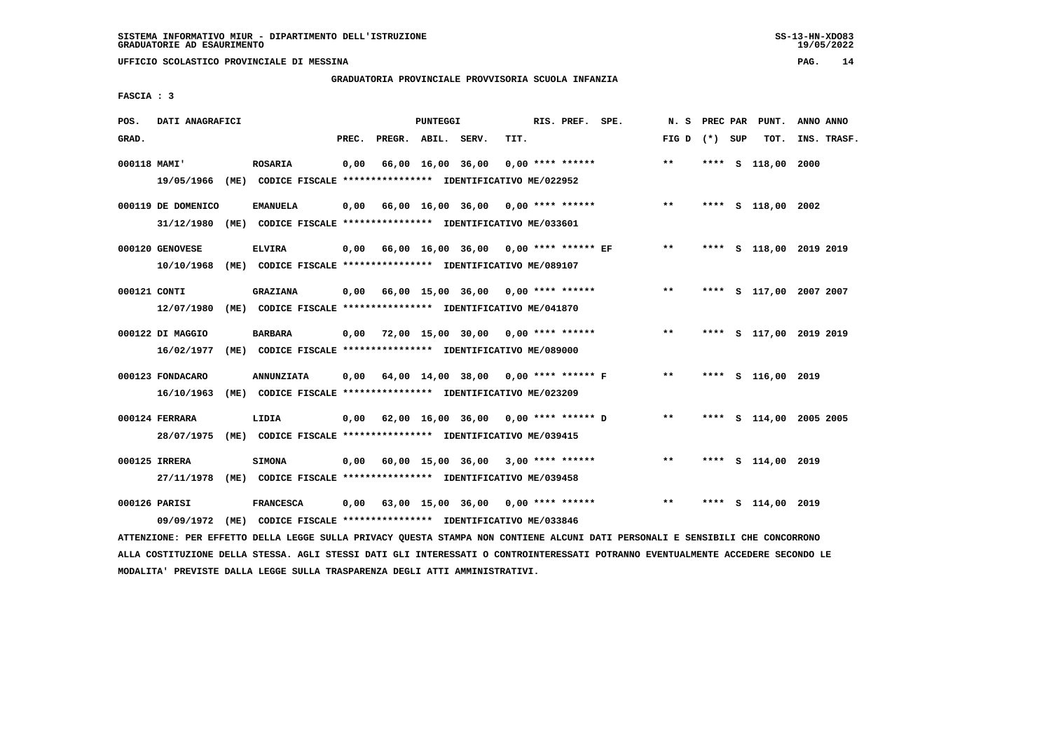#### **GRADUATORIA PROVINCIALE PROVVISORIA SCUOLA INFANZIA**

 **FASCIA : 3**

| POS.         | DATI ANAGRAFICI                  |      |                                                                                           |       |                                       | PUNTEGGI          |                                      |      | RIS. PREF. SPE.    | N.S   | PREC PAR |   | PUNT.                   | ANNO ANNO |             |
|--------------|----------------------------------|------|-------------------------------------------------------------------------------------------|-------|---------------------------------------|-------------------|--------------------------------------|------|--------------------|-------|----------|---|-------------------------|-----------|-------------|
| GRAD.        |                                  |      |                                                                                           | PREC. | PREGR. ABIL. SERV.                    |                   |                                      | TIT. |                    | FIG D | (*) SUP  |   | TOT.                    |           | INS. TRASF. |
| 000118 MAMI' |                                  |      | <b>ROSARIA</b><br>19/05/1966 (ME) CODICE FISCALE *************** IDENTIFICATIVO ME/022952 | 0,00  |                                       | 66,00 16,00 36,00 |                                      |      | $0.00$ **** ****** | $* *$ |          |   | **** S 118,00           | 2000      |             |
|              | 000119 DE DOMENICO<br>31/12/1980 | (ME) | <b>EMANUELA</b><br>CODICE FISCALE **************** IDENTIFICATIVO ME/033601               | 0,00  | 66,00 16,00 36,00 0,00 **** ******    |                   |                                      |      |                    | $**$  |          |   | **** S 118,00 2002      |           |             |
|              | 000120 GENOVESE<br>10/10/1968    |      | <b>ELVIRA</b><br>(ME) CODICE FISCALE **************** IDENTIFICATIVO ME/089107            | 0,00  | 66,00 16,00 36,00 0,00 **** ****** EF |                   |                                      |      |                    | $***$ |          |   | **** S 118,00 2019 2019 |           |             |
| 000121 CONTI | 12/07/1980                       |      | <b>GRAZIANA</b><br>(ME) CODICE FISCALE **************** IDENTIFICATIVO ME/041870          | 0,00  | 66,00 15,00 36,00 0,00 **** ******    |                   |                                      |      |                    | $***$ |          |   | **** S 117,00 2007 2007 |           |             |
|              | 000122 DI MAGGIO<br>16/02/1977   |      | <b>BARBARA</b><br>(ME) CODICE FISCALE **************** IDENTIFICATIVO ME/089000           | 0,00  | 72,00 15,00 30,00                     |                   |                                      |      | $0.00$ **** ****** | $* *$ | ****     |   | S 117,00 2019 2019      |           |             |
|              | 000123 FONDACARO<br>16/10/1963   | (ME) | <b>ANNUNZIATA</b><br>CODICE FISCALE **************** IDENTIFICATIVO ME/023209             | 0,00  | 64,00 14,00 38,00 0,00 **** ****** F  |                   |                                      |      |                    | $***$ |          |   | **** S 116,00 2019      |           |             |
|              | 000124 FERRARA<br>28/07/1975     | (ME) | LIDIA<br>CODICE FISCALE **************** IDENTIFICATIVO ME/039415                         | 0,00  | 62,00 16,00 36,00 0,00 **** ****** D  |                   |                                      |      |                    | $* *$ |          |   | **** S 114,00 2005 2005 |           |             |
|              | 000125 IRRERA                    |      | <b>SIMONA</b><br>27/11/1978 (ME) CODICE FISCALE *************** IDENTIFICATIVO ME/039458  | 0,00  |                                       |                   | 60,00 15,00 36,00 3,00 **** ******   |      |                    | $***$ |          |   | **** S 114,00 2019      |           |             |
|              | 000126 PARISI<br>09/09/1972      | (ME) | <b>FRANCESCA</b><br>CODICE FISCALE **************** IDENTIFICATIVO ME/033846              | 0,00  |                                       |                   | $63,00$ 15,00 36,00 0,00 **** ****** |      |                    | $* *$ | ****     | s | 114,00 2019             |           |             |
|              |                                  |      |                                                                                           |       |                                       |                   |                                      |      |                    |       |          |   |                         |           |             |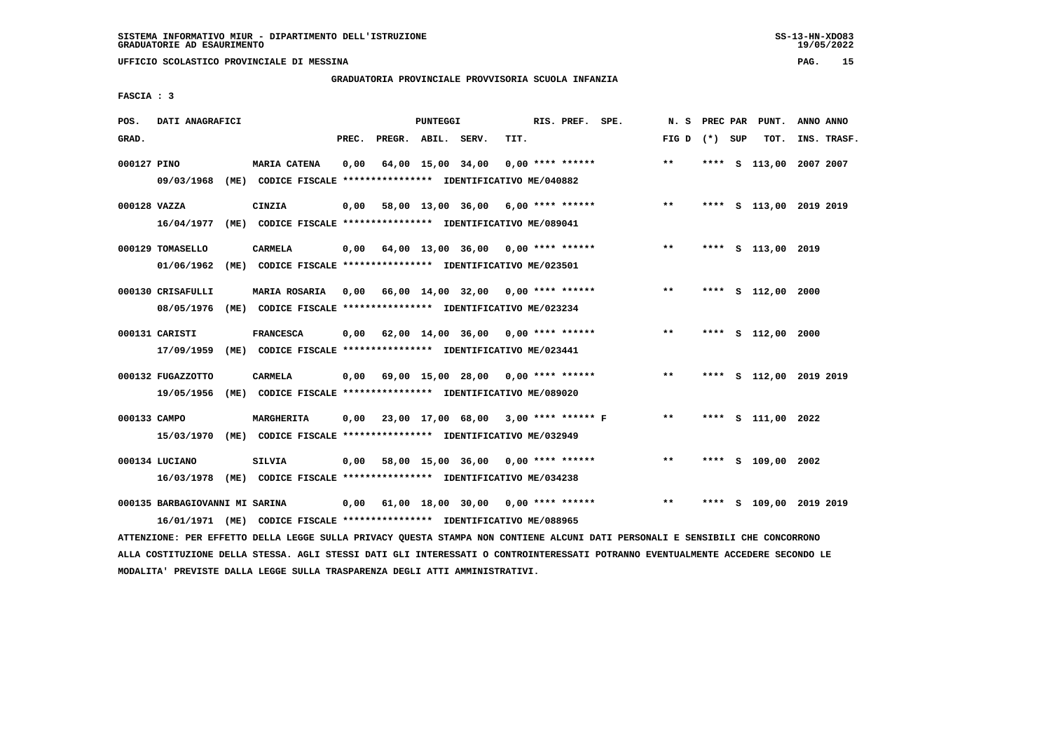**UFFICIO SCOLASTICO PROVINCIALE DI MESSINA PAG. 15**

#### **GRADUATORIA PROVINCIALE PROVVISORIA SCUOLA INFANZIA**

 **FASCIA : 3**

| POS.         | DATI ANAGRAFICI                 |      |                                                                                          |       |                    | <b>PUNTEGGI</b> |                                           |      | RIS. PREF. SPE.    |                    | N. S            | PREC PAR | PUNT.                   | ANNO ANNO |             |
|--------------|---------------------------------|------|------------------------------------------------------------------------------------------|-------|--------------------|-----------------|-------------------------------------------|------|--------------------|--------------------|-----------------|----------|-------------------------|-----------|-------------|
| GRAD.        |                                 |      |                                                                                          | PREC. | PREGR. ABIL. SERV. |                 |                                           | TIT. |                    |                    | FIG D $(*)$ SUP |          | TOT.                    |           | INS. TRASF. |
| 000127 PINO  | 09/03/1968                      |      | <b>MARIA CATENA</b><br>(ME) CODICE FISCALE **************** IDENTIFICATIVO ME/040882     | 0,00  |                    |                 | 64,00 15,00 34,00                         |      | $0.00$ **** ****** |                    | $**$            |          | **** S 113,00 2007 2007 |           |             |
| 000128 VAZZA | 16/04/1977                      |      | CINZIA<br>(ME) CODICE FISCALE **************** IDENTIFICATIVO ME/089041                  | 0,00  |                    |                 | 58,00 13,00 36,00 6,00 **** ******        |      |                    |                    | $***$           | ****     | S 113,00 2019 2019      |           |             |
|              | 000129 TOMASELLO<br>01/06/1962  | (ME) | <b>CARMELA</b><br>CODICE FISCALE **************** IDENTIFICATIVO ME/023501               | 0,00  |                    |                 | 64,00 13,00 36,00 0,00 **** ******        |      |                    |                    | $***$           |          | **** S 113,00 2019      |           |             |
|              | 000130 CRISAFULLI<br>08/05/1976 |      | MARIA ROSARIA 0,00<br>(ME) CODICE FISCALE **************** IDENTIFICATIVO ME/023234      |       |                    |                 | 66,00 14,00 32,00 0,00 **** ******        |      |                    |                    | $***$           |          | **** S 112,00 2000      |           |             |
|              | 000131 CARISTI<br>17/09/1959    |      | <b>FRANCESCA</b><br>(ME) CODICE FISCALE **************** IDENTIFICATIVO ME/023441        | 0,00  |                    |                 | $62,00$ 14,00 36,00 0,00 **** ******      |      |                    |                    | $***$           |          | **** S 112,00 2000      |           |             |
|              | 000132 FUGAZZOTTO<br>19/05/1956 |      | <b>CARMELA</b><br>(ME) CODICE FISCALE **************** IDENTIFICATIVO ME/089020          |       |                    |                 | $0.00$ 69.00 15.00 28.00 0.00 **** ****** |      |                    |                    | $***$           |          | **** S 112,00 2019 2019 |           |             |
| 000133 CAMPO |                                 |      | MARGHERITA<br>15/03/1970 (ME) CODICE FISCALE *************** IDENTIFICATIVO ME/032949    |       |                    |                 | 0,00 23,00 17,00 68,00 3,00 **** ****** F |      |                    |                    | $***$           |          | **** S 111,00 2022      |           |             |
|              | 000134 LUCIANO                  |      | <b>SILVIA</b><br>16/03/1978 (ME) CODICE FISCALE *************** IDENTIFICATIVO ME/034238 | 0,00  |                    |                 | 58,00 15,00 36,00                         |      |                    | $0.00$ **** ****** | $***$           |          | **** S 109,00 2002      |           |             |
|              | 000135 BARBAGIOVANNI MI SARINA  |      | 16/01/1971 (ME) CODICE FISCALE *************** IDENTIFICATIVO ME/088965                  |       |                    |                 | $0.00$ 61.00 18.00 30.00 0.00 **** ****** |      |                    |                    | $***$           | ****     | S 109,00 2019 2019      |           |             |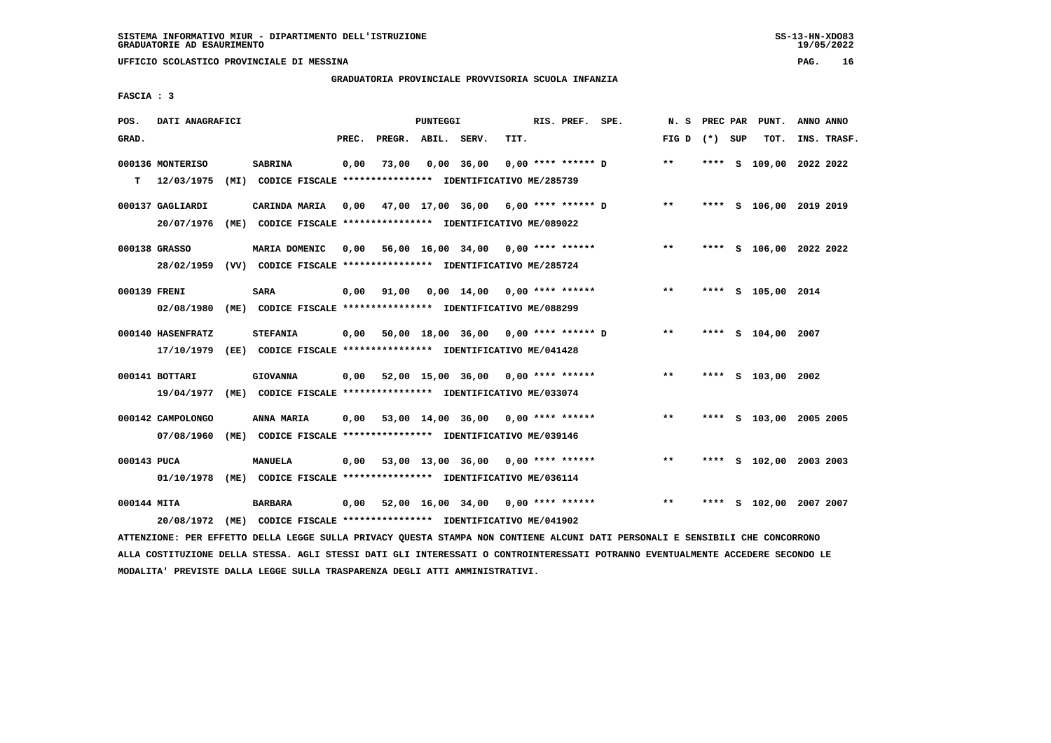#### **GRADUATORIA PROVINCIALE PROVVISORIA SCUOLA INFANZIA**

 **FASCIA : 3**

| POS.         | DATI ANAGRAFICI   |                                                                                                                               |       |                    | PUNTEGGI |                                           |      | RIS. PREF. SPE. |                                                  | N.S             |  | PREC PAR PUNT.          | ANNO ANNO |             |
|--------------|-------------------|-------------------------------------------------------------------------------------------------------------------------------|-------|--------------------|----------|-------------------------------------------|------|-----------------|--------------------------------------------------|-----------------|--|-------------------------|-----------|-------------|
| GRAD.        |                   |                                                                                                                               | PREC. | PREGR. ABIL. SERV. |          |                                           | TIT. |                 |                                                  | FIG D $(*)$ SUP |  | TOT.                    |           | INS. TRASF. |
|              | 000136 MONTERISO  | <b>SABRINA</b>                                                                                                                | 0,00  | 73,00              |          | 0,00 36,00                                |      |                 | $0.00$ **** ****** D                             | $* *$           |  | **** S 109,00 2022 2022 |           |             |
| т            | 12/03/1975        | (MI) CODICE FISCALE **************** IDENTIFICATIVO ME/285739                                                                 |       |                    |          |                                           |      |                 |                                                  |                 |  |                         |           |             |
|              | 000137 GAGLIARDI  | CARINDA MARIA 0,00 47,00 17,00 36,00 6,00 **** ****** D                                                                       |       |                    |          |                                           |      |                 |                                                  | $\star\star$    |  | **** S 106,00 2019 2019 |           |             |
|              | 20/07/1976        | (ME) CODICE FISCALE **************** IDENTIFICATIVO ME/089022                                                                 |       |                    |          |                                           |      |                 |                                                  |                 |  |                         |           |             |
|              | 000138 GRASSO     | MARIA DOMENIC                                                                                                                 |       |                    |          | 0,00 56,00 16,00 34,00 0,00 **** ******   |      |                 |                                                  | $* *$           |  | **** S 106,00 2022 2022 |           |             |
|              |                   | 28/02/1959 (VV) CODICE FISCALE *************** IDENTIFICATIVO ME/285724                                                       |       |                    |          |                                           |      |                 |                                                  |                 |  |                         |           |             |
| 000139 FRENI |                   | <b>SARA</b>                                                                                                                   | 0,00  |                    |          |                                           |      |                 | 91,00  0,00  14,00  0,00  ****  ******           | $***$           |  | **** S 105,00 2014      |           |             |
|              | 02/08/1980        | (ME) CODICE FISCALE **************** IDENTIFICATIVO ME/088299                                                                 |       |                    |          |                                           |      |                 |                                                  |                 |  |                         |           |             |
|              | 000140 HASENFRATZ | <b>STEFANIA</b>                                                                                                               |       |                    |          |                                           |      |                 | $0,00$ 50,00 18,00 36,00 0,00 **** ****** D **   |                 |  | **** S 104,00 2007      |           |             |
|              | 17/10/1979        | (EE) CODICE FISCALE **************** IDENTIFICATIVO ME/041428                                                                 |       |                    |          |                                           |      |                 |                                                  |                 |  |                         |           |             |
|              | 000141 BOTTARI    | <b>GIOVANNA</b>                                                                                                               | 0,00  |                    |          | 52,00 15,00 36,00 0,00 **** ******        |      |                 |                                                  | $***$           |  | **** S 103,00 2002      |           |             |
|              |                   | 19/04/1977 (ME) CODICE FISCALE *************** IDENTIFICATIVO ME/033074                                                       |       |                    |          |                                           |      |                 |                                                  |                 |  |                         |           |             |
|              | 000142 CAMPOLONGO | ANNA MARIA                                                                                                                    |       |                    |          | $0,00$ 53,00 14,00 36,00 0,00 **** ****** |      |                 |                                                  | $***$           |  | **** S 103,00 2005 2005 |           |             |
|              | 07/08/1960        | (ME) CODICE FISCALE **************** IDENTIFICATIVO ME/039146                                                                 |       |                    |          |                                           |      |                 |                                                  |                 |  |                         |           |             |
| 000143 PUCA  |                   | <b>MANUELA</b>                                                                                                                |       |                    |          | $0,00$ 53,00 13,00 36,00 0,00 **** ****** |      |                 |                                                  | $***$           |  | **** S 102,00 2003 2003 |           |             |
|              |                   | 01/10/1978 (ME) CODICE FISCALE *************** IDENTIFICATIVO ME/036114                                                       |       |                    |          |                                           |      |                 |                                                  |                 |  |                         |           |             |
| 000144 MITA  |                   | BARBARA                                                                                                                       |       |                    |          |                                           |      |                 | $0,00$ 52,00 16,00 34,00 0,00 **** ****** *** ** |                 |  | **** S 102,00 2007 2007 |           |             |
|              | 20/08/1972        | (ME) CODICE FISCALE **************** IDENTIFICATIVO ME/041902                                                                 |       |                    |          |                                           |      |                 |                                                  |                 |  |                         |           |             |
|              |                   | ATTENZIONE: PER EFFETTO DELLA LEGGE SULLA PRIVACY QUESTA STAMPA NON CONTIENE ALCUNI DATI PERSONALI E SENSIBILI CHE CONCORRONO |       |                    |          |                                           |      |                 |                                                  |                 |  |                         |           |             |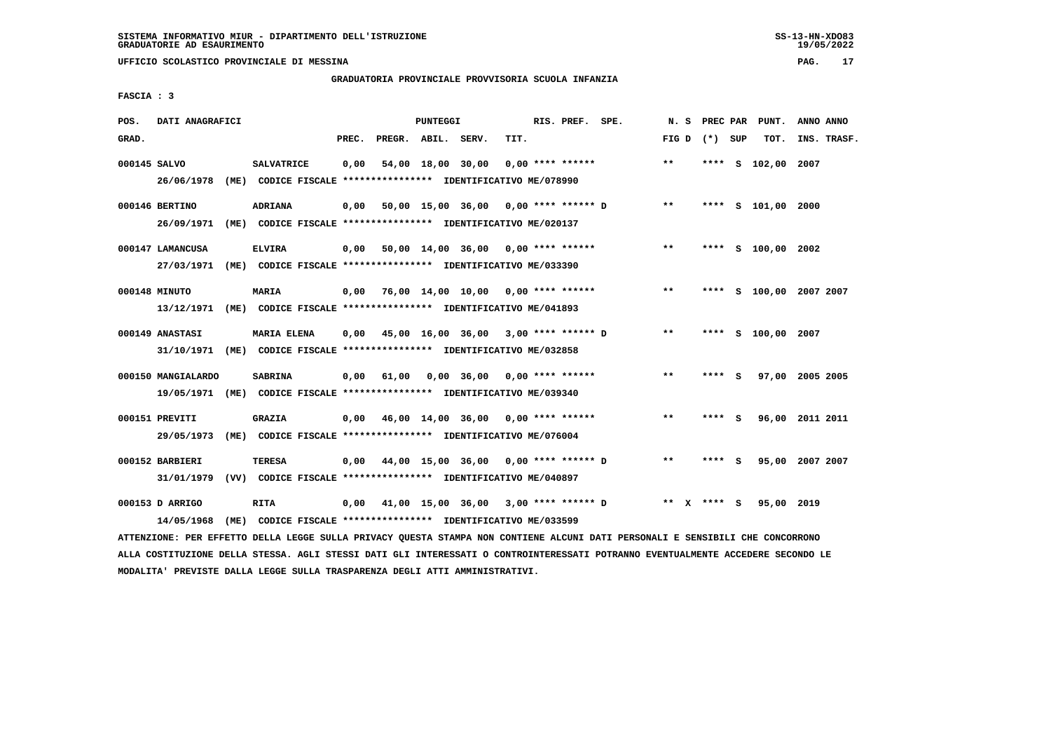#### **GRADUATORIA PROVINCIALE PROVVISORIA SCUOLA INFANZIA**

 **FASCIA : 3**

| POS.         | DATI ANAGRAFICI                                                         |                    |       |                    | <b>PUNTEGGI</b> |                                                               |      | RIS. PREF. SPE.    |                                             | N. S    | PREC PAR        | PUNT.                   | ANNO ANNO |             |
|--------------|-------------------------------------------------------------------------|--------------------|-------|--------------------|-----------------|---------------------------------------------------------------|------|--------------------|---------------------------------------------|---------|-----------------|-------------------------|-----------|-------------|
| GRAD.        |                                                                         |                    | PREC. | PREGR. ABIL. SERV. |                 |                                                               | TIT. |                    |                                             |         | FIG D $(*)$ SUP | TOT.                    |           | INS. TRASF. |
| 000145 SALVO | 26/06/1978 (ME) CODICE FISCALE *************** IDENTIFICATIVO ME/078990 | <b>SALVATRICE</b>  | 0,00  |                    |                 | 54,00 18,00 30,00                                             |      | $0.00$ **** ****** |                                             | $***$   |                 | **** S 102,00 2007      |           |             |
|              |                                                                         |                    |       |                    |                 |                                                               |      |                    |                                             |         |                 |                         |           |             |
|              | 000146 BERTINO                                                          | <b>ADRIANA</b>     | 0,00  |                    |                 |                                                               |      |                    | 50,00 15,00 36,00 0,00 **** ****** D        | $***$   |                 | **** S 101,00 2000      |           |             |
|              | 26/09/1971 (ME) CODICE FISCALE *************** IDENTIFICATIVO ME/020137 |                    |       |                    |                 |                                                               |      |                    |                                             |         |                 |                         |           |             |
|              | 000147 LAMANCUSA                                                        | <b>ELVIRA</b>      |       |                    |                 | $0,00$ 50,00 14,00 36,00 0,00 **** ******                     |      |                    |                                             | $***$   |                 | **** S 100,00 2002      |           |             |
|              | 27/03/1971 (ME) CODICE FISCALE *************** IDENTIFICATIVO ME/033390 |                    |       |                    |                 |                                                               |      |                    |                                             |         |                 |                         |           |             |
|              | 000148 MINUTO                                                           | MARIA              |       |                    |                 | $0.00$ 76.00 14.00 10.00 0.00 **** ******                     |      |                    |                                             | $* *$   |                 | **** S 100,00 2007 2007 |           |             |
|              | 13/12/1971 (ME) CODICE FISCALE *************** IDENTIFICATIVO ME/041893 |                    |       |                    |                 |                                                               |      |                    |                                             |         |                 |                         |           |             |
|              |                                                                         |                    |       |                    |                 |                                                               |      |                    |                                             |         |                 |                         |           |             |
|              | 000149 ANASTASI                                                         | <b>MARIA ELENA</b> |       |                    |                 | $0.00$ 45.00 16.00 36.00 3.00 **** ****** D                   |      |                    |                                             | $* *$   |                 | **** S 100,00 2007      |           |             |
|              | 31/10/1971 (ME) CODICE FISCALE *************** IDENTIFICATIVO ME/032858 |                    |       |                    |                 |                                                               |      |                    |                                             |         |                 |                         |           |             |
|              | 000150 MANGIALARDO                                                      | <b>SABRINA</b>     |       |                    |                 | 0,00 61,00 0,00 36,00                                         |      | $0.00$ **** ****** |                                             | $***$   | **** S          | 97,00 2005 2005         |           |             |
|              | 19/05/1971 (ME) CODICE FISCALE *************** IDENTIFICATIVO ME/039340 |                    |       |                    |                 |                                                               |      |                    |                                             |         |                 |                         |           |             |
|              | 000151 PREVITI                                                          | <b>GRAZIA</b>      |       |                    |                 | $0,00$ 46,00 14,00 36,00 0,00 **** ******                     |      |                    |                                             | $* *$   | **** S          | 96,00 2011 2011         |           |             |
|              | 29/05/1973                                                              |                    |       |                    |                 | (ME) CODICE FISCALE **************** IDENTIFICATIVO ME/076004 |      |                    |                                             |         |                 |                         |           |             |
|              |                                                                         |                    |       |                    |                 |                                                               |      |                    |                                             |         |                 |                         |           |             |
|              | 000152 BARBIERI                                                         | <b>TERESA</b>      |       |                    |                 | $0,00$ $44,00$ $15,00$ $36,00$ $0,00$ $***$ **** ****** D     |      |                    |                                             | $* *$   | **** S          | 95,00 2007 2007         |           |             |
|              | 31/01/1979 (VV) CODICE FISCALE *************** IDENTIFICATIVO ME/040897 |                    |       |                    |                 |                                                               |      |                    |                                             |         |                 |                         |           |             |
|              | 000153 D ARRIGO                                                         | RITA               |       |                    |                 |                                                               |      |                    | $0.00$ 41.00 15.00 36.00 3.00 **** ****** D | $***$ X | **** S          | 95,00 2019              |           |             |
|              | 14/05/1968                                                              |                    |       |                    |                 | (ME) CODICE FISCALE *************** IDENTIFICATIVO ME/033599  |      |                    |                                             |         |                 |                         |           |             |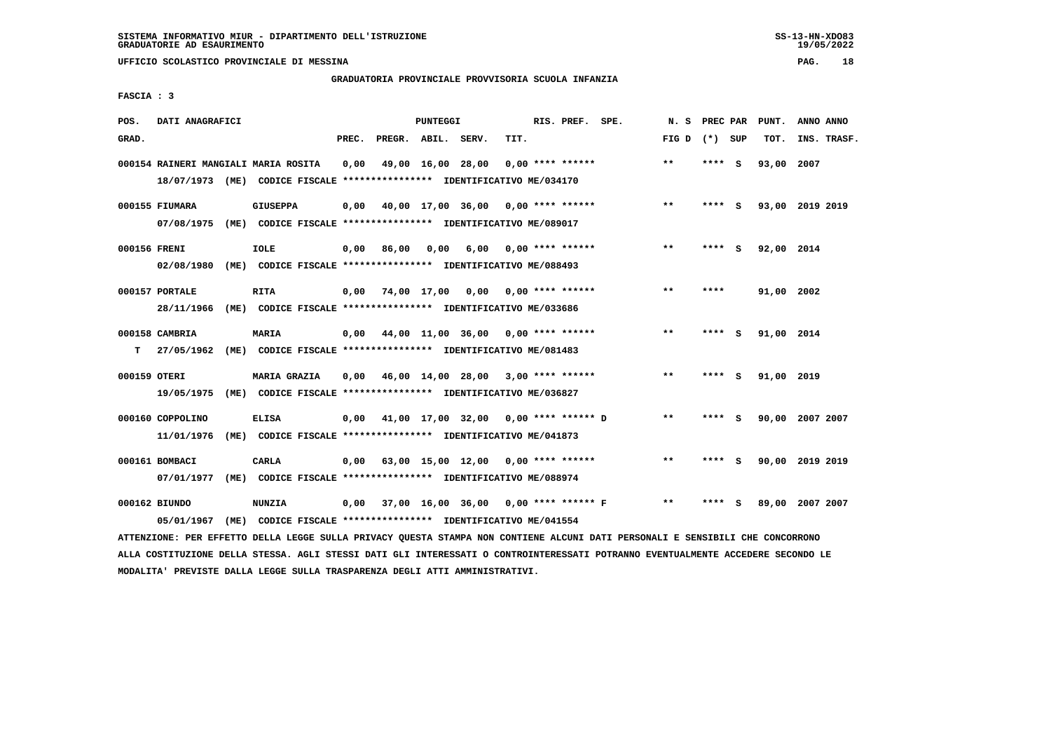**UFFICIO SCOLASTICO PROVINCIALE DI MESSINA PAG. 18**

#### **GRADUATORIA PROVINCIALE PROVVISORIA SCUOLA INFANZIA**

| POS.         | DATI ANAGRAFICI  |                                                                                                                                                                                                |       |                    | PUNTEGGI |                                           |      | RIS. PREF. SPE.    |                                      | N. S            | PREC PAR | PUNT.           | ANNO ANNO |             |
|--------------|------------------|------------------------------------------------------------------------------------------------------------------------------------------------------------------------------------------------|-------|--------------------|----------|-------------------------------------------|------|--------------------|--------------------------------------|-----------------|----------|-----------------|-----------|-------------|
| GRAD.        |                  |                                                                                                                                                                                                | PREC. | PREGR. ABIL. SERV. |          |                                           | TIT. |                    |                                      | FIG D $(*)$ SUP |          | TOT.            |           | INS. TRASF. |
|              |                  | 000154 RAINERI MANGIALI MARIA ROSITA                                                                                                                                                           | 0,00  |                    |          | 49,00 16,00 28,00                         |      | $0.00$ **** ****** |                                      | $**$            | **** S   | 93,00 2007      |           |             |
|              |                  | 18/07/1973 (ME) CODICE FISCALE *************** IDENTIFICATIVO ME/034170                                                                                                                        |       |                    |          |                                           |      |                    |                                      |                 |          |                 |           |             |
|              | 000155 FIUMARA   | <b>GIUSEPPA</b>                                                                                                                                                                                | 0,00  |                    |          | 40,00 17,00 36,00 0,00 **** ******        |      |                    |                                      | $***$           | **** S   | 93,00 2019 2019 |           |             |
|              |                  | 07/08/1975 (ME) CODICE FISCALE *************** IDENTIFICATIVO ME/089017                                                                                                                        |       |                    |          |                                           |      |                    |                                      |                 |          |                 |           |             |
|              |                  |                                                                                                                                                                                                |       |                    |          |                                           |      |                    |                                      | $***$           |          |                 |           |             |
| 000156 FRENI |                  | <b>IOLE</b>                                                                                                                                                                                    | 0,00  | 86,00              | 0.00     | 6,00                                      |      | $0.00$ **** ****** |                                      |                 | **** S   | 92,00 2014      |           |             |
|              | 02/08/1980       | (ME) CODICE FISCALE *************** IDENTIFICATIVO ME/088493                                                                                                                                   |       |                    |          |                                           |      |                    |                                      |                 |          |                 |           |             |
|              | 000157 PORTALE   | <b>RITA</b>                                                                                                                                                                                    |       |                    |          | $0,00$ 74,00 17,00 0,00 0,00 **** ******  |      |                    |                                      | $***$           | ****     | 91,00 2002      |           |             |
|              | 28/11/1966       | (ME) CODICE FISCALE *************** IDENTIFICATIVO ME/033686                                                                                                                                   |       |                    |          |                                           |      |                    |                                      |                 |          |                 |           |             |
|              | 000158 CAMBRIA   | <b>MARIA</b>                                                                                                                                                                                   | 0,00  |                    |          | 44,00 11,00 36,00 0,00 **** ******        |      |                    |                                      | **              | **** S   | 91,00 2014      |           |             |
| т            |                  | 27/05/1962 (ME) CODICE FISCALE **************** IDENTIFICATIVO ME/081483                                                                                                                       |       |                    |          |                                           |      |                    |                                      |                 |          |                 |           |             |
|              |                  |                                                                                                                                                                                                |       |                    |          |                                           |      |                    |                                      |                 |          |                 |           |             |
| 000159 OTERI |                  | <b>MARIA GRAZIA</b>                                                                                                                                                                            | 0.00  |                    |          | 46,00 14,00 28,00 3,00 **** ******        |      |                    |                                      | $* *$           | **** S   | 91,00 2019      |           |             |
|              | 19/05/1975       | (ME) CODICE FISCALE **************** IDENTIFICATIVO ME/036827                                                                                                                                  |       |                    |          |                                           |      |                    |                                      |                 |          |                 |           |             |
|              | 000160 COPPOLINO | <b>ELISA</b>                                                                                                                                                                                   | 0,00  |                    |          | 41,00 17,00 32,00 0,00 **** ****** D      |      |                    |                                      | $***$           | **** S   | 90,00 2007 2007 |           |             |
|              | 11/01/1976       | (ME) CODICE FISCALE *************** IDENTIFICATIVO ME/041873                                                                                                                                   |       |                    |          |                                           |      |                    |                                      |                 |          |                 |           |             |
|              |                  |                                                                                                                                                                                                |       |                    |          |                                           |      |                    |                                      |                 |          |                 |           |             |
|              | 000161 BOMBACI   | <b>CARLA</b>                                                                                                                                                                                   |       |                    |          | $0,00$ 63,00 15,00 12,00 0,00 **** ****** |      |                    |                                      | $**$            | **** S   | 90,00 2019 2019 |           |             |
|              | 07/01/1977       | (ME) CODICE FISCALE **************** IDENTIFICATIVO ME/088974                                                                                                                                  |       |                    |          |                                           |      |                    |                                      |                 |          |                 |           |             |
|              | 000162 BIUNDO    | <b>NUNZIA</b>                                                                                                                                                                                  | 0,00  |                    |          |                                           |      |                    | 37,00 16,00 36,00 0,00 **** ****** F | $* *$           | **** S   | 89,00 2007 2007 |           |             |
|              |                  |                                                                                                                                                                                                |       |                    |          |                                           |      |                    |                                      |                 |          |                 |           |             |
|              |                  |                                                                                                                                                                                                |       |                    |          |                                           |      |                    |                                      |                 |          |                 |           |             |
|              | 05/01/1967       | (ME) CODICE FISCALE **************** IDENTIFICATIVO ME/041554<br>ATTENZIONE: PER EFFETTO DELLA LEGGE SULLA PRIVACY QUESTA STAMPA NON CONTIENE ALCUNI DATI PERSONALI E SENSIBILI CHE CONCORRONO |       |                    |          |                                           |      |                    |                                      |                 |          |                 |           |             |

 **ALLA COSTITUZIONE DELLA STESSA. AGLI STESSI DATI GLI INTERESSATI O CONTROINTERESSATI POTRANNO EVENTUALMENTE ACCEDERE SECONDO LE MODALITA' PREVISTE DALLA LEGGE SULLA TRASPARENZA DEGLI ATTI AMMINISTRATIVI.**

# **FASCIA : 3**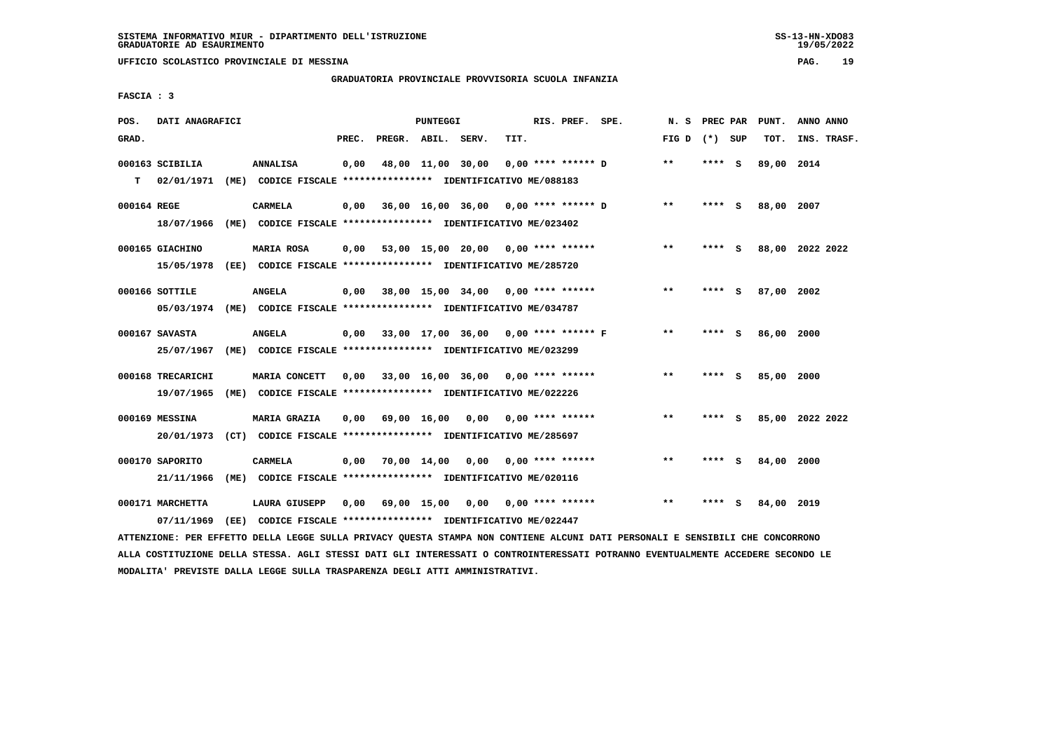**UFFICIO SCOLASTICO PROVINCIALE DI MESSINA PAG. 19**

### **GRADUATORIA PROVINCIALE PROVVISORIA SCUOLA INFANZIA**

 **FASCIA : 3**

| POS.        | DATI ANAGRAFICI   |      |                                                                         |       |                    | PUNTEGGI |                                           |      | RIS. PREF. SPE.      | N.S   | PREC PAR |     | PUNT.      | ANNO ANNO       |
|-------------|-------------------|------|-------------------------------------------------------------------------|-------|--------------------|----------|-------------------------------------------|------|----------------------|-------|----------|-----|------------|-----------------|
| GRAD.       |                   |      |                                                                         | PREC. | PREGR. ABIL. SERV. |          |                                           | TIT. |                      | FIG D | (*) SUP  |     | TOT.       | INS. TRASF.     |
|             | 000163 SCIBILIA   |      | ANNALISA                                                                | 0,00  |                    |          | 48,00 11,00 30,00                         |      | $0.00$ **** ****** D | $* *$ | **** S   |     | 89,00 2014 |                 |
| т           | 02/01/1971        |      | (ME) CODICE FISCALE **************** IDENTIFICATIVO ME/088183           |       |                    |          |                                           |      |                      |       |          |     |            |                 |
| 000164 REGE |                   |      | <b>CARMELA</b>                                                          | 0,00  |                    |          | 36,00 16,00 36,00 0,00 **** ****** D      |      |                      | $* *$ | **** S   |     | 88,00 2007 |                 |
|             | 18/07/1966        | (ME) | CODICE FISCALE **************** IDENTIFICATIVO ME/023402                |       |                    |          |                                           |      |                      |       |          |     |            |                 |
|             | 000165 GIACHINO   |      | MARIA ROSA                                                              | 0,00  |                    |          | 53,00 15,00 20,00 0,00 **** ******        |      |                      | $***$ | **** S   |     |            | 88,00 2022 2022 |
|             | 15/05/1978        |      | (EE) CODICE FISCALE **************** IDENTIFICATIVO ME/285720           |       |                    |          |                                           |      |                      |       |          |     |            |                 |
|             | 000166 SOTTILE    |      | <b>ANGELA</b>                                                           | 0.00  |                    |          | 38,00 15,00 34,00 0,00 **** ******        |      |                      | $* *$ | ****     | - S | 87,00      | 2002            |
|             |                   |      | 05/03/1974 (ME) CODICE FISCALE *************** IDENTIFICATIVO ME/034787 |       |                    |          |                                           |      |                      |       |          |     |            |                 |
|             | 000167 SAVASTA    |      | ANGELA                                                                  | 0,00  |                    |          | 33,00 17,00 36,00 0,00 **** ****** F      |      |                      | $**$  | ****     | - 5 | 86,00 2000 |                 |
|             | 25/07/1967        |      | (ME) CODICE FISCALE **************** IDENTIFICATIVO ME/023299           |       |                    |          |                                           |      |                      |       |          |     |            |                 |
|             | 000168 TRECARICHI |      | MARIA CONCETT                                                           |       |                    |          | $0.00$ 33.00 16.00 36.00 0.00 **** ****** |      |                      | $* *$ | ****     | - S | 85,00 2000 |                 |
|             | 19/07/1965        |      | (ME) CODICE FISCALE **************** IDENTIFICATIVO ME/022226           |       |                    |          |                                           |      |                      |       |          |     |            |                 |
|             | 000169 MESSINA    |      | MARIA GRAZIA                                                            | 0,00  | 69,00 16,00        |          | 0,00                                      |      | $0.00$ **** ******   | $**$  | **** S   |     |            | 85,00 2022 2022 |
|             | 20/01/1973        |      | (CT) CODICE FISCALE *************** IDENTIFICATIVO ME/285697            |       |                    |          |                                           |      |                      |       |          |     |            |                 |
|             | 000170 SAPORITO   |      | CARMELA                                                                 | 0,00  | 70,00 14,00        |          | 0,00                                      |      | $0.00$ **** ******   | $***$ | **** S   |     | 84,00      | 2000            |
|             | 21/11/1966        |      | (ME) CODICE FISCALE **************** IDENTIFICATIVO ME/020116           |       |                    |          |                                           |      |                      |       |          |     |            |                 |
|             | 000171 MARCHETTA  |      | <b>LAURA GIUSEPP</b>                                                    | 0,00  | 69,00 15,00        |          | 0,00                                      |      | $0.00$ **** ******   | $***$ | ****     | s   | 84,00 2019 |                 |
|             | 07/11/1969        | (EE) | CODICE FISCALE **************** IDENTIFICATIVO ME/022447                |       |                    |          |                                           |      |                      |       |          |     |            |                 |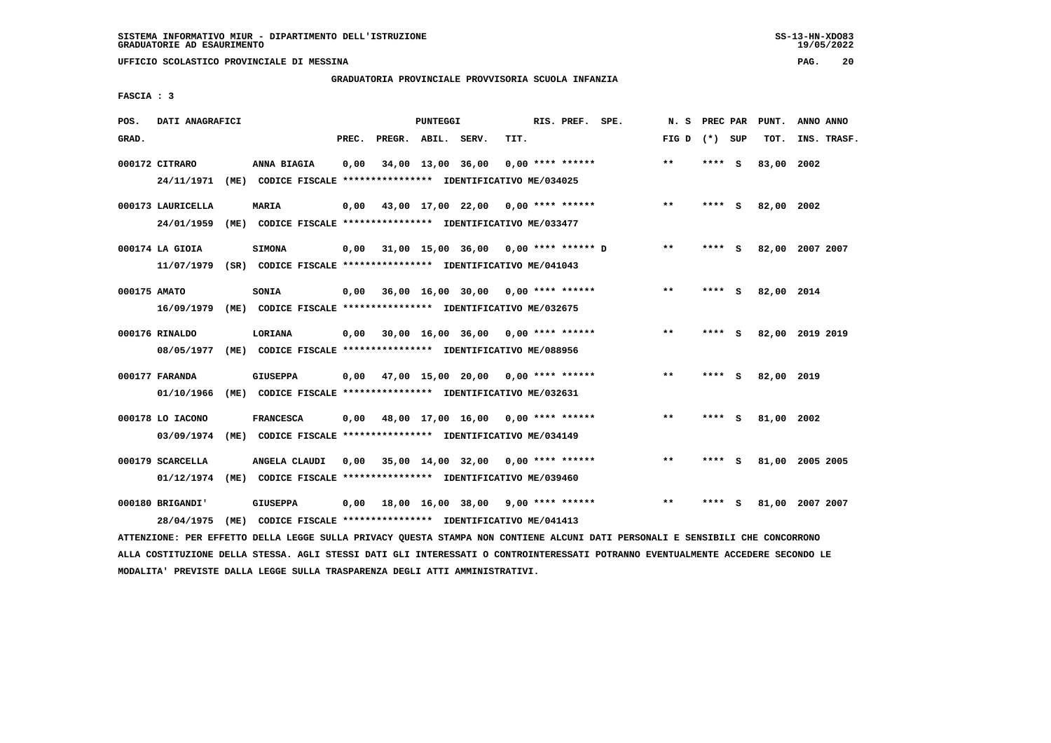**UFFICIO SCOLASTICO PROVINCIALE DI MESSINA PAG. 20**

#### **GRADUATORIA PROVINCIALE PROVVISORIA SCUOLA INFANZIA**

 **FASCIA : 3**

| POS.         | DATI ANAGRAFICI   |                                                                                                                               |       |                    | PUNTEGGI |                                           |      | RIS. PREF. SPE.    | N. S            | PREC PAR |     | PUNT.           | ANNO ANNO |             |
|--------------|-------------------|-------------------------------------------------------------------------------------------------------------------------------|-------|--------------------|----------|-------------------------------------------|------|--------------------|-----------------|----------|-----|-----------------|-----------|-------------|
| GRAD.        |                   |                                                                                                                               | PREC. | PREGR. ABIL. SERV. |          |                                           | TIT. |                    | FIG D $(*)$ SUP |          |     | TOT.            |           | INS. TRASF. |
|              | 000172 CITRARO    | ANNA BIAGIA                                                                                                                   | 0,00  |                    |          | 34,00 13,00 36,00                         |      | $0.00$ **** ****** | $* *$           | **** S   |     | 83,00 2002      |           |             |
|              | 24/11/1971        | (ME) CODICE FISCALE **************** IDENTIFICATIVO ME/034025                                                                 |       |                    |          |                                           |      |                    |                 |          |     |                 |           |             |
|              | 000173 LAURICELLA | <b>MARIA</b>                                                                                                                  | 0,00  |                    |          | 43,00 17,00 22,00 0,00 **** ******        |      |                    | $***$           | **** S   |     | 82,00 2002      |           |             |
|              | 24/01/1959        | (ME) CODICE FISCALE **************** IDENTIFICATIVO ME/033477                                                                 |       |                    |          |                                           |      |                    |                 |          |     |                 |           |             |
|              | 000174 LA GIOIA   | <b>SIMONA</b>                                                                                                                 | 0,00  |                    |          | 31,00 15,00 36,00 0,00 **** ****** D      |      |                    | $* *$           | **** S   |     | 82,00 2007 2007 |           |             |
|              |                   | 11/07/1979 (SR) CODICE FISCALE *************** IDENTIFICATIVO ME/041043                                                       |       |                    |          |                                           |      |                    |                 |          |     |                 |           |             |
| 000175 AMATO |                   | SONIA                                                                                                                         | 0.00  |                    |          | 36,00 16,00 30,00 0,00 **** ******        |      |                    | $* *$           | **** S   |     | 82,00 2014      |           |             |
|              | 16/09/1979        | (ME) CODICE FISCALE **************** IDENTIFICATIVO ME/032675                                                                 |       |                    |          |                                           |      |                    |                 |          |     |                 |           |             |
|              | 000176 RINALDO    | LORIANA                                                                                                                       | 0,00  |                    |          | 30,00 16,00 36,00 0,00 **** ******        |      |                    | $* *$           | **** S   |     | 82,00 2019 2019 |           |             |
|              | 08/05/1977        | (ME) CODICE FISCALE **************** IDENTIFICATIVO ME/088956                                                                 |       |                    |          |                                           |      |                    |                 |          |     |                 |           |             |
|              | 000177 FARANDA    | <b>GIUSEPPA</b>                                                                                                               | 0,00  |                    |          | 47,00 15,00 20,00 0,00 **** ******        |      |                    | $* *$           | ****     | - 5 | 82,00 2019      |           |             |
|              | 01/10/1966        | (ME) CODICE FISCALE **************** IDENTIFICATIVO ME/032631                                                                 |       |                    |          |                                           |      |                    |                 |          |     |                 |           |             |
|              | 000178 LO IACONO  | <b>FRANCESCA</b>                                                                                                              |       |                    |          | $0,00$ 48,00 17,00 16,00 0,00 **** ****** |      |                    | $* *$           | ****     | - S | 81,00           | 2002      |             |
|              | 03/09/1974        | (ME) CODICE FISCALE **************** IDENTIFICATIVO ME/034149                                                                 |       |                    |          |                                           |      |                    |                 |          |     |                 |           |             |
|              | 000179 SCARCELLA  | ANGELA CLAUDI                                                                                                                 | 0,00  |                    |          | 35,00 14,00 32,00 0,00 **** ******        |      |                    | $***$           | **** S   |     | 81,00 2005 2005 |           |             |
|              | 01/12/1974        | (ME) CODICE FISCALE **************** IDENTIFICATIVO ME/039460                                                                 |       |                    |          |                                           |      |                    |                 |          |     |                 |           |             |
|              | 000180 BRIGANDI'  | <b>GIUSEPPA</b>                                                                                                               | 0,00  |                    |          | 18,00 16,00 38,00 9,00 **** ******        |      |                    | $* *$           |          | S.  | 81,00 2007 2007 |           |             |
|              | 28/04/1975        | (ME) CODICE FISCALE **************** IDENTIFICATIVO ME/041413                                                                 |       |                    |          |                                           |      |                    |                 |          |     |                 |           |             |
|              |                   | ATTENZIONE: PER EFFETTO DELLA LEGGE SULLA PRIVACY QUESTA STAMPA NON CONTIENE ALCUNI DATI PERSONALI E SENSIBILI CHE CONCORRONO |       |                    |          |                                           |      |                    |                 |          |     |                 |           |             |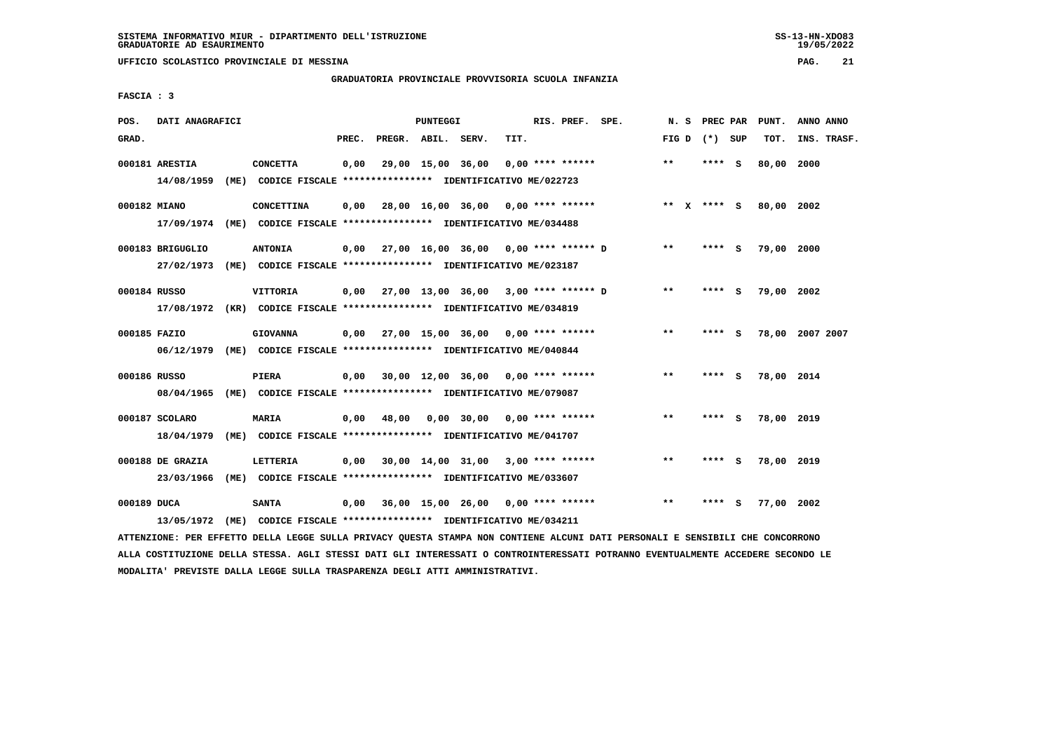**UFFICIO SCOLASTICO PROVINCIALE DI MESSINA PAG. 21**

### **GRADUATORIA PROVINCIALE PROVVISORIA SCUOLA INFANZIA**

 **FASCIA : 3**

| POS.         | DATI ANAGRAFICI                |      |                                                                                            |       |                    | PUNTEGGI |                                             |      | RIS. PREF. SPE.    | N. S  | PREC PAR        |     | PUNT.           | ANNO ANNO |             |
|--------------|--------------------------------|------|--------------------------------------------------------------------------------------------|-------|--------------------|----------|---------------------------------------------|------|--------------------|-------|-----------------|-----|-----------------|-----------|-------------|
| GRAD.        |                                |      |                                                                                            | PREC. | PREGR. ABIL. SERV. |          |                                             | TIT. |                    |       | FIG D $(*)$ SUP |     | TOT.            |           | INS. TRASF. |
|              | 000181 ARESTIA                 |      | <b>CONCETTA</b><br>14/08/1959 (ME) CODICE FISCALE *************** IDENTIFICATIVO ME/022723 | 0,00  |                    |          | 29,00 15,00 36,00                           |      | $0.00$ **** ****** | $***$ | **** S          |     | 80,00 2000      |           |             |
| 000182 MIANO |                                |      | CONCETTINA<br>17/09/1974 (ME) CODICE FISCALE *************** IDENTIFICATIVO ME/034488      | 0.00  |                    |          | 28,00 16,00 36,00 0,00 **** ******          |      |                    |       | ** X **** S     |     | 80,00 2002      |           |             |
|              | 000183 BRIGUGLIO<br>27/02/1973 |      | <b>ANTONIA</b><br>(ME) CODICE FISCALE **************** IDENTIFICATIVO ME/023187            |       |                    |          | $0,00$ 27,00 16,00 36,00 0,00 **** ****** D |      |                    | $***$ | $***$ S         |     | 79,00 2000      |           |             |
| 000184 RUSSO |                                |      | VITTORIA<br>17/08/1972 (KR) CODICE FISCALE *************** IDENTIFICATIVO ME/034819        |       |                    |          | $0.00$ 27.00 13.00 36.00 3.00 **** ****** D |      |                    | $***$ | **** S          |     | 79,00 2002      |           |             |
| 000185 FAZIO |                                |      | <b>GIOVANNA</b><br>06/12/1979 (ME) CODICE FISCALE *************** IDENTIFICATIVO ME/040844 |       |                    |          | $0.00$ 27,00 15,00 36,00 0,00 **** ******   |      |                    | $* *$ |                 | - S | 78,00 2007 2007 |           |             |
| 000186 RUSSO | 08/04/1965                     |      | PIERA<br>(ME) CODICE FISCALE **************** IDENTIFICATIVO ME/079087                     |       |                    |          | $0,00$ 30,00 12,00 36,00 0,00 **** ******   |      |                    | $**$  | **** S          |     | 78,00 2014      |           |             |
|              | 000187 SCOLARO<br>18/04/1979   |      | <b>MARIA</b><br>(ME) CODICE FISCALE **************** IDENTIFICATIVO ME/041707              |       | $0,00$ 48,00       |          | $0,00$ 30,00 0,00 **** ******               |      |                    | $* *$ | **** S          |     | 78,00 2019      |           |             |
|              | 000188 DE GRAZIA<br>23/03/1966 |      | LETTERIA<br>(ME) CODICE FISCALE **************** IDENTIFICATIVO ME/033607                  | 0,00  |                    |          | 30,00 14,00 31,00 3,00 **** ******          |      |                    | $***$ | ****            | - S | 78,00 2019      |           |             |
| 000189 DUCA  | 13/05/1972                     | (ME) | <b>SANTA</b><br>CODICE FISCALE **************** IDENTIFICATIVO ME/034211                   | 0.00  |                    |          | 36,00 15,00 26,00 0,00 **** ******          |      |                    | $* *$ | ****            | - S | 77,00 2002      |           |             |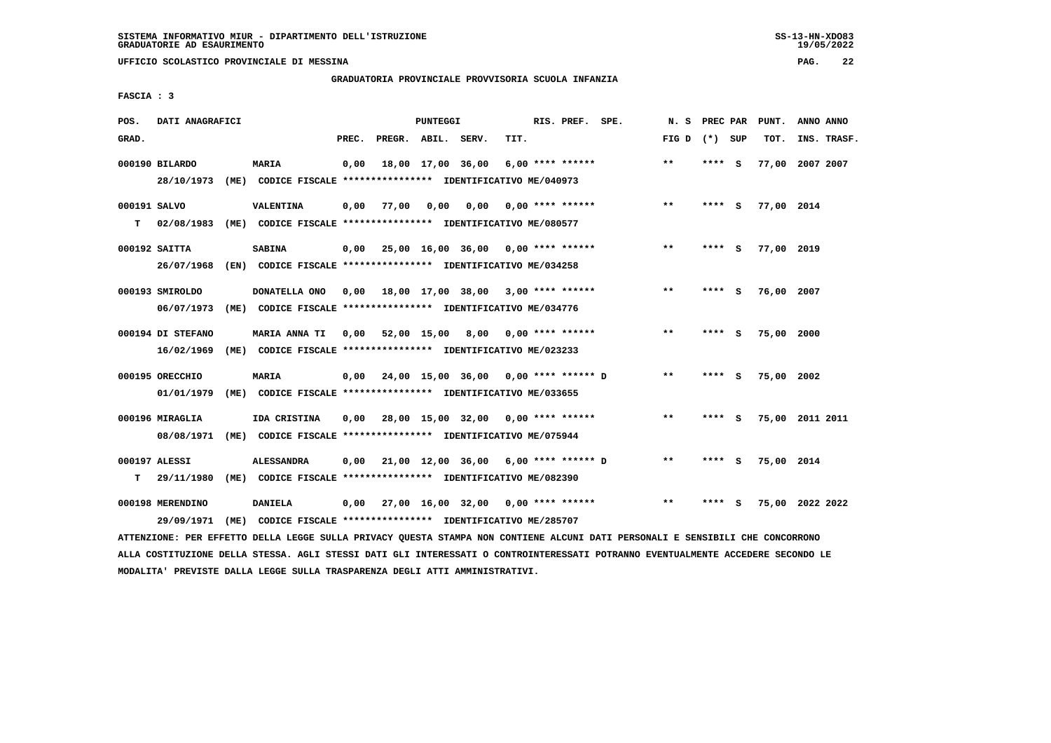**UFFICIO SCOLASTICO PROVINCIALE DI MESSINA PAG. 22**

#### **GRADUATORIA PROVINCIALE PROVVISORIA SCUOLA INFANZIA**

 **FASCIA : 3**

| POS.         | DATI ANAGRAFICI   |                                                                                                                               |       |                    | PUNTEGGI |                                           |      | RIS. PREF. SPE.           |                                           | N.S             |        | PREC PAR PUNT.  | ANNO ANNO |             |
|--------------|-------------------|-------------------------------------------------------------------------------------------------------------------------------|-------|--------------------|----------|-------------------------------------------|------|---------------------------|-------------------------------------------|-----------------|--------|-----------------|-----------|-------------|
| GRAD.        |                   |                                                                                                                               | PREC. | PREGR. ABIL. SERV. |          |                                           | TIT. |                           |                                           | FIG D $(*)$ SUP |        | TOT.            |           | INS. TRASF. |
|              | 000190 BILARDO    | <b>MARIA</b>                                                                                                                  | 0,00  |                    |          | 18,00 17,00 36,00                         |      | $6,00$ **** ******        |                                           | $***$           | **** S | 77,00 2007 2007 |           |             |
|              | 28/10/1973        | (ME) CODICE FISCALE **************** IDENTIFICATIVO ME/040973                                                                 |       |                    |          |                                           |      |                           |                                           |                 |        |                 |           |             |
| 000191 SALVO |                   | VALENTINA                                                                                                                     | 0,00  | 77,00              | 0,00     |                                           |      | $0,00$ $0,00$ **** ****** |                                           | $* *$           | **** S | 77,00 2014      |           |             |
| т            |                   | 02/08/1983 (ME) CODICE FISCALE *************** IDENTIFICATIVO ME/080577                                                       |       |                    |          |                                           |      |                           |                                           |                 |        |                 |           |             |
|              | 000192 SAITTA     | <b>SABINA</b>                                                                                                                 |       |                    |          | $0,00$ 25,00 16,00 36,00 0,00 **** ****** |      |                           |                                           | **              | **** S | 77,00 2019      |           |             |
|              | 26/07/1968        | (EN) CODICE FISCALE *************** IDENTIFICATIVO ME/034258                                                                  |       |                    |          |                                           |      |                           |                                           |                 |        |                 |           |             |
|              | 000193 SMIROLDO   | DONATELLA ONO                                                                                                                 |       |                    |          | $0,00$ 18,00 17,00 38,00 3,00 **** ****** |      |                           |                                           | $***$           | **** S | 76,00 2007      |           |             |
|              | 06/07/1973        | (ME) CODICE FISCALE **************** IDENTIFICATIVO ME/034776                                                                 |       |                    |          |                                           |      |                           |                                           |                 |        |                 |           |             |
|              | 000194 DI STEFANO | <b>MARIA ANNA TI</b>                                                                                                          | 0,00  |                    |          | 52,00 15,00 8,00 0,00 **** ******         |      |                           |                                           | $* *$           | **** S | 75,00 2000      |           |             |
|              | 16/02/1969        | (ME) CODICE FISCALE **************** IDENTIFICATIVO ME/023233                                                                 |       |                    |          |                                           |      |                           |                                           |                 |        |                 |           |             |
|              | 000195 ORECCHIO   | MARIA                                                                                                                         | 0,00  |                    |          | 24,00 15,00 36,00 0,00 **** ****** D      |      |                           |                                           | $* *$           | **** S | 75,00 2002      |           |             |
|              | 01/01/1979        | (ME) CODICE FISCALE **************** IDENTIFICATIVO ME/033655                                                                 |       |                    |          |                                           |      |                           |                                           |                 |        |                 |           |             |
|              | 000196 MIRAGLIA   | IDA CRISTINA                                                                                                                  | 0,00  |                    |          | 28,00 15,00 32,00 0,00 **** ******        |      |                           |                                           | $**$            | **** S | 75,00 2011 2011 |           |             |
|              | 08/08/1971        | (ME) CODICE FISCALE **************** IDENTIFICATIVO ME/075944                                                                 |       |                    |          |                                           |      |                           |                                           |                 |        |                 |           |             |
|              | 000197 ALESSI     | <b>ALESSANDRA</b>                                                                                                             | 0,00  |                    |          | 21,00 12,00 36,00 6,00 **** ****** D      |      |                           |                                           | $* *$           | **** S | 75,00 2014      |           |             |
| т            | 29/11/1980        | (ME) CODICE FISCALE **************** IDENTIFICATIVO ME/082390                                                                 |       |                    |          |                                           |      |                           |                                           |                 |        |                 |           |             |
|              | 000198 MERENDINO  | <b>DANIELA</b>                                                                                                                |       |                    |          |                                           |      |                           | $0,00$ 27,00 16,00 32,00 0,00 **** ****** | $* *$           | **** S | 75,00 2022 2022 |           |             |
|              | 29/09/1971        | (ME) CODICE FISCALE **************** IDENTIFICATIVO ME/285707                                                                 |       |                    |          |                                           |      |                           |                                           |                 |        |                 |           |             |
|              |                   | ATTENZIONE: PER EFFETTO DELLA LEGGE SULLA PRIVACY QUESTA STAMPA NON CONTIENE ALCUNI DATI PERSONALI E SENSIBILI CHE CONCORRONO |       |                    |          |                                           |      |                           |                                           |                 |        |                 |           |             |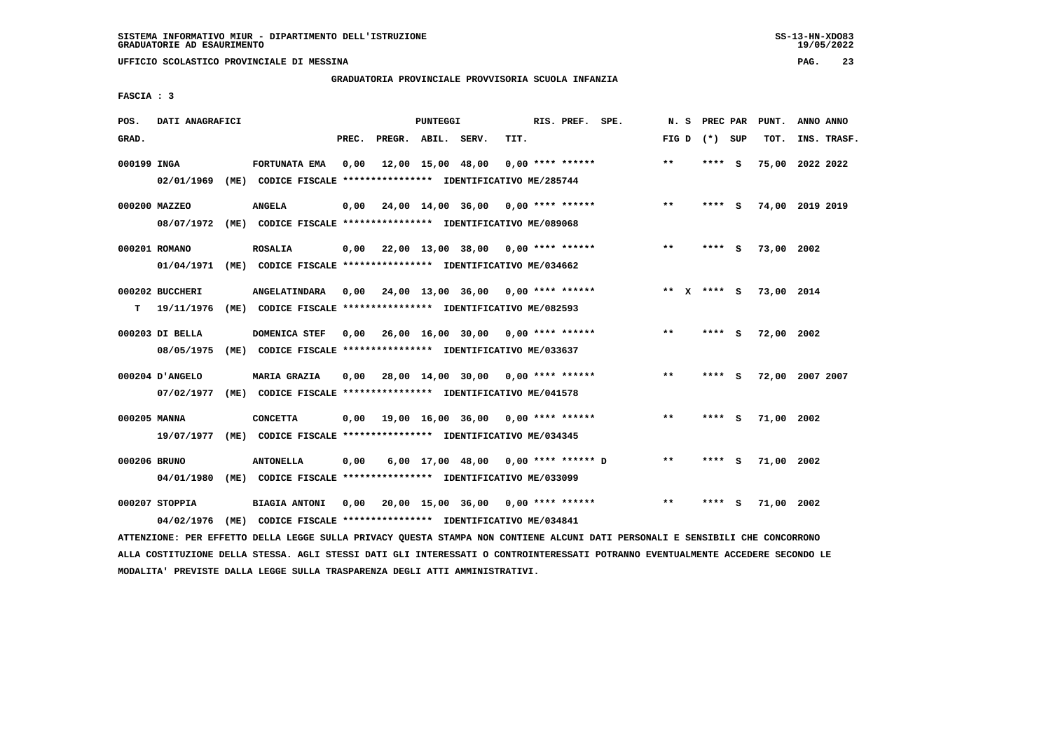**UFFICIO SCOLASTICO PROVINCIALE DI MESSINA PAG. 23**

#### **GRADUATORIA PROVINCIALE PROVVISORIA SCUOLA INFANZIA**

 **FASCIA : 3**

| POS.         | DATI ANAGRAFICI |                                                               |       |                    | PUNTEGGI |                                                         |      | RIS. PREF. SPE.    | N.S                | PREC PAR        |     | PUNT.           | ANNO ANNO |             |
|--------------|-----------------|---------------------------------------------------------------|-------|--------------------|----------|---------------------------------------------------------|------|--------------------|--------------------|-----------------|-----|-----------------|-----------|-------------|
| GRAD.        |                 |                                                               | PREC. | PREGR. ABIL. SERV. |          |                                                         | TIT. |                    |                    | FIG D $(*)$ SUP |     | TOT.            |           | INS. TRASF. |
| 000199 INGA  |                 | FORTUNATA EMA                                                 | 0,00  |                    |          | 12,00 15,00 48,00                                       |      | $0.00$ **** ****** | $* *$              | **** S          |     | 75,00 2022 2022 |           |             |
|              | 02/01/1969      | (ME) CODICE FISCALE **************** IDENTIFICATIVO ME/285744 |       |                    |          |                                                         |      |                    |                    |                 |     |                 |           |             |
|              | 000200 MAZZEO   | <b>ANGELA</b>                                                 | 0,00  |                    |          | 24,00 14,00 36,00 0,00 **** ******                      |      |                    | $***$              | ****            | - S | 74,00 2019 2019 |           |             |
|              | 08/07/1972      | (ME) CODICE FISCALE **************** IDENTIFICATIVO ME/089068 |       |                    |          |                                                         |      |                    |                    |                 |     |                 |           |             |
|              | 000201 ROMANO   | <b>ROSALIA</b>                                                |       |                    |          | $0,00$ 22,00 13,00 38,00 0,00 **** ******               |      |                    | $***$              | ****            | - S | 73,00 2002      |           |             |
|              | 01/04/1971      | (ME) CODICE FISCALE **************** IDENTIFICATIVO ME/034662 |       |                    |          |                                                         |      |                    |                    |                 |     |                 |           |             |
|              | 000202 BUCCHERI | <b>ANGELATINDARA</b>                                          |       |                    |          | $0.00$ $24.00$ $13.00$ $36.00$ $0.00$ $***$ **** ****** |      |                    | **<br>$\mathbf{x}$ | **** S          |     | 73,00 2014      |           |             |
| т            | 19/11/1976      | (ME) CODICE FISCALE **************** IDENTIFICATIVO ME/082593 |       |                    |          |                                                         |      |                    |                    |                 |     |                 |           |             |
|              | 000203 DI BELLA | DOMENICA STEF                                                 | 0,00  |                    |          | 26,00 16,00 30,00 0,00 **** ******                      |      |                    | $* *$              | ****            | - S | 72,00 2002      |           |             |
|              | 08/05/1975      | (ME) CODICE FISCALE **************** IDENTIFICATIVO ME/033637 |       |                    |          |                                                         |      |                    |                    |                 |     |                 |           |             |
|              | 000204 D'ANGELO | <b>MARIA GRAZIA</b>                                           | 0.00  |                    |          | 28,00 14,00 30,00 0,00 **** ******                      |      |                    | $* *$              | ****            | - S | 72,00 2007 2007 |           |             |
|              | 07/02/1977      | (ME) CODICE FISCALE **************** IDENTIFICATIVO ME/041578 |       |                    |          |                                                         |      |                    |                    |                 |     |                 |           |             |
| 000205 MANNA |                 | <b>CONCETTA</b>                                               | 0,00  |                    |          | 19,00 16,00 36,00 0,00 **** ******                      |      |                    | $* *$              | ****            | - S | 71,00 2002      |           |             |
|              | 19/07/1977      | (ME) CODICE FISCALE **************** IDENTIFICATIVO ME/034345 |       |                    |          |                                                         |      |                    |                    |                 |     |                 |           |             |
| 000206 BRUNO |                 | <b>ANTONELLA</b>                                              | 0,00  |                    |          | 6,00 17,00 48,00 0,00 **** ****** D                     |      |                    | $* *$              | **** S          |     | 71,00 2002      |           |             |
|              | 04/01/1980      | (ME) CODICE FISCALE **************** IDENTIFICATIVO ME/033099 |       |                    |          |                                                         |      |                    |                    |                 |     |                 |           |             |
|              |                 |                                                               |       |                    |          |                                                         |      |                    |                    |                 |     |                 |           |             |
|              | 000207 STOPPIA  | <b>BIAGIA ANTONI</b>                                          | 0,00  |                    |          | 20,00 15,00 36,00 0,00 **** ******                      |      |                    | $* *$              | ****            | - S | 71,00 2002      |           |             |
|              | 04/02/1976      | (ME) CODICE FISCALE **************** IDENTIFICATIVO ME/034841 |       |                    |          |                                                         |      |                    |                    |                 |     |                 |           |             |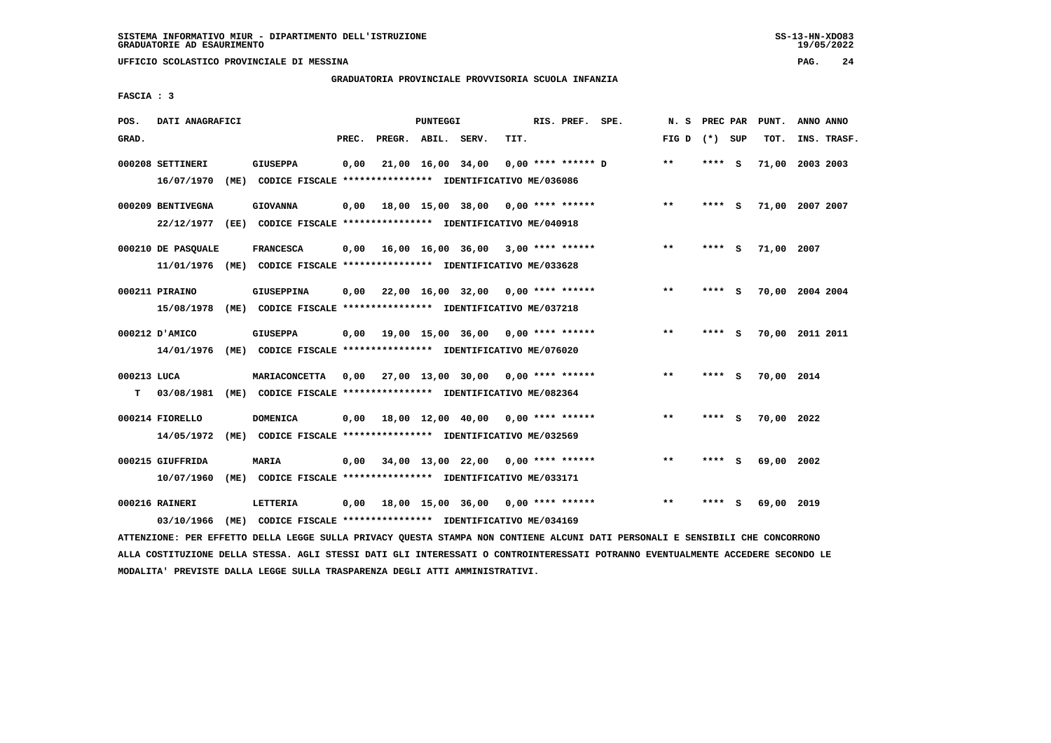**UFFICIO SCOLASTICO PROVINCIALE DI MESSINA PAG. 24**

### **GRADUATORIA PROVINCIALE PROVVISORIA SCUOLA INFANZIA**

 **FASCIA : 3**

| POS.        | DATI ANAGRAFICI    |      |                                                               |       |                    | <b>PUNTEGGI</b>   |                                                  |      | RIS. PREF. SPE.      | N.S   | PREC PAR |          | PUNT.           | ANNO ANNO |             |
|-------------|--------------------|------|---------------------------------------------------------------|-------|--------------------|-------------------|--------------------------------------------------|------|----------------------|-------|----------|----------|-----------------|-----------|-------------|
| GRAD.       |                    |      |                                                               | PREC. | PREGR. ABIL. SERV. |                   |                                                  | TIT. |                      | FIG D | (*) SUP  |          | TOT.            |           | INS. TRASF. |
|             | 000208 SETTINERI   |      | <b>GIUSEPPA</b>                                               | 0,00  |                    | 21,00 16,00 34,00 |                                                  |      | $0.00$ **** ****** D | $***$ | $***$ S  |          | 71,00           | 2003 2003 |             |
|             | 16/07/1970         | (ME) | CODICE FISCALE **************** IDENTIFICATIVO ME/036086      |       |                    |                   |                                                  |      |                      |       |          |          |                 |           |             |
|             | 000209 BENTIVEGNA  |      | <b>GIOVANNA</b>                                               | 0,00  |                    |                   | 18,00 15,00 38,00 0,00 **** ******               |      |                      | $* *$ | ****     | <b>S</b> | 71,00 2007 2007 |           |             |
|             | 22/12/1977         | (EE) | CODICE FISCALE **************** IDENTIFICATIVO ME/040918      |       |                    |                   |                                                  |      |                      |       |          |          |                 |           |             |
|             | 000210 DE PASQUALE |      | <b>FRANCESCA</b>                                              | 0,00  |                    |                   | 16,00 16,00 36,00 3,00 **** ******               |      |                      | $***$ | **** S   |          | 71,00 2007      |           |             |
|             | 11/01/1976         |      | (ME) CODICE FISCALE **************** IDENTIFICATIVO ME/033628 |       |                    |                   |                                                  |      |                      |       |          |          |                 |           |             |
|             | 000211 PIRAINO     |      | <b>GIUSEPPINA</b>                                             | 0,00  |                    |                   | $22,00$ 16,00 32,00 0,00 **** ******             |      |                      | $* *$ |          | s        | 70,00           | 2004 2004 |             |
|             | 15/08/1978         |      | (ME) CODICE FISCALE **************** IDENTIFICATIVO ME/037218 |       |                    |                   |                                                  |      |                      |       |          |          |                 |           |             |
|             | 000212 D'AMICO     |      | <b>GIUSEPPA</b>                                               |       |                    |                   | $0.00$ 19.00 15.00 36.00 0.00 **** ******        |      |                      | $* *$ | ****     | - S      | 70,00 2011 2011 |           |             |
|             | 14/01/1976         |      | (ME) CODICE FISCALE **************** IDENTIFICATIVO ME/076020 |       |                    |                   |                                                  |      |                      |       |          |          |                 |           |             |
| 000213 LUCA |                    |      | MARIACONCETTA                                                 |       |                    |                   | $0,00$ 27,00 13,00 30,00 0,00 **** ******        |      |                      | $* *$ | ****     | <b>S</b> | 70,00 2014      |           |             |
| т           | 03/08/1981         |      | (ME) CODICE FISCALE **************** IDENTIFICATIVO ME/082364 |       |                    |                   |                                                  |      |                      |       |          |          |                 |           |             |
|             | 000214 FIORELLO    |      | <b>DOMENICA</b>                                               | 0,00  |                    |                   | 18,00 12,00 40,00 0,00 **** ******               |      |                      | $* *$ | ****     | - S      | 70,00 2022      |           |             |
|             | 14/05/1972         | (ME) | CODICE FISCALE **************** IDENTIFICATIVO ME/032569      |       |                    |                   |                                                  |      |                      |       |          |          |                 |           |             |
|             |                    |      |                                                               |       |                    |                   |                                                  |      |                      |       |          |          |                 |           |             |
|             | 000215 GIUFFRIDA   |      | MARIA                                                         | 0.00  |                    |                   | $34,00$ 13,00 22,00 0,00 **** ******             |      |                      | $***$ | ****     | - 5      | 69,00 2002      |           |             |
|             | 10/07/1960         | (ME) | CODICE FISCALE **************** IDENTIFICATIVO ME/033171      |       |                    |                   |                                                  |      |                      |       |          |          |                 |           |             |
|             | 000216 RAINERI     |      | LETTERIA                                                      | 0.00  |                    |                   | $18,00$ $15,00$ $36,00$ $0,00$ $***$ **** ****** |      |                      | $* *$ |          | s        | 69,00 2019      |           |             |
|             | 03/10/1966         | (ME) | CODICE FISCALE **************** IDENTIFICATIVO ME/034169      |       |                    |                   |                                                  |      |                      |       |          |          |                 |           |             |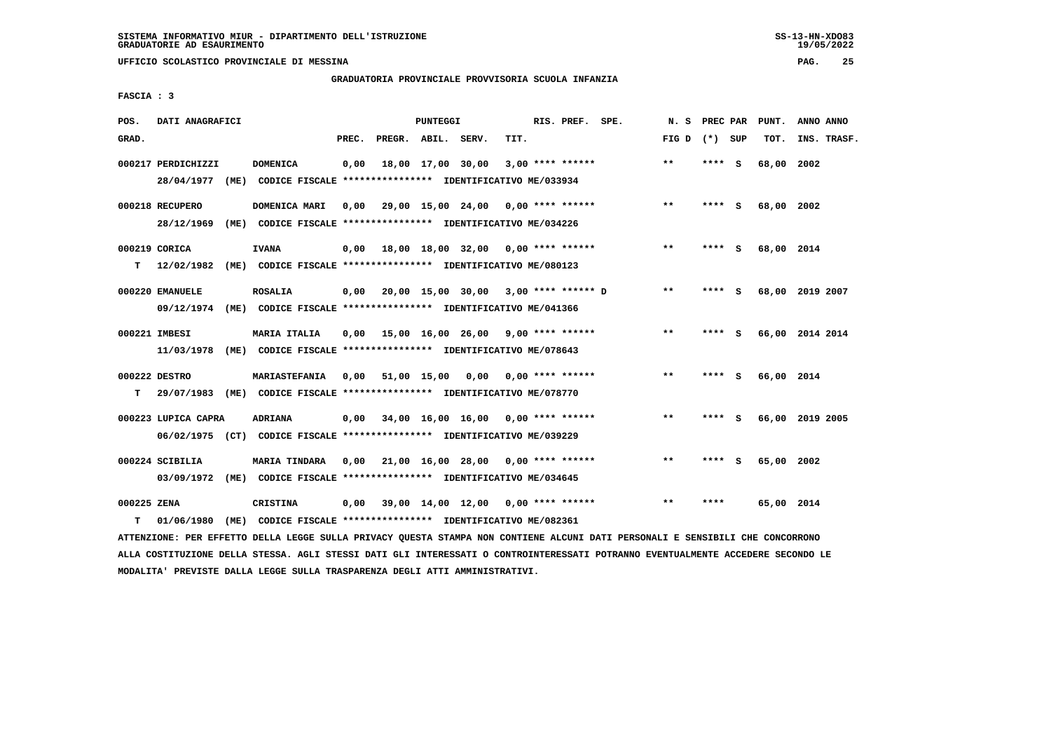**UFFICIO SCOLASTICO PROVINCIALE DI MESSINA PAG. 25**

### **GRADUATORIA PROVINCIALE PROVVISORIA SCUOLA INFANZIA**

 **FASCIA : 3**

| POS.        | DATI ANAGRAFICI     |      |                                                                          |       |                    | PUNTEGGI          |                                             |      | RIS. PREF. SPE.    | N.S             | PREC PAR |     | PUNT.      | ANNO ANNO       |
|-------------|---------------------|------|--------------------------------------------------------------------------|-------|--------------------|-------------------|---------------------------------------------|------|--------------------|-----------------|----------|-----|------------|-----------------|
| GRAD.       |                     |      |                                                                          | PREC. | PREGR. ABIL. SERV. |                   |                                             | TIT. |                    | FIG D $(*)$ SUP |          |     | TOT.       | INS. TRASF.     |
|             | 000217 PERDICHIZZI  |      | <b>DOMENICA</b>                                                          | 0,00  |                    | 18,00 17,00 30,00 |                                             |      | $3,00$ **** ****** | $***$           | **** S   |     | 68,00      | 2002            |
|             | 28/04/1977          | (ME) | CODICE FISCALE **************** IDENTIFICATIVO ME/033934                 |       |                    |                   |                                             |      |                    |                 |          |     |            |                 |
|             | 000218 RECUPERO     |      | DOMENICA MARI                                                            | 0.00  |                    |                   | 29,00 15,00 24,00 0,00 **** ******          |      |                    | $* *$           | **** S   |     | 68,00 2002 |                 |
|             | 28/12/1969          |      | (ME) CODICE FISCALE **************** IDENTIFICATIVO ME/034226            |       |                    |                   |                                             |      |                    |                 |          |     |            |                 |
|             | 000219 CORICA       |      | <b>IVANA</b>                                                             | 0,00  |                    |                   | 18,00 18,00 32,00 0,00 **** ******          |      |                    | $**$            | **** S   |     | 68,00 2014 |                 |
| т           | 12/02/1982          |      | (ME) CODICE FISCALE **************** IDENTIFICATIVO ME/080123            |       |                    |                   |                                             |      |                    |                 |          |     |            |                 |
|             | 000220 EMANUELE     |      | <b>ROSALIA</b>                                                           |       |                    |                   | $0.00$ 20.00 15.00 30.00 3.00 **** ****** D |      |                    | $* *$           | **** S   |     |            | 68,00 2019 2007 |
|             |                     |      | 09/12/1974 (ME) CODICE FISCALE *************** IDENTIFICATIVO ME/041366  |       |                    |                   |                                             |      |                    |                 |          |     |            |                 |
|             | 000221 IMBESI       |      | <b>MARIA ITALIA</b>                                                      |       |                    |                   | $0,00$ 15,00 16,00 26,00 9,00 **** ******   |      |                    | $***$           | $***$ S  |     |            | 66,00 2014 2014 |
|             |                     |      | 11/03/1978 (ME) CODICE FISCALE *************** IDENTIFICATIVO ME/078643  |       |                    |                   |                                             |      |                    |                 |          |     |            |                 |
|             | 000222 DESTRO       |      | <b>MARIASTEFANIA</b>                                                     | 0,00  |                    |                   | 51,00 15,00 0,00 0,00 **** ******           |      |                    | $***$           | **** S   |     | 66,00 2014 |                 |
| т           |                     |      | 29/07/1983 (ME) CODICE FISCALE **************** IDENTIFICATIVO ME/078770 |       |                    |                   |                                             |      |                    |                 |          |     |            |                 |
|             | 000223 LUPICA CAPRA |      | ADRIANA                                                                  | 0,00  |                    |                   | $34,00$ 16,00 16,00 0,00 **** ******        |      |                    | $**$            | ****     | - 5 |            | 66,00 2019 2005 |
|             |                     |      | 06/02/1975 (CT) CODICE FISCALE *************** IDENTIFICATIVO ME/039229  |       |                    |                   |                                             |      |                    |                 |          |     |            |                 |
|             | 000224 SCIBILIA     |      | <b>MARIA TINDARA</b>                                                     |       |                    |                   | 0,00 21,00 16,00 28,00 0,00 **** ******     |      |                    | $* *$           | ****     | - S | 65,00 2002 |                 |
|             |                     |      | 03/09/1972 (ME) CODICE FISCALE *************** IDENTIFICATIVO ME/034645  |       |                    |                   |                                             |      |                    |                 |          |     |            |                 |
| 000225 ZENA |                     |      | CRISTINA                                                                 |       |                    |                   | 0,00 39,00 14,00 12,00                      |      | $0.00$ **** ****** | $***$           | ****     |     | 65,00 2014 |                 |
| т           | 01/06/1980          |      | (ME) CODICE FISCALE **************** IDENTIFICATIVO ME/082361            |       |                    |                   |                                             |      |                    |                 |          |     |            |                 |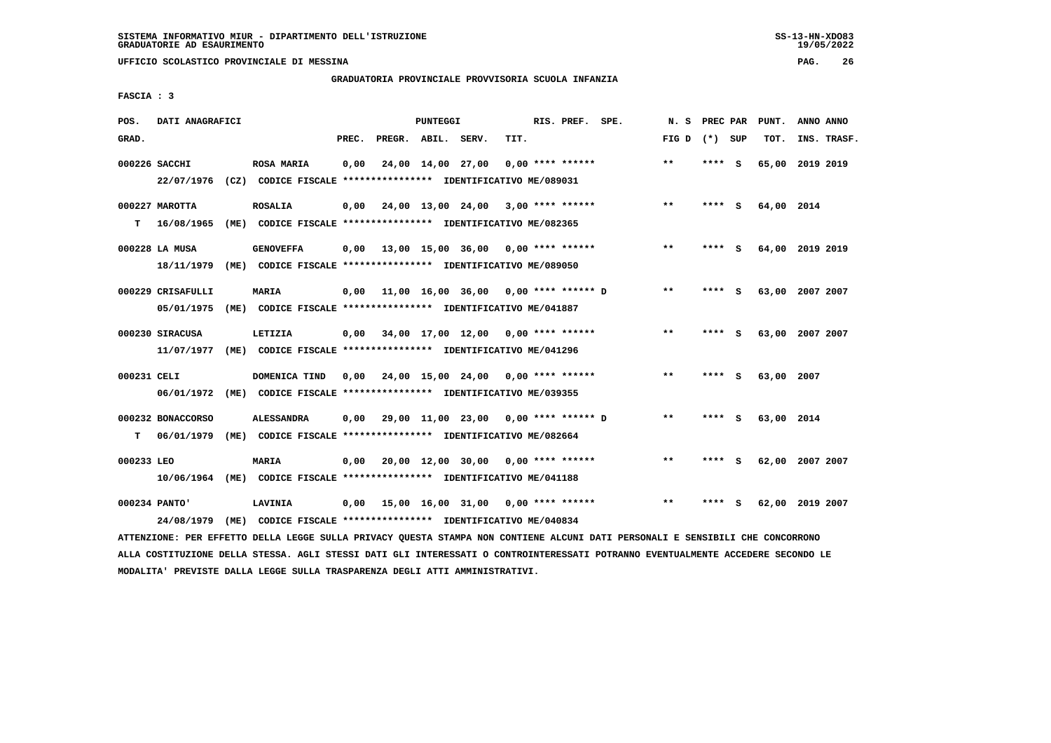**UFFICIO SCOLASTICO PROVINCIALE DI MESSINA PAG. 26**

### **GRADUATORIA PROVINCIALE PROVVISORIA SCUOLA INFANZIA**

 **FASCIA : 3**

| POS.        | DATI ANAGRAFICI   |                                                                                                                               |       |                    | PUNTEGGI |                                            |      | RIS. PREF. SPE. | N.S             | PREC PAR | PUNT.           | ANNO ANNO |             |
|-------------|-------------------|-------------------------------------------------------------------------------------------------------------------------------|-------|--------------------|----------|--------------------------------------------|------|-----------------|-----------------|----------|-----------------|-----------|-------------|
| GRAD.       |                   |                                                                                                                               | PREC. | PREGR. ABIL. SERV. |          |                                            | TIT. |                 | FIG D $(*)$ SUP |          | TOT.            |           | INS. TRASF. |
|             | 000226 SACCHI     | <b>ROSA MARIA</b>                                                                                                             | 0,00  |                    |          | $24,00$ $14,00$ $27,00$ $0,00$ **** ****** |      |                 | $***$           | **** S   | 65,00 2019 2019 |           |             |
|             | 22/07/1976        |                                                                                                                               |       |                    |          |                                            |      |                 |                 |          |                 |           |             |
|             | 000227 MAROTTA    | <b>ROSALIA</b>                                                                                                                | 0,00  |                    |          | 24,00 13,00 24,00 3,00 **** ******         |      |                 | $* *$           | **** S   | 64,00 2014      |           |             |
| т           | 16/08/1965        | (ME) CODICE FISCALE **************** IDENTIFICATIVO ME/082365                                                                 |       |                    |          |                                            |      |                 |                 |          |                 |           |             |
|             | 000228 LA MUSA    | <b>GENOVEFFA</b>                                                                                                              | 0,00  |                    |          | 13,00 15,00 36,00 0,00 **** ******         |      |                 | $**$            | **** S   | 64,00 2019 2019 |           |             |
|             |                   | 18/11/1979 (ME) CODICE FISCALE *************** IDENTIFICATIVO ME/089050                                                       |       |                    |          |                                            |      |                 |                 |          |                 |           |             |
|             | 000229 CRISAFULLI | MARIA                                                                                                                         |       |                    |          | 0,00 11,00 16,00 36,00 0,00 **** ****** D  |      |                 | $***$           | **** S   | 63,00 2007 2007 |           |             |
|             | 05/01/1975        | (ME) CODICE FISCALE **************** IDENTIFICATIVO ME/041887                                                                 |       |                    |          |                                            |      |                 |                 |          |                 |           |             |
|             | 000230 SIRACUSA   | LETIZIA                                                                                                                       |       |                    |          | $0,00$ 34,00 17,00 12,00 0,00 **** ******  |      |                 | $***$           | **** S   | 63,00 2007 2007 |           |             |
|             | 11/07/1977        | (ME) CODICE FISCALE **************** IDENTIFICATIVO ME/041296                                                                 |       |                    |          |                                            |      |                 |                 |          |                 |           |             |
| 000231 CELI |                   | DOMENICA TIND                                                                                                                 |       |                    |          | $0.00$ 24.00 15.00 24.00 0.00 **** ******  |      |                 | $**$            | **** $S$ | 63,00 2007      |           |             |
|             |                   | 06/01/1972 (ME) CODICE FISCALE *************** IDENTIFICATIVO ME/039355                                                       |       |                    |          |                                            |      |                 |                 |          |                 |           |             |
|             | 000232 BONACCORSO | <b>ALESSANDRA</b>                                                                                                             |       |                    |          | 0,00 29,00 11,00 23,00 0,00 **** ****** D  |      |                 | **              | **** S   | 63,00 2014      |           |             |
| т           | 06/01/1979        | (ME) CODICE FISCALE **************** IDENTIFICATIVO ME/082664                                                                 |       |                    |          |                                            |      |                 |                 |          |                 |           |             |
| 000233 LEO  |                   | <b>MARIA</b>                                                                                                                  | 0,00  |                    |          | 20,00 12,00 30,00 0,00 **** ******         |      |                 | $***$           | **** S   | 62,00 2007 2007 |           |             |
|             |                   | 10/06/1964 (ME) CODICE FISCALE **************** IDENTIFICATIVO ME/041188                                                      |       |                    |          |                                            |      |                 |                 |          |                 |           |             |
|             | 000234 PANTO'     | <b>LAVINIA</b>                                                                                                                |       |                    |          | 0,00 15,00 16,00 31,00 0,00 **** ******    |      |                 | $***$           | **** S   | 62,00 2019 2007 |           |             |
|             | 24/08/1979        | (ME) CODICE FISCALE **************** IDENTIFICATIVO ME/040834                                                                 |       |                    |          |                                            |      |                 |                 |          |                 |           |             |
|             |                   | ATTENZIONE: PER EFFETTO DELLA LEGGE SULLA PRIVACY QUESTA STAMPA NON CONTIENE ALCUNI DATI PERSONALI E SENSIBILI CHE CONCORRONO |       |                    |          |                                            |      |                 |                 |          |                 |           |             |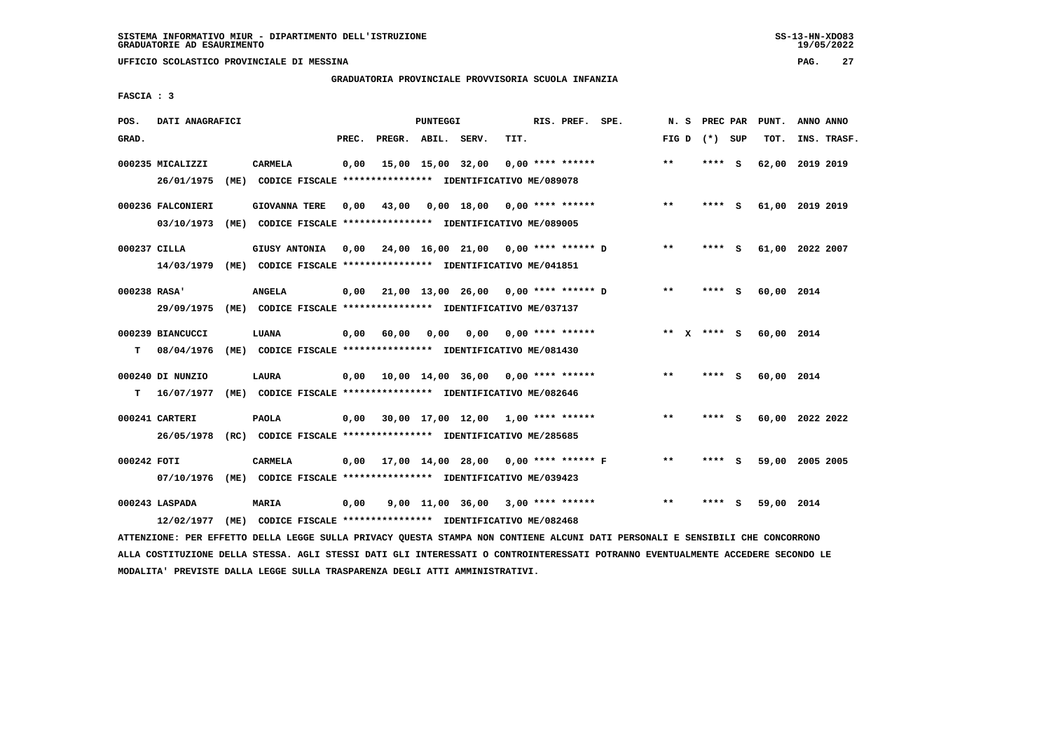**UFFICIO SCOLASTICO PROVINCIALE DI MESSINA PAG. 27**

#### **GRADUATORIA PROVINCIALE PROVVISORIA SCUOLA INFANZIA**

 **FASCIA : 3**

| POS.         | DATI ANAGRAFICI   |                                                                                                                               |       |                    | PUNTEGGI |                                           |      | RIS. PREF. SPE.           | N. S            | PREC PAR | PUNT.           | ANNO ANNO |             |
|--------------|-------------------|-------------------------------------------------------------------------------------------------------------------------------|-------|--------------------|----------|-------------------------------------------|------|---------------------------|-----------------|----------|-----------------|-----------|-------------|
| GRAD.        |                   |                                                                                                                               | PREC. | PREGR. ABIL. SERV. |          |                                           | TIT. |                           | FIG D $(*)$ SUP |          | TOT.            |           | INS. TRASF. |
|              | 000235 MICALIZZI  | <b>CARMELA</b>                                                                                                                | 0,00  |                    |          | 15,00 15,00 32,00                         |      | $0,00$ **** ******        | $***$           | **** S   | 62,00 2019 2019 |           |             |
|              | 26/01/1975        | (ME) CODICE FISCALE **************** IDENTIFICATIVO ME/089078                                                                 |       |                    |          |                                           |      |                           |                 |          |                 |           |             |
|              | 000236 FALCONIERI | <b>GIOVANNA TERE</b>                                                                                                          | 0,00  | 43,00              |          | $0,00$ 18,00 0,00 **** ******             |      |                           | $***$           | **** S   | 61,00 2019 2019 |           |             |
|              | 03/10/1973        | (ME) CODICE FISCALE **************** IDENTIFICATIVO ME/089005                                                                 |       |                    |          |                                           |      |                           |                 |          |                 |           |             |
| 000237 CILLA |                   | GIUSY ANTONIA                                                                                                                 |       |                    |          | 0,00 24,00 16,00 21,00 0,00 **** ****** D |      |                           | $* *$           | **** S   | 61,00 2022 2007 |           |             |
|              |                   | 14/03/1979 (ME) CODICE FISCALE *************** IDENTIFICATIVO ME/041851                                                       |       |                    |          |                                           |      |                           |                 |          |                 |           |             |
| 000238 RASA' |                   | <b>ANGELA</b>                                                                                                                 |       |                    |          | 0,00 21,00 13,00 26,00 0,00 **** ****** D |      |                           | $* *$           | **** S   | 60,00 2014      |           |             |
|              | 29/09/1975        | (ME) CODICE FISCALE **************** IDENTIFICATIVO ME/037137                                                                 |       |                    |          |                                           |      |                           |                 |          |                 |           |             |
|              | 000239 BIANCUCCI  | LUANA                                                                                                                         |       | 0,00 60,00 0,00    |          |                                           |      | $0,00$ $0,00$ **** ****** | ** x **** S     |          | 60,00 2014      |           |             |
| T.           | 08/04/1976        | (ME) CODICE FISCALE **************** IDENTIFICATIVO ME/081430                                                                 |       |                    |          |                                           |      |                           |                 |          |                 |           |             |
|              | 000240 DI NUNZIO  | <b>LAURA</b>                                                                                                                  | 0.00  |                    |          | 10,00 14,00 36,00 0,00 **** ******        |      |                           | $* *$           | **** S   | 60,00 2014      |           |             |
| т            | 16/07/1977        | (ME) CODICE FISCALE **************** IDENTIFICATIVO ME/082646                                                                 |       |                    |          |                                           |      |                           |                 |          |                 |           |             |
|              | 000241 CARTERI    | <b>PAOLA</b>                                                                                                                  |       |                    |          | $0,00$ 30,00 17,00 12,00 1,00 **** ****** |      |                           | $***$           | **** S   | 60,00 2022 2022 |           |             |
|              |                   | 26/05/1978 (RC) CODICE FISCALE *************** IDENTIFICATIVO ME/285685                                                       |       |                    |          |                                           |      |                           |                 |          |                 |           |             |
| 000242 FOTI  |                   | <b>CARMELA</b>                                                                                                                |       |                    |          | 0,00 17,00 14,00 28,00 0,00 **** ****** F |      |                           | $* *$           | **** S   | 59,00 2005 2005 |           |             |
|              |                   | 07/10/1976 (ME) CODICE FISCALE *************** IDENTIFICATIVO ME/039423                                                       |       |                    |          |                                           |      |                           |                 |          |                 |           |             |
|              | 000243 LASPADA    | MARIA                                                                                                                         | 0,00  |                    |          | 9,00 11,00 36,00 3,00 **** ******         |      |                           | $* *$           | **** S   | 59,00 2014      |           |             |
|              | 12/02/1977        | (ME) CODICE FISCALE **************** IDENTIFICATIVO ME/082468                                                                 |       |                    |          |                                           |      |                           |                 |          |                 |           |             |
|              |                   | ATTENZIONE: PER EFFETTO DELLA LEGGE SULLA PRIVACY QUESTA STAMPA NON CONTIENE ALCUNI DATI PERSONALI E SENSIBILI CHE CONCORRONO |       |                    |          |                                           |      |                           |                 |          |                 |           |             |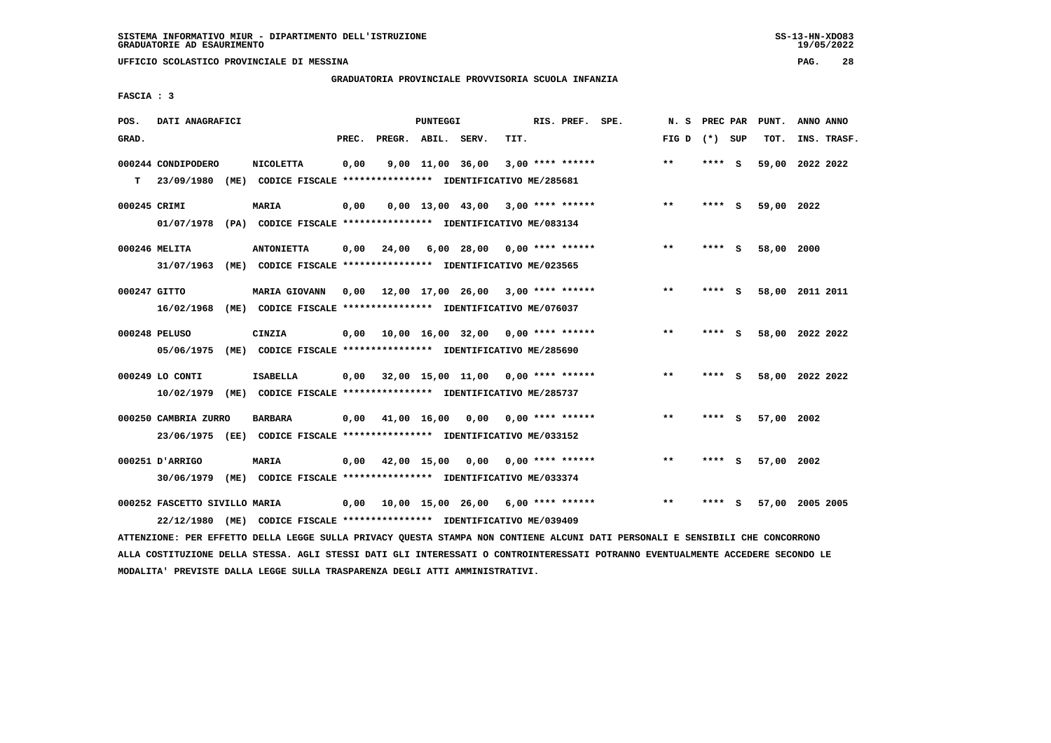**UFFICIO SCOLASTICO PROVINCIALE DI MESSINA PAG. 28**

### **GRADUATORIA PROVINCIALE PROVVISORIA SCUOLA INFANZIA**

 **FASCIA : 3**

| POS.         | DATI ANAGRAFICI                             |      |                                                                                           |       |                    | PUNTEGGI         |                                                  |      | RIS. PREF. SPE.    | N.S   | PREC PAR |     | PUNT.           | ANNO ANNO   |  |
|--------------|---------------------------------------------|------|-------------------------------------------------------------------------------------------|-------|--------------------|------------------|--------------------------------------------------|------|--------------------|-------|----------|-----|-----------------|-------------|--|
| GRAD.        |                                             |      |                                                                                           | PREC. | PREGR. ABIL. SERV. |                  |                                                  | TIT. |                    | FIG D | (*) SUP  |     | TOT.            | INS. TRASF. |  |
| T.           | 000244 CONDIPODERO<br>23/09/1980            |      | <b>NICOLETTA</b><br>(ME) CODICE FISCALE **************** IDENTIFICATIVO ME/285681         | 0,00  |                    | 9,00 11,00 36,00 |                                                  |      | $3,00$ **** ****** | $***$ | **** S   |     | 59,00 2022 2022 |             |  |
| 000245 CRIMI | 01/07/1978                                  |      | <b>MARIA</b><br>(PA) CODICE FISCALE **************** IDENTIFICATIVO ME/083134             | 0,00  |                    |                  | $0,00$ 13,00 43,00 3,00 **** ******              |      |                    | $***$ | **** S   |     | 59,00 2022      |             |  |
|              | 000246 MELITA<br>31/07/1963                 |      | <b>ANTONIETTA</b><br>(ME) CODICE FISCALE **************** IDENTIFICATIVO ME/023565        | 0,00  | 24,00              |                  | $6,00$ 28,00 0,00 **** ******                    |      |                    | $***$ | **** S   |     | 58,00 2000      |             |  |
| 000247 GITTO | 16/02/1968                                  |      | MARIA GIOVANN<br>(ME) CODICE FISCALE **************** IDENTIFICATIVO ME/076037            | 0,00  |                    |                  | 12,00 17,00 26,00 3,00 **** ******               |      |                    | $**$  | **** S   |     | 58,00 2011 2011 |             |  |
|              | 000248 PELUSO<br>05/06/1975                 | (ME) | CINZIA<br>CODICE FISCALE **************** IDENTIFICATIVO ME/285690                        | 0,00  |                    |                  | $10,00$ $16,00$ $32,00$ $0,00$ $***$ **** ****** |      |                    | $* *$ | ****     | - 5 | 58,00 2022 2022 |             |  |
|              | 000249 LO CONTI<br>10/02/1979               |      | <b>ISABELLA</b><br>(ME) CODICE FISCALE **************** IDENTIFICATIVO ME/285737          | 0.00  |                    |                  | 32,00 15,00 11,00 0,00 **** ******               |      |                    | $* *$ | **** S   |     | 58,00 2022 2022 |             |  |
|              | 000250 CAMBRIA ZURRO                        |      | <b>BARBARA</b><br>23/06/1975 (EE) CODICE FISCALE *************** IDENTIFICATIVO ME/033152 |       | 0,00 41,00 16,00   |                  | 0,00                                             |      | $0.00$ **** ****** | $* *$ | ****     | - S | 57,00           | 2002        |  |
|              | 000251 D'ARRIGO<br>30/06/1979               |      | MARIA<br>(ME) CODICE FISCALE **************** IDENTIFICATIVO ME/033374                    | 0,00  |                    | 42,00 15,00 0,00 |                                                  |      | $0.00$ **** ****** | $* *$ | ****     | - S | 57,00 2002      |             |  |
|              | 000252 FASCETTO SIVILLO MARIA<br>22/12/1980 | (ME) | CODICE FISCALE **************** IDENTIFICATIVO ME/039409                                  | 0,00  |                    |                  | 10,00 15,00 26,00 6,00 **** ******               |      |                    | $* *$ | ****     | - S | 57,00 2005 2005 |             |  |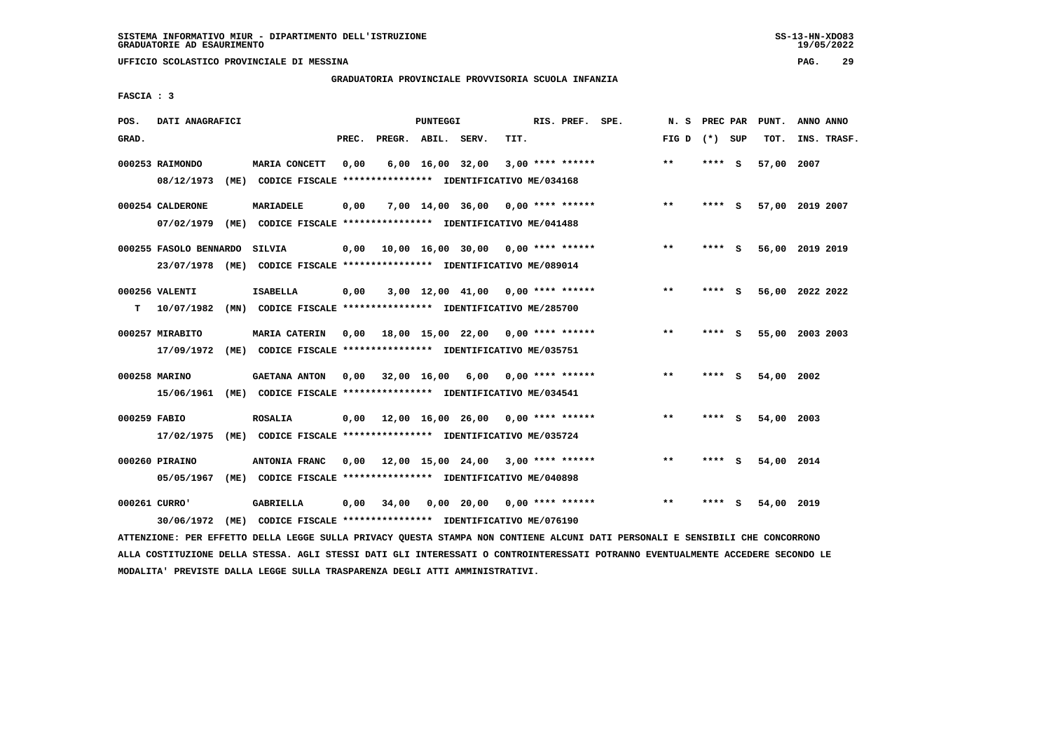**UFFICIO SCOLASTICO PROVINCIALE DI MESSINA PAG. 29**

### **GRADUATORIA PROVINCIALE PROVVISORIA SCUOLA INFANZIA**

 **FASCIA : 3**

| POS.         | DATI ANAGRAFICI        |                                                                         |       |                    | PUNTEGGI |                                           |      | RIS. PREF. SPE.    | N.S             | PREC PAR |          | PUNT.      | ANNO ANNO       |
|--------------|------------------------|-------------------------------------------------------------------------|-------|--------------------|----------|-------------------------------------------|------|--------------------|-----------------|----------|----------|------------|-----------------|
| GRAD.        |                        |                                                                         | PREC. | PREGR. ABIL. SERV. |          |                                           | TIT. |                    | FIG D $(*)$ SUP |          |          | TOT.       | INS. TRASF.     |
|              | 000253 RAIMONDO        | MARIA CONCETT                                                           | 0,00  |                    |          | $6,00 \quad 16,00 \quad 32,00$            |      | $3.00$ **** ****** | $**$            | **** S   |          | 57,00      | 2007            |
|              | 08/12/1973             | (ME) CODICE FISCALE **************** IDENTIFICATIVO ME/034168           |       |                    |          |                                           |      |                    |                 |          |          |            |                 |
|              | 000254 CALDERONE       | MARIADELE                                                               | 0,00  |                    |          | $7,00$ 14,00 36,00 0,00 **** ******       |      |                    | $***$           | **** S   |          |            | 57,00 2019 2007 |
|              | 07/02/1979             | (ME) CODICE FISCALE **************** IDENTIFICATIVO ME/041488           |       |                    |          |                                           |      |                    |                 |          |          |            |                 |
|              | 000255 FASOLO BENNARDO | SILVIA                                                                  | 0.00  |                    |          | 10,00 16,00 30,00 0,00 **** ******        |      |                    | $***$           | **** S   |          |            | 56,00 2019 2019 |
|              |                        | 23/07/1978 (ME) CODICE FISCALE *************** IDENTIFICATIVO ME/089014 |       |                    |          |                                           |      |                    |                 |          |          |            |                 |
|              | 000256 VALENTI         | <b>ISABELLA</b>                                                         | 0,00  |                    |          | $3,00$ 12,00 41,00 0,00 **** ******       |      |                    | $* *$           | ****     | - S      |            | 56,00 2022 2022 |
| т            | 10/07/1982             | (MN) CODICE FISCALE **************** IDENTIFICATIVO ME/285700           |       |                    |          |                                           |      |                    |                 |          |          |            |                 |
|              | 000257 MIRABITO        | <b>MARIA CATERIN</b>                                                    |       |                    |          | $0.00$ 18.00 15.00 22.00 0.00 **** ****** |      |                    | $***$           | **** S   |          |            | 55,00 2003 2003 |
|              | 17/09/1972             | (ME) CODICE FISCALE **************** IDENTIFICATIVO ME/035751           |       |                    |          |                                           |      |                    |                 |          |          |            |                 |
|              | 000258 MARINO          | <b>GAETANA ANTON</b>                                                    | 0,00  | 32,00 16,00        |          | 6,00                                      |      | $0.00$ **** ****** | $***$           | ****     | - 5      | 54,00 2002 |                 |
|              |                        | 15/06/1961 (ME) CODICE FISCALE *************** IDENTIFICATIVO ME/034541 |       |                    |          |                                           |      |                    |                 |          |          |            |                 |
| 000259 FABIO |                        | <b>ROSALIA</b>                                                          | 0,00  |                    |          | 12,00 16,00 26,00 0,00 **** ******        |      |                    | $***$           | ****     | <b>S</b> | 54,00 2003 |                 |
|              | 17/02/1975             | (ME) CODICE FISCALE **************** IDENTIFICATIVO ME/035724           |       |                    |          |                                           |      |                    |                 |          |          |            |                 |
|              | 000260 PIRAINO         | ANTONIA FRANC                                                           | 0,00  |                    |          | 12,00 15,00 24,00 3,00 **** ******        |      |                    | $**$            | ****     | - S      | 54,00 2014 |                 |
|              | 05/05/1967             | (ME) CODICE FISCALE **************** IDENTIFICATIVO ME/040898           |       |                    |          |                                           |      |                    |                 |          |          |            |                 |
|              | 000261 CURRO'          | <b>GABRIELLA</b>                                                        | 0,00  | 34,00              |          | $0,00$ 20,00 0,00 **** ******             |      |                    | $* *$           |          | s        | 54,00 2019 |                 |
|              | 30/06/1972             | (ME) CODICE FISCALE **************** IDENTIFICATIVO ME/076190           |       |                    |          |                                           |      |                    |                 |          |          |            |                 |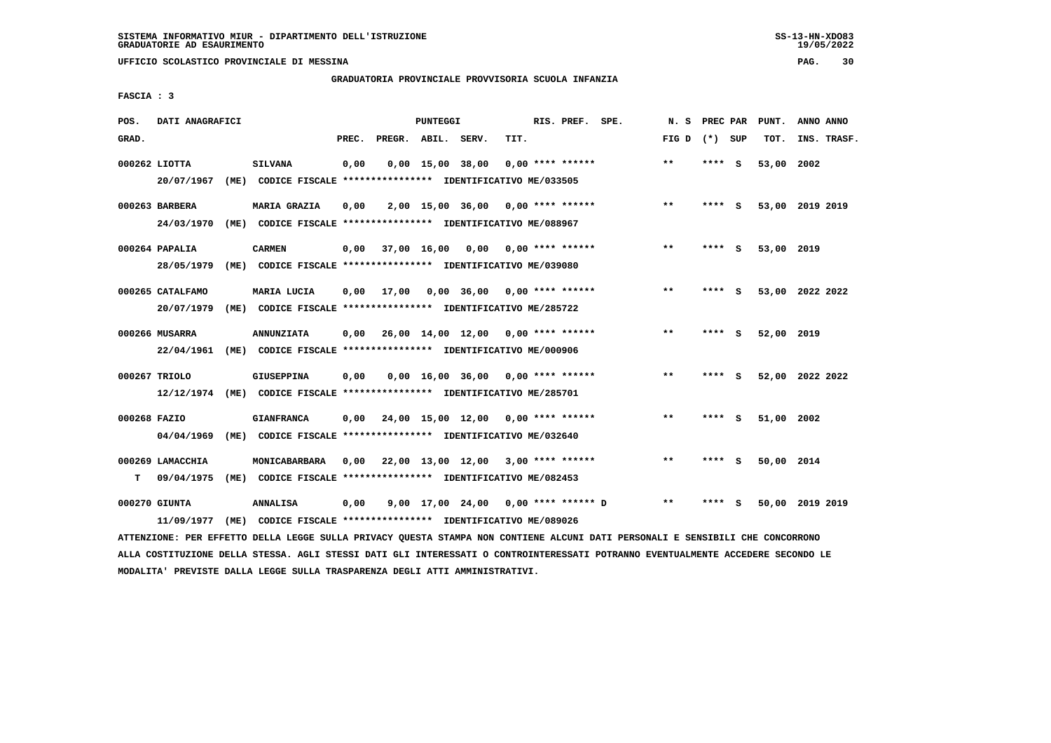**UFFICIO SCOLASTICO PROVINCIALE DI MESSINA PAG. 30**

### **GRADUATORIA PROVINCIALE PROVVISORIA SCUOLA INFANZIA**

 **FASCIA : 3**

| POS.         | DATI ANAGRAFICI  |                                                                                                                               |       |                    | PUNTEGGI |                                           |      | RIS. PREF. SPE.    | N. S            | <b>PREC PAR</b> |          | PUNT.           | ANNO ANNO |             |
|--------------|------------------|-------------------------------------------------------------------------------------------------------------------------------|-------|--------------------|----------|-------------------------------------------|------|--------------------|-----------------|-----------------|----------|-----------------|-----------|-------------|
| GRAD.        |                  |                                                                                                                               | PREC. | PREGR. ABIL. SERV. |          |                                           | TIT. |                    | FIG D $(*)$ SUP |                 |          | TOT.            |           | INS. TRASF. |
|              | 000262 LIOTTA    | <b>SILVANA</b>                                                                                                                | 0,00  |                    |          | $0,00$ 15,00 38,00                        |      | $0,00$ **** ****** | **              | $***$ S         |          | 53,00 2002      |           |             |
|              | 20/07/1967       | (ME) CODICE FISCALE **************** IDENTIFICATIVO ME/033505                                                                 |       |                    |          |                                           |      |                    |                 |                 |          |                 |           |             |
|              | 000263 BARBERA   | <b>MARIA GRAZIA</b>                                                                                                           | 0,00  |                    |          | $2,00$ 15,00 36,00 0,00 **** ******       |      |                    | $***$           | **** S          |          | 53,00 2019 2019 |           |             |
|              | 24/03/1970       | (ME) CODICE FISCALE **************** IDENTIFICATIVO ME/088967                                                                 |       |                    |          |                                           |      |                    |                 |                 |          |                 |           |             |
|              | $000264$ PAPALIA | <b>CARMEN</b>                                                                                                                 | 0.00  |                    |          | 37,00 16,00 0,00 0,00 **** ******         |      |                    | **              | **** S          |          | 53,00 2019      |           |             |
|              | 28/05/1979       | (ME) CODICE FISCALE **************** IDENTIFICATIVO ME/039080                                                                 |       |                    |          |                                           |      |                    |                 |                 |          |                 |           |             |
|              | 000265 CATALFAMO | MARIA LUCIA                                                                                                                   | 0,00  |                    |          | 17,00 0,00 36,00 0,00 **** ******         |      |                    | $\star\star$    | **** S          |          | 53,00 2022 2022 |           |             |
|              | 20/07/1979       | (ME) CODICE FISCALE **************** IDENTIFICATIVO ME/285722                                                                 |       |                    |          |                                           |      |                    |                 |                 |          |                 |           |             |
|              | 000266 MUSARRA   | <b>ANNUNZIATA</b>                                                                                                             | 0,00  |                    |          | 26,00 14,00 12,00 0,00 **** ******        |      |                    | $***$           | **** S          |          | 52,00 2019      |           |             |
|              | 22/04/1961       | (ME) CODICE FISCALE **************** IDENTIFICATIVO ME/000906                                                                 |       |                    |          |                                           |      |                    |                 |                 |          |                 |           |             |
|              | 000267 TRIOLO    | GIUSEPPINA                                                                                                                    | 0,00  |                    |          | $0,00$ 16,00 36,00 0,00 **** ******       |      |                    | $* *$           | **** S          |          | 52,00 2022 2022 |           |             |
|              |                  | 12/12/1974 (ME) CODICE FISCALE *************** IDENTIFICATIVO ME/285701                                                       |       |                    |          |                                           |      |                    |                 |                 |          |                 |           |             |
| 000268 FAZIO |                  | <b>GIANFRANCA</b>                                                                                                             |       |                    |          | $0.00$ 24.00 15.00 12.00 0.00 **** ****** |      |                    | $* *$           | ****            | <b>S</b> | 51,00 2002      |           |             |
|              | 04/04/1969       | (ME) CODICE FISCALE **************** IDENTIFICATIVO ME/032640                                                                 |       |                    |          |                                           |      |                    |                 |                 |          |                 |           |             |
|              | 000269 LAMACCHIA | MONICABARBARA                                                                                                                 | 0,00  |                    |          | 22,00 13,00 12,00 3,00 **** ******        |      |                    | $***$           | **** S          |          | 50,00 2014      |           |             |
| т            | 09/04/1975       | (ME) CODICE FISCALE **************** IDENTIFICATIVO ME/082453                                                                 |       |                    |          |                                           |      |                    |                 |                 |          |                 |           |             |
|              | 000270 GIUNTA    | <b>ANNALISA</b>                                                                                                               | 0,00  |                    |          | 9,00 17,00 24,00 0,00 **** ****** D       |      |                    | $* *$           | ****            | - S      | 50,00 2019 2019 |           |             |
|              | 11/09/1977       | (ME) CODICE FISCALE **************** IDENTIFICATIVO ME/089026                                                                 |       |                    |          |                                           |      |                    |                 |                 |          |                 |           |             |
|              |                  | ATTENZIONE: PER EFFETTO DELLA LEGGE SULLA PRIVACY QUESTA STAMPA NON CONTIENE ALCUNI DATI PERSONALI E SENSIBILI CHE CONCORRONO |       |                    |          |                                           |      |                    |                 |                 |          |                 |           |             |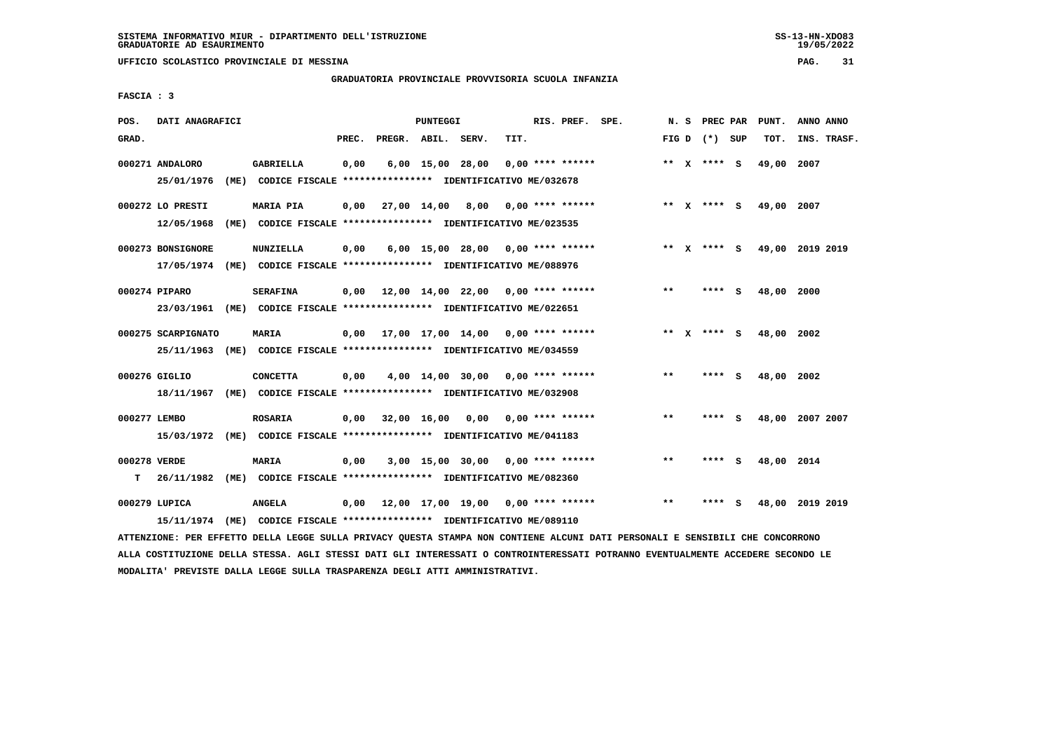**UFFICIO SCOLASTICO PROVINCIALE DI MESSINA PAG. 31**

### **GRADUATORIA PROVINCIALE PROVVISORIA SCUOLA INFANZIA**

 **FASCIA : 3**

| POS.         | DATI ANAGRAFICI    |                                                                         |       |                    | PUNTEGGI |                                           |      | RIS. PREF. SPE.    | N. S  | <b>PREC PAR</b> |   | PUNT.      | ANNO ANNO       |  |
|--------------|--------------------|-------------------------------------------------------------------------|-------|--------------------|----------|-------------------------------------------|------|--------------------|-------|-----------------|---|------------|-----------------|--|
| GRAD.        |                    |                                                                         | PREC. | PREGR. ABIL. SERV. |          |                                           | TIT. |                    |       | FIG D $(*)$ SUP |   | TOT.       | INS. TRASF.     |  |
|              | 000271 ANDALORO    | <b>GABRIELLA</b>                                                        | 0,00  |                    |          | $6,00$ 15,00 28,00                        |      | $0.00$ **** ****** |       | ** x **** S     |   | 49,00      | 2007            |  |
|              | 25/01/1976         | (ME) CODICE FISCALE **************** IDENTIFICATIVO ME/032678           |       |                    |          |                                           |      |                    |       |                 |   |            |                 |  |
|              | 000272 LO PRESTI   | <b>MARIA PIA</b>                                                        | 0,00  | 27,00 14,00 8,00   |          |                                           |      | 0,00 **** ******   |       | ** x **** S     |   | 49,00 2007 |                 |  |
|              | 12/05/1968         | (ME) CODICE FISCALE **************** IDENTIFICATIVO ME/023535           |       |                    |          |                                           |      |                    |       |                 |   |            |                 |  |
|              | 000273 BONSIGNORE  | NUNZIELLA                                                               | 0,00  |                    |          | $6,00$ 15,00 28,00 0,00 **** ******       |      |                    | ** X  | **** S          |   |            | 49,00 2019 2019 |  |
|              | 17/05/1974         | (ME) CODICE FISCALE **************** IDENTIFICATIVO ME/088976           |       |                    |          |                                           |      |                    |       |                 |   |            |                 |  |
|              | 000274 PIPARO      | <b>SERAFINA</b>                                                         | 0,00  |                    |          | 12,00 14,00 22,00 0,00 **** ******        |      |                    | $* *$ | **** S          |   | 48,00      | 2000            |  |
|              |                    | 23/03/1961 (ME) CODICE FISCALE *************** IDENTIFICATIVO ME/022651 |       |                    |          |                                           |      |                    |       |                 |   |            |                 |  |
|              | 000275 SCARPIGNATO | MARIA                                                                   |       |                    |          | $0.00$ 17.00 17.00 14.00 0.00 **** ****** |      |                    |       | ** x **** S     |   | 48,00      | 2002            |  |
|              |                    | 25/11/1963 (ME) CODICE FISCALE *************** IDENTIFICATIVO ME/034559 |       |                    |          |                                           |      |                    |       |                 |   |            |                 |  |
|              | 000276 GIGLIO      | <b>CONCETTA</b>                                                         | 0,00  |                    |          | $4,00$ 14,00 30,00 0,00 **** ******       |      |                    | $* *$ | **** S          |   | 48,00 2002 |                 |  |
|              |                    | 18/11/1967 (ME) CODICE FISCALE *************** IDENTIFICATIVO ME/032908 |       |                    |          |                                           |      |                    |       |                 |   |            |                 |  |
| 000277 LEMBO |                    | <b>ROSARIA</b>                                                          | 0,00  |                    |          | 32,00 16,00 0,00 0,00 **** ******         |      |                    | $* *$ | **** S          |   |            | 48,00 2007 2007 |  |
|              | 15/03/1972         | (ME) CODICE FISCALE **************** IDENTIFICATIVO ME/041183           |       |                    |          |                                           |      |                    |       |                 |   |            |                 |  |
| 000278 VERDE |                    | <b>MARIA</b>                                                            | 0,00  |                    |          | $3,00$ 15,00 30,00 0,00 **** ******       |      |                    | $**$  | **** S          |   | 48,00 2014 |                 |  |
| т            | 26/11/1982         | (ME) CODICE FISCALE **************** IDENTIFICATIVO ME/082360           |       |                    |          |                                           |      |                    |       |                 |   |            |                 |  |
|              | 000279 LUPICA      | <b>ANGELA</b>                                                           | 0,00  |                    |          | 12,00 17,00 19,00                         |      | $0.00$ **** ****** | $**$  | ****            | s | 48,00      | 2019 2019       |  |
|              |                    | 15/11/1974 (ME) CODICE FISCALE *************** IDENTIFICATIVO ME/089110 |       |                    |          |                                           |      |                    |       |                 |   |            |                 |  |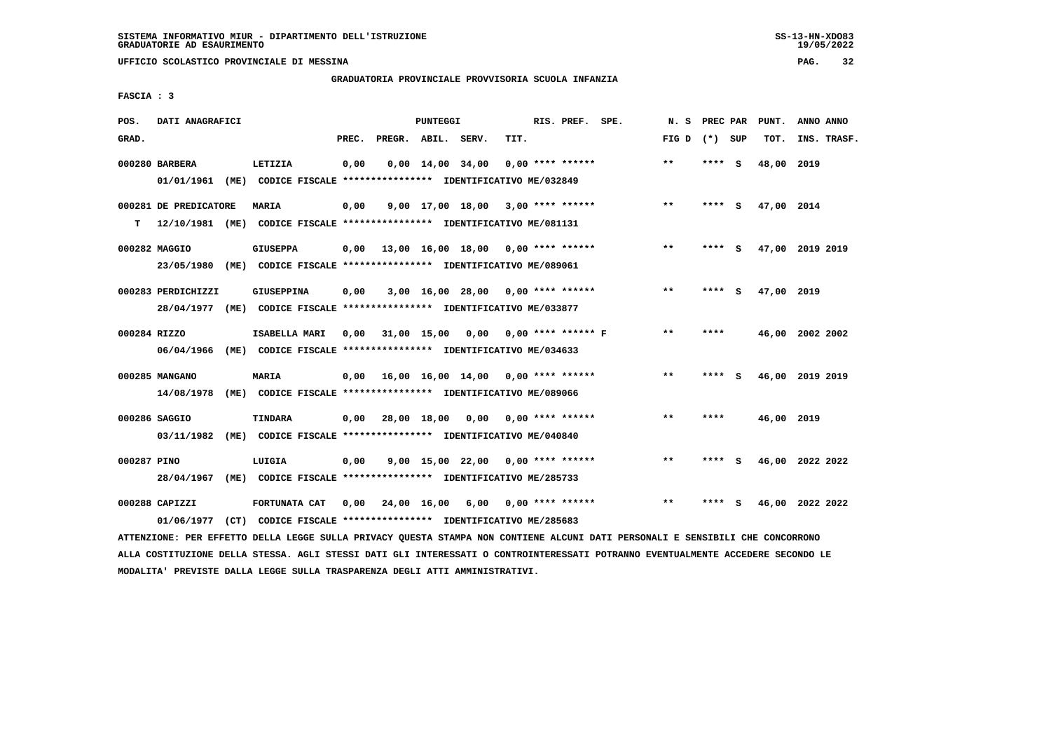**UFFICIO SCOLASTICO PROVINCIALE DI MESSINA PAG. 32**

### **GRADUATORIA PROVINCIALE PROVVISORIA SCUOLA INFANZIA**

 **FASCIA : 3**

| POS.         | DATI ANAGRAFICI              |                                                                                               | <b>PUNTEGGI</b>                |                                            | RIS. PREF. SPE.                     | N.S   | PREC PAR    | PUNT.      | ANNO ANNO       |
|--------------|------------------------------|-----------------------------------------------------------------------------------------------|--------------------------------|--------------------------------------------|-------------------------------------|-------|-------------|------------|-----------------|
| GRAD.        |                              | PREC.                                                                                         | PREGR. ABIL. SERV.             | TIT.                                       |                                     | FIG D | (*) SUP     | TOT.       | INS. TRASF.     |
|              | 000280 BARBERA               | 0,00<br>LETIZIA<br>01/01/1961 (ME) CODICE FISCALE *************** IDENTIFICATIVO ME/032849    | $0,00 \quad 14,00 \quad 34,00$ |                                            | $0.00$ **** ******                  | $**$  | **** S      | 48,00      | 2019            |
| т            | 000281 DE PREDICATORE        | MARIA<br>0,00<br>12/10/1981 (ME) CODICE FISCALE *************** IDENTIFICATIVO ME/081131      |                                | $9.00$ 17.00 18.00 3.00 **** ******        |                                     | $***$ | **** S      | 47,00 2014 |                 |
|              | 000282 MAGGIO<br>23/05/1980  | <b>GIUSEPPA</b><br>0,00<br>(ME) CODICE FISCALE **************** IDENTIFICATIVO ME/089061      |                                | $13,00$ $16,00$ $18,00$ $0,00$ **** ****** |                                     | **    | - S<br>**** |            | 47,00 2019 2019 |
|              | 000283 PERDICHIZZI           | GIUSEPPINA<br>0,00<br>28/04/1977 (ME) CODICE FISCALE *************** IDENTIFICATIVO ME/033877 |                                | $3,00$ 16,00 28,00 0,00 **** ******        |                                     | **    | ****<br>- S | 47,00 2019 |                 |
| 000284 RIZZO | 06/04/1966                   | ISABELLA MARI<br>0.00<br>(ME) CODICE FISCALE **************** IDENTIFICATIVO ME/034633        | 31,00 15,00                    | 0,00                                       | $0.00$ **** ****** F                | **    | ****        |            | 46,00 2002 2002 |
|              | 000285 MANGANO<br>14/08/1978 | MARIA<br>0.00<br>(ME) CODICE FISCALE **************** IDENTIFICATIVO ME/089066                |                                | 16,00 16,00 14,00 0,00 **** ******         |                                     | $***$ | **** S      |            | 46,00 2019 2019 |
|              | 000286 SAGGIO<br>03/11/1982  | <b>TINDARA</b><br>0.00<br>(ME) CODICE FISCALE **************** IDENTIFICATIVO ME/040840       | 28,00 18,00                    | 0,00                                       | $0.00$ **** ******                  | $* *$ | ****        | 46,00 2019 |                 |
| 000287 PINO  | 28/04/1967                   | LUIGIA<br>0,00<br>(ME) CODICE FISCALE **************** IDENTIFICATIVO ME/285733               |                                |                                            | $9,00$ 15,00 22,00 0,00 **** ****** | $**$  | ****<br>- S |            | 46,00 2022 2022 |
|              | 000288 CAPIZZI<br>01/06/1977 | FORTUNATA CAT<br>0.00<br>(CT) CODICE FISCALE **************** IDENTIFICATIVO ME/285683        | 24,00 16,00                    | 6,00                                       | $0.00$ **** ******                  | $**$  | ****<br>- s |            | 46,00 2022 2022 |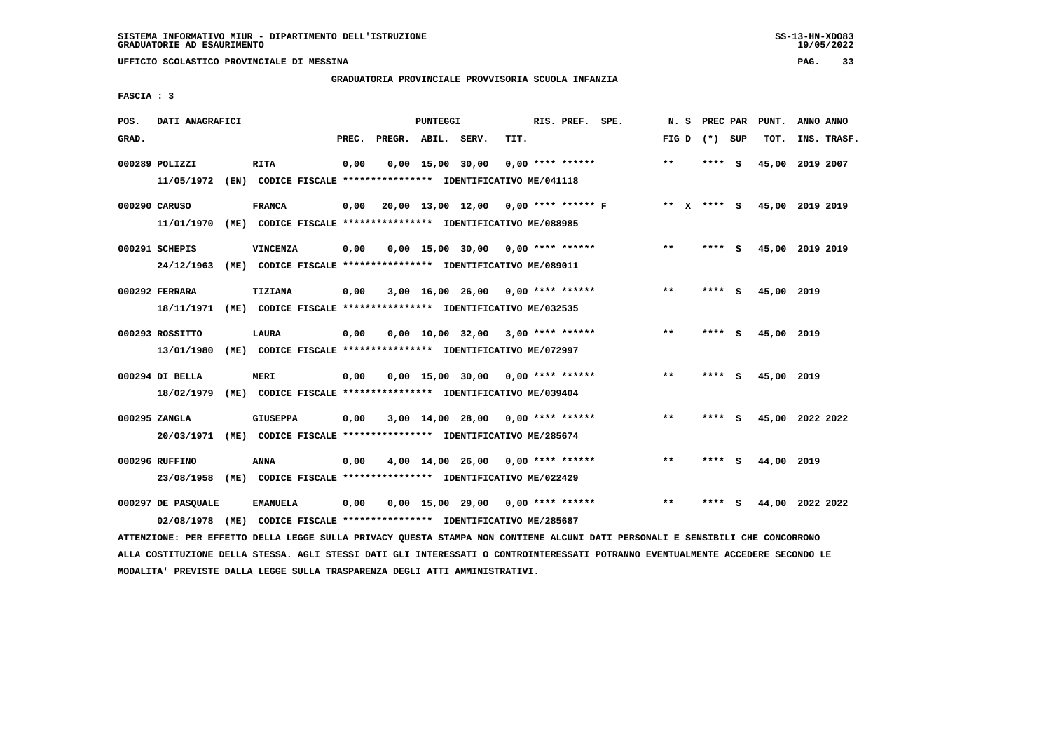**UFFICIO SCOLASTICO PROVINCIALE DI MESSINA PAG. 33**

### **GRADUATORIA PROVINCIALE PROVVISORIA SCUOLA INFANZIA**

 **FASCIA : 3**

| POS.  | DATI ANAGRAFICI    |                                                                                                                               |       | PUNTEGGI |                                      |      | RIS. PREF. SPE.    | N. S  | PREC PAR        | PUNT.                       | ANNO ANNO |             |
|-------|--------------------|-------------------------------------------------------------------------------------------------------------------------------|-------|----------|--------------------------------------|------|--------------------|-------|-----------------|-----------------------------|-----------|-------------|
| GRAD. |                    |                                                                                                                               | PREC. |          | PREGR. ABIL. SERV.                   | TIT. |                    |       | FIG D $(*)$ SUP | TOT.                        |           | INS. TRASF. |
|       | 000289 POLIZZI     | <b>RITA</b>                                                                                                                   | 0,00  |          | $0,00$ 15,00 30,00                   |      | $0,00$ **** ****** | **    | **** S          | 45,00 2019 2007             |           |             |
|       | 11/05/1972         | (EN) CODICE FISCALE **************** IDENTIFICATIVO ME/041118                                                                 |       |          |                                      |      |                    |       |                 |                             |           |             |
|       | 000290 CARUSO      | <b>FRANCA</b>                                                                                                                 | 0,00  |          | 20,00 13,00 12,00 0,00 **** ****** F |      |                    |       |                 | ** X **** S 45,00 2019 2019 |           |             |
|       | 11/01/1970         | (ME) CODICE FISCALE **************** IDENTIFICATIVO ME/088985                                                                 |       |          |                                      |      |                    |       |                 |                             |           |             |
|       | 000291 SCHEPIS     | VINCENZA                                                                                                                      | 0,00  |          | $0,00$ 15,00 30,00 0,00 **** ******  |      |                    | $***$ | **** S          | 45,00 2019 2019             |           |             |
|       | 24/12/1963         | (ME) CODICE FISCALE **************** IDENTIFICATIVO ME/089011                                                                 |       |          |                                      |      |                    |       |                 |                             |           |             |
|       | 000292 FERRARA     | TIZIANA                                                                                                                       | 0,00  |          | $3,00$ 16,00 26,00 0,00 **** ******  |      |                    | $**$  | **** S          | 45,00 2019                  |           |             |
|       | 18/11/1971         | (ME) CODICE FISCALE **************** IDENTIFICATIVO ME/032535                                                                 |       |          |                                      |      |                    |       |                 |                             |           |             |
|       | 000293 ROSSITTO    | LAURA                                                                                                                         | 0,00  |          | $0,00$ 10,00 32,00 3,00 **** ******  |      |                    | $***$ | **** S          | 45,00 2019                  |           |             |
|       | 13/01/1980         | (ME) CODICE FISCALE **************** IDENTIFICATIVO ME/072997                                                                 |       |          |                                      |      |                    |       |                 |                             |           |             |
|       | 000294 DI BELLA    | <b>MERI</b>                                                                                                                   | 0,00  |          | $0.00$ 15.00 30.00 0.00 **** ******  |      |                    | **    | **** S          | 45,00 2019                  |           |             |
|       | 18/02/1979         | (ME) CODICE FISCALE **************** IDENTIFICATIVO ME/039404                                                                 |       |          |                                      |      |                    |       |                 |                             |           |             |
|       | 000295 ZANGLA      | <b>GIUSEPPA</b>                                                                                                               | 0,00  |          | $3,00$ 14,00 28,00 0,00 **** ******  |      |                    | $* *$ | **** S          | 45,00 2022 2022             |           |             |
|       |                    | 20/03/1971 (ME) CODICE FISCALE *************** IDENTIFICATIVO ME/285674                                                       |       |          |                                      |      |                    |       |                 |                             |           |             |
|       | 000296 RUFFINO     | <b>ANNA</b>                                                                                                                   | 0,00  |          | $4,00$ 14,00 26,00 0,00 **** ******  |      |                    | $***$ | **** S          | 44,00 2019                  |           |             |
|       | 23/08/1958         | (ME) CODICE FISCALE **************** IDENTIFICATIVO ME/022429                                                                 |       |          |                                      |      |                    |       |                 |                             |           |             |
|       | 000297 DE PASOUALE | <b>EMANUELA</b>                                                                                                               | 0,00  |          | $0,00$ 15,00 29,00 0,00 **** ******  |      |                    | $***$ | **** S          | 44,00 2022 2022             |           |             |
|       | 02/08/1978         | (ME) CODICE FISCALE **************** IDENTIFICATIVO ME/285687                                                                 |       |          |                                      |      |                    |       |                 |                             |           |             |
|       |                    | ATTENZIONE: PER EFFETTO DELLA LEGGE SULLA PRIVACY QUESTA STAMPA NON CONTIENE ALCUNI DATI PERSONALI E SENSIBILI CHE CONCORRONO |       |          |                                      |      |                    |       |                 |                             |           |             |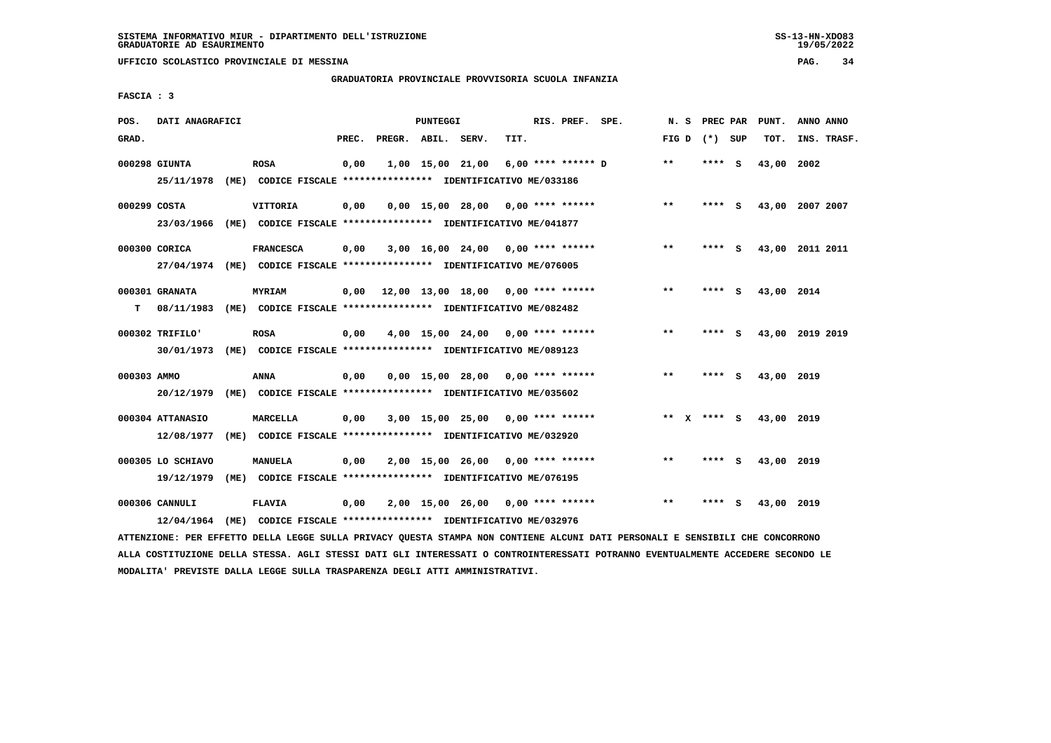**UFFICIO SCOLASTICO PROVINCIALE DI MESSINA PAG. 34**

### **GRADUATORIA PROVINCIALE PROVVISORIA SCUOLA INFANZIA**

 **FASCIA : 3**

| POS.         | DATI ANAGRAFICI                 |      |                                                                                             |       |                    | <b>PUNTEGGI</b> |                                            |      | RIS. PREF. SPE.    | N.S   |             | PREC PAR | PUNT.      | ANNO ANNO       |
|--------------|---------------------------------|------|---------------------------------------------------------------------------------------------|-------|--------------------|-----------------|--------------------------------------------|------|--------------------|-------|-------------|----------|------------|-----------------|
| GRAD.        |                                 |      |                                                                                             | PREC. | PREGR. ABIL. SERV. |                 |                                            | TIT. |                    | FIG D |             | (*) SUP  | TOT.       | INS. TRASF.     |
|              | 000298 GIUNTA<br>25/11/1978     |      | <b>ROSA</b><br>(ME) CODICE FISCALE **************** IDENTIFICATIVO ME/033186                | 0,00  |                    |                 | 1,00 15,00 21,00                           |      | 6,00 **** ****** D | $***$ | ****        | <b>S</b> | 43,00      | 2002            |
| 000299 COSTA | 23/03/1966                      | (ME) | VITTORIA<br>CODICE FISCALE **************** IDENTIFICATIVO ME/041877                        | 0,00  |                    |                 | $0.00$ 15.00 28.00 0.00 **** ******        |      |                    | $* *$ | **** S      |          |            | 43,00 2007 2007 |
|              | 000300 CORICA                   |      | <b>FRANCESCA</b><br>27/04/1974 (ME) CODICE FISCALE *************** IDENTIFICATIVO ME/076005 | 0,00  |                    |                 | $3,00$ 16,00 24,00 0,00 **** ******        |      |                    | $**$  | **** S      |          |            | 43,00 2011 2011 |
| т            | 000301 GRANATA<br>08/11/1983    |      | <b>MYRIAM</b><br>(ME) CODICE FISCALE **************** IDENTIFICATIVO ME/082482              | 0,00  |                    |                 | $12,00$ $13,00$ $18,00$ $0,00$ **** ****** |      |                    | $* *$ | ****        | - S      | 43,00 2014 |                 |
|              | 000302 TRIFILO'<br>30/01/1973   |      | <b>ROSA</b><br>(ME) CODICE FISCALE **************** IDENTIFICATIVO ME/089123                | 0,00  |                    |                 | $4,00$ 15,00 24,00 0,00 **** ******        |      |                    | $* *$ | ****        | - S      |            | 43,00 2019 2019 |
| 000303 AMMO  | 20/12/1979                      |      | ANNA<br>(ME) CODICE FISCALE **************** IDENTIFICATIVO ME/035602                       | 0,00  |                    |                 | $0,00$ 15,00 28,00 0,00 **** ******        |      |                    | $* *$ | ****        | - S      | 43,00 2019 |                 |
|              | 000304 ATTANASIO<br>12/08/1977  |      | MARCELLA<br>(ME) CODICE FISCALE **************** IDENTIFICATIVO ME/032920                   | 0,00  |                    |                 | $3,00$ 15,00 25,00 0,00 **** ******        |      |                    |       | ** x **** S |          | 43,00 2019 |                 |
|              | 000305 LO SCHIAVO<br>19/12/1979 | (ME) | <b>MANUELA</b><br>CODICE FISCALE **************** IDENTIFICATIVO ME/076195                  | 0,00  |                    |                 | $2,00$ 15,00 26,00 0,00 **** ******        |      |                    | $***$ | ****        | - S      | 43,00 2019 |                 |
|              | 000306 CANNULI<br>12/04/1964    | (ME) | <b>FLAVIA</b><br>CODICE FISCALE **************** IDENTIFICATIVO ME/032976                   | 0,00  |                    |                 | $2,00$ 15,00 26,00 0,00 **** ******        |      |                    | $***$ | ****        | - S      | 43,00 2019 |                 |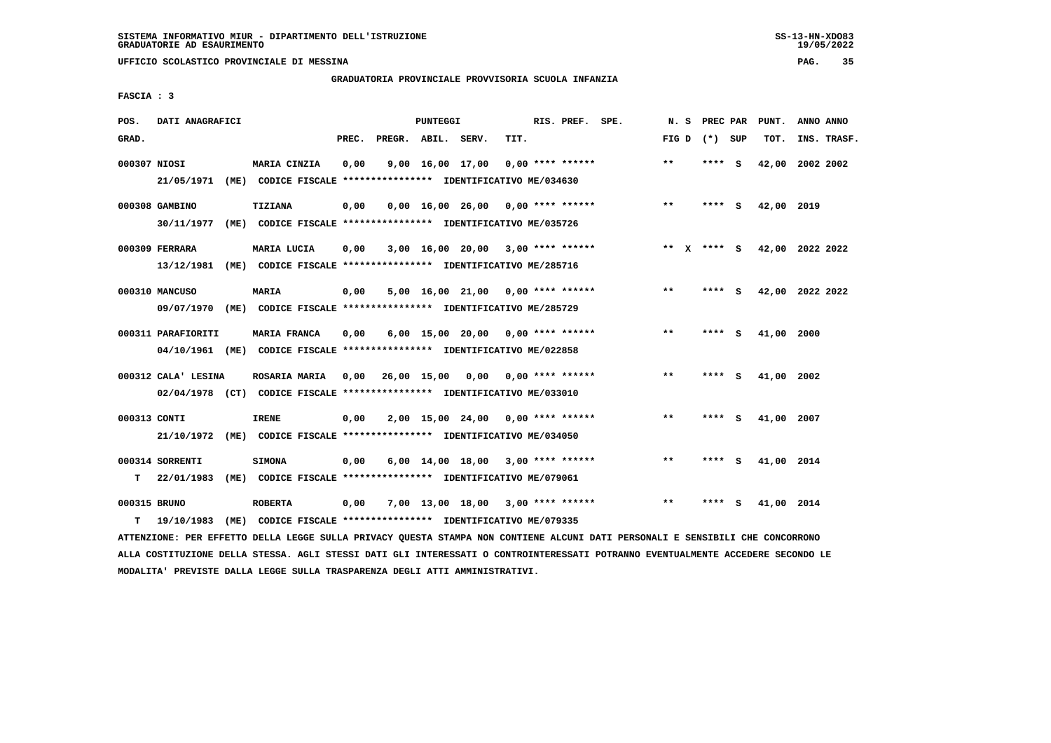**UFFICIO SCOLASTICO PROVINCIALE DI MESSINA PAG. 35**

### **GRADUATORIA PROVINCIALE PROVVISORIA SCUOLA INFANZIA**

 **FASCIA : 3**

| POS.         | DATI ANAGRAFICI     |      |                                                                               |       |                    | <b>PUNTEGGI</b> |                                                        |      | RIS. PREF. SPE.    | N.S         | PREC PAR |          | PUNT.      | ANNO ANNO       |
|--------------|---------------------|------|-------------------------------------------------------------------------------|-------|--------------------|-----------------|--------------------------------------------------------|------|--------------------|-------------|----------|----------|------------|-----------------|
| GRAD.        |                     |      |                                                                               | PREC. | PREGR. ABIL. SERV. |                 |                                                        | TIT. |                    | FIG D       | (*) SUP  |          | TOT.       | INS. TRASF.     |
| 000307 NIOSI | 21/05/1971          |      | MARIA CINZIA<br>(ME) CODICE FISCALE **************** IDENTIFICATIVO ME/034630 | 0,00  |                    |                 | 9,00 16,00 17,00                                       |      | $0.00$ **** ****** | **          | ****     | <b>S</b> | 42,00      | 2002 2002       |
|              |                     |      |                                                                               |       |                    |                 |                                                        |      |                    |             |          |          |            |                 |
|              | 000308 GAMBINO      |      | TIZIANA                                                                       | 0,00  |                    |                 | $0.00$ 16.00 26.00 0.00 **** ******                    |      |                    | $* *$       | **** S   |          | 42,00 2019 |                 |
|              | 30/11/1977          | (ME) | CODICE FISCALE **************** IDENTIFICATIVO ME/035726                      |       |                    |                 |                                                        |      |                    |             |          |          |            |                 |
|              | 000309 FERRARA      |      | MARIA LUCIA                                                                   | 0,00  |                    |                 | $3,00$ 16,00 20,00 3,00 **** ******                    |      |                    | ** x **** s |          |          |            | 42,00 2022 2022 |
|              | 13/12/1981          |      | (ME) CODICE FISCALE **************** IDENTIFICATIVO ME/285716                 |       |                    |                 |                                                        |      |                    |             |          |          |            |                 |
|              | 000310 MANCUSO      |      | <b>MARIA</b>                                                                  | 0,00  |                    |                 | $5,00$ 16,00 21,00 0,00 **** ******                    |      |                    | $* *$       | ****     | - S      |            | 42,00 2022 2022 |
|              | 09/07/1970          |      | (ME) CODICE FISCALE **************** IDENTIFICATIVO ME/285729                 |       |                    |                 |                                                        |      |                    |             |          |          |            |                 |
|              |                     |      |                                                                               |       |                    |                 |                                                        |      |                    |             |          |          |            |                 |
|              | 000311 PARAFIORITI  |      | MARIA FRANCA                                                                  | 0.00  |                    |                 | $6,00$ 15,00 20,00 0,00 **** ******                    |      |                    | $* *$       | ****     | - S      | 41,00 2000 |                 |
|              |                     |      | 04/10/1961 (ME) CODICE FISCALE *************** IDENTIFICATIVO ME/022858       |       |                    |                 |                                                        |      |                    |             |          |          |            |                 |
|              | 000312 CALA' LESINA |      | ROSARIA MARIA                                                                 |       |                    |                 | $0,00$ $26,00$ $15,00$ $0,00$ $0,00$ $***$ **** ****** |      |                    | $* *$       | ****     | - 5      | 41,00 2002 |                 |
|              |                     |      | 02/04/1978 (CT) CODICE FISCALE *************** IDENTIFICATIVO ME/033010       |       |                    |                 |                                                        |      |                    |             |          |          |            |                 |
| 000313 CONTI |                     |      | <b>IRENE</b>                                                                  | 0,00  |                    |                 | $2,00$ 15,00 24,00 0,00 **** ******                    |      |                    | $***$       | ****     | - 5      | 41,00 2007 |                 |
|              | 21/10/1972          |      | (ME) CODICE FISCALE **************** IDENTIFICATIVO ME/034050                 |       |                    |                 |                                                        |      |                    |             |          |          |            |                 |
|              |                     |      |                                                                               |       |                    |                 |                                                        |      |                    |             |          |          |            |                 |
|              | 000314 SORRENTI     |      | <b>SIMONA</b>                                                                 | 0,00  |                    |                 | $6,00$ 14,00 18,00 3,00 **** ******                    |      |                    | $***$       | ****     | - S      | 41,00 2014 |                 |
| т            | 22/01/1983          | (ME) | CODICE FISCALE **************** IDENTIFICATIVO ME/079061                      |       |                    |                 |                                                        |      |                    |             |          |          |            |                 |
| 000315 BRUNO |                     |      | <b>ROBERTA</b>                                                                | 0,00  |                    |                 | $7,00$ 13,00 18,00 3,00 **** ******                    |      |                    | $***$       | ****     | - S      | 41,00 2014 |                 |
| т            | 19/10/1983          | (ME) | CODICE FISCALE **************** IDENTIFICATIVO ME/079335                      |       |                    |                 |                                                        |      |                    |             |          |          |            |                 |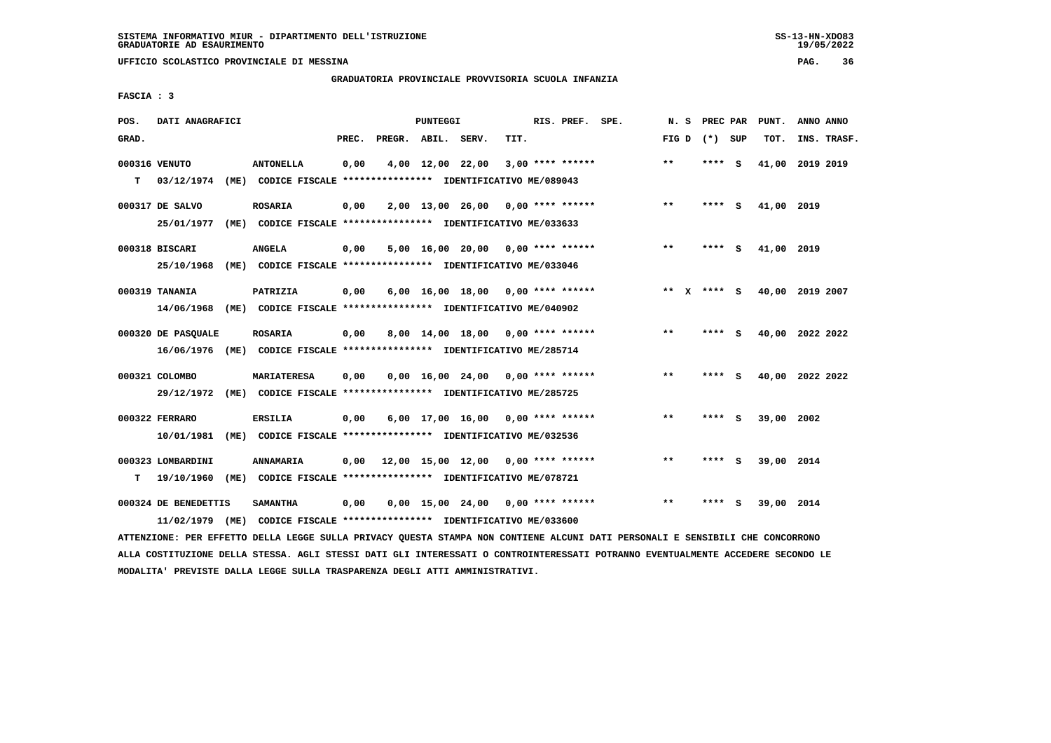**UFFICIO SCOLASTICO PROVINCIALE DI MESSINA PAG. 36**

### **GRADUATORIA PROVINCIALE PROVVISORIA SCUOLA INFANZIA**

 **FASCIA : 3**

| POS.  | DATI ANAGRAFICI                    |      |                                                                                           |       |                    | PUNTEGGI         |                                                  |      | RIS. PREF. SPE.    | N.S     | PREC PAR |     | PUNT.           | ANNO ANNO |             |
|-------|------------------------------------|------|-------------------------------------------------------------------------------------------|-------|--------------------|------------------|--------------------------------------------------|------|--------------------|---------|----------|-----|-----------------|-----------|-------------|
| GRAD. |                                    |      |                                                                                           | PREC. | PREGR. ABIL. SERV. |                  |                                                  | TIT. |                    | FIG D   | (*) SUP  |     | TOT.            |           | INS. TRASF. |
| T.    | 000316 VENUTO<br>03/12/1974        |      | <b>ANTONELLA</b><br>(ME) CODICE FISCALE **************** IDENTIFICATIVO ME/089043         | 0,00  |                    | 4,00 12,00 22,00 |                                                  |      | $3,00$ **** ****** | $***$   | ****     | - S | 41,00           | 2019 2019 |             |
|       | 000317 DE SALVO<br>25/01/1977      | (ME) | <b>ROSARIA</b><br>CODICE FISCALE **************** IDENTIFICATIVO ME/033633                | 0,00  |                    |                  | $2,00$ 13,00 26,00 0,00 **** ******              |      |                    | $***$   | **** S   |     | 41,00 2019      |           |             |
|       | 000318 BISCARI<br>25/10/1968       |      | <b>ANGELA</b><br>(ME) CODICE FISCALE *************** IDENTIFICATIVO ME/033046             | 0,00  |                    |                  | $5,00$ 16,00 20,00 0,00 **** ******              |      |                    | $***$   | **** S   |     | 41,00 2019      |           |             |
|       | 000319 TANANIA<br>14/06/1968       |      | PATRIZIA<br>(ME) CODICE FISCALE **************** IDENTIFICATIVO ME/040902                 | 0,00  |                    |                  | $6,00$ 16,00 18,00 0,00 **** ******              |      |                    | $***$ X | **** S   |     | 40,00 2019 2007 |           |             |
|       | 000320 DE PASQUALE                 |      | <b>ROSARIA</b><br>16/06/1976 (ME) CODICE FISCALE *************** IDENTIFICATIVO ME/285714 | 0,00  |                    |                  | $8,00$ 14,00 18,00 0,00 **** ******              |      |                    | **      | **** S   |     | 40,00 2022 2022 |           |             |
|       | 000321 COLOMBO<br>29/12/1972       |      | <b>MARIATERESA</b><br>(ME) CODICE FISCALE **************** IDENTIFICATIVO ME/285725       | 0,00  |                    |                  | $0,00$ 16,00 24,00 0,00 **** ******              |      |                    | $* *$   | **** S   |     | 40,00 2022 2022 |           |             |
|       | 000322 FERRARO<br>10/01/1981       |      | <b>ERSILIA</b><br>(ME) CODICE FISCALE **************** IDENTIFICATIVO ME/032536           | 0,00  |                    |                  | $6,00$ 17,00 16,00 0,00 **** ******              |      |                    | $* *$   | ****     | - S | 39,00           | 2002      |             |
| т     | 000323 LOMBARDINI<br>19/10/1960    | (ME) | ANNAMARIA<br>CODICE FISCALE **************** IDENTIFICATIVO ME/078721                     | 0,00  |                    |                  | $12,00$ $15,00$ $12,00$ $0,00$ $***$ **** ****** |      |                    | $* *$   | ****     | - S | 39,00 2014      |           |             |
|       | 000324 DE BENEDETTIS<br>11/02/1979 | (ME) | <b>SAMANTHA</b><br>CODICE FISCALE **************** IDENTIFICATIVO ME/033600               | 0,00  |                    |                  | $0,00$ 15,00 24,00 0,00 **** ******              |      |                    | $***$   | ****     | - S | 39,00 2014      |           |             |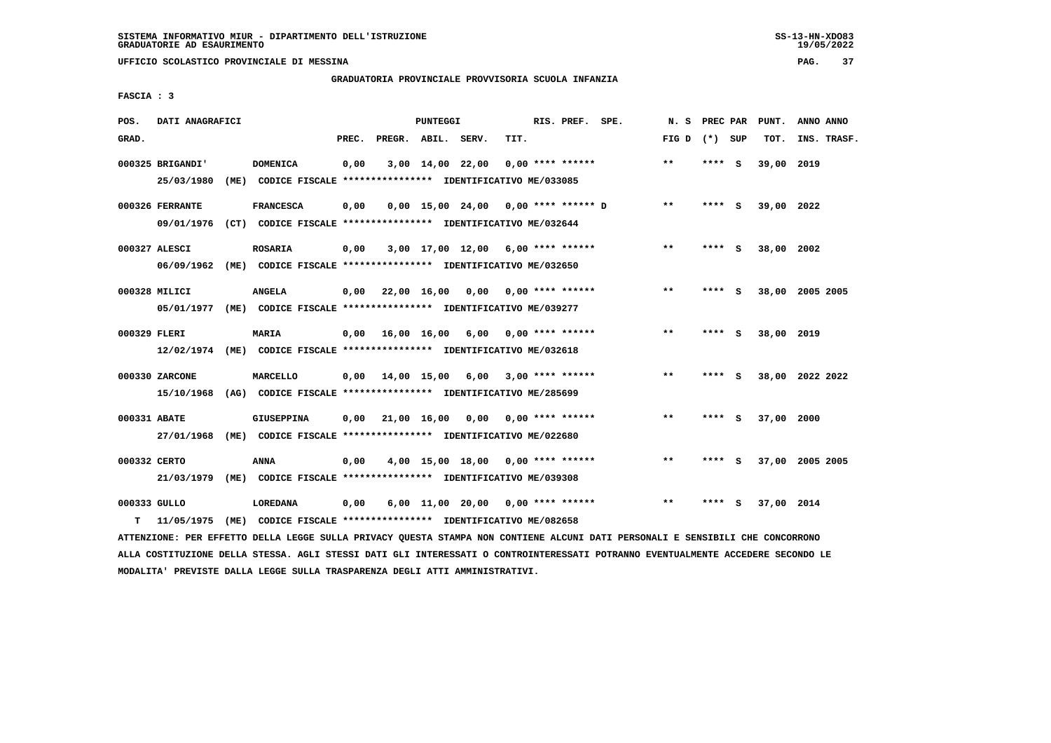#### **GRADUATORIA PROVINCIALE PROVVISORIA SCUOLA INFANZIA**

 **FASCIA : 3**

| POS.         | DATI ANAGRAFICI                |                                                                                             |       |                        | PUNTEGGI |                                       |      | RIS. PREF. SPE.       | N. S         | PREC PAR |     | PUNT.      | ANNO ANNO       |  |
|--------------|--------------------------------|---------------------------------------------------------------------------------------------|-------|------------------------|----------|---------------------------------------|------|-----------------------|--------------|----------|-----|------------|-----------------|--|
| GRAD.        |                                |                                                                                             | PREC. | PREGR. ABIL. SERV.     |          |                                       | TIT. |                       | FIG D        | (*) SUP  |     | TOT.       | INS. TRASF.     |  |
|              | 000325 BRIGANDI'<br>25/03/1980 | <b>DOMENICA</b><br>(ME) CODICE FISCALE *************** IDENTIFICATIVO ME/033085             | 0,00  |                        |          | 3,00 14,00 22,00                      |      | $0.00$ **** ******    | $**$         | **** S   |     | 39,00 2019 |                 |  |
|              | 000326 FERRANTE                | <b>FRANCESCA</b><br>09/01/1976 (CT) CODICE FISCALE *************** IDENTIFICATIVO ME/032644 | 0,00  |                        |          | $0,00$ 15,00 24,00 0,00 **** ****** D |      |                       | $***$        | **** S   |     | 39,00 2022 |                 |  |
|              | 000327 ALESCI                  | <b>ROSARIA</b>                                                                              | 0,00  |                        |          | $3,00$ 17,00 12,00 6,00 **** ******   |      |                       | $* *$        | **** S   |     | 38,00 2002 |                 |  |
|              | 000328 MILICI                  | 06/09/1962 (ME) CODICE FISCALE *************** IDENTIFICATIVO ME/032650<br><b>ANGELA</b>    | 0,00  |                        |          | 22,00 16,00 0,00                      |      | $0.00$ **** ******    | **           | ****     | - 5 |            | 38,00 2005 2005 |  |
| 000329 FLERI |                                | 05/01/1977 (ME) CODICE FISCALE *************** IDENTIFICATIVO ME/039277<br><b>MARIA</b>     |       | $0,00$ $16,00$ $16,00$ |          |                                       |      | 6,00 0,00 **** ****** | $***$        | **** S   |     | 38,00 2019 |                 |  |
|              | 000330 ZARCONE                 | 12/02/1974 (ME) CODICE FISCALE *************** IDENTIFICATIVO ME/032618<br>MARCELLO         |       |                        |          | $0,00$ $14,00$ $15,00$ $6,00$         |      | $3,00$ **** ******    | $\star\star$ | **** S   |     |            | 38,00 2022 2022 |  |
| 000331 ABATE | 15/10/1968                     | (AG) CODICE FISCALE **************** IDENTIFICATIVO ME/285699<br><b>GIUSEPPINA</b>          | 0,00  |                        |          | 21,00 16,00 0,00 0,00 **** ******     |      |                       | $***$        | ****     | - S | 37,00 2000 |                 |  |
| 000332 CERTO | 27/01/1968                     | (ME) CODICE FISCALE *************** IDENTIFICATIVO ME/022680<br>ANNA                        | 0.00  |                        |          | 4,00 15,00 18,00 0,00 **** ******     |      |                       | **           | **** S   |     |            | 37,00 2005 2005 |  |
| 000333 GULLO | 21/03/1979                     | (ME) CODICE FISCALE **************** IDENTIFICATIVO ME/039308<br>LOREDANA                   | 0,00  |                        |          | 6,00 11,00 20,00 0,00 **** ******     |      |                       | $**$         | ****     | - S | 37,00 2014 |                 |  |
| т            | 11/05/1975                     | (ME) CODICE FISCALE **************** IDENTIFICATIVO ME/082658                               |       |                        |          |                                       |      |                       |              |          |     |            |                 |  |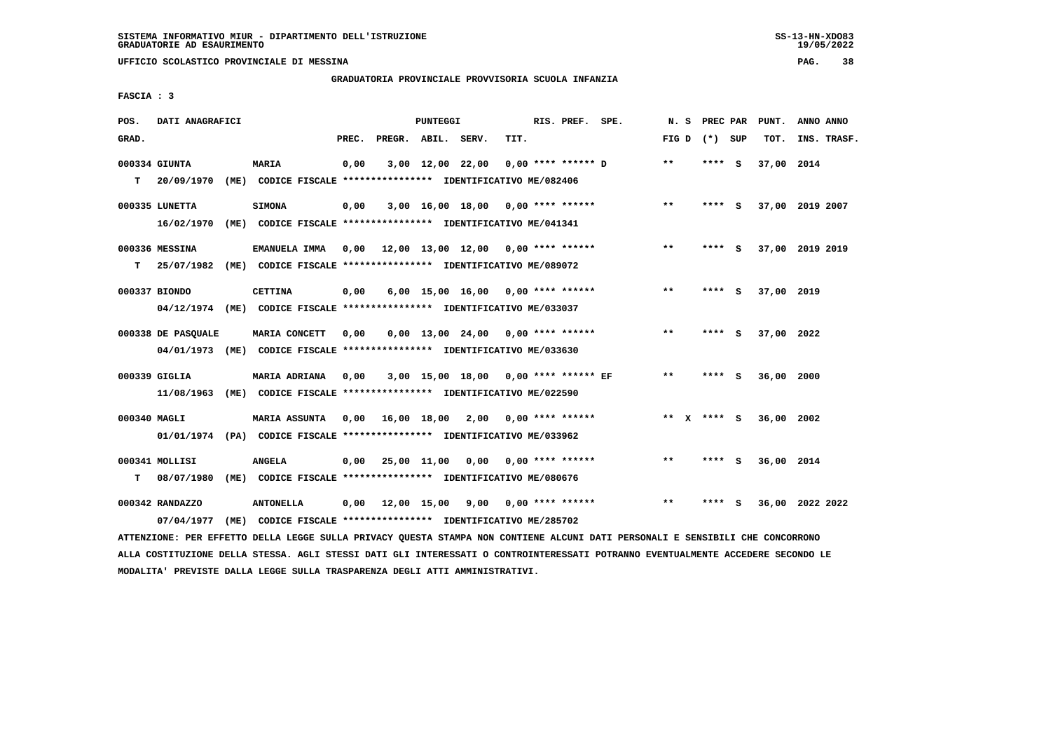**UFFICIO SCOLASTICO PROVINCIALE DI MESSINA PAG. 38**

### **GRADUATORIA PROVINCIALE PROVVISORIA SCUOLA INFANZIA**

 **FASCIA : 3**

| POS.         | DATI ANAGRAFICI    |                                                                                                                               |       |                    | PUNTEGGI |                                          |      | RIS. PREF. SPE. | N. S  |                 | PREC PAR PUNT.  | ANNO ANNO |             |
|--------------|--------------------|-------------------------------------------------------------------------------------------------------------------------------|-------|--------------------|----------|------------------------------------------|------|-----------------|-------|-----------------|-----------------|-----------|-------------|
| GRAD.        |                    |                                                                                                                               | PREC. | PREGR. ABIL. SERV. |          |                                          | TIT. |                 |       | FIG D $(*)$ SUP | TOT.            |           | INS. TRASF. |
|              | 000334 GIUNTA      | MARIA                                                                                                                         | 0,00  |                    |          | 3,00 12,00 22,00 0,00 **** ****** D      |      |                 | $**$  | $***$ S         | 37,00 2014      |           |             |
| т            | 20/09/1970         | (ME) CODICE FISCALE **************** IDENTIFICATIVO ME/082406                                                                 |       |                    |          |                                          |      |                 |       |                 |                 |           |             |
|              | 000335 LUNETTA     | <b>SIMONA</b>                                                                                                                 | 0,00  |                    |          | $3,00$ 16,00 18,00 0,00 **** ******      |      |                 | $***$ | **** S          | 37,00 2019 2007 |           |             |
|              |                    | 16/02/1970 (ME) CODICE FISCALE *************** IDENTIFICATIVO ME/041341                                                       |       |                    |          |                                          |      |                 |       |                 |                 |           |             |
|              | 000336 MESSINA     | EMANUELA IMMA 0,00 12,00 13,00 12,00 0,00 **** ******                                                                         |       |                    |          |                                          |      |                 | $* *$ | **** S          | 37,00 2019 2019 |           |             |
| T.           |                    | 25/07/1982 (ME) CODICE FISCALE *************** IDENTIFICATIVO ME/089072                                                       |       |                    |          |                                          |      |                 |       |                 |                 |           |             |
|              | 000337 BIONDO      | <b>CETTINA</b>                                                                                                                | 0,00  |                    |          | $6,00$ 15,00 16,00 0,00 **** ******      |      |                 | $***$ | **** S          | 37,00 2019      |           |             |
|              |                    | 04/12/1974 (ME) CODICE FISCALE *************** IDENTIFICATIVO ME/033037                                                       |       |                    |          |                                          |      |                 |       |                 |                 |           |             |
|              | 000338 DE PASOUALE | MARIA CONCETT                                                                                                                 | 0,00  |                    |          | $0,00$ 13,00 24,00 0,00 **** ******      |      |                 | $***$ | **** S          | 37,00 2022      |           |             |
|              |                    | 04/01/1973 (ME) CODICE FISCALE *************** IDENTIFICATIVO ME/033630                                                       |       |                    |          |                                          |      |                 |       |                 |                 |           |             |
|              | 000339 GIGLIA      | MARIA ADRIANA                                                                                                                 | 0.00  |                    |          | 3,00 15,00 18,00 0,00 **** ****** EF     |      |                 | $* *$ | **** S          | 36,00 2000      |           |             |
|              |                    | 11/08/1963 (ME) CODICE FISCALE *************** IDENTIFICATIVO ME/022590                                                       |       |                    |          |                                          |      |                 |       |                 |                 |           |             |
| 000340 MAGLI |                    | <b>MARIA ASSUNTA</b>                                                                                                          |       |                    |          | $0,00$ 16,00 18,00 2,00 0,00 **** ****** |      |                 |       | ** $X$ **** S   | 36,00 2002      |           |             |
|              |                    | 01/01/1974 (PA) CODICE FISCALE *************** IDENTIFICATIVO ME/033962                                                       |       |                    |          |                                          |      |                 |       |                 |                 |           |             |
|              | 000341 MOLLISI     | <b>ANGELA</b>                                                                                                                 |       |                    |          | $0,00$ 25,00 11,00 0,00 0,00 **** ****** |      |                 | $***$ | $***$ S         | 36,00 2014      |           |             |
| т            | 08/07/1980         | (ME) CODICE FISCALE **************** IDENTIFICATIVO ME/080676                                                                 |       |                    |          |                                          |      |                 |       |                 |                 |           |             |
|              | 000342 RANDAZZO    | <b>ANTONELLA</b>                                                                                                              |       |                    |          | $0,00$ 12,00 15,00 9,00 0,00 **** ****** |      |                 | $* *$ | **** S          | 36,00 2022 2022 |           |             |
|              | 07/04/1977         | (ME) CODICE FISCALE **************** IDENTIFICATIVO ME/285702                                                                 |       |                    |          |                                          |      |                 |       |                 |                 |           |             |
|              |                    | ATTENZIONE: PER EFFETTO DELLA LEGGE SULLA PRIVACY QUESTA STAMPA NON CONTIENE ALCUNI DATI PERSONALI E SENSIBILI CHE CONCORRONO |       |                    |          |                                          |      |                 |       |                 |                 |           |             |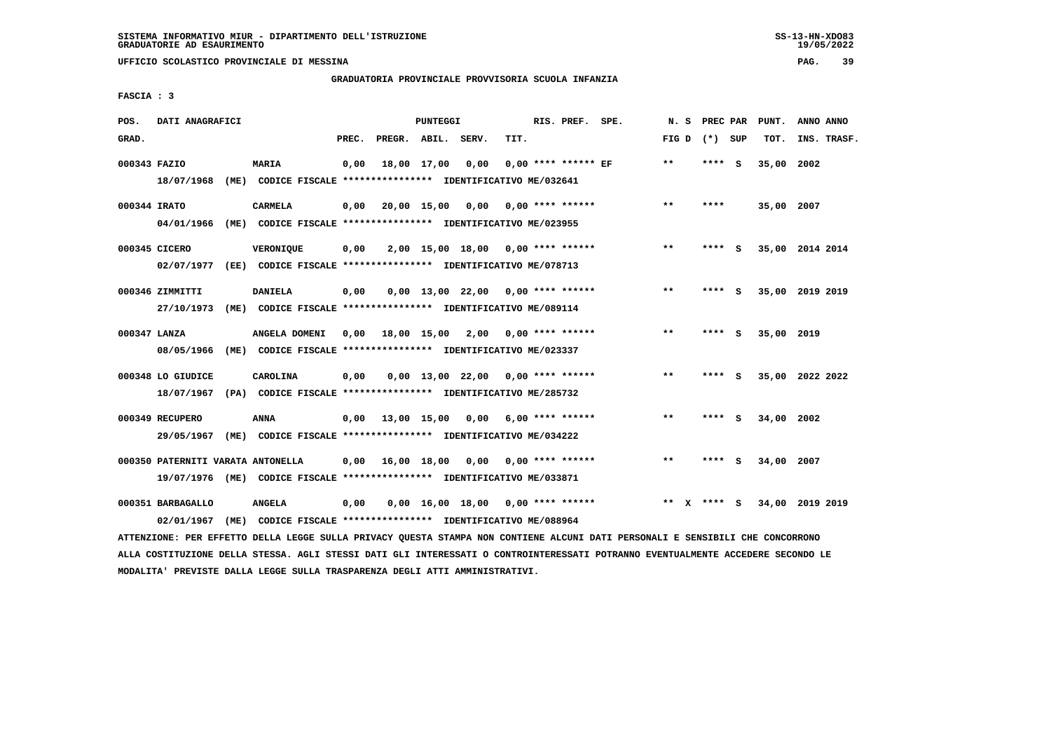**UFFICIO SCOLASTICO PROVINCIALE DI MESSINA PAG. 39**

### **GRADUATORIA PROVINCIALE PROVVISORIA SCUOLA INFANZIA**

 **FASCIA : 3**

| POS.         | DATI ANAGRAFICI                   |      |                                                                         |       |              | PUNTEGGI    |                                     |      | RIS. PREF. SPE.       | N.S          | PREC PAR |     | PUNT.      | ANNO ANNO       |
|--------------|-----------------------------------|------|-------------------------------------------------------------------------|-------|--------------|-------------|-------------------------------------|------|-----------------------|--------------|----------|-----|------------|-----------------|
| GRAD.        |                                   |      |                                                                         | PREC. | PREGR. ABIL. |             | SERV.                               | TIT. |                       | FIG D        | (*) SUP  |     | TOT.       | INS. TRASF.     |
| 000343 FAZIO |                                   |      | MARIA                                                                   | 0,00  |              | 18,00 17,00 | 0,00                                |      | $0.00$ **** ****** EF | $* *$        | ****     | - S | 35,00      | 2002            |
|              | 18/07/1968                        |      | (ME) CODICE FISCALE **************** IDENTIFICATIVO ME/032641           |       |              |             |                                     |      |                       |              |          |     |            |                 |
| 000344 IRATO |                                   |      | <b>CARMELA</b>                                                          | 0,00  |              | 20,00 15,00 | 0,00                                |      | $0.00$ **** ******    | $***$        | ****     |     | 35,00 2007 |                 |
|              | 04/01/1966                        | (ME) | CODICE FISCALE **************** IDENTIFICATIVO ME/023955                |       |              |             |                                     |      |                       |              |          |     |            |                 |
|              | 000345 CICERO                     |      | <b>VERONIQUE</b>                                                        | 0,00  |              |             | $2,00$ 15,00 18,00 0,00 **** ****** |      |                       | $***$        | **** S   |     |            | 35,00 2014 2014 |
|              | 02/07/1977                        |      | (EE) CODICE FISCALE **************** IDENTIFICATIVO ME/078713           |       |              |             |                                     |      |                       |              |          |     |            |                 |
|              | 000346 ZIMMITTI                   |      | <b>DANIELA</b>                                                          | 0,00  |              |             | $0,00$ 13,00 22,00 0,00 **** ****** |      |                       | $\star\star$ | ****     | - S |            | 35,00 2019 2019 |
|              | 27/10/1973                        |      | (ME) CODICE FISCALE **************** IDENTIFICATIVO ME/089114           |       |              |             |                                     |      |                       |              |          |     |            |                 |
| 000347 LANZA |                                   |      | ANGELA DOMENI                                                           | 0.00  | 18,00 15,00  |             | 2,00                                |      | $0.00$ **** ******    | $* *$        | ****     | - S | 35,00 2019 |                 |
|              | 08/05/1966                        |      | (ME) CODICE FISCALE **************** IDENTIFICATIVO ME/023337           |       |              |             |                                     |      |                       |              |          |     |            |                 |
|              | 000348 LO GIUDICE                 |      | CAROLINA                                                                | 0,00  |              |             | $0.00$ 13.00 22.00 0.00 **** ****** |      |                       | $***$        | **** S   |     |            | 35,00 2022 2022 |
|              | 18/07/1967                        |      | (PA) CODICE FISCALE **************** IDENTIFICATIVO ME/285732           |       |              |             |                                     |      |                       |              |          |     |            |                 |
|              | 000349 RECUPERO                   |      | ANNA                                                                    | 0,00  | 13,00 15,00  |             | 0,00                                |      | $6,00$ **** ******    | $***$        | ****     | - S | 34,00      | 2002            |
|              | 29/05/1967                        |      | (ME) CODICE FISCALE **************** IDENTIFICATIVO ME/034222           |       |              |             |                                     |      |                       |              |          |     |            |                 |
|              | 000350 PATERNITI VARATA ANTONELLA |      |                                                                         | 0.00  | 16,00 18,00  |             | 0,00                                |      | $0.00$ **** ******    | $* *$        | ****     | ్   | 34,00      | 2007            |
|              |                                   |      | 19/07/1976 (ME) CODICE FISCALE *************** IDENTIFICATIVO ME/033871 |       |              |             |                                     |      |                       |              |          |     |            |                 |
|              | 000351 BARBAGALLO                 |      | <b>ANGELA</b>                                                           | 0,00  |              |             | $0,00$ 16,00 18,00 0,00 **** ****** |      |                       | **           | **** S   |     |            | 34,00 2019 2019 |
|              | 02/01/1967                        | (ME) | CODICE FISCALE **************** IDENTIFICATIVO ME/088964                |       |              |             |                                     |      |                       |              |          |     |            |                 |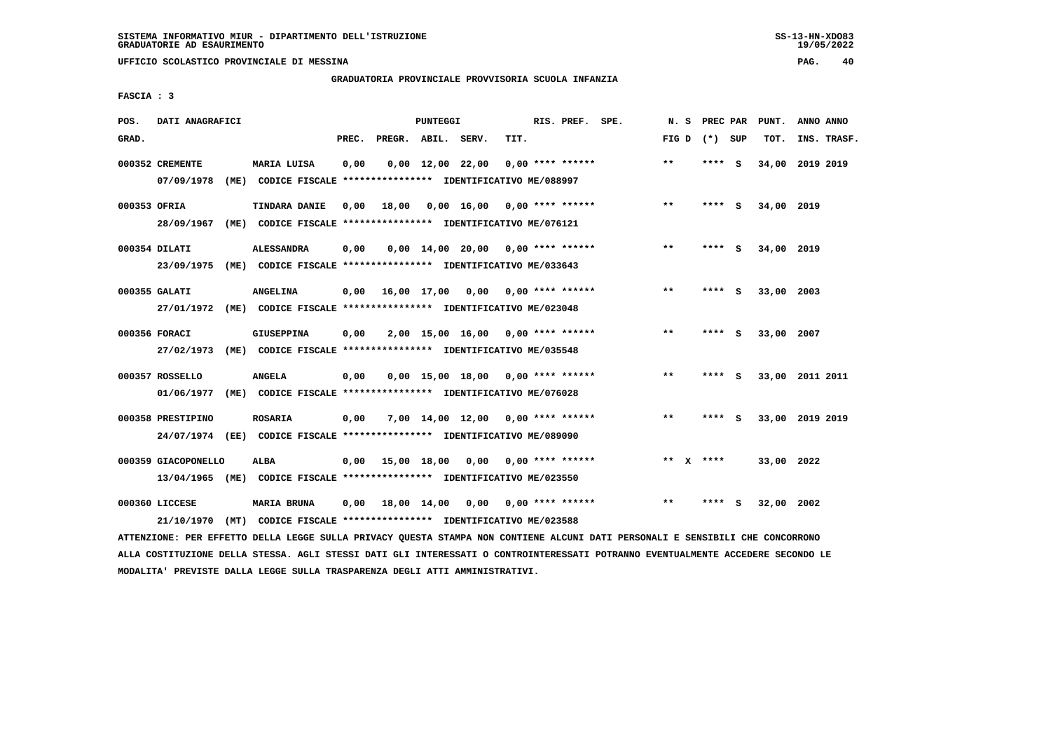**UFFICIO SCOLASTICO PROVINCIALE DI MESSINA PAG. 40**

#### **GRADUATORIA PROVINCIALE PROVVISORIA SCUOLA INFANZIA**

 **FASCIA : 3**

| POS.         | DATI ANAGRAFICI     |                                                                         |       |                    | PUNTEGGI    |                                     |      | RIS. PREF. SPE.           | N.S             | PREC PAR |     | PUNT.      | ANNO ANNO       |
|--------------|---------------------|-------------------------------------------------------------------------|-------|--------------------|-------------|-------------------------------------|------|---------------------------|-----------------|----------|-----|------------|-----------------|
| GRAD.        |                     |                                                                         | PREC. | PREGR. ABIL. SERV. |             |                                     | TIT. |                           | FIG D $(*)$ SUP |          |     | TOT.       | INS. TRASF.     |
|              | 000352 CREMENTE     | MARIA LUISA                                                             | 0,00  |                    |             | $0,00 \quad 12,00 \quad 22,00$      |      | $0.00$ **** ******        | $* *$           | **** S   |     | 34,00      | 2019 2019       |
|              | 07/09/1978          | (ME) CODICE FISCALE **************** IDENTIFICATIVO ME/088997           |       |                    |             |                                     |      |                           |                 |          |     |            |                 |
| 000353 OFRIA |                     | TINDARA DANIE                                                           | 0,00  | 18,00              |             | $0,00$ 16,00 0,00 **** ******       |      |                           | $**$            | $***$ S  |     | 34,00 2019 |                 |
|              | 28/09/1967          | (ME) CODICE FISCALE **************** IDENTIFICATIVO ME/076121           |       |                    |             |                                     |      |                           |                 |          |     |            |                 |
|              | 000354 DILATI       | <b>ALESSANDRA</b>                                                       | 0,00  |                    |             | $0,00$ 14,00 20,00 0,00 **** ****** |      |                           | $***$           | **** S   |     | 34,00 2019 |                 |
|              | 23/09/1975          | (ME) CODICE FISCALE **************** IDENTIFICATIVO ME/033643           |       |                    |             |                                     |      |                           |                 |          |     |            |                 |
|              | 000355 GALATI       | <b>ANGELINA</b>                                                         | 0,00  | 16,00 17,00        |             | 0,00                                |      | 0,00 **** ******          | **              | ****     | - 5 | 33,00 2003 |                 |
|              | 27/01/1972          | (ME) CODICE FISCALE **************** IDENTIFICATIVO ME/023048           |       |                    |             |                                     |      |                           |                 |          |     |            |                 |
|              | 000356 FORACI       | <b>GIUSEPPINA</b>                                                       | 0,00  |                    |             | $2,00$ 15,00 16,00 0,00 **** ****** |      |                           | $\star\star$    | **** S   |     | 33,00      | 2007            |
|              | 27/02/1973          | (ME) CODICE FISCALE **************** IDENTIFICATIVO ME/035548           |       |                    |             |                                     |      |                           |                 |          |     |            |                 |
|              | 000357 ROSSELLO     | <b>ANGELA</b>                                                           | 0,00  |                    |             | $0,00$ 15,00 18,00 0,00 **** ****** |      |                           | $**$            | **** S   |     |            | 33,00 2011 2011 |
|              | 01/06/1977          | (ME) CODICE FISCALE **************** IDENTIFICATIVO ME/076028           |       |                    |             |                                     |      |                           |                 |          |     |            |                 |
|              | 000358 PRESTIPINO   | <b>ROSARIA</b>                                                          | 0,00  |                    |             | $7,00$ 14,00 12,00 0,00 **** ****** |      |                           | **              | **** S   |     |            | 33,00 2019 2019 |
|              |                     | 24/07/1974 (EE) CODICE FISCALE *************** IDENTIFICATIVO ME/089090 |       |                    |             |                                     |      |                           |                 |          |     |            |                 |
|              | 000359 GIACOPONELLO | ALBA                                                                    | 0,00  |                    | 15,00 18,00 |                                     |      | $0.00$ $0.00$ **** ****** | $* *$           | $X$ **** |     | 33,00 2022 |                 |
|              | 13/04/1965          | (ME) CODICE FISCALE **************** IDENTIFICATIVO ME/023550           |       |                    |             |                                     |      |                           |                 |          |     |            |                 |
|              | 000360 LICCESE      | <b>MARIA BRUNA</b>                                                      | 0,00  |                    | 18,00 14,00 | 0,00                                |      | $0.00$ **** ******        | $* *$           | ****     | s   | 32,00      | 2002            |
|              | 21/10/1970          | (MT) CODICE FISCALE **************** IDENTIFICATIVO ME/023588           |       |                    |             |                                     |      |                           |                 |          |     |            |                 |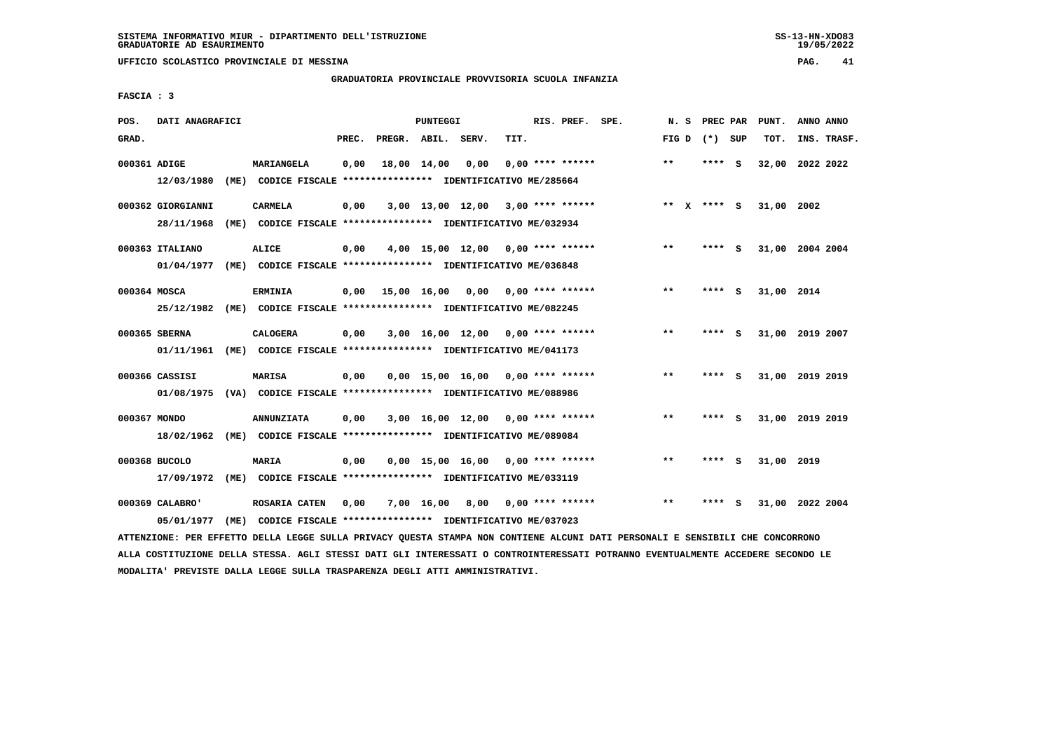**UFFICIO SCOLASTICO PROVINCIALE DI MESSINA PAG. 41**

### **GRADUATORIA PROVINCIALE PROVVISORIA SCUOLA INFANZIA**

 **FASCIA : 3**

| POS.         | DATI ANAGRAFICI   |                                                                                                                               |       |                    | PUNTEGGI |                                     |      | RIS. PREF. SPE.    | N. S  | PREC PAR    |     | PUNT.           | ANNO ANNO |             |
|--------------|-------------------|-------------------------------------------------------------------------------------------------------------------------------|-------|--------------------|----------|-------------------------------------|------|--------------------|-------|-------------|-----|-----------------|-----------|-------------|
| GRAD.        |                   |                                                                                                                               | PREC. | PREGR. ABIL. SERV. |          |                                     | TIT. |                    | FIG D | (*) SUP     |     | TOT.            |           | INS. TRASF. |
| 000361 ADIGE |                   | MARIANGELA                                                                                                                    | 0,00  | 18,00 14,00        |          | 0,00                                |      | $0.00$ **** ****** | **    | **** S      |     | 32,00           | 2022 2022 |             |
|              | 12/03/1980        | (ME) CODICE FISCALE **************** IDENTIFICATIVO ME/285664                                                                 |       |                    |          |                                     |      |                    |       |             |     |                 |           |             |
|              | 000362 GIORGIANNI | <b>CARMELA</b>                                                                                                                | 0,00  |                    |          | $3,00$ 13,00 12,00 3,00 **** ****** |      |                    |       | ** X **** S |     | 31,00 2002      |           |             |
|              | 28/11/1968        | (ME) CODICE FISCALE *************** IDENTIFICATIVO ME/032934                                                                  |       |                    |          |                                     |      |                    |       |             |     |                 |           |             |
|              | 000363 ITALIANO   | ALICE                                                                                                                         | 0,00  |                    |          | $4,00$ 15,00 12,00 0,00 **** ****** |      |                    | $***$ | **** S      |     | 31,00 2004 2004 |           |             |
|              | 01/04/1977        | (ME) CODICE FISCALE **************** IDENTIFICATIVO ME/036848                                                                 |       |                    |          |                                     |      |                    |       |             |     |                 |           |             |
| 000364 MOSCA |                   | <b>ERMINIA</b>                                                                                                                | 0,00  | 15,00 16,00 0,00   |          |                                     |      | $0.00$ **** ****** | $* *$ | **** S      |     | 31,00 2014      |           |             |
|              | 25/12/1982        | (ME) CODICE FISCALE **************** IDENTIFICATIVO ME/082245                                                                 |       |                    |          |                                     |      |                    |       |             |     |                 |           |             |
|              | 000365 SBERNA     | <b>CALOGERA</b>                                                                                                               | 0,00  |                    |          | $3,00$ 16,00 12,00 0,00 **** ****** |      |                    | $***$ | **** S      |     | 31,00 2019 2007 |           |             |
|              | 01/11/1961        | (ME) CODICE FISCALE **************** IDENTIFICATIVO ME/041173                                                                 |       |                    |          |                                     |      |                    |       |             |     |                 |           |             |
|              | 000366 CASSISI    | MARISA                                                                                                                        | 0,00  |                    |          | $0.00$ 15.00 16.00 0.00 **** ****** |      |                    | $* *$ | ****        | - S | 31,00 2019 2019 |           |             |
|              |                   | 01/08/1975 (VA) CODICE FISCALE *************** IDENTIFICATIVO ME/088986                                                       |       |                    |          |                                     |      |                    |       |             |     |                 |           |             |
| 000367 MONDO |                   | <b>ANNUNZIATA</b>                                                                                                             | 0,00  |                    |          | $3,00$ 16,00 12,00 0,00 **** ****** |      |                    | $***$ | ****        | - S | 31,00 2019 2019 |           |             |
|              | 18/02/1962        | (ME) CODICE FISCALE *************** IDENTIFICATIVO ME/089084                                                                  |       |                    |          |                                     |      |                    |       |             |     |                 |           |             |
|              | 000368 BUCOLO     | <b>MARIA</b>                                                                                                                  | 0.00  |                    |          | $0.00$ 15.00 16.00 0.00 **** ****** |      |                    | $***$ | **** S      |     | 31,00 2019      |           |             |
|              | 17/09/1972        | (ME) CODICE FISCALE **************** IDENTIFICATIVO ME/033119                                                                 |       |                    |          |                                     |      |                    |       |             |     |                 |           |             |
|              | 000369 CALABRO'   | ROSARIA CATEN                                                                                                                 | 0,00  |                    |          | $7,00$ 16,00 8,00 0,00 **** ******  |      |                    | $* *$ | ****        | - S | 31,00 2022 2004 |           |             |
|              | 05/01/1977        | (ME) CODICE FISCALE **************** IDENTIFICATIVO ME/037023                                                                 |       |                    |          |                                     |      |                    |       |             |     |                 |           |             |
|              |                   | ATTENZIONE: PER EFFETTO DELLA LEGGE SULLA PRIVACY QUESTA STAMPA NON CONTIENE ALCUNI DATI PERSONALI E SENSIBILI CHE CONCORRONO |       |                    |          |                                     |      |                    |       |             |     |                 |           |             |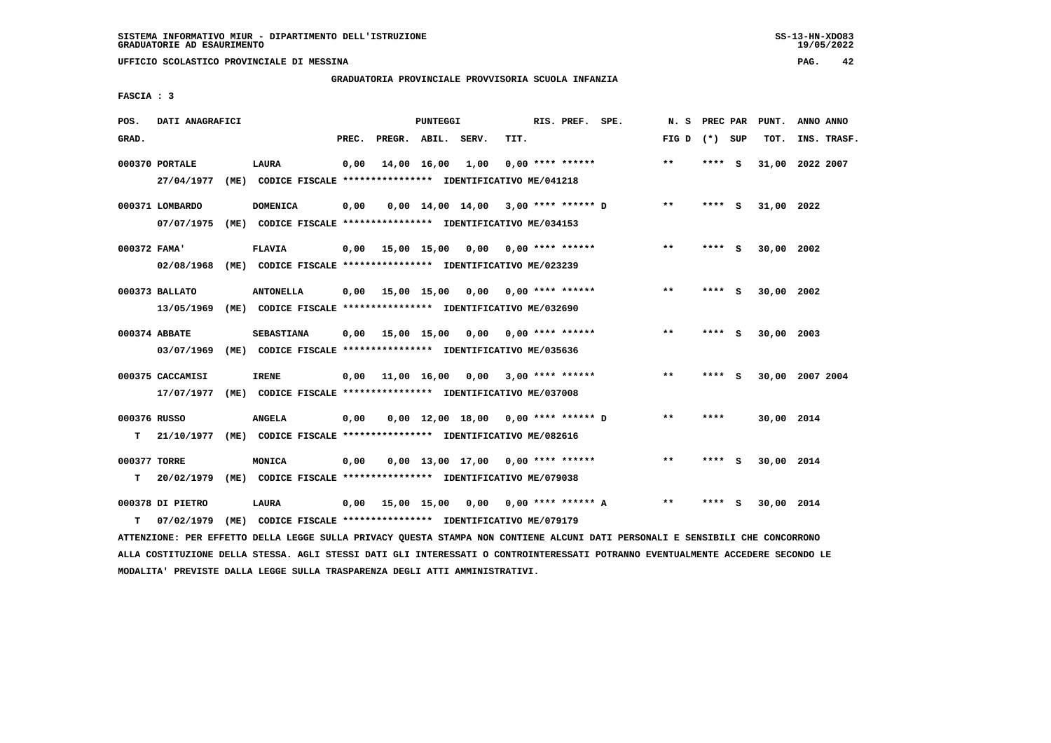**UFFICIO SCOLASTICO PROVINCIALE DI MESSINA PAG. 42**

### **GRADUATORIA PROVINCIALE PROVVISORIA SCUOLA INFANZIA**

 **FASCIA : 3**

| POS.              | DATI ANAGRAFICI                |      |                                                                                   |       |                    | PUNTEGGI    |                                       |      | RIS. PREF. SPE.           |                      | N.S             | PREC PAR |     | PUNT.      | ANNO ANNO       |
|-------------------|--------------------------------|------|-----------------------------------------------------------------------------------|-------|--------------------|-------------|---------------------------------------|------|---------------------------|----------------------|-----------------|----------|-----|------------|-----------------|
| GRAD.             |                                |      |                                                                                   | PREC. | PREGR. ABIL. SERV. |             |                                       | TIT. |                           |                      | FIG D $(*)$ SUP |          |     | TOT.       | INS. TRASF.     |
|                   | 000370 PORTALE<br>27/04/1977   |      | LAURA<br>(ME) CODICE FISCALE **************** IDENTIFICATIVO ME/041218            | 0,00  |                    | 14,00 16,00 | 1,00                                  |      | $0.00$ **** ******        |                      | $**$            | **** S   |     | 31,00      | 2022 2007       |
|                   | 000371 LOMBARDO<br>07/07/1975  |      | <b>DOMENICA</b><br>(ME) CODICE FISCALE **************** IDENTIFICATIVO ME/034153  | 0,00  |                    |             | $0,00$ 14,00 14,00 3,00 **** ****** D |      |                           |                      | $* *$           | **** S   |     | 31,00 2022 |                 |
| 000372 FAMA'      | 02/08/1968                     |      | <b>FLAVIA</b><br>(ME) CODICE FISCALE **************** IDENTIFICATIVO ME/023239    | 0,00  |                    |             | 15,00 15,00 0,00 0,00 **** ******     |      |                           |                      | $* *$           | ****     | - S | 30,00 2002 |                 |
|                   | 000373 BALLATO<br>13/05/1969   |      | <b>ANTONELLA</b><br>(ME) CODICE FISCALE **************** IDENTIFICATIVO ME/032690 | 0.00  | 15,00 15,00        |             |                                       |      | $0.00$ $0.00$ **** ****** |                      | $**$            | **** S   |     | 30,00 2002 |                 |
|                   | 000374 ABBATE<br>03/07/1969    | (ME) | <b>SEBASTIANA</b><br>CODICE FISCALE **************** IDENTIFICATIVO ME/035636     | 0.00  |                    |             | 15,00 15,00 0,00                      |      | $0.00$ **** ******        |                      | $**$            | **** S   |     | 30,00 2003 |                 |
|                   | 000375 CACCAMISI<br>17/07/1977 |      | <b>IRENE</b><br>(ME) CODICE FISCALE **************** IDENTIFICATIVO ME/037008     | 0,00  |                    |             | 11,00 16,00 0,00 3,00 **** ******     |      |                           |                      | $***$           | **** S   |     |            | 30,00 2007 2004 |
| 000376 RUSSO<br>т | 21/10/1977                     |      | <b>ANGELA</b><br>(ME) CODICE FISCALE **************** IDENTIFICATIVO ME/082616    | 0,00  |                    |             | 0,00 12,00 18,00 0,00 **** ****** D   |      |                           |                      | $***$           | ****     |     | 30,00 2014 |                 |
| 000377 TORRE<br>т | 20/02/1979                     |      | MONICA<br>(ME) CODICE FISCALE **************** IDENTIFICATIVO ME/079038           | 0,00  |                    |             | $0,00$ 13,00 17,00 0,00 **** ******   |      |                           |                      | **              | **** S   |     | 30,00 2014 |                 |
| т                 | 000378 DI PIETRO<br>07/02/1979 | (ME) | LAURA<br>CODICE FISCALE **************** IDENTIFICATIVO ME/079179                 | 0,00  |                    |             | 15,00 15,00 0,00                      |      |                           | $0.00$ **** ****** A | $* *$           | ****     | ్   | 30,00 2014 |                 |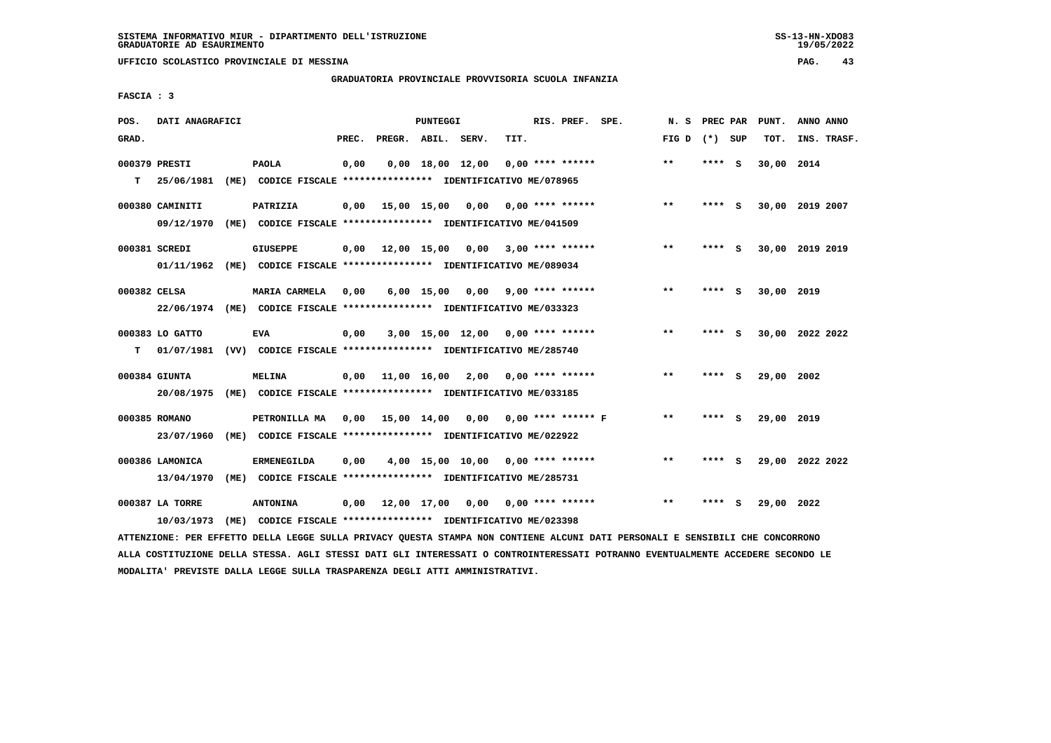**UFFICIO SCOLASTICO PROVINCIALE DI MESSINA PAG. 43**

### **GRADUATORIA PROVINCIALE PROVVISORIA SCUOLA INFANZIA**

 **FASCIA : 3**

| POS.         | DATI ANAGRAFICI |                                                                          |       |                    | PUNTEGGI |                                          |      | RIS. PREF. SPE. | N. S            |        |     | PREC PAR PUNT. | ANNO ANNO       |
|--------------|-----------------|--------------------------------------------------------------------------|-------|--------------------|----------|------------------------------------------|------|-----------------|-----------------|--------|-----|----------------|-----------------|
| GRAD.        |                 |                                                                          | PREC. | PREGR. ABIL. SERV. |          |                                          | TIT. |                 | FIG D $(*)$ SUP |        |     | TOT.           | INS. TRASF.     |
|              | 000379 PRESTI   | <b>PAOLA</b>                                                             | 0,00  |                    |          | $0,00$ 18,00 12,00 0,00 **** ******      |      |                 | $***$           | **** S |     | 30,00 2014     |                 |
| т            | 25/06/1981      | (ME) CODICE FISCALE **************** IDENTIFICATIVO ME/078965            |       |                    |          |                                          |      |                 |                 |        |     |                |                 |
|              | 000380 CAMINITI | PATRIZIA                                                                 | 0,00  |                    |          | 15,00 15,00 0,00 0,00 **** ******        |      |                 | $***$           | **** S |     |                | 30,00 2019 2007 |
|              | 09/12/1970      | (ME) CODICE FISCALE **************** IDENTIFICATIVO ME/041509            |       |                    |          |                                          |      |                 |                 |        |     |                |                 |
|              | 000381 SCREDI   | <b>GIUSEPPE</b>                                                          |       |                    |          | 0,00 12,00 15,00 0,00 3,00 **** ******   |      |                 | $* *$           | **** S |     |                | 30,00 2019 2019 |
|              |                 | 01/11/1962 (ME) CODICE FISCALE *************** IDENTIFICATIVO ME/089034  |       |                    |          |                                          |      |                 |                 |        |     |                |                 |
| 000382 CELSA |                 | MARIA CARMELA                                                            | 0,00  |                    |          | 6,00 15,00 0,00 9,00 **** ******         |      |                 | $***$           | ****   | - S | 30,00 2019     |                 |
|              |                 | 22/06/1974 (ME) CODICE FISCALE *************** IDENTIFICATIVO ME/033323  |       |                    |          |                                          |      |                 |                 |        |     |                |                 |
|              | 000383 LO GATTO | <b>EVA</b>                                                               | 0,00  |                    |          | 3,00 15,00 12,00 0,00 **** ******        |      |                 | $* *$           | **** S |     |                | 30,00 2022 2022 |
| т            |                 | 01/07/1981 (VV) CODICE FISCALE **************** IDENTIFICATIVO ME/285740 |       |                    |          |                                          |      |                 |                 |        |     |                |                 |
|              | 000384 GIUNTA   | <b>MELINA</b>                                                            |       |                    |          | $0,00$ 11,00 16,00 2,00 0,00 **** ****** |      |                 | $* *$           | ****   | - S | 29,00 2002     |                 |
|              |                 | 20/08/1975 (ME) CODICE FISCALE *************** IDENTIFICATIVO ME/033185  |       |                    |          |                                          |      |                 |                 |        |     |                |                 |
|              | 000385 ROMANO   | PETRONILLA MA 0,00 15,00 14,00 0,00 0,00 **** ****** F                   |       |                    |          |                                          |      |                 | $* *$           | ****   | - 5 | 29,00 2019     |                 |
|              | 23/07/1960      | (ME) CODICE FISCALE **************** IDENTIFICATIVO ME/022922            |       |                    |          |                                          |      |                 |                 |        |     |                |                 |
|              | 000386 LAMONICA | <b>ERMENEGILDA</b>                                                       | 0,00  |                    |          | 4,00 15,00 10,00 0,00 **** ******        |      |                 | $***$           | ****   | - S |                | 29,00 2022 2022 |
|              | 13/04/1970      | (ME) CODICE FISCALE **************** IDENTIFICATIVO ME/285731            |       |                    |          |                                          |      |                 |                 |        |     |                |                 |
|              | 000387 LA TORRE | <b>ANTONINA</b>                                                          | 0,00  |                    |          | 12,00 17,00 0,00 0,00 **** ******        |      |                 | $***$           | **** S |     | 29,00 2022     |                 |
|              | 10/03/1973      | (ME) CODICE FISCALE **************** IDENTIFICATIVO ME/023398            |       |                    |          |                                          |      |                 |                 |        |     |                |                 |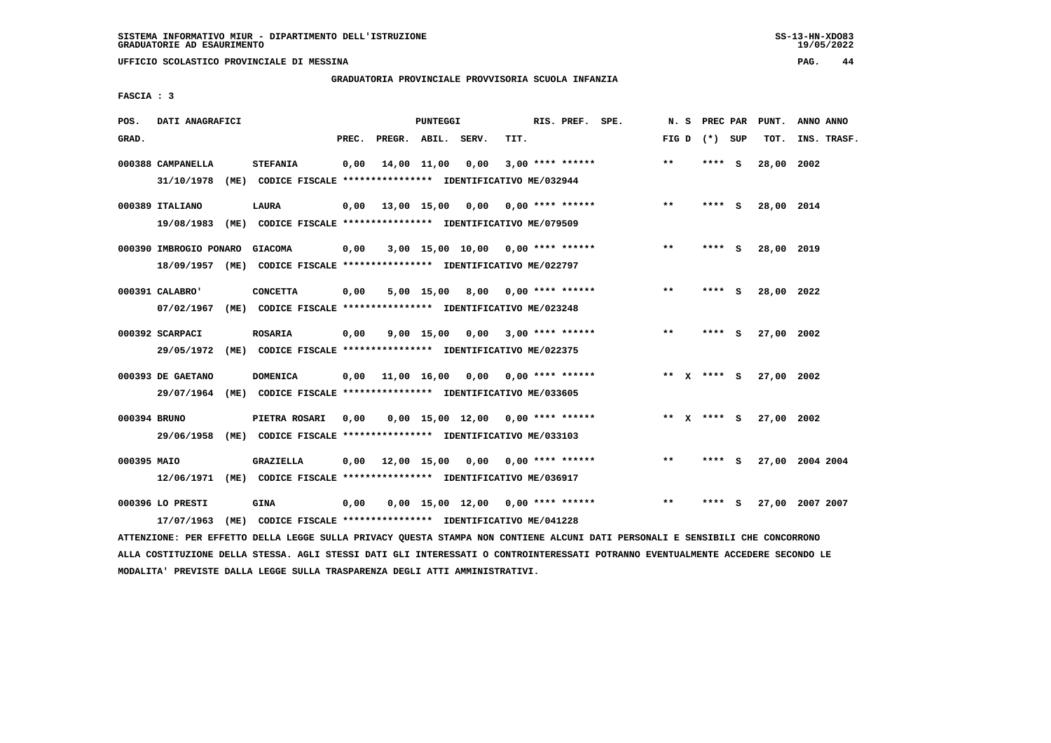### **GRADUATORIA PROVINCIALE PROVVISORIA SCUOLA INFANZIA**

 **FASCIA : 3**

| POS.         | DATI ANAGRAFICI        |                                                                         |       |                    | PUNTEGGI         |                                     |      | RIS. PREF. SPE.    | N.S   | PREC PAR        |     | PUNT.      | ANNO ANNO       |
|--------------|------------------------|-------------------------------------------------------------------------|-------|--------------------|------------------|-------------------------------------|------|--------------------|-------|-----------------|-----|------------|-----------------|
| GRAD.        |                        |                                                                         | PREC. | PREGR. ABIL. SERV. |                  |                                     | TIT. |                    |       | FIG D $(*)$ SUP |     | TOT.       | INS. TRASF.     |
|              | 000388 CAMPANELLA      | <b>STEFANIA</b>                                                         | 0,00  |                    | 14,00 11,00 0,00 |                                     |      | $3,00$ **** ****** | $***$ | **** S          |     | 28,00 2002 |                 |
|              | 31/10/1978             | (ME) CODICE FISCALE **************** IDENTIFICATIVO ME/032944           |       |                    |                  |                                     |      |                    |       |                 |     |            |                 |
|              | 000389 ITALIANO        | <b>LAURA</b>                                                            | 0,00  |                    |                  | 13,00 15,00 0,00 0,00 **** ******   |      |                    | $**$  | **** S          |     | 28,00 2014 |                 |
|              | 19/08/1983             | (ME) CODICE FISCALE **************** IDENTIFICATIVO ME/079509           |       |                    |                  |                                     |      |                    |       |                 |     |            |                 |
|              | 000390 IMBROGIO PONARO | <b>GIACOMA</b>                                                          | 0,00  |                    |                  | $3,00$ 15,00 10,00 0,00 **** ****** |      |                    | $* *$ | **** S          |     | 28,00 2019 |                 |
|              |                        | 18/09/1957 (ME) CODICE FISCALE *************** IDENTIFICATIVO ME/022797 |       |                    |                  |                                     |      |                    |       |                 |     |            |                 |
|              | 000391 CALABRO'        | <b>CONCETTA</b>                                                         | 0,00  |                    |                  | $5,00$ 15,00 8,00 0,00 **** ******  |      |                    | $* *$ | **** S          |     | 28,00 2022 |                 |
|              | 07/02/1967             | (ME) CODICE FISCALE *************** IDENTIFICATIVO ME/023248            |       |                    |                  |                                     |      |                    |       |                 |     |            |                 |
|              | 000392 SCARPACI        | <b>ROSARIA</b>                                                          | 0,00  |                    |                  | 9,00 15,00 0,00                     |      | $3,00$ **** ****** | $* *$ | ****            | - S | 27,00 2002 |                 |
|              | 29/05/1972             | (ME) CODICE FISCALE **************** IDENTIFICATIVO ME/022375           |       |                    |                  |                                     |      |                    |       |                 |     |            |                 |
|              | 000393 DE GAETANO      | <b>DOMENICA</b>                                                         | 0,00  |                    |                  | 11,00 16,00 0,00 0,00 **** ******   |      |                    |       | ** x **** S     |     | 27,00 2002 |                 |
|              | 29/07/1964             | (ME) CODICE FISCALE **************** IDENTIFICATIVO ME/033605           |       |                    |                  |                                     |      |                    |       |                 |     |            |                 |
| 000394 BRUNO |                        | PIETRA ROSARI                                                           | 0.00  |                    |                  | $0.00$ 15.00 12.00 0.00 **** ****** |      |                    |       | ** X **** S     |     | 27,00 2002 |                 |
|              | 29/06/1958             | (ME) CODICE FISCALE **************** IDENTIFICATIVO ME/033103           |       |                    |                  |                                     |      |                    |       |                 |     |            |                 |
| 000395 MAIO  |                        | GRAZIELLA                                                               | 0,00  |                    |                  | 12,00 15,00 0,00 0,00 **** ******   |      |                    | $* *$ | **** S          |     |            | 27,00 2004 2004 |
|              | 12/06/1971             | (ME) CODICE FISCALE **************** IDENTIFICATIVO ME/036917           |       |                    |                  |                                     |      |                    |       |                 |     |            |                 |
|              | 000396 LO PRESTI       | <b>GINA</b>                                                             | 0,00  |                    |                  | $0.00$ 15.00 12.00 0.00 **** ****** |      |                    | $* *$ | ****            | s   |            | 27,00 2007 2007 |
|              | 17/07/1963             | (ME) CODICE FISCALE **************** IDENTIFICATIVO ME/041228           |       |                    |                  |                                     |      |                    |       |                 |     |            |                 |

 **ATTENZIONE: PER EFFETTO DELLA LEGGE SULLA PRIVACY QUESTA STAMPA NON CONTIENE ALCUNI DATI PERSONALI E SENSIBILI CHE CONCORRONO ALLA COSTITUZIONE DELLA STESSA. AGLI STESSI DATI GLI INTERESSATI O CONTROINTERESSATI POTRANNO EVENTUALMENTE ACCEDERE SECONDO LE MODALITA' PREVISTE DALLA LEGGE SULLA TRASPARENZA DEGLI ATTI AMMINISTRATIVI.**

 $19/05/2022$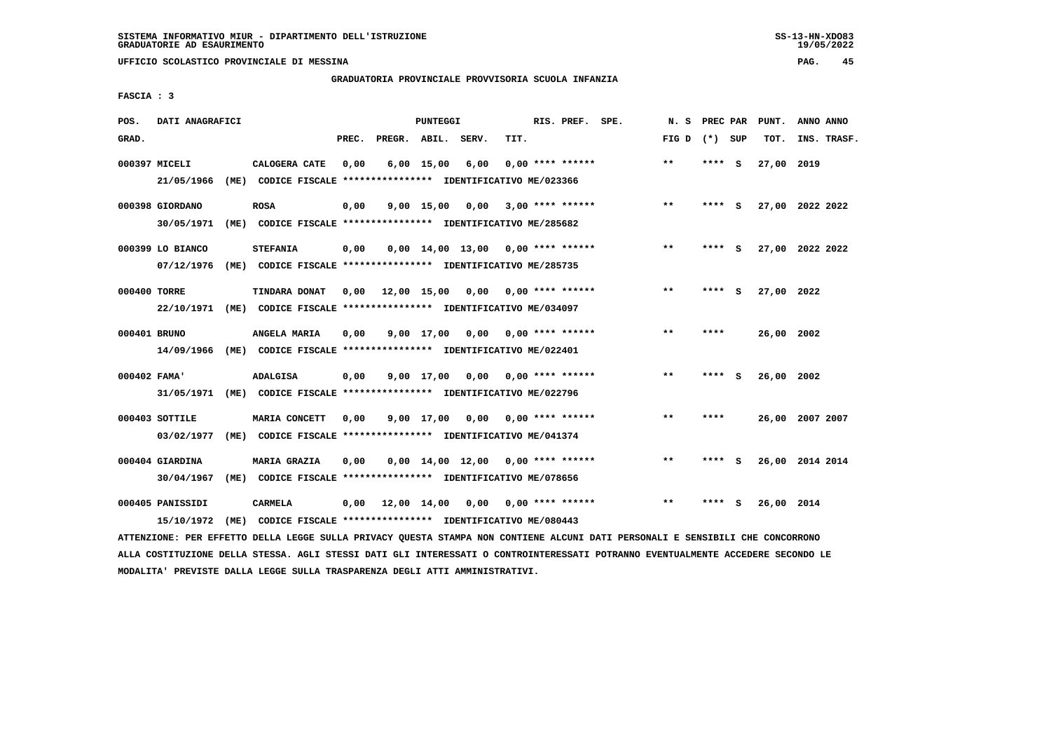**UFFICIO SCOLASTICO PROVINCIALE DI MESSINA PAG. 45**

### **GRADUATORIA PROVINCIALE PROVVISORIA SCUOLA INFANZIA**

 **FASCIA : 3**

| POS.         | DATI ANAGRAFICI  |      |                                                               |       |                    | PUNTEGGI     |                                     |      | RIS. PREF. SPE.           | N.S             | PREC PAR |     | PUNT.      | ANNO ANNO       |
|--------------|------------------|------|---------------------------------------------------------------|-------|--------------------|--------------|-------------------------------------|------|---------------------------|-----------------|----------|-----|------------|-----------------|
| GRAD.        |                  |      |                                                               | PREC. | PREGR. ABIL. SERV. |              |                                     | TIT. |                           | FIG D $(*)$ SUP |          |     | TOT.       | INS. TRASF.     |
|              | 000397 MICELI    |      | CALOGERA CATE                                                 | 0,00  |                    | $6,00$ 15,00 | 6,00                                |      | $0.00$ **** ******        | $* *$           | ****     | - S | 27,00 2019 |                 |
|              | 21/05/1966       |      | (ME) CODICE FISCALE **************** IDENTIFICATIVO ME/023366 |       |                    |              |                                     |      |                           |                 |          |     |            |                 |
|              | 000398 GIORDANO  |      | <b>ROSA</b>                                                   | 0,00  |                    | $9,00$ 15,00 | 0,00                                |      | $3,00$ **** ******        | $***$           | ****     | - S |            | 27,00 2022 2022 |
|              | 30/05/1971       |      | (ME) CODICE FISCALE **************** IDENTIFICATIVO ME/285682 |       |                    |              |                                     |      |                           |                 |          |     |            |                 |
|              | 000399 LO BIANCO |      | <b>STEFANIA</b>                                               | 0,00  |                    |              | $0,00$ 14,00 13,00 0,00 **** ****** |      |                           | $* *$           | ****     | - S |            | 27,00 2022 2022 |
|              | 07/12/1976       |      | (ME) CODICE FISCALE **************** IDENTIFICATIVO ME/285735 |       |                    |              |                                     |      |                           |                 |          |     |            |                 |
| 000400 TORRE |                  |      | TINDARA DONAT                                                 | 0.00  | 12,00 15,00        |              |                                     |      | $0,00$ $0,00$ **** ****** | $* *$           | ****     | - S | 27,00 2022 |                 |
|              | 22/10/1971       |      | (ME) CODICE FISCALE *************** IDENTIFICATIVO ME/034097  |       |                    |              |                                     |      |                           |                 |          |     |            |                 |
| 000401 BRUNO |                  |      | ANGELA MARIA                                                  | 0,00  |                    | 9,00 17,00   | 0,00                                |      | 0,00 **** ******          | $* *$           | ****     |     | 26,00 2002 |                 |
|              | 14/09/1966       |      | (ME) CODICE FISCALE **************** IDENTIFICATIVO ME/022401 |       |                    |              |                                     |      |                           |                 |          |     |            |                 |
| 000402 FAMA' |                  |      | <b>ADALGISA</b>                                               | 0,00  |                    | 9,00 17,00   | 0,00                                |      | 0,00 **** ******          | $* *$           | ****     | - S | 26,00 2002 |                 |
|              | 31/05/1971       | (ME) | CODICE FISCALE **************** IDENTIFICATIVO ME/022796      |       |                    |              |                                     |      |                           |                 |          |     |            |                 |
|              | 000403 SOTTILE   |      | MARIA CONCETT                                                 | 0,00  |                    | 9,00 17,00   | 0,00                                |      | 0,00 **** ******          | $* *$           | ****     |     |            | 26,00 2007 2007 |
|              | 03/02/1977       |      | (ME) CODICE FISCALE **************** IDENTIFICATIVO ME/041374 |       |                    |              |                                     |      |                           |                 |          |     |            |                 |
|              | 000404 GIARDINA  |      | <b>MARIA GRAZIA</b>                                           | 0,00  |                    |              | $0.00$ 14.00 12.00 0.00 **** ****** |      |                           | $* *$           | ****     | - S |            | 26,00 2014 2014 |
|              | 30/04/1967       | (ME) | CODICE FISCALE **************** IDENTIFICATIVO ME/078656      |       |                    |              |                                     |      |                           |                 |          |     |            |                 |
|              | 000405 PANISSIDI |      | <b>CARMELA</b>                                                | 0,00  | 12,00 14,00        |              | 0,00                                |      | 0,00 **** ******          | $* *$           | ****     | - S | 26,00 2014 |                 |
|              | 15/10/1972       |      | (ME) CODICE FISCALE **************** IDENTIFICATIVO ME/080443 |       |                    |              |                                     |      |                           |                 |          |     |            |                 |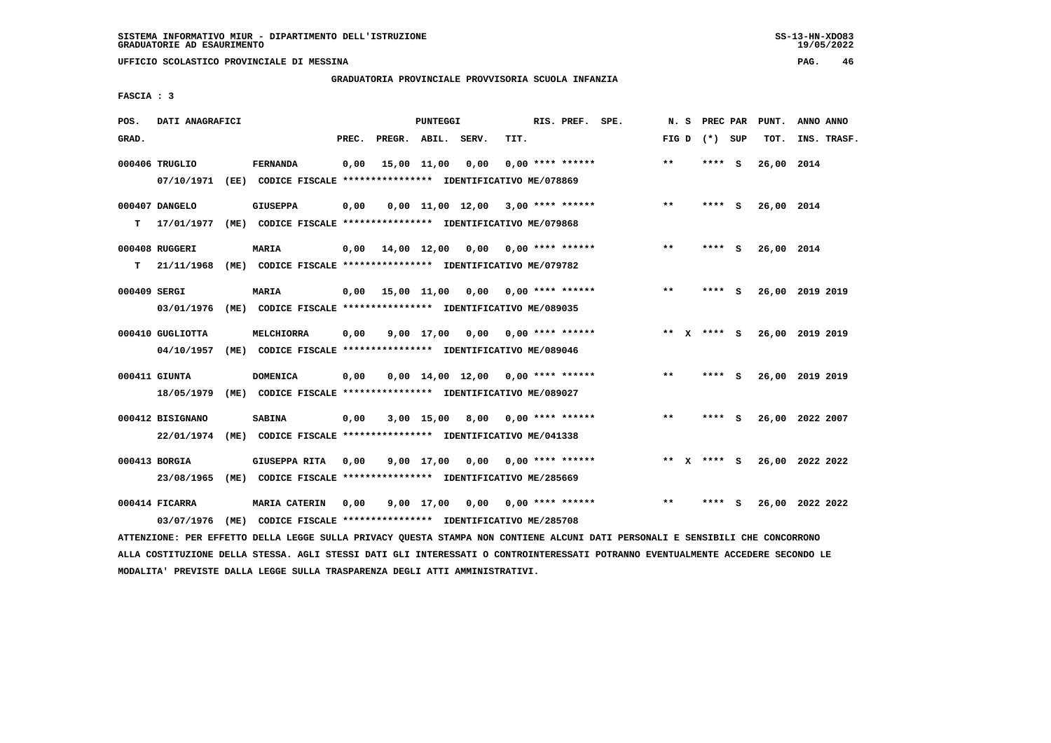**GRADUATORIA PROVINCIALE PROVVISORIA SCUOLA INFANZIA**

 **FASCIA : 3**

| POS.         | DATI ANAGRAFICI  |                                                                                                                               |       |                    | PUNTEGGI |                                          |      | RIS. PREF. SPE.    | N.S   | PREC PAR        |     | PUNT.           | ANNO ANNO |             |
|--------------|------------------|-------------------------------------------------------------------------------------------------------------------------------|-------|--------------------|----------|------------------------------------------|------|--------------------|-------|-----------------|-----|-----------------|-----------|-------------|
| GRAD.        |                  |                                                                                                                               | PREC. | PREGR. ABIL. SERV. |          |                                          | TIT. |                    |       | FIG D $(*)$ SUP |     | TOT.            |           | INS. TRASF. |
|              | 000406 TRUGLIO   | <b>FERNANDA</b>                                                                                                               | 0,00  | 15,00 11,00        |          | 0,00                                     |      | $0,00$ **** ****** | $* *$ | ****            | - S | 26,00 2014      |           |             |
|              | 07/10/1971       | (EE) CODICE FISCALE **************** IDENTIFICATIVO ME/078869                                                                 |       |                    |          |                                          |      |                    |       |                 |     |                 |           |             |
|              | 000407 DANGELO   | <b>GIUSEPPA</b>                                                                                                               | 0,00  |                    |          | $0,00$ 11,00 12,00 3,00 **** ******      |      |                    | $* *$ | **** S          |     | 26,00 2014      |           |             |
| т            | 17/01/1977       | (ME) CODICE FISCALE **************** IDENTIFICATIVO ME/079868                                                                 |       |                    |          |                                          |      |                    |       |                 |     |                 |           |             |
|              | 000408 RUGGERI   | <b>MARIA</b>                                                                                                                  |       |                    |          | $0,00$ 14,00 12,00 0,00 0,00 **** ****** |      |                    | $* *$ | **** S          |     | 26,00 2014      |           |             |
| т            | 21/11/1968       | (ME) CODICE FISCALE **************** IDENTIFICATIVO ME/079782                                                                 |       |                    |          |                                          |      |                    |       |                 |     |                 |           |             |
| 000409 SERGI |                  | MARIA                                                                                                                         | 0,00  |                    |          | 15,00 11,00 0,00 0,00 **** ******        |      |                    | $* *$ | **** S          |     | 26,00 2019 2019 |           |             |
|              | 03/01/1976       | (ME) CODICE FISCALE **************** IDENTIFICATIVO ME/089035                                                                 |       |                    |          |                                          |      |                    |       |                 |     |                 |           |             |
|              | 000410 GUGLIOTTA | MELCHIORRA                                                                                                                    | 0,00  |                    |          | $9,00$ 17,00 0,00 0,00 **** ******       |      |                    |       | ** X **** S     |     | 26,00 2019 2019 |           |             |
|              | 04/10/1957       | (ME) CODICE FISCALE **************** IDENTIFICATIVO ME/089046                                                                 |       |                    |          |                                          |      |                    |       |                 |     |                 |           |             |
|              | 000411 GIUNTA    | <b>DOMENICA</b>                                                                                                               | 0,00  |                    |          | $0.00$ 14.00 12.00 0.00 **** ******      |      |                    | **    | **** S          |     | 26,00 2019 2019 |           |             |
|              | 18/05/1979       | (ME) CODICE FISCALE **************** IDENTIFICATIVO ME/089027                                                                 |       |                    |          |                                          |      |                    |       |                 |     |                 |           |             |
|              | 000412 BISIGNANO | <b>SABINA</b>                                                                                                                 | 0,00  |                    |          | $3,00$ 15,00 8,00 0,00 **** ******       |      |                    | $***$ | **** S          |     | 26,00 2022 2007 |           |             |
|              | 22/01/1974       | (ME) CODICE FISCALE **************** IDENTIFICATIVO ME/041338                                                                 |       |                    |          |                                          |      |                    |       |                 |     |                 |           |             |
|              | 000413 BORGIA    | GIUSEPPA RITA                                                                                                                 | 0,00  |                    |          | $9,00$ 17,00 0,00 0,00 **** ******       |      |                    |       | ** X **** S     |     | 26,00 2022 2022 |           |             |
|              | 23/08/1965       | (ME) CODICE FISCALE **************** IDENTIFICATIVO ME/285669                                                                 |       |                    |          |                                          |      |                    |       |                 |     |                 |           |             |
|              | 000414 FICARRA   | <b>MARIA CATERIN</b>                                                                                                          | 0,00  |                    |          | $9,00$ 17,00 0,00 0,00 **** ******       |      |                    | $***$ | **** S          |     | 26,00 2022 2022 |           |             |
|              | 03/07/1976       | (ME) CODICE FISCALE **************** IDENTIFICATIVO ME/285708                                                                 |       |                    |          |                                          |      |                    |       |                 |     |                 |           |             |
|              |                  | ATTENZIONE: PER EFFETTO DELLA LEGGE SULLA PRIVACY QUESTA STAMPA NON CONTIENE ALCUNI DATI PERSONALI E SENSIBILI CHE CONCORRONO |       |                    |          |                                          |      |                    |       |                 |     |                 |           |             |

 **ALLA COSTITUZIONE DELLA STESSA. AGLI STESSI DATI GLI INTERESSATI O CONTROINTERESSATI POTRANNO EVENTUALMENTE ACCEDERE SECONDO LE MODALITA' PREVISTE DALLA LEGGE SULLA TRASPARENZA DEGLI ATTI AMMINISTRATIVI.**

 $19/05/2022$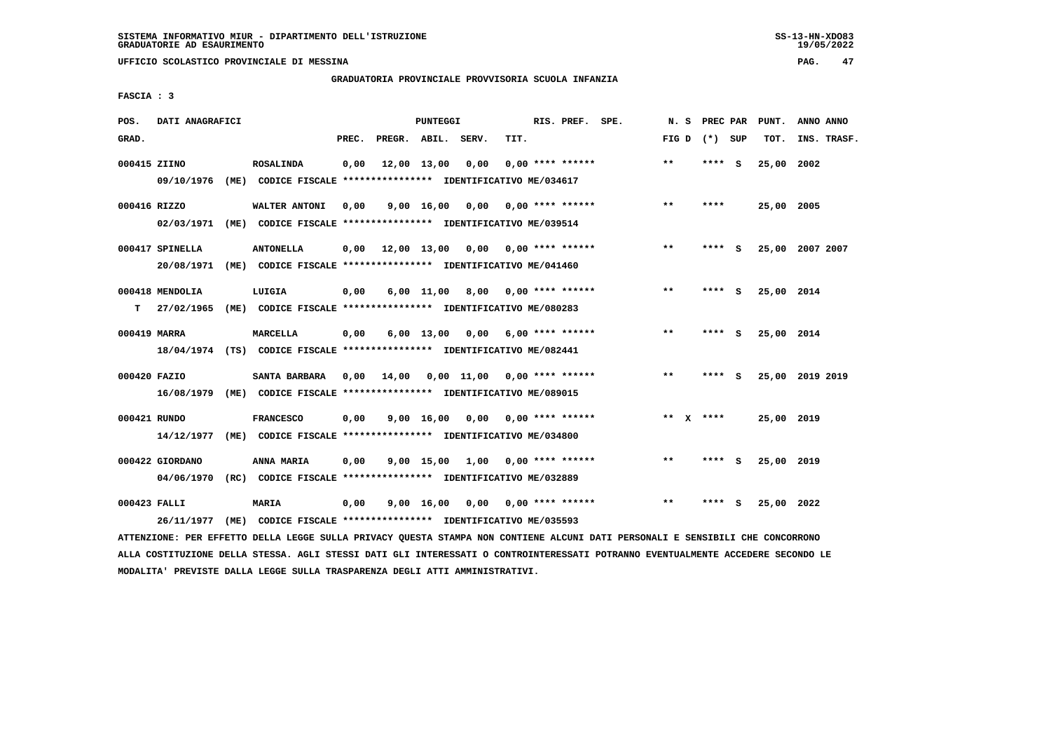**UFFICIO SCOLASTICO PROVINCIALE DI MESSINA PAG. 47**

### **GRADUATORIA PROVINCIALE PROVVISORIA SCUOLA INFANZIA**

 **FASCIA : 3**

| POS.         | DATI ANAGRAFICI |      |                                                                         |       |                    | PUNTEGGI     |                                    |      | RIS. PREF. SPE.                 | N.S   |              | PREC PAR |          | PUNT.      | ANNO ANNO       |
|--------------|-----------------|------|-------------------------------------------------------------------------|-------|--------------------|--------------|------------------------------------|------|---------------------------------|-------|--------------|----------|----------|------------|-----------------|
| GRAD.        |                 |      |                                                                         | PREC. | PREGR. ABIL. SERV. |              |                                    | TIT. |                                 | FIG D |              | (*) SUP  |          | TOT.       | INS. TRASF.     |
| 000415 ZIINO |                 |      | <b>ROSALINDA</b>                                                        | 0,00  |                    | 12,00 13,00  | 0,00                               |      | $0.00$ **** ******              | $***$ |              | ****     | - S      | 25,00      | 2002            |
|              | 09/10/1976      |      | (ME) CODICE FISCALE **************** IDENTIFICATIVO ME/034617           |       |                    |              |                                    |      |                                 |       |              |          |          |            |                 |
| 000416 RIZZO |                 |      | WALTER ANTONI                                                           | 0,00  |                    | 9,00 16,00   | 0,00                               |      | $0.00$ **** ******              | $* *$ |              | ****     |          | 25,00 2005 |                 |
|              | 02/03/1971      | (ME) | CODICE FISCALE **************** IDENTIFICATIVO ME/039514                |       |                    |              |                                    |      |                                 |       |              |          |          |            |                 |
|              | 000417 SPINELLA |      | <b>ANTONELLA</b>                                                        | 0,00  |                    |              | 12,00 13,00 0,00 0,00 **** ******  |      |                                 | $***$ |              | ****     | - S      |            | 25,00 2007 2007 |
|              | 20/08/1971      |      | (ME) CODICE FISCALE **************** IDENTIFICATIVO ME/041460           |       |                    |              |                                    |      |                                 |       |              |          |          |            |                 |
|              | 000418 MENDOLIA |      | LUIGIA                                                                  | 0,00  |                    |              | $6,00$ 11,00 8,00 0,00 **** ****** |      |                                 | $***$ |              | ****     | - S      | 25,00 2014 |                 |
| т            | 27/02/1965      |      | (ME) CODICE FISCALE **************** IDENTIFICATIVO ME/080283           |       |                    |              |                                    |      |                                 |       |              |          |          |            |                 |
| 000419 MARRA |                 |      | MARCELLA                                                                | 0,00  |                    | $6,00$ 13,00 | 0,00                               |      | $6,00$ **** ******              | $* *$ |              | ****     | - S      | 25,00 2014 |                 |
|              |                 |      | 18/04/1974 (TS) CODICE FISCALE *************** IDENTIFICATIVO ME/082441 |       |                    |              |                                    |      |                                 |       |              |          |          |            |                 |
| 000420 FAZIO |                 |      | SANTA BARBARA                                                           | 0.00  | 14,00              |              | $0.00$ 11.00 0.00 **** ******      |      |                                 | $* *$ |              | ****     | <b>S</b> |            | 25,00 2019 2019 |
|              | 16/08/1979      |      | (ME) CODICE FISCALE **************** IDENTIFICATIVO ME/089015           |       |                    |              |                                    |      |                                 |       |              |          |          |            |                 |
| 000421 RUNDO |                 |      | <b>FRANCESCO</b>                                                        | 0.00  |                    | 9,00 16,00   |                                    |      | $0.00$ $0.00$ $***$ **** ****** | $***$ | $\mathbf{x}$ | ****     |          | 25,00 2019 |                 |
|              | 14/12/1977      |      | (ME) CODICE FISCALE **************** IDENTIFICATIVO ME/034800           |       |                    |              |                                    |      |                                 |       |              |          |          |            |                 |
|              | 000422 GIORDANO |      | ANNA MARIA                                                              | 0,00  |                    |              | 9,00 15,00 1,00                    |      | $0.00$ **** ******              | $***$ |              | ****     | - S      | 25,00 2019 |                 |
|              | 04/06/1970      |      | (RC) CODICE FISCALE **************** IDENTIFICATIVO ME/032889           |       |                    |              |                                    |      |                                 |       |              |          |          |            |                 |
| 000423 FALLI |                 |      | MARIA                                                                   | 0,00  |                    | 9,00 16,00   |                                    |      | $0,00$ $0,00$ **** ******       | $* *$ |              | ****     | s        | 25,00 2022 |                 |
|              | 26/11/1977      |      | (ME) CODICE FISCALE *************** IDENTIFICATIVO ME/035593            |       |                    |              |                                    |      |                                 |       |              |          |          |            |                 |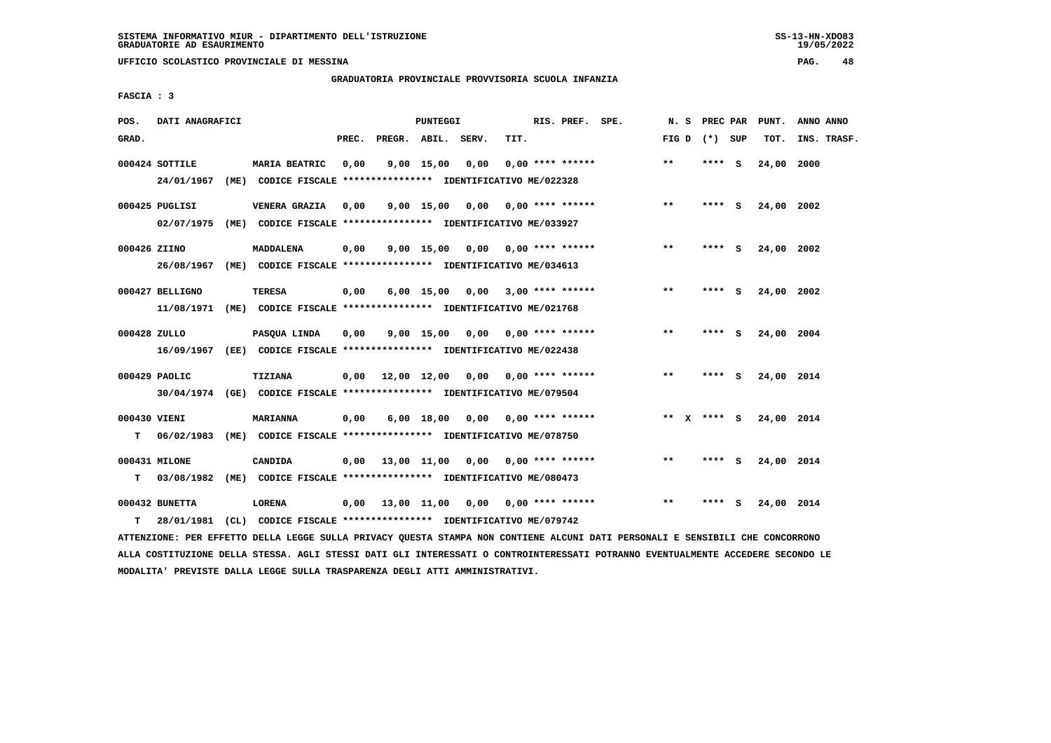**UFFICIO SCOLASTICO PROVINCIALE DI MESSINA PAG. 48**

#### **GRADUATORIA PROVINCIALE PROVVISORIA SCUOLA INFANZIA**

 **FASCIA : 3**

| POS.         | DATI ANAGRAFICI |      |                                                                         |       |                    | <b>PUNTEGGI</b> |                                          |      | RIS. PREF. SPE.           | N.S   | PREC PAR    |     | PUNT.      | ANNO ANNO   |
|--------------|-----------------|------|-------------------------------------------------------------------------|-------|--------------------|-----------------|------------------------------------------|------|---------------------------|-------|-------------|-----|------------|-------------|
| GRAD.        |                 |      |                                                                         | PREC. | PREGR. ABIL. SERV. |                 |                                          | TIT. |                           | FIG D | (*) SUP     |     | TOT.       | INS. TRASF. |
|              | 000424 SOTTILE  |      | <b>MARIA BEATRIC</b>                                                    | 0,00  |                    | 9,00 15,00      | 0,00                                     |      | $0.00$ **** ******        | $* *$ | $***$ S     |     | 24,00      | 2000        |
|              | 24/01/1967      |      | (ME) CODICE FISCALE **************** IDENTIFICATIVO ME/022328           |       |                    |                 |                                          |      |                           |       |             |     |            |             |
|              | 000425 PUGLISI  |      | VENERA GRAZIA                                                           | 0,00  |                    |                 | $9,00$ 15,00 0,00 0,00 **** ******       |      |                           | **    | **** S      |     | 24,00 2002 |             |
|              | 02/07/1975      | (ME) | CODICE FISCALE **************** IDENTIFICATIVO ME/033927                |       |                    |                 |                                          |      |                           |       |             |     |            |             |
| 000426 ZIINO |                 |      | <b>MADDALENA</b>                                                        | 0,00  |                    |                 | $9,00$ 15,00 0,00 0,00 **** ******       |      |                           | $***$ | **** S      |     | 24,00 2002 |             |
|              | 26/08/1967      |      | (ME) CODICE FISCALE **************** IDENTIFICATIVO ME/034613           |       |                    |                 |                                          |      |                           |       |             |     |            |             |
|              | 000427 BELLIGNO |      | <b>TERESA</b>                                                           | 0,00  |                    | 6,00 15,00      |                                          |      | $0,00$ 3,00 **** ******   | $* *$ | ****        | s   | 24,00 2002 |             |
|              | 11/08/1971      |      | (ME) CODICE FISCALE **************** IDENTIFICATIVO ME/021768           |       |                    |                 |                                          |      |                           |       |             |     |            |             |
| 000428 ZULLO |                 |      | PASQUA LINDA                                                            | 0.00  |                    |                 | $9.00$ 15.00 0.00 0.00 **** ******       |      |                           | $* *$ | ****        | - S | 24,00 2004 |             |
|              | 16/09/1967      |      | (EE) CODICE FISCALE *************** IDENTIFICATIVO ME/022438            |       |                    |                 |                                          |      |                           |       |             |     |            |             |
|              | 000429 PAOLIC   |      | <b>TIZIANA</b>                                                          |       |                    |                 | $0,00$ 12,00 12,00 0,00 0,00 **** ****** |      |                           | $* *$ | **** S      |     | 24,00 2014 |             |
|              |                 |      | 30/04/1974 (GE) CODICE FISCALE *************** IDENTIFICATIVO ME/079504 |       |                    |                 |                                          |      |                           |       |             |     |            |             |
| 000430 VIENI |                 |      | <b>MARIANNA</b>                                                         | 0,00  |                    | 6,00 18,00      |                                          |      | $0,00$ $0,00$ **** ****** |       | ** x **** s |     | 24,00 2014 |             |
| т            | 06/02/1983      |      | (ME) CODICE FISCALE **************** IDENTIFICATIVO ME/078750           |       |                    |                 |                                          |      |                           |       |             |     |            |             |
|              | 000431 MILONE   |      | CANDIDA                                                                 | 0.00  |                    |                 | 13,00 11,00 0,00 0,00 **** ******        |      |                           | $* *$ | **** S      |     | 24,00 2014 |             |
| т            | 03/08/1982      |      | (ME) CODICE FISCALE **************** IDENTIFICATIVO ME/080473           |       |                    |                 |                                          |      |                           |       |             |     |            |             |
|              | 000432 BUNETTA  |      | LORENA                                                                  | 0,00  |                    |                 | 13,00 11,00 0,00 0,00 **** ******        |      |                           | $* *$ | ****        | - S | 24,00 2014 |             |
| т            | 28/01/1981      |      | (CL) CODICE FISCALE **************** IDENTIFICATIVO ME/079742           |       |                    |                 |                                          |      |                           |       |             |     |            |             |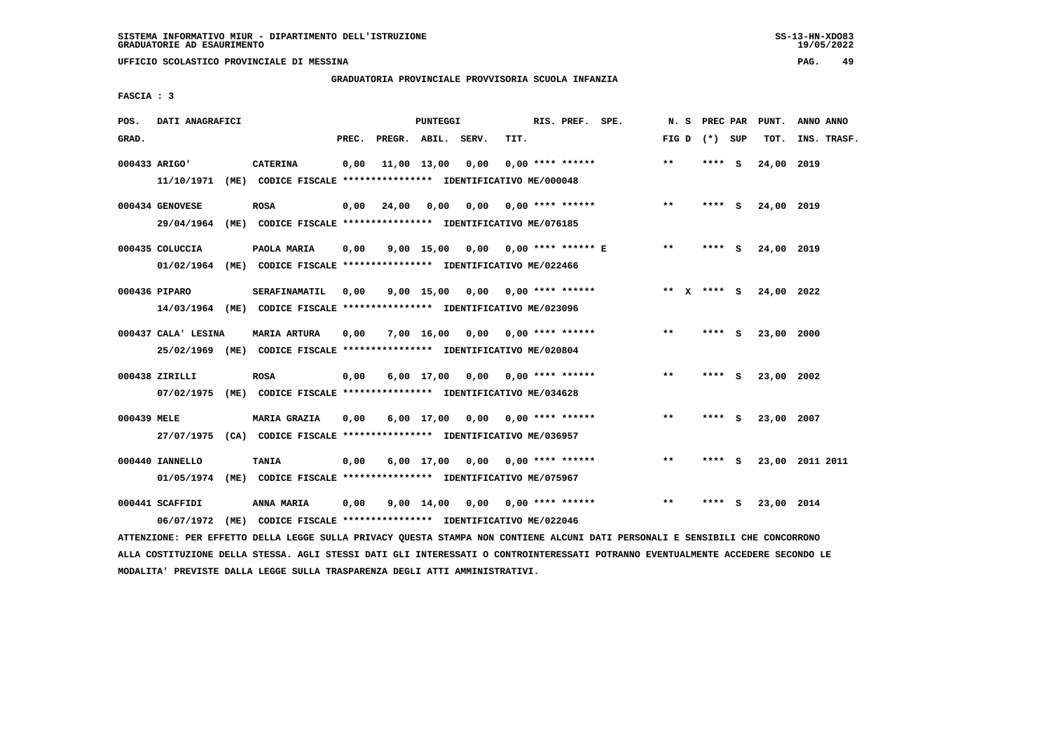**UFFICIO SCOLASTICO PROVINCIALE DI MESSINA PAG. 49**

### **GRADUATORIA PROVINCIALE PROVVISORIA SCUOLA INFANZIA**

 **FASCIA : 3**

| POS.        | DATI ANAGRAFICI     |                                                                                      |       |                    | <b>PUNTEGGI</b> |                                    |      | RIS. PREF. SPE.                |                         | N.S           | PREC PAR |   | PUNT.      | ANNO ANNO       |
|-------------|---------------------|--------------------------------------------------------------------------------------|-------|--------------------|-----------------|------------------------------------|------|--------------------------------|-------------------------|---------------|----------|---|------------|-----------------|
| GRAD.       |                     |                                                                                      | PREC. | PREGR. ABIL. SERV. |                 |                                    | TIT. |                                |                         | FIG D         | (*) SUP  |   | TOT.       | INS. TRASF.     |
|             | 000433 ARIGO'       | <b>CATERINA</b>                                                                      | 0,00  |                    | 11,00 13,00     | 0,00                               |      | $0.00$ **** ******             |                         | $\star\star$  | **** S   |   | 24,00 2019 |                 |
|             |                     | 11/10/1971 (ME) CODICE FISCALE *************** IDENTIFICATIVO ME/000048              |       |                    |                 |                                    |      |                                |                         |               |          |   |            |                 |
|             | 000434 GENOVESE     | <b>ROSA</b>                                                                          | 0,00  | 24,00              | 0,00            | 0,00                               |      | 0,00 **** ******               |                         | $***$         | $***$ S  |   | 24,00 2019 |                 |
|             | 29/04/1964          | (ME) CODICE FISCALE **************** IDENTIFICATIVO ME/076185                        |       |                    |                 |                                    |      |                                |                         |               |          |   |            |                 |
|             | 000435 COLUCCIA     | PAOLA MARIA                                                                          | 0,00  |                    | $9,00$ 15,00    |                                    |      |                                | 0,00 0,00 **** ****** E | $***$         | **** S   |   | 24,00 2019 |                 |
|             |                     | 01/02/1964 (ME) CODICE FISCALE *************** IDENTIFICATIVO ME/022466              |       |                    |                 |                                    |      |                                |                         |               |          |   |            |                 |
|             | 000436 PIPARO       | SERAFINAMATIL                                                                        | 0.00  |                    | $9,00$ 15,00    |                                    |      | $0,00$ $0,00$ **** ******      |                         | ** $X$ **** S |          |   | 24,00 2022 |                 |
|             |                     | 14/03/1964 (ME) CODICE FISCALE *************** IDENTIFICATIVO ME/023096              |       |                    |                 |                                    |      |                                |                         |               |          |   |            |                 |
|             | 000437 CALA' LESINA | <b>MARIA ARTURA</b>                                                                  | 0,00  |                    | 7,00 16,00      | 0,00                               |      | $0.00$ **** ******             |                         | $***$         | **** S   |   | 23,00      | 2000            |
|             |                     | 25/02/1969 (ME) CODICE FISCALE *************** IDENTIFICATIVO ME/020804              |       |                    |                 |                                    |      |                                |                         |               |          |   |            |                 |
|             | 000438 ZIRILLI      | <b>ROSA</b>                                                                          | 0,00  |                    |                 | $6,00$ 17,00 0,00 0,00 **** ****** |      |                                |                         | $**$          | **** S   |   | 23,00 2002 |                 |
|             | 07/02/1975          | (ME) CODICE FISCALE *************** IDENTIFICATIVO ME/034628                         |       |                    |                 |                                    |      |                                |                         |               |          |   |            |                 |
|             |                     |                                                                                      |       |                    |                 |                                    |      |                                |                         |               |          |   |            |                 |
| 000439 MELE | 27/07/1975          | <b>MARIA GRAZIA</b><br>(CA) CODICE FISCALE **************** IDENTIFICATIVO ME/036957 | 0,00  |                    | $6,00$ 17,00    |                                    |      | $0.00$ $0.00$ **** ******      |                         | $* *$         | **** S   |   | 23,00 2007 |                 |
|             |                     |                                                                                      |       |                    |                 |                                    |      |                                |                         |               |          |   |            |                 |
|             | 000440 IANNELLO     | TANIA                                                                                | 0,00  |                    | $6,00$ 17,00    |                                    |      | $0.00$ $0.00$ $***$ **** ***** |                         | **            | **** S   |   |            | 23,00 2011 2011 |
|             | 01/05/1974          | (ME) CODICE FISCALE **************** IDENTIFICATIVO ME/075967                        |       |                    |                 |                                    |      |                                |                         |               |          |   |            |                 |
|             | 000441 SCAFFIDI     | <b>ANNA MARIA</b>                                                                    | 0,00  |                    | 9,00 14,00      | 0,00                               |      | $0.00$ **** ******             |                         | $***$         | ****     | ్ | 23,00 2014 |                 |
|             | 06/07/1972          | (ME) CODICE FISCALE **************** IDENTIFICATIVO ME/022046                        |       |                    |                 |                                    |      |                                |                         |               |          |   |            |                 |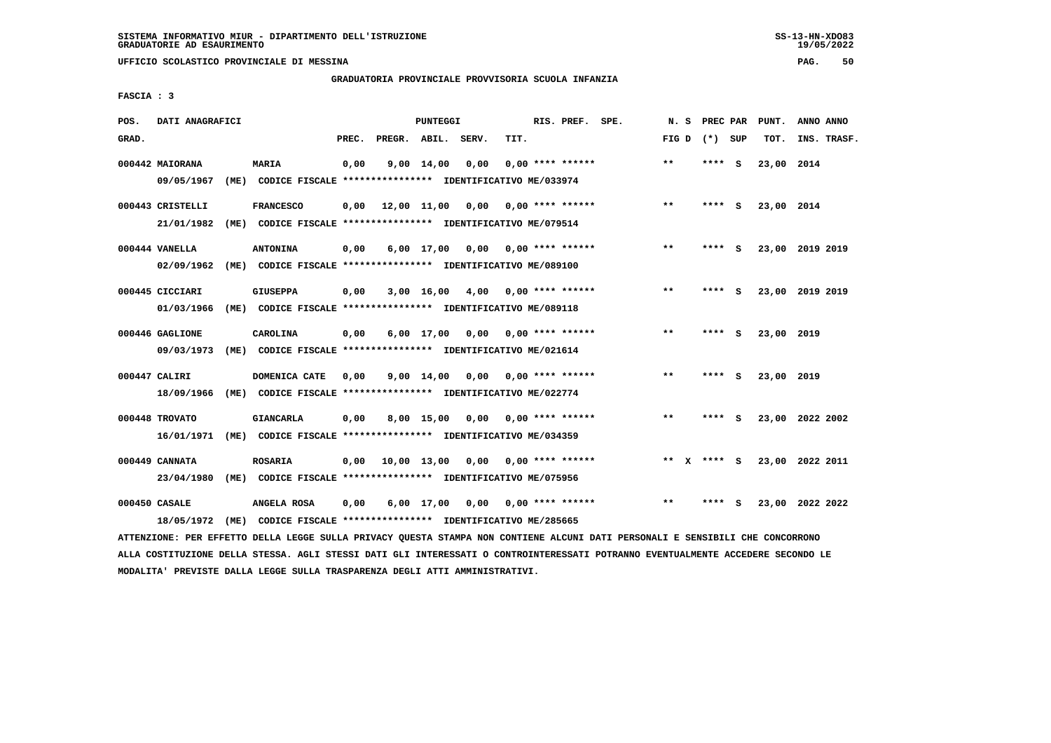**UFFICIO SCOLASTICO PROVINCIALE DI MESSINA PAG. 50**

### **GRADUATORIA PROVINCIALE PROVVISORIA SCUOLA INFANZIA**

 **FASCIA : 3**

| POS.  | DATI ANAGRAFICI  |                                                                                                                               |       |                    | PUNTEGGI            |                                    |      | RIS. PREF. SPE.           | N. S  | PREC PAR        | PUNT.      | ANNO ANNO       |
|-------|------------------|-------------------------------------------------------------------------------------------------------------------------------|-------|--------------------|---------------------|------------------------------------|------|---------------------------|-------|-----------------|------------|-----------------|
| GRAD. |                  |                                                                                                                               | PREC. | PREGR. ABIL. SERV. |                     |                                    | TIT. |                           |       | FIG D $(*)$ SUP | TOT.       | INS. TRASF.     |
|       | 000442 MAIORANA  | <b>MARIA</b>                                                                                                                  | 0,00  |                    | $9,00$ $14,00$ 0,00 |                                    |      | $0.00$ **** ******        | $***$ | **** S          | 23,00 2014 |                 |
|       | 09/05/1967       | (ME) CODICE FISCALE *************** IDENTIFICATIVO ME/033974                                                                  |       |                    |                     |                                    |      |                           |       |                 |            |                 |
|       | 000443 CRISTELLI | <b>FRANCESCO</b>                                                                                                              | 0,00  |                    |                     | 12,00 11,00 0,00 0,00 **** ******  |      |                           | $***$ | **** S          | 23,00 2014 |                 |
|       | 21/01/1982       | (ME) CODICE FISCALE **************** IDENTIFICATIVO ME/079514                                                                 |       |                    |                     |                                    |      |                           |       |                 |            |                 |
|       | 000444 VANELLA   | <b>ANTONINA</b>                                                                                                               | 0,00  |                    |                     | $6,00$ 17,00 0,00 0,00 **** ****** |      |                           | $***$ | **** S          |            | 23,00 2019 2019 |
|       | 02/09/1962       | (ME) CODICE FISCALE **************** IDENTIFICATIVO ME/089100                                                                 |       |                    |                     |                                    |      |                           |       |                 |            |                 |
|       | 000445 CICCIARI  | <b>GIUSEPPA</b>                                                                                                               | 0,00  |                    |                     | $3,00$ 16,00 4,00 0,00 **** ****** |      |                           | $**$  | $***$ S         |            | 23,00 2019 2019 |
|       | 01/03/1966       | (ME) CODICE FISCALE **************** IDENTIFICATIVO ME/089118                                                                 |       |                    |                     |                                    |      |                           |       |                 |            |                 |
|       | 000446 GAGLIONE  | CAROLINA                                                                                                                      | 0,00  |                    |                     | $6,00$ 17,00 0,00 0,00 **** ****** |      |                           | $***$ | **** S          | 23,00 2019 |                 |
|       | 09/03/1973       | (ME) CODICE FISCALE *************** IDENTIFICATIVO ME/021614                                                                  |       |                    |                     |                                    |      |                           |       |                 |            |                 |
|       | 000447 CALIRI    | DOMENICA CATE                                                                                                                 | 0.00  |                    | 9,00 14,00          |                                    |      | $0.00$ $0.00$ **** ****** | $* *$ | **** S          | 23,00 2019 |                 |
|       | 18/09/1966       | (ME) CODICE FISCALE **************** IDENTIFICATIVO ME/022774                                                                 |       |                    |                     |                                    |      |                           |       |                 |            |                 |
|       | 000448 TROVATO   | <b>GIANCARLA</b>                                                                                                              | 0,00  |                    |                     | 8,00 15,00 0,00 0,00 **** ******   |      |                           | $***$ | **** S          |            | 23,00 2022 2002 |
|       | 16/01/1971       | (ME) CODICE FISCALE *************** IDENTIFICATIVO ME/034359                                                                  |       |                    |                     |                                    |      |                           |       |                 |            |                 |
|       | 000449 CANNATA   | <b>ROSARIA</b>                                                                                                                | 0,00  |                    |                     | 10,00 13,00 0,00 0,00 **** ******  |      |                           |       | ** X **** S     |            | 23,00 2022 2011 |
|       | 23/04/1980       | (ME) CODICE FISCALE **************** IDENTIFICATIVO ME/075956                                                                 |       |                    |                     |                                    |      |                           |       |                 |            |                 |
|       | 000450 CASALE    | ANGELA ROSA                                                                                                                   | 0,00  |                    |                     | 6,00 17,00 0,00 0,00 **** ******   |      |                           | $* *$ | **** S          |            | 23,00 2022 2022 |
|       | 18/05/1972       | (ME) CODICE FISCALE **************** IDENTIFICATIVO ME/285665                                                                 |       |                    |                     |                                    |      |                           |       |                 |            |                 |
|       |                  | ATTENZIONE: PER EFFETTO DELLA LEGGE SULLA PRIVACY QUESTA STAMPA NON CONTIENE ALCUNI DATI PERSONALI E SENSIBILI CHE CONCORRONO |       |                    |                     |                                    |      |                           |       |                 |            |                 |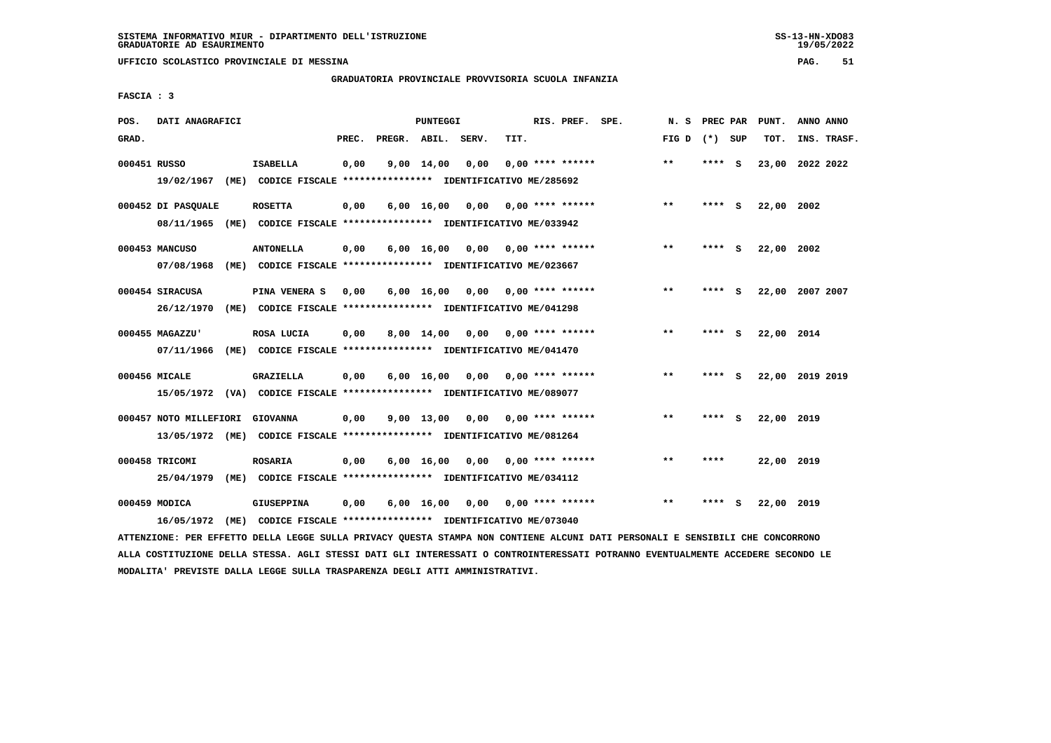**UFFICIO SCOLASTICO PROVINCIALE DI MESSINA PAG. 51**

#### **GRADUATORIA PROVINCIALE PROVVISORIA SCUOLA INFANZIA**

 **FASCIA : 3**

| POS.         | DATI ANAGRAFICI        |                                                                                  |       |                    | PUNTEGGI           |                                    |      | RIS. PREF. SPE.           | N. S            |        |     | PREC PAR PUNT. | ANNO ANNO       |
|--------------|------------------------|----------------------------------------------------------------------------------|-------|--------------------|--------------------|------------------------------------|------|---------------------------|-----------------|--------|-----|----------------|-----------------|
| GRAD.        |                        |                                                                                  | PREC. | PREGR. ABIL. SERV. |                    |                                    | TIT. |                           | FIG D $(*)$ SUP |        |     | TOT.           | INS. TRASF.     |
| 000451 RUSSO | 19/02/1967             | <b>ISABELLA</b><br>(ME) CODICE FISCALE **************** IDENTIFICATIVO ME/285692 | 0,00  |                    | $9,00 \quad 14,00$ | 0,00                               |      | $0.00$ **** ******        | $***$           | ****   | - S |                | 23,00 2022 2022 |
|              |                        |                                                                                  |       |                    |                    |                                    |      |                           |                 |        |     |                |                 |
|              | 000452 DI PASOUALE     | <b>ROSETTA</b>                                                                   | 0,00  |                    |                    | $6,00$ $16,00$ $0,00$              |      | 0,00 **** ******          | $***$           | **** S |     | 22,00 2002     |                 |
|              | 08/11/1965             | (ME) CODICE FISCALE **************** IDENTIFICATIVO ME/033942                    |       |                    |                    |                                    |      |                           |                 |        |     |                |                 |
|              | 000453 MANCUSO         | <b>ANTONELLA</b>                                                                 | 0,00  |                    |                    | $6,00$ 16,00 0,00 0,00 **** ****** |      |                           | $***$           | **** S |     | 22,00 2002     |                 |
|              | 07/08/1968             | (ME) CODICE FISCALE **************** IDENTIFICATIVO ME/023667                    |       |                    |                    |                                    |      |                           |                 |        |     |                |                 |
|              | 000454 SIRACUSA        | PINA VENERA S                                                                    | 0,00  |                    | 6,00 16,00         |                                    |      | $0,00$ $0,00$ **** ****** | $***$           | ****   | - 5 |                | 22,00 2007 2007 |
|              | 26/12/1970             | (ME) CODICE FISCALE **************** IDENTIFICATIVO ME/041298                    |       |                    |                    |                                    |      |                           |                 |        |     |                |                 |
|              | 000455 MAGAZZU'        | ROSA LUCIA                                                                       | 0,00  |                    | 8,00 14,00         |                                    |      | $0,00$ $0,00$ **** ****** | $***$           | ****   | - S | 22,00 2014     |                 |
|              | 07/11/1966             | (ME) CODICE FISCALE **************** IDENTIFICATIVO ME/041470                    |       |                    |                    |                                    |      |                           |                 |        |     |                |                 |
|              | 000456 MICALE          | <b>GRAZIELLA</b>                                                                 | 0,00  |                    |                    | $6,00$ $16,00$ $0,00$              |      | 0,00 **** ******          | $***$           | ****   | - S |                | 22,00 2019 2019 |
|              |                        | 15/05/1972 (VA) CODICE FISCALE **************** IDENTIFICATIVO ME/089077         |       |                    |                    |                                    |      |                           |                 |        |     |                |                 |
|              |                        |                                                                                  |       |                    |                    |                                    |      |                           |                 |        |     |                |                 |
|              | 000457 NOTO MILLEFIORI | <b>GIOVANNA</b>                                                                  | 0,00  |                    | $9,00$ 13,00       | 0,00                               |      | 0,00 **** ******          | $***$           | **** S |     | 22,00 2019     |                 |
|              |                        | 13/05/1972 (ME) CODICE FISCALE *************** IDENTIFICATIVO ME/081264          |       |                    |                    |                                    |      |                           |                 |        |     |                |                 |
|              | 000458 TRICOMI         | <b>ROSARIA</b>                                                                   | 0,00  |                    | $6,00 \quad 16,00$ |                                    |      | $0,00$ $0,00$ **** ****** | $* *$           | ****   |     | 22,00 2019     |                 |
|              | 25/04/1979             | (ME) CODICE FISCALE **************** IDENTIFICATIVO ME/034112                    |       |                    |                    |                                    |      |                           |                 |        |     |                |                 |
|              | 000459 MODICA          | GIUSEPPINA                                                                       | 0,00  |                    | 6,00 16,00         |                                    |      | $0,00$ $0,00$ **** ****** | $* *$           | ****   | - S | 22,00 2019     |                 |
|              | 16/05/1972             | (ME) CODICE FISCALE **************** IDENTIFICATIVO ME/073040                    |       |                    |                    |                                    |      |                           |                 |        |     |                |                 |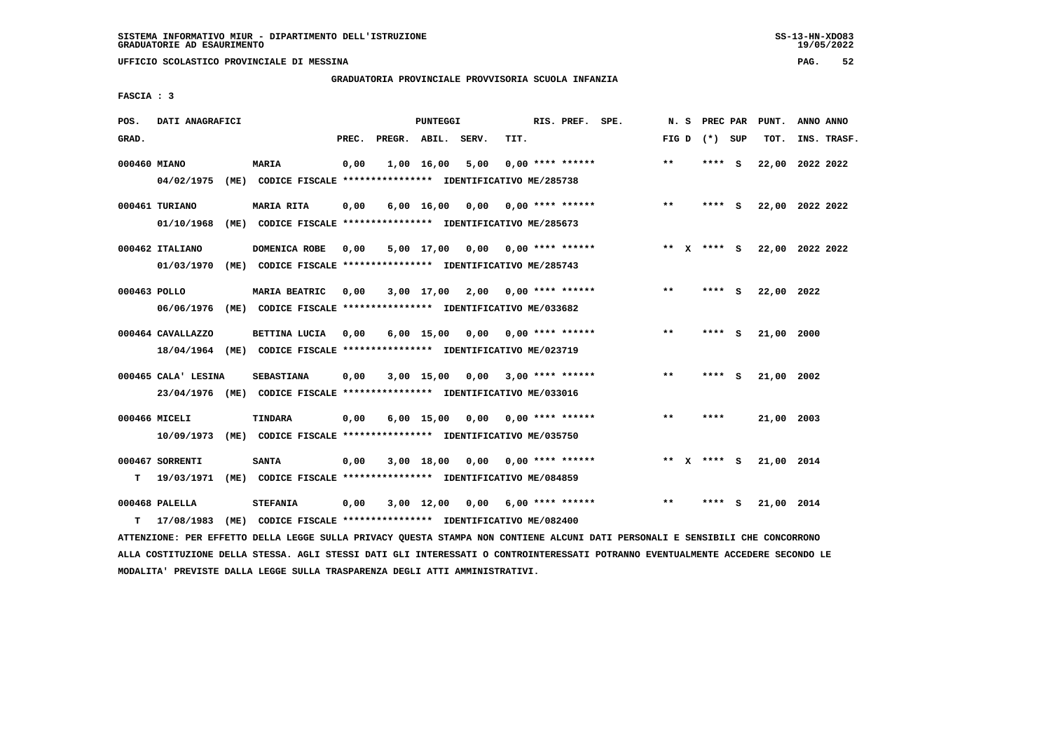**UFFICIO SCOLASTICO PROVINCIALE DI MESSINA PAG. 52**

#### **GRADUATORIA PROVINCIALE PROVVISORIA SCUOLA INFANZIA**

 **FASCIA : 3**

| POS.         | DATI ANAGRAFICI     |      |                                                                         |       |                    | PUNTEGGI           |                                    |      | RIS. PREF. SPE.    | N.S   |              | PREC PAR    |          | PUNT.           | ANNO ANNO |             |
|--------------|---------------------|------|-------------------------------------------------------------------------|-------|--------------------|--------------------|------------------------------------|------|--------------------|-------|--------------|-------------|----------|-----------------|-----------|-------------|
| GRAD.        |                     |      |                                                                         | PREC. | PREGR. ABIL. SERV. |                    |                                    | TIT. |                    | FIG D |              | (*) SUP     |          | TOT.            |           | INS. TRASF. |
| 000460 MIANO |                     |      | MARIA                                                                   | 0,00  |                    | 1,00 16,00         | 5,00                               |      | $0.00$ **** ****** | $***$ |              | ****        | - S      | 22,00 2022 2022 |           |             |
|              | 04/02/1975          |      | (ME) CODICE FISCALE **************** IDENTIFICATIVO ME/285738           |       |                    |                    |                                    |      |                    |       |              |             |          |                 |           |             |
|              | 000461 TURIANO      |      | MARIA RITA                                                              | 0,00  |                    | $6,00 \quad 16,00$ | 0,00                               |      | $0.00$ **** ****** | $* *$ |              | **** S      |          | 22,00 2022 2022 |           |             |
|              | 01/10/1968          | (ME) | CODICE FISCALE **************** IDENTIFICATIVO ME/285673                |       |                    |                    |                                    |      |                    |       |              |             |          |                 |           |             |
|              | 000462 ITALIANO     |      | DOMENICA ROBE                                                           | 0,00  |                    |                    | $5,00$ 17,00 0,00 0,00 **** ****** |      |                    |       |              | ** x **** S |          | 22,00 2022 2022 |           |             |
|              | 01/03/1970          |      | (ME) CODICE FISCALE **************** IDENTIFICATIVO ME/285743           |       |                    |                    |                                    |      |                    |       |              |             |          |                 |           |             |
| 000463 POLLO |                     |      | MARIA BEATRIC                                                           | 0.00  |                    |                    | $3,00$ 17,00 2,00 0,00 **** ****** |      |                    | $* *$ |              | **** S      |          | 22,00 2022      |           |             |
|              | 06/06/1976          |      | (ME) CODICE FISCALE **************** IDENTIFICATIVO ME/033682           |       |                    |                    |                                    |      |                    |       |              |             |          |                 |           |             |
|              | 000464 CAVALLAZZO   |      | BETTINA LUCIA                                                           | 0,00  |                    | 6,00 15,00         | 0,00                               |      | $0.00$ **** ****** | $* *$ |              | ****        | <b>S</b> | 21,00 2000      |           |             |
|              | 18/04/1964          |      | (ME) CODICE FISCALE **************** IDENTIFICATIVO ME/023719           |       |                    |                    |                                    |      |                    |       |              |             |          |                 |           |             |
|              | 000465 CALA' LESINA |      | <b>SEBASTIANA</b>                                                       | 0,00  |                    | 3,00 15,00         | 0.00                               |      | $3,00$ **** ****** | $* *$ |              | ****        | - S      | 21,00 2002      |           |             |
|              |                     |      | 23/04/1976 (ME) CODICE FISCALE *************** IDENTIFICATIVO ME/033016 |       |                    |                    |                                    |      |                    |       |              |             |          |                 |           |             |
|              | 000466 MICELI       |      | <b>TINDARA</b>                                                          | 0,00  |                    | $6,00 \quad 15,00$ | 0,00                               |      | $0.00$ **** ****** | $**$  |              | ****        |          | 21,00 2003      |           |             |
|              | 10/09/1973          | (ME) | CODICE FISCALE **************** IDENTIFICATIVO ME/035750                |       |                    |                    |                                    |      |                    |       |              |             |          |                 |           |             |
|              | 000467 SORRENTI     |      | <b>SANTA</b>                                                            | 0,00  |                    | 3,00 18,00         | 0,00                               |      | 0,00 **** ******   | $* *$ | $\mathbf{x}$ | **** S      |          | 21,00 2014      |           |             |
| т            | 19/03/1971          |      | (ME) CODICE FISCALE **************** IDENTIFICATIVO ME/084859           |       |                    |                    |                                    |      |                    |       |              |             |          |                 |           |             |
|              | 000468 PALELLA      |      | <b>STEFANIA</b>                                                         | 0,00  |                    | $3,00$ 12,00       | 0,00                               |      | $6,00$ **** ****** | $* *$ |              | ****        | - S      | 21,00 2014      |           |             |
| т            | 17/08/1983          | (ME) | CODICE FISCALE **************** IDENTIFICATIVO ME/082400                |       |                    |                    |                                    |      |                    |       |              |             |          |                 |           |             |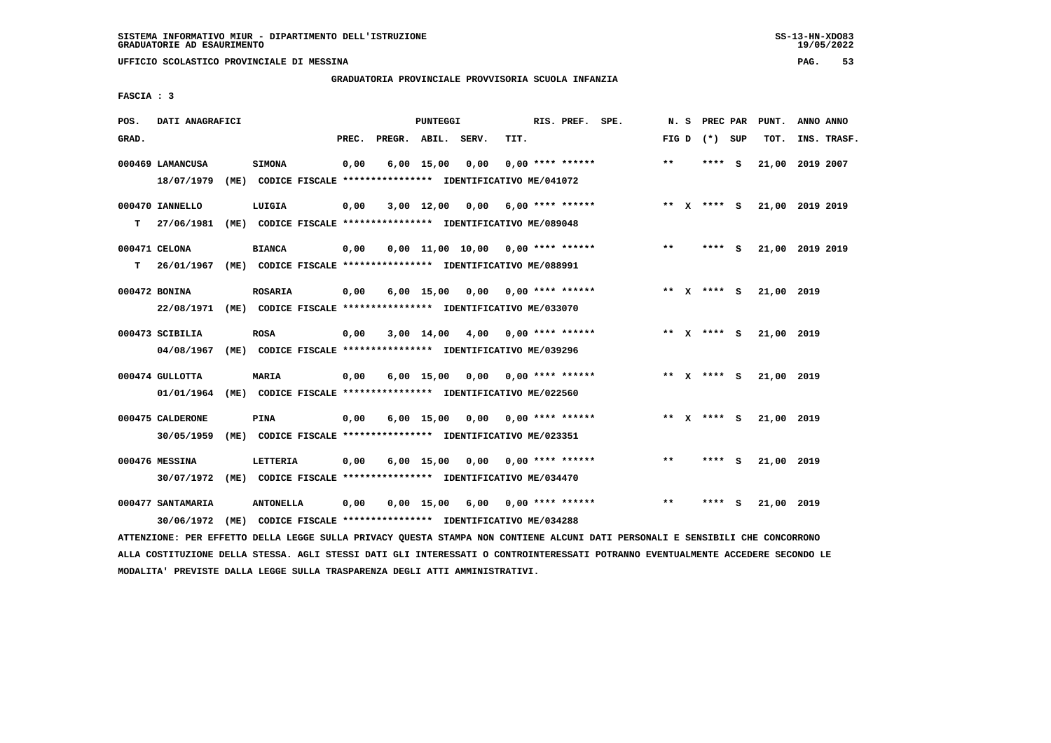**UFFICIO SCOLASTICO PROVINCIALE DI MESSINA PAG. 53**

### **GRADUATORIA PROVINCIALE PROVVISORIA SCUOLA INFANZIA**

 **FASCIA : 3**

| POS.  | DATI ANAGRAFICI                                                                          |                                                                                   |       | PUNTEGGI     |                                     |      | RIS. PREF. SPE.           |       | N. S | PREC PAR      |   | PUNT.           | ANNO ANNO |             |
|-------|------------------------------------------------------------------------------------------|-----------------------------------------------------------------------------------|-------|--------------|-------------------------------------|------|---------------------------|-------|------|---------------|---|-----------------|-----------|-------------|
| GRAD. |                                                                                          |                                                                                   | PREC. |              | PREGR. ABIL. SERV.                  | TIT. |                           | FIG D |      | (*) SUP       |   | TOT.            |           | INS. TRASF. |
|       | 000469 LAMANCUSA<br>18/07/1979                                                           | <b>SIMONA</b><br>(ME) CODICE FISCALE **************** IDENTIFICATIVO ME/041072    | 0,00  | $6,00$ 15,00 | 0,00                                |      | $0.00$ **** ******        | $* *$ |      | **** S        |   | 21,00           | 2019 2007 |             |
| т     | 000470 IANNELLO<br>27/06/1981                                                            | LUIGIA<br>(ME) CODICE FISCALE **************** IDENTIFICATIVO ME/089048           | 0,00  |              | $3,00$ 12,00 0,00 6,00 **** ******  |      |                           |       |      | ** x **** S   |   | 21,00 2019 2019 |           |             |
| т     | 000471 CELONA<br>26/01/1967 (ME) CODICE FISCALE *************** IDENTIFICATIVO ME/088991 | <b>BIANCA</b>                                                                     | 0,00  |              | $0.00$ 11.00 10.00 0.00 **** ****** |      |                           | $* *$ |      | **** S        |   | 21,00 2019 2019 |           |             |
|       | 000472 BONINA<br>22/08/1971 (ME) CODICE FISCALE *************** IDENTIFICATIVO ME/033070 | <b>ROSARIA</b>                                                                    | 0,00  | $6,00$ 15,00 | 0,00                                |      | $0.00$ **** ******        |       |      | ** X **** S   |   | 21,00 2019      |           |             |
|       | 000473 SCIBILIA<br>04/08/1967                                                            | <b>ROSA</b><br>(ME) CODICE FISCALE **************** IDENTIFICATIVO ME/039296      | 0,00  | $3,00$ 14,00 |                                     |      | $4,00$ 0,00 **** ******   |       |      | ** x **** S   |   | 21,00 2019      |           |             |
|       | 000474 GULLOTTA<br>01/01/1964                                                            | MARIA<br>(ME) CODICE FISCALE **************** IDENTIFICATIVO ME/022560            | 0,00  |              | 6,00 15,00 0,00                     |      | $0.00$ **** ******        |       |      |               |   | 21,00 2019      |           |             |
|       | 000475 CALDERONE<br>30/05/1959                                                           | <b>PINA</b><br>(ME) CODICE FISCALE **************** IDENTIFICATIVO ME/023351      | 0,00  | $6,00$ 15,00 |                                     |      | $0,00$ $0,00$ **** ****** |       |      | ** $X$ **** S |   | 21,00 2019      |           |             |
|       | 000476 MESSINA<br>30/07/1972                                                             | <b>LETTERIA</b><br>(ME) CODICE FISCALE **************** IDENTIFICATIVO ME/034470  | 0,00  | $6,00$ 15,00 |                                     |      | $0,00$ $0,00$ **** ****** | $* *$ |      | **** S        |   | 21,00 2019      |           |             |
|       | 000477 SANTAMARIA<br>30/06/1972                                                          | <b>ANTONELLA</b><br>(ME) CODICE FISCALE **************** IDENTIFICATIVO ME/034288 | 0,00  | $0,00$ 15,00 |                                     |      | 6,00 0,00 **** ******     | $***$ |      | ****          | ్ | 21,00 2019      |           |             |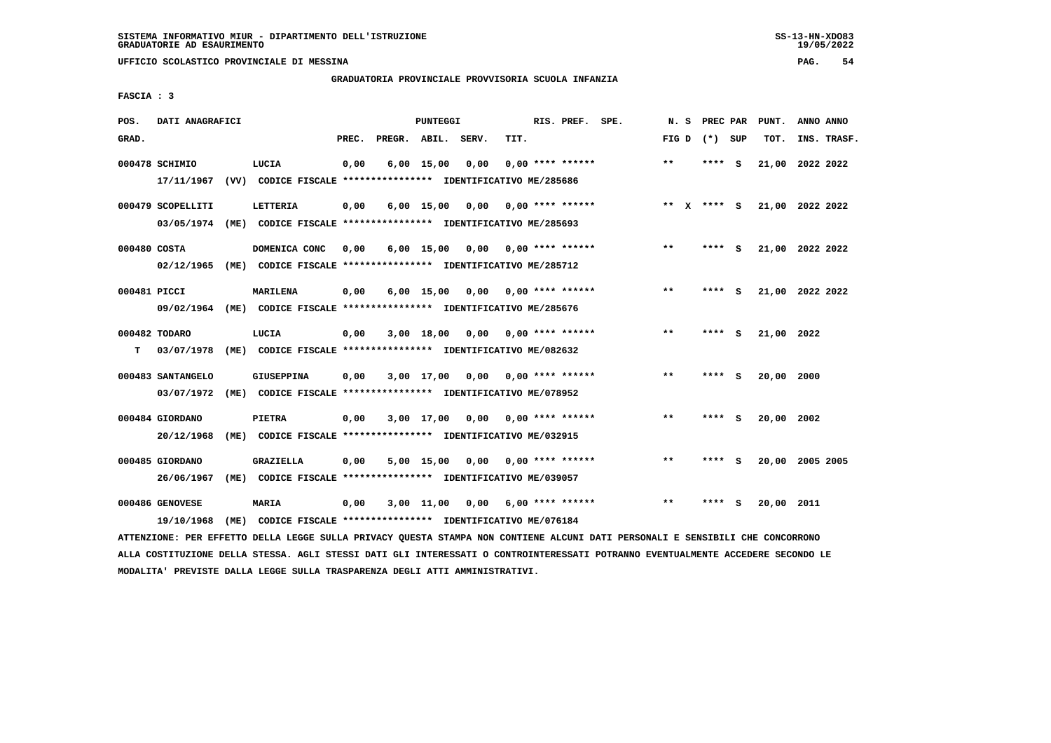**UFFICIO SCOLASTICO PROVINCIALE DI MESSINA PAG. 54**

### **GRADUATORIA PROVINCIALE PROVVISORIA SCUOLA INFANZIA**

 **FASCIA : 3**

| POS.               | DATI ANAGRAFICI                 |      |                                                                                    |       |                    | <b>PUNTEGGI</b> |      |      | RIS. PREF. SPE.           | N.S   | PREC PAR    |     | PUNT.           | ANNO ANNO |             |
|--------------------|---------------------------------|------|------------------------------------------------------------------------------------|-------|--------------------|-----------------|------|------|---------------------------|-------|-------------|-----|-----------------|-----------|-------------|
| GRAD.              |                                 |      |                                                                                    | PREC. | PREGR. ABIL. SERV. |                 |      | TIT. |                           | FIG D | $(*)$       | SUP | TOT.            |           | INS. TRASF. |
|                    | 000478 SCHIMIO<br>17/11/1967    |      | LUCIA<br>(VV) CODICE FISCALE **************** IDENTIFICATIVO ME/285686             | 0,00  |                    | $6,00$ 15,00    | 0,00 |      | $0.00$ **** ******        | $***$ | ****        | - S | 21,00 2022 2022 |           |             |
|                    | 000479 SCOPELLITI<br>03/05/1974 | (ME) | LETTERIA<br>CODICE FISCALE **************** IDENTIFICATIVO ME/285693               | 0,00  |                    | $6,00$ 15,00    | 0,00 |      | $0.00$ **** ******        |       | ** x **** S |     | 21,00 2022 2022 |           |             |
| 000480 COSTA       | 02/12/1965                      | (ME) | DOMENICA CONC<br>CODICE FISCALE **************** IDENTIFICATIVO ME/285712          | 0,00  |                    | $6,00$ 15,00    | 0,00 |      | $0.00$ **** ******        | $* *$ | ****        | - S | 21,00 2022 2022 |           |             |
| 000481 PICCI       | 09/02/1964                      |      | <b>MARILENA</b><br>(ME) CODICE FISCALE **************** IDENTIFICATIVO ME/285676   | 0,00  |                    | $6,00$ 15,00    | 0,00 |      | 0,00 **** ******          | $***$ | ****        | - S | 21,00 2022 2022 |           |             |
| 000482 TODARO<br>т | 03/07/1978                      |      | LUCIA<br>(ME) CODICE FISCALE **************** IDENTIFICATIVO ME/082632             | 0,00  |                    | $3,00$ 18,00    | 0.00 |      | $0.00$ **** ******        | $* *$ | ****        | - S | 21,00 2022      |           |             |
|                    | 000483 SANTANGELO<br>03/07/1972 |      | <b>GIUSEPPINA</b><br>(ME) CODICE FISCALE **************** IDENTIFICATIVO ME/078952 | 0,00  |                    | 3,00 17,00      |      |      | $0.00$ $0.00$ **** ****** | $**$  | ****        | - S | 20,00           | 2000      |             |
|                    | 000484 GIORDANO<br>20/12/1968   | (ME) | <b>PIETRA</b><br>CODICE FISCALE **************** IDENTIFICATIVO ME/032915          | 0,00  |                    | $3,00$ 17,00    | 0,00 |      | $0.00$ **** ******        | $* *$ | ****        | s   | 20,00           | 2002      |             |
|                    | 000485 GIORDANO<br>26/06/1967   | (ME) | GRAZIELLA<br>CODICE FISCALE **************** IDENTIFICATIVO ME/039057              | 0,00  |                    | $5,00$ 15,00    | 0,00 |      | $0.00$ **** ******        | $* *$ | ****        | s   | 20,00           | 2005 2005 |             |
|                    | 000486 GENOVESE<br>19/10/1968   | (ME) | MARIA<br>CODICE FISCALE **************** IDENTIFICATIVO ME/076184                  | 0,00  |                    | 3,00 11,00      | 0,00 |      | 6,00 **** ******          | $* *$ | ****        | s   | 20,00           | 2011      |             |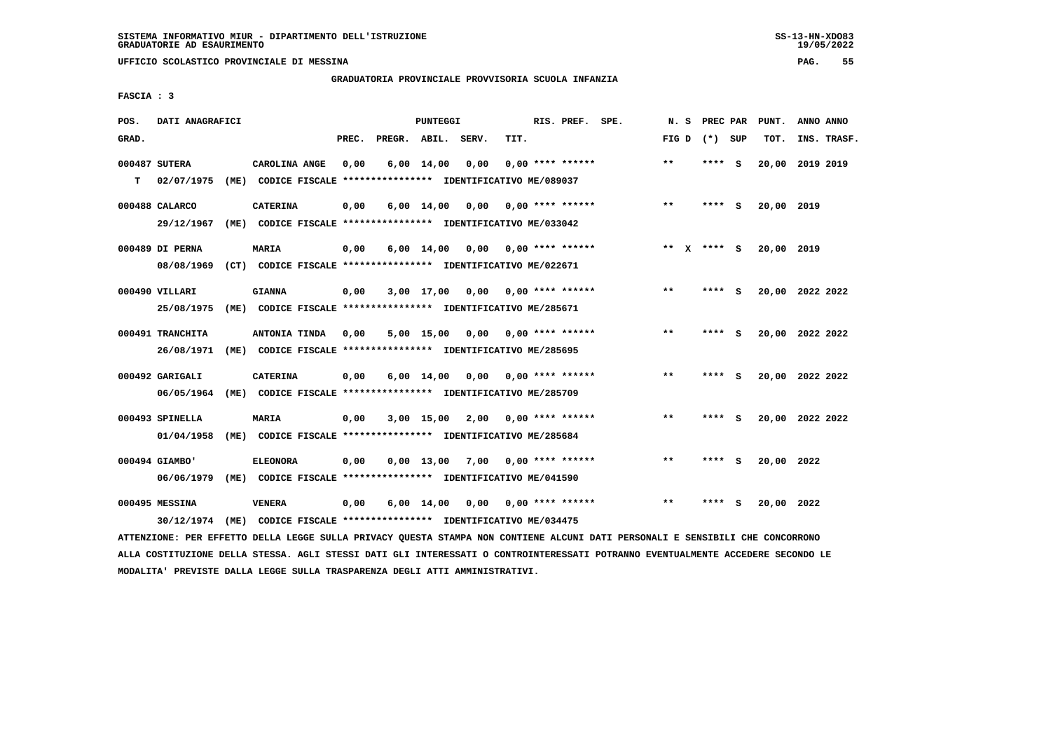**UFFICIO SCOLASTICO PROVINCIALE DI MESSINA PAG. 55**

### **GRADUATORIA PROVINCIALE PROVVISORIA SCUOLA INFANZIA**

 **FASCIA : 3**

| POS.  | DATI ANAGRAFICI                |      |                                                                                  |       |                    | <b>PUNTEGGI</b>    |      |      | RIS. PREF. SPE.                | N.S                   | PREC PAR |     | PUNT.           | ANNO ANNO |             |
|-------|--------------------------------|------|----------------------------------------------------------------------------------|-------|--------------------|--------------------|------|------|--------------------------------|-----------------------|----------|-----|-----------------|-----------|-------------|
| GRAD. |                                |      |                                                                                  | PREC. | PREGR. ABIL. SERV. |                    |      | TIT. |                                | FIG D                 | $(*)$    | SUP | TOT.            |           | INS. TRASF. |
| T.    | 000487 SUTERA<br>02/07/1975    | (ME) | CAROLINA ANGE<br>CODICE FISCALE **************** IDENTIFICATIVO ME/089037        | 0,00  |                    | $6,00 \quad 14,00$ | 0.00 |      | $0.00$ **** ******             | $***$                 | ****     | - S | 20,00           | 2019 2019 |             |
|       | 000488 CALARCO<br>29/12/1967   | (ME) | <b>CATERINA</b><br>CODICE FISCALE **************** IDENTIFICATIVO ME/033042      | 0,00  |                    | $6,00 \quad 14,00$ | 0,00 |      | $0.00$ **** ******             | $***$                 | **** S   |     | 20,00 2019      |           |             |
|       | 000489 DI PERNA<br>08/08/1969  |      | <b>MARIA</b><br>(CT) CODICE FISCALE **************** IDENTIFICATIVO ME/022671    | 0,00  |                    | $6,00 \quad 14,00$ | 0,00 |      | 0,00 **** ******               | $***$<br>$\mathbf{x}$ | **** S   |     | 20,00 2019      |           |             |
|       | 000490 VILLARI<br>25/08/1975   | (ME) | <b>GIANNA</b><br>CODICE FISCALE **************** IDENTIFICATIVO ME/285671        | 0,00  |                    | 3,00 17,00         | 0,00 |      | 0,00 **** ******               | **                    | ****     | - S | 20,00 2022 2022 |           |             |
|       | 000491 TRANCHITA<br>26/08/1971 | (ME) | ANTONIA TINDA<br>CODICE FISCALE **************** IDENTIFICATIVO ME/285695        | 0,00  |                    | 5,00 15,00         | 0,00 |      | $0.00$ **** ******             | $***$                 | ****     | S.  | 20,00 2022 2022 |           |             |
|       | 000492 GARIGALI<br>06/05/1964  |      | <b>CATERINA</b><br>(ME) CODICE FISCALE **************** IDENTIFICATIVO ME/285709 | 0,00  |                    | 6,00 14,00         |      |      | $0.00$ $0.00$ $***$ **** ***** | $***$                 | ****     | - S | 20,00 2022 2022 |           |             |
|       | 000493 SPINELLA<br>01/04/1958  | (ME) | <b>MARIA</b><br>CODICE FISCALE **************** IDENTIFICATIVO ME/285684         | 0,00  |                    | $3,00$ 15,00       | 2,00 |      | $0.00$ **** ******             | $***$                 | ****     | - S | 20,00           | 2022 2022 |             |
|       | 000494 GIAMBO'<br>06/06/1979   | (ME) | <b>ELEONORA</b><br>CODICE FISCALE **************** IDENTIFICATIVO ME/041590      | 0,00  |                    | $0.00$ 13,00       | 7,00 |      | $0.00$ **** ******             | $**$                  | ****     | - S | 20,00 2022      |           |             |
|       | 000495 MESSINA<br>30/12/1974   | (ME) | <b>VENERA</b><br>CODICE FISCALE **************** IDENTIFICATIVO ME/034475        | 0,00  |                    | $6,00 \quad 14,00$ | 0,00 |      | 0,00 **** ******               | $***$                 | ****     | - S | 20,00 2022      |           |             |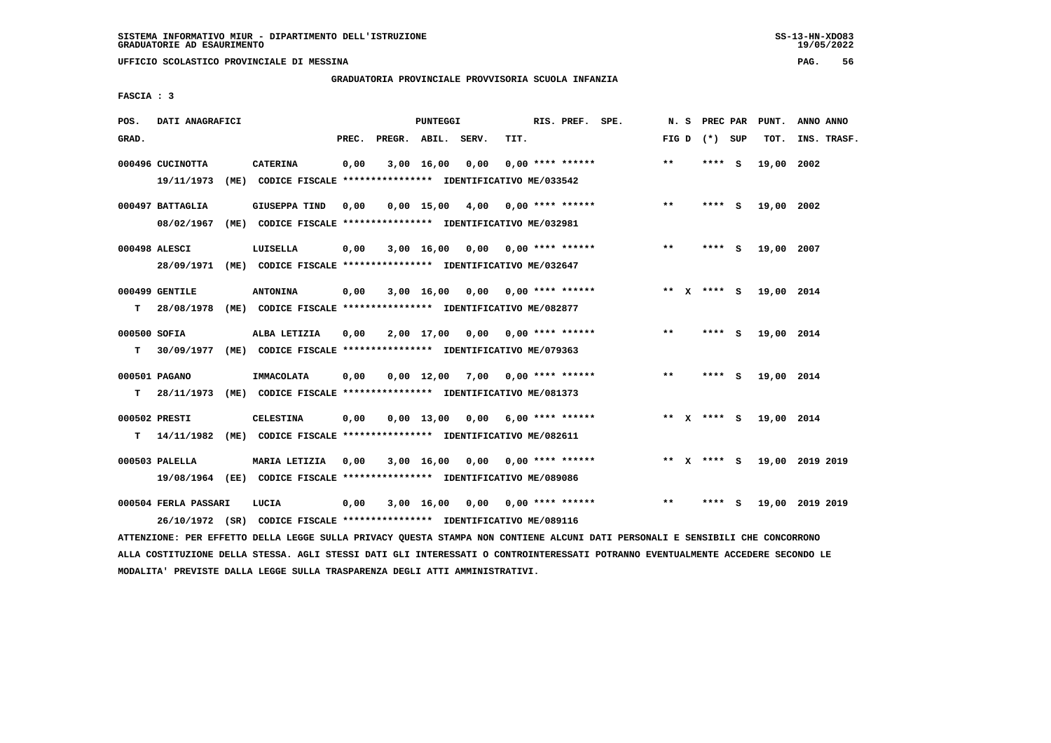**UFFICIO SCOLASTICO PROVINCIALE DI MESSINA PAG. 56**

#### **GRADUATORIA PROVINCIALE PROVVISORIA SCUOLA INFANZIA**

 **FASCIA : 3**

| POS.              | DATI ANAGRAFICI                |      |                                                                                          |       |              | PUNTEGGI           |       |      | RIS. PREF. SPE.           | N. S  | PREC PAR      |   | PUNT.      | ANNO ANNO       |
|-------------------|--------------------------------|------|------------------------------------------------------------------------------------------|-------|--------------|--------------------|-------|------|---------------------------|-------|---------------|---|------------|-----------------|
| GRAD.             |                                |      |                                                                                          | PREC. | PREGR. ABIL. |                    | SERV. | TIT. |                           | FIG D | (*) SUP       |   | TOT.       | INS. TRASF.     |
|                   | 000496 CUCINOTTA<br>19/11/1973 |      | <b>CATERINA</b><br>(ME) CODICE FISCALE **************** IDENTIFICATIVO ME/033542         | 0,00  |              | 3,00 16,00         | 0,00  |      | $0.00$ **** ******        | $* *$ | **** S        |   | 19,00      | 2002            |
|                   | 000497 BATTAGLIA<br>08/02/1967 | (ME) | GIUSEPPA TIND<br>CODICE FISCALE **************** IDENTIFICATIVO ME/032981                | 0,00  |              | $0.00$ 15,00       | 4,00  |      | $0.00$ **** ******        | $***$ | **** S        |   | 19,00 2002 |                 |
|                   | 000498 ALESCI<br>28/09/1971    |      | LUISELLA<br>(ME) CODICE FISCALE **************** IDENTIFICATIVO ME/032647                | 0,00  |              | $3,00$ 16,00       |       |      | $0,00$ $0,00$ **** ****** | $**$  | **** S        |   | 19,00 2007 |                 |
| т                 | 000499 GENTILE<br>28/08/1978   |      | <b>ANTONINA</b><br>(ME) CODICE FISCALE **************** IDENTIFICATIVO ME/082877         | 0,00  |              | $3,00$ 16,00       |       |      | $0,00$ $0,00$ **** ****** |       | ** x **** S   |   | 19,00 2014 |                 |
| 000500 SOFIA<br>т | 30/09/1977                     |      | ALBA LETIZIA<br>(ME) CODICE FISCALE **************** IDENTIFICATIVO ME/079363            | 0,00  |              | 2,00 17,00         | 0,00  |      | $0.00$ **** ******        | $* *$ | ****          | ్ | 19,00 2014 |                 |
| т                 | 000501 PAGANO<br>28/11/1973    |      | IMMACOLATA<br>(ME) CODICE FISCALE **************** IDENTIFICATIVO ME/081373              | 0,00  |              | $0,00 \quad 12,00$ | 7,00  |      | $0.00$ **** ******        | $***$ | **** S        |   | 19,00 2014 |                 |
| т                 | 000502 PRESTI<br>14/11/1982    |      | <b>CELESTINA</b><br>(ME) CODICE FISCALE **************** IDENTIFICATIVO ME/082611        | 0,00  |              | $0,00$ 13,00       | 0,00  |      | $6.00$ **** ******        |       | ** $X$ **** S |   | 19,00 2014 |                 |
|                   | 000503 PALELLA                 |      | MARIA LETIZIA<br>19/08/1964 (EE) CODICE FISCALE *************** IDENTIFICATIVO ME/089086 | 0,00  |              | 3,00 16,00         | 0,00  |      | $0.00$ **** ******        |       | ** x **** s   |   |            | 19,00 2019 2019 |
|                   | 000504 FERLA PASSARI           |      | LUCIA<br>26/10/1972 (SR) CODICE FISCALE *************** IDENTIFICATIVO ME/089116         | 0.00  |              | $3,00 \quad 16,00$ |       |      | $0.00$ $0.00$ **** ****** | $***$ | **** S        |   |            | 19,00 2019 2019 |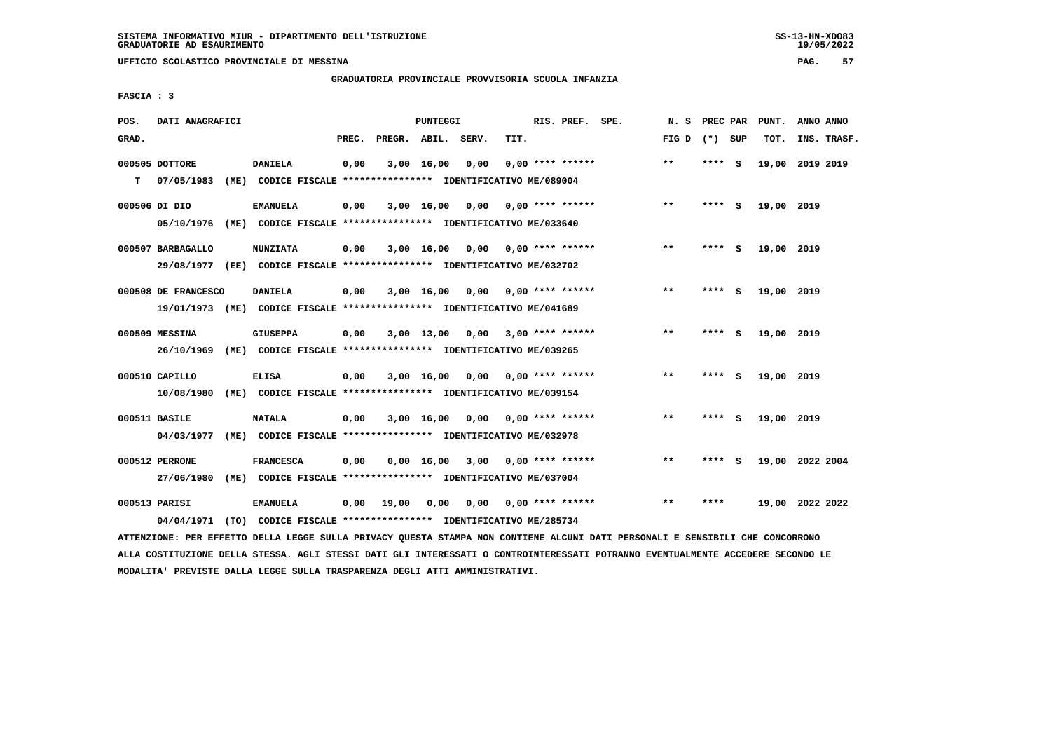**UFFICIO SCOLASTICO PROVINCIALE DI MESSINA PAG. 57**

### **GRADUATORIA PROVINCIALE PROVVISORIA SCUOLA INFANZIA**

 **FASCIA : 3**

| POS.  | DATI ANAGRAFICI     |                                                                                                                               |       |                    | PUNTEGGI   |                                    |      | RIS. PREF. SPE.           | N. S            |        |     | PREC PAR PUNT.  | ANNO ANNO |             |
|-------|---------------------|-------------------------------------------------------------------------------------------------------------------------------|-------|--------------------|------------|------------------------------------|------|---------------------------|-----------------|--------|-----|-----------------|-----------|-------------|
| GRAD. |                     |                                                                                                                               | PREC. | PREGR. ABIL. SERV. |            |                                    | TIT. |                           | FIG D $(*)$ SUP |        |     | TOT.            |           | INS. TRASF. |
|       | 000505 DOTTORE      | <b>DANIELA</b>                                                                                                                | 0,00  |                    | 3,00 16,00 | 0,00                               |      | $0,00$ **** ******        | $* *$           | **** S |     | 19,00 2019 2019 |           |             |
| т     | 07/05/1983          | (ME) CODICE FISCALE **************** IDENTIFICATIVO ME/089004                                                                 |       |                    |            |                                    |      |                           |                 |        |     |                 |           |             |
|       | 000506 DI DIO       | <b>EMANUELA</b>                                                                                                               | 0,00  |                    |            | $3,00$ 16,00 0,00 0,00 **** ****** |      |                           | $***$           | **** S |     | 19,00 2019      |           |             |
|       |                     | 05/10/1976 (ME) CODICE FISCALE *************** IDENTIFICATIVO ME/033640                                                       |       |                    |            |                                    |      |                           |                 |        |     |                 |           |             |
|       | 000507 BARBAGALLO   | <b>NUNZIATA</b>                                                                                                               | 0,00  |                    | 3,00 16,00 |                                    |      |                           | $***$           | **** S |     | 19,00 2019      |           |             |
|       |                     | 29/08/1977 (EE) CODICE FISCALE *************** IDENTIFICATIVO ME/032702                                                       |       |                    |            |                                    |      |                           |                 |        |     |                 |           |             |
|       | 000508 DE FRANCESCO | <b>DANIELA</b>                                                                                                                | 0,00  |                    |            | $3,00$ 16,00 0,00 0,00 **** ****** |      |                           | $***$           | **** S |     | 19,00 2019      |           |             |
|       |                     | 19/01/1973 (ME) CODICE FISCALE *************** IDENTIFICATIVO ME/041689                                                       |       |                    |            |                                    |      |                           |                 |        |     |                 |           |             |
|       | 000509 MESSINA      | <b>GIUSEPPA</b>                                                                                                               | 0,00  |                    |            | $3,00$ 13,00 0,00 3,00 **** ****** |      |                           | $**$            | **** S |     | 19,00 2019      |           |             |
|       |                     | 26/10/1969 (ME) CODICE FISCALE *************** IDENTIFICATIVO ME/039265                                                       |       |                    |            |                                    |      |                           |                 |        |     |                 |           |             |
|       | 000510 CAPILLO      | <b>ELISA</b>                                                                                                                  | 0,00  |                    | 3,00 16,00 |                                    |      | $0,00$ $0,00$ **** ****** | $* *$           | **** S |     | 19,00 2019      |           |             |
|       | 10/08/1980          | (ME) CODICE FISCALE **************** IDENTIFICATIVO ME/039154                                                                 |       |                    |            |                                    |      |                           |                 |        |     |                 |           |             |
|       | 000511 BASILE       | <b>NATALA</b>                                                                                                                 | 0,00  |                    | 3,00 16,00 |                                    |      | $0,00$ $0,00$ **** ****** | $* *$           | ****   | - S | 19,00 2019      |           |             |
|       | 04/03/1977          | (ME) CODICE FISCALE **************** IDENTIFICATIVO ME/032978                                                                 |       |                    |            |                                    |      |                           |                 |        |     |                 |           |             |
|       | 000512 PERRONE      | <b>FRANCESCA</b>                                                                                                              | 0,00  |                    |            | $0,00$ 16,00 3,00 0,00 **** ****** |      |                           | $* *$           | **** S |     | 19,00 2022 2004 |           |             |
|       | 27/06/1980          | (ME) CODICE FISCALE **************** IDENTIFICATIVO ME/037004                                                                 |       |                    |            |                                    |      |                           |                 |        |     |                 |           |             |
|       | 000513 PARISI       | <b>EMANUELA</b>                                                                                                               | 0,00  | 19,00              | 0,00       |                                    |      | $0,00$ $0,00$ **** ****** | $**$            | ****   |     | 19,00 2022 2022 |           |             |
|       | 04/04/1971          | (TO) CODICE FISCALE **************** IDENTIFICATIVO ME/285734                                                                 |       |                    |            |                                    |      |                           |                 |        |     |                 |           |             |
|       |                     | ATTENZIONE: PER EFFETTO DELLA LEGGE SULLA PRIVACY QUESTA STAMPA NON CONTIENE ALCUNI DATI PERSONALI E SENSIBILI CHE CONCORRONO |       |                    |            |                                    |      |                           |                 |        |     |                 |           |             |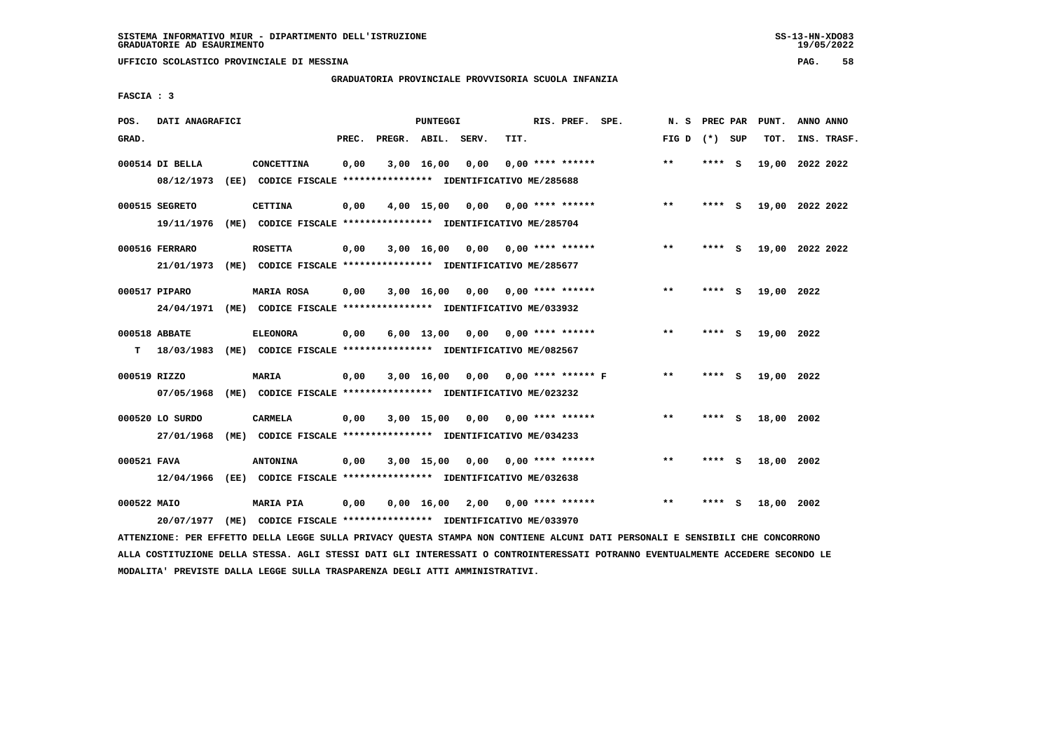**UFFICIO SCOLASTICO PROVINCIALE DI MESSINA PAG. 58**

#### **GRADUATORIA PROVINCIALE PROVVISORIA SCUOLA INFANZIA**

 **FASCIA : 3**

| POS.         | DATI ANAGRAFICI               |      |                                                                                            |       |                    | PUNTEGGI     |                 |      | RIS. PREF. SPE.           |                      | N.S   | PREC PAR |     | PUNT.      | ANNO ANNO       |
|--------------|-------------------------------|------|--------------------------------------------------------------------------------------------|-------|--------------------|--------------|-----------------|------|---------------------------|----------------------|-------|----------|-----|------------|-----------------|
| GRAD.        |                               |      |                                                                                            | PREC. | PREGR. ABIL. SERV. |              |                 | TIT. |                           |                      | FIG D | (*) SUP  |     | TOT.       | INS. TRASF.     |
|              | 000514 DI BELLA<br>08/12/1973 | (EE) | CONCETTINA<br>CODICE FISCALE **************** IDENTIFICATIVO ME/285688                     | 0,00  |                    | $3,00$ 16,00 | 0,00            |      | $0.00$ **** ******        |                      | $***$ | ****     | - S |            | 19,00 2022 2022 |
|              | 000515 SEGRETO<br>19/11/1976  |      | <b>CETTINA</b><br>(ME) CODICE FISCALE *************** IDENTIFICATIVO ME/285704             | 0,00  |                    |              | 4,00 15,00 0,00 |      | $0.00$ **** ******        |                      | $***$ | ****     | - S |            | 19,00 2022 2022 |
|              | 000516 FERRARO                |      | <b>ROSETTA</b><br>21/01/1973 (ME) CODICE FISCALE *************** IDENTIFICATIVO ME/285677  | 0,00  |                    | 3,00 16,00   |                 |      | $0.00$ $0.00$ **** ****** |                      | $* *$ | ****     | - S |            | 19,00 2022 2022 |
|              | 000517 PIPARO<br>24/04/1971   |      | <b>MARIA ROSA</b><br>(ME) CODICE FISCALE **************** IDENTIFICATIVO ME/033932         | 0,00  |                    | 3,00 16,00   |                 |      | $0,00$ $0,00$ **** ****** |                      | $* *$ | ****     | - S | 19,00 2022 |                 |
| т            | 000518 ABBATE                 |      | <b>ELEONORA</b><br>18/03/1983 (ME) CODICE FISCALE *************** IDENTIFICATIVO ME/082567 | 0,00  |                    | 6,00 13,00   |                 |      | $0,00$ $0,00$ **** ****** |                      | $***$ | **** S   |     | 19,00 2022 |                 |
| 000519 RIZZO | 07/05/1968                    |      | MARIA<br>(ME) CODICE FISCALE **************** IDENTIFICATIVO ME/023232                     | 0,00  |                    | 3,00 16,00   | 0,00            |      |                           | $0.00$ **** ****** F | $***$ | ****     | - S | 19,00 2022 |                 |
|              | 000520 LO SURDO<br>27/01/1968 |      | <b>CARMELA</b><br>(ME) CODICE FISCALE **************** IDENTIFICATIVO ME/034233            | 0,00  |                    | 3,00 15,00   | 0,00            |      | 0,00 **** ******          |                      | $***$ | **** S   |     | 18,00 2002 |                 |
| 000521 FAVA  | 12/04/1966                    |      | <b>ANTONINA</b>                                                                            | 0,00  |                    | 3,00 15,00   |                 |      | $0,00$ $0,00$ **** ****** |                      | $* *$ | ****     | - S | 18,00 2002 |                 |
| 000522 MAIO  | 20/07/1977                    |      | <b>MARIA PIA</b><br>(ME) CODICE FISCALE **************** IDENTIFICATIVO ME/033970          | 0,00  |                    | 0,00 16,00   |                 |      | 2,00 0,00 **** ******     |                      | $* *$ |          | s   | 18,00 2002 |                 |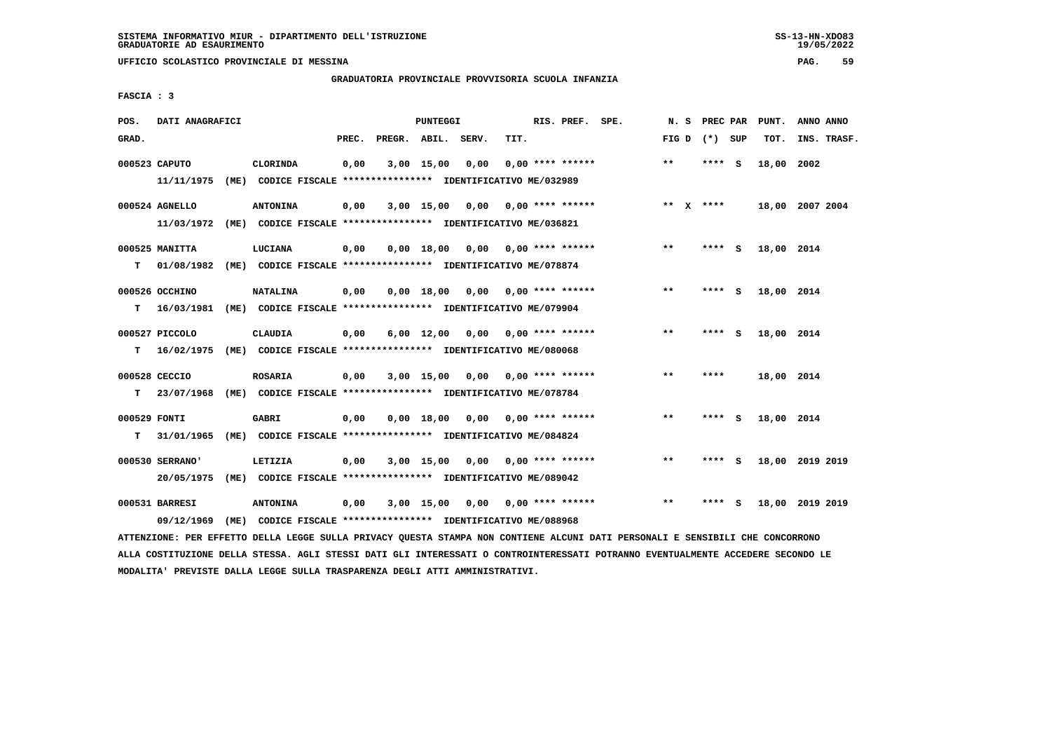**UFFICIO SCOLASTICO PROVINCIALE DI MESSINA PAG. 59**

 **GRADUATORIA PROVINCIALE PROVVISORIA SCUOLA INFANZIA**

 **FASCIA : 3**

| POS.         | DATI ANAGRAFICI |                                                                                                                               |       | PUNTEGGI   |                                    |      | RIS. PREF. SPE.    |       |                 | N. S PREC PAR PUNT. | ANNO ANNO |             |
|--------------|-----------------|-------------------------------------------------------------------------------------------------------------------------------|-------|------------|------------------------------------|------|--------------------|-------|-----------------|---------------------|-----------|-------------|
| GRAD.        |                 |                                                                                                                               | PREC. |            | PREGR. ABIL. SERV.                 | TIT. |                    |       | FIG D $(*)$ SUP | TOT.                |           | INS. TRASF. |
|              | 000523 CAPUTO   | CLORINDA                                                                                                                      | 0,00  | 3,00 15,00 | 0,00                               |      | $0,00$ **** ****** | $* *$ | **** S          | 18,00 2002          |           |             |
|              | 11/11/1975      | (ME) CODICE FISCALE **************** IDENTIFICATIVO ME/032989                                                                 |       |            |                                    |      |                    |       |                 |                     |           |             |
|              | 000524 AGNELLO  | <b>ANTONINA</b>                                                                                                               |       |            |                                    |      |                    |       | ** $X$ ****     |                     |           |             |
|              |                 | 11/03/1972 (ME) CODICE FISCALE *************** IDENTIFICATIVO ME/036821                                                       | 0,00  |            | $3,00$ 15,00 0,00 0,00 **** ****** |      |                    |       |                 | 18,00 2007 2004     |           |             |
|              |                 |                                                                                                                               |       |            |                                    |      |                    |       |                 |                     |           |             |
|              | 000525 MANITTA  | LUCIANA                                                                                                                       | 0,00  |            | $0,00$ 18,00 0,00 0,00 **** ****** |      |                    | $***$ | **** S          | 18,00 2014          |           |             |
| т            | 01/08/1982      | (ME) CODICE FISCALE **************** IDENTIFICATIVO ME/078874                                                                 |       |            |                                    |      |                    |       |                 |                     |           |             |
|              | 000526 OCCHINO  | <b>NATALINA</b>                                                                                                               | 0,00  |            | $0,00$ 18,00 0,00 0,00 **** ****** |      |                    | $***$ | **** S          | 18,00 2014          |           |             |
| т            | 16/03/1981      | (ME) CODICE FISCALE **************** IDENTIFICATIVO ME/079904                                                                 |       |            |                                    |      |                    |       |                 |                     |           |             |
|              |                 |                                                                                                                               |       |            |                                    |      |                    |       |                 |                     |           |             |
|              | 000527 PICCOLO  | <b>CLAUDIA</b>                                                                                                                | 0,00  |            | $6,00$ 12,00 0,00 0,00 **** ****** |      |                    | $* *$ | **** S          | 18,00 2014          |           |             |
| т            |                 | 16/02/1975 (ME) CODICE FISCALE **************** IDENTIFICATIVO ME/080068                                                      |       |            |                                    |      |                    |       |                 |                     |           |             |
|              | 000528 CECCIO   | <b>ROSARIA</b>                                                                                                                | 0,00  | 3,00 15,00 | 0,00 0,00 **** ******              |      |                    | $* *$ | ****            | 18,00 2014          |           |             |
| т            | 23/07/1968      | (ME) CODICE FISCALE **************** IDENTIFICATIVO ME/078784                                                                 |       |            |                                    |      |                    |       |                 |                     |           |             |
| 000529 FONTI |                 | <b>GABRI</b>                                                                                                                  | 0,00  |            | $0,00$ 18,00 0,00 0,00 **** ****** |      |                    | $**$  | **** S          | 18,00 2014          |           |             |
| т            | 31/01/1965      | (ME) CODICE FISCALE **************** IDENTIFICATIVO ME/084824                                                                 |       |            |                                    |      |                    |       |                 |                     |           |             |
|              |                 |                                                                                                                               |       |            |                                    |      |                    |       |                 |                     |           |             |
|              | 000530 SERRANO' | LETIZIA                                                                                                                       | 0,00  |            | $3,00$ 15,00 0,00 0,00 **** ****** |      |                    | $***$ | **** S          | 18,00 2019 2019     |           |             |
|              | 20/05/1975      | (ME) CODICE FISCALE **************** IDENTIFICATIVO ME/089042                                                                 |       |            |                                    |      |                    |       |                 |                     |           |             |
|              | 000531 BARRESI  | ANTONINA                                                                                                                      | 0,00  |            | 3,00 15,00 0,00 0,00 **** ******   |      |                    | $* *$ | **** S          | 18,00 2019 2019     |           |             |
|              | 09/12/1969      | (ME) CODICE FISCALE **************** IDENTIFICATIVO ME/088968                                                                 |       |            |                                    |      |                    |       |                 |                     |           |             |
|              |                 | ATTENZIONE: PER EFFETTO DELLA LEGGE SULLA PRIVACY QUESTA STAMPA NON CONTIENE ALCUNI DATI PERSONALI E SENSIBILI CHE CONCORRONO |       |            |                                    |      |                    |       |                 |                     |           |             |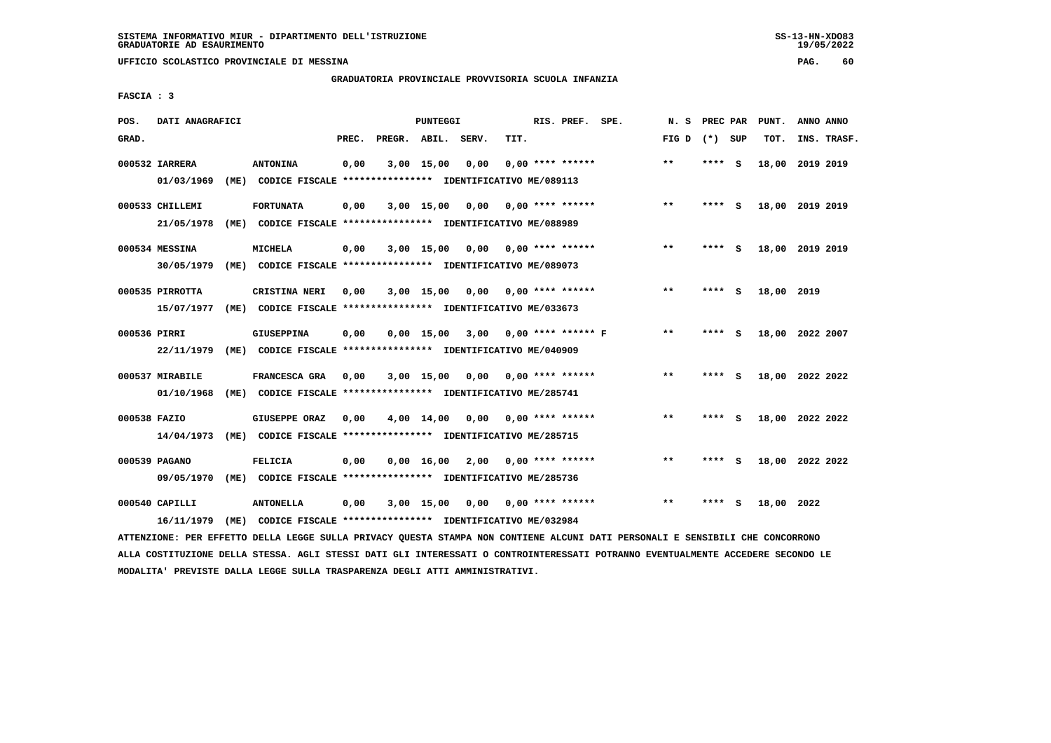**UFFICIO SCOLASTICO PROVINCIALE DI MESSINA PAG. 60**

### **GRADUATORIA PROVINCIALE PROVVISORIA SCUOLA INFANZIA**

 **FASCIA : 3**

| POS.         | DATI ANAGRAFICI              |      |                                                                                 |       |        | <b>PUNTEGGI</b> |      |      | RIS. PREF.           | SPE. | N.S          | PREC PAR |     | PUNT.           | ANNO ANNO |             |
|--------------|------------------------------|------|---------------------------------------------------------------------------------|-------|--------|-----------------|------|------|----------------------|------|--------------|----------|-----|-----------------|-----------|-------------|
| GRAD.        |                              |      |                                                                                 | PREC. | PREGR. | ABIL. SERV.     |      | TIT. |                      |      | FIG D        | (*) SUP  |     | TOT.            |           | INS. TRASF. |
|              | 000532 IARRERA<br>01/03/1969 | (ME) | <b>ANTONINA</b><br>CODICE FISCALE **************** IDENTIFICATIVO ME/089113     | 0,00  |        | $3,00$ 15,00    | 0,00 |      | $0.00$ **** ******   |      | $* *$        | ****     | - S | 18,00           | 2019 2019 |             |
|              |                              |      |                                                                                 |       |        |                 |      |      |                      |      |              |          |     |                 |           |             |
|              | 000533 CHILLEMI              |      | <b>FORTUNATA</b>                                                                | 0,00  |        | 3,00 15,00      | 0,00 |      | $0.00$ **** ******   |      | **           | ****     | - S | 18,00 2019 2019 |           |             |
|              | 21/05/1978                   |      | (ME) CODICE FISCALE **************** IDENTIFICATIVO ME/088989                   |       |        |                 |      |      |                      |      |              |          |     |                 |           |             |
|              | 000534 MESSINA               |      | MICHELA                                                                         | 0,00  |        | $3,00$ 15,00    | 0,00 |      | $0.00$ **** ******   |      | $* *$        | ****     | - S | 18,00           | 2019 2019 |             |
|              | 30/05/1979                   |      | (ME) CODICE FISCALE **************** IDENTIFICATIVO ME/089073                   |       |        |                 |      |      |                      |      |              |          |     |                 |           |             |
|              | 000535 PIRROTTA              |      | CRISTINA NERI                                                                   | 0,00  |        | $3,00$ 15,00    | 0,00 |      | $0.00$ **** ******   |      | $***$        | ****     | - 5 | 18,00 2019      |           |             |
|              | 15/07/1977                   |      | (ME) CODICE FISCALE **************** IDENTIFICATIVO ME/033673                   |       |        |                 |      |      |                      |      |              |          |     |                 |           |             |
| 000536 PIRRI |                              |      | <b>GIUSEPPINA</b>                                                               | 0,00  |        | $0,00$ 15,00    | 3,00 |      | $0.00$ **** ****** F |      | $\star\star$ | ****     | - S | 18,00 2022 2007 |           |             |
|              | 22/11/1979                   | (ME) | CODICE FISCALE **************** IDENTIFICATIVO ME/040909                        |       |        |                 |      |      |                      |      |              |          |     |                 |           |             |
|              | 000537 MIRABILE              |      | FRANCESCA GRA                                                                   | 0,00  |        | 3,00 15,00      | 0,00 |      | 0,00 **** ******     |      | **           | ****     | - S | 18,00 2022 2022 |           |             |
|              | 01/10/1968                   | (ME) | CODICE FISCALE **************** IDENTIFICATIVO ME/285741                        |       |        |                 |      |      |                      |      |              |          |     |                 |           |             |
| 000538 FAZIO |                              |      | <b>GIUSEPPE ORAZ</b>                                                            | 0,00  |        | 4,00 14,00      | 0.00 |      | $0.00$ **** ******   |      | $* *$        | ****     | - S | 18,00 2022 2022 |           |             |
|              | 14/04/1973                   |      | (ME) CODICE FISCALE **************** IDENTIFICATIVO ME/285715                   |       |        |                 |      |      |                      |      |              |          |     |                 |           |             |
|              |                              |      |                                                                                 |       |        |                 |      |      |                      |      |              |          |     |                 |           |             |
|              | 000539 PAGANO<br>09/05/1970  |      | <b>FELICIA</b><br>(ME) CODICE FISCALE **************** IDENTIFICATIVO ME/285736 | 0,00  |        | 0.00 16.00      | 2,00 |      | $0.00$ **** ******   |      | $**$         | ****     | - S | 18,00 2022 2022 |           |             |
|              |                              |      |                                                                                 |       |        |                 |      |      |                      |      |              |          |     |                 |           |             |
|              | 000540 CAPILLI               |      | <b>ANTONELLA</b>                                                                | 0,00  |        | $3,00$ 15,00    | 0,00 |      | $0.00$ **** ******   |      | $* *$        |          | s   | 18,00           | 2022      |             |
|              | 16/11/1979                   | (ME) | CODICE FISCALE **************** IDENTIFICATIVO ME/032984                        |       |        |                 |      |      |                      |      |              |          |     |                 |           |             |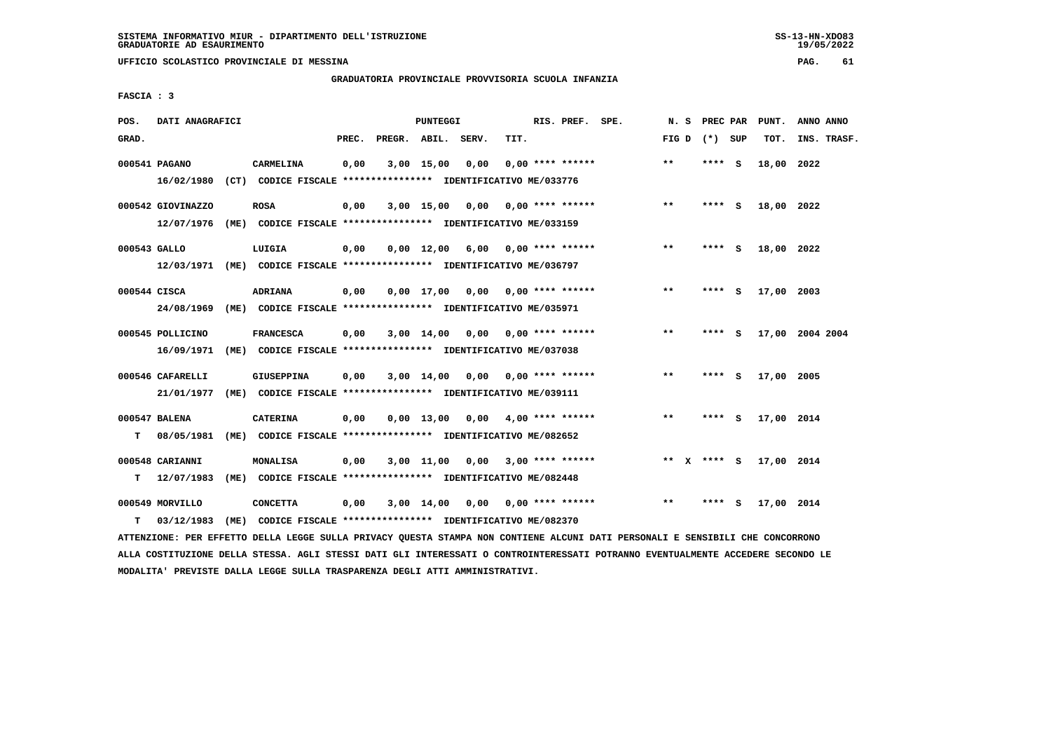**UFFICIO SCOLASTICO PROVINCIALE DI MESSINA PAG. 61**

#### **GRADUATORIA PROVINCIALE PROVVISORIA SCUOLA INFANZIA**

 **FASCIA : 3**

| POS.         | DATI ANAGRAFICI   |      |                                                                         |       |                    | PUNTEGGI           |      |      | RIS. PREF. SPE.         | N.S         | PREC PAR |          | PUNT.      | ANNO ANNO       |
|--------------|-------------------|------|-------------------------------------------------------------------------|-------|--------------------|--------------------|------|------|-------------------------|-------------|----------|----------|------------|-----------------|
| GRAD.        |                   |      |                                                                         | PREC. | PREGR. ABIL. SERV. |                    |      | TIT. |                         | FIG D       | (*) SUP  |          | TOT.       | INS. TRASF.     |
|              | 000541 PAGANO     |      | CARMELINA                                                               | 0,00  |                    | $3,00$ 15,00       | 0,00 |      | $0.00$ **** ******      | $**$        | ****     | <b>S</b> | 18,00 2022 |                 |
|              |                   |      | 16/02/1980 (CT) CODICE FISCALE *************** IDENTIFICATIVO ME/033776 |       |                    |                    |      |      |                         |             |          |          |            |                 |
|              | 000542 GIOVINAZZO |      | <b>ROSA</b>                                                             | 0,00  |                    | $3,00$ 15,00       | 0,00 |      | $0.00$ **** ******      | $***$       | **** S   |          | 18,00 2022 |                 |
|              | 12/07/1976        |      | (ME) CODICE FISCALE **************** IDENTIFICATIVO ME/033159           |       |                    |                    |      |      |                         |             |          |          |            |                 |
| 000543 GALLO |                   |      | LUIGIA                                                                  | 0,00  |                    | $0.00 \quad 12.00$ |      |      | $6,00$ 0,00 **** ****** | $***$       | **** S   |          | 18,00 2022 |                 |
|              |                   |      | 12/03/1971 (ME) CODICE FISCALE *************** IDENTIFICATIVO ME/036797 |       |                    |                    |      |      |                         |             |          |          |            |                 |
| 000544 CISCA |                   |      | <b>ADRIANA</b>                                                          | 0,00  |                    | $0,00$ 17,00       | 0,00 |      | $0.00$ **** ******      | $* *$       | ****     | S.       | 17,00 2003 |                 |
|              | 24/08/1969        |      | (ME) CODICE FISCALE **************** IDENTIFICATIVO ME/035971           |       |                    |                    |      |      |                         |             |          |          |            |                 |
|              | 000545 POLLICINO  |      | <b>FRANCESCA</b>                                                        | 0.00  |                    | $3,00 \quad 14,00$ | 0.00 |      | $0.00$ **** ******      | $**$        | ****     | - S      |            | 17,00 2004 2004 |
|              | 16/09/1971        |      | (ME) CODICE FISCALE **************** IDENTIFICATIVO ME/037038           |       |                    |                    |      |      |                         |             |          |          |            |                 |
|              | 000546 CAFARELLI  |      | <b>GIUSEPPINA</b>                                                       | 0,00  |                    | $3,00$ 14,00       | 0,00 |      | 0,00 **** ******        | $**$        | ****     | - S      | 17,00 2005 |                 |
|              | 21/01/1977        |      | (ME) CODICE FISCALE **************** IDENTIFICATIVO ME/039111           |       |                    |                    |      |      |                         |             |          |          |            |                 |
|              | 000547 BALENA     |      | <b>CATERINA</b>                                                         | 0,00  |                    | $0.00$ 13.00       | 0,00 |      | $4.00$ **** ******      | $**$        | ****     | - S      | 17,00 2014 |                 |
| т            | 08/05/1981        | (ME) | CODICE FISCALE **************** IDENTIFICATIVO ME/082652                |       |                    |                    |      |      |                         |             |          |          |            |                 |
|              | 000548 CARIANNI   |      | <b>MONALISA</b>                                                         | 0,00  |                    | $3,00$ $11,00$     | 0,00 |      | $3,00$ **** ******      | ** X **** S |          |          | 17,00 2014 |                 |
| т            | 12/07/1983        |      | (ME) CODICE FISCALE **************** IDENTIFICATIVO ME/082448           |       |                    |                    |      |      |                         |             |          |          |            |                 |
|              | 000549 MORVILLO   |      | <b>CONCETTA</b>                                                         | 0,00  |                    | 3,00 14,00         | 0,00 |      | 0,00 **** ******        | $***$       | ****     | - S      | 17,00 2014 |                 |
| т            | 03/12/1983        | (ME) | CODICE FISCALE **************** IDENTIFICATIVO ME/082370                |       |                    |                    |      |      |                         |             |          |          |            |                 |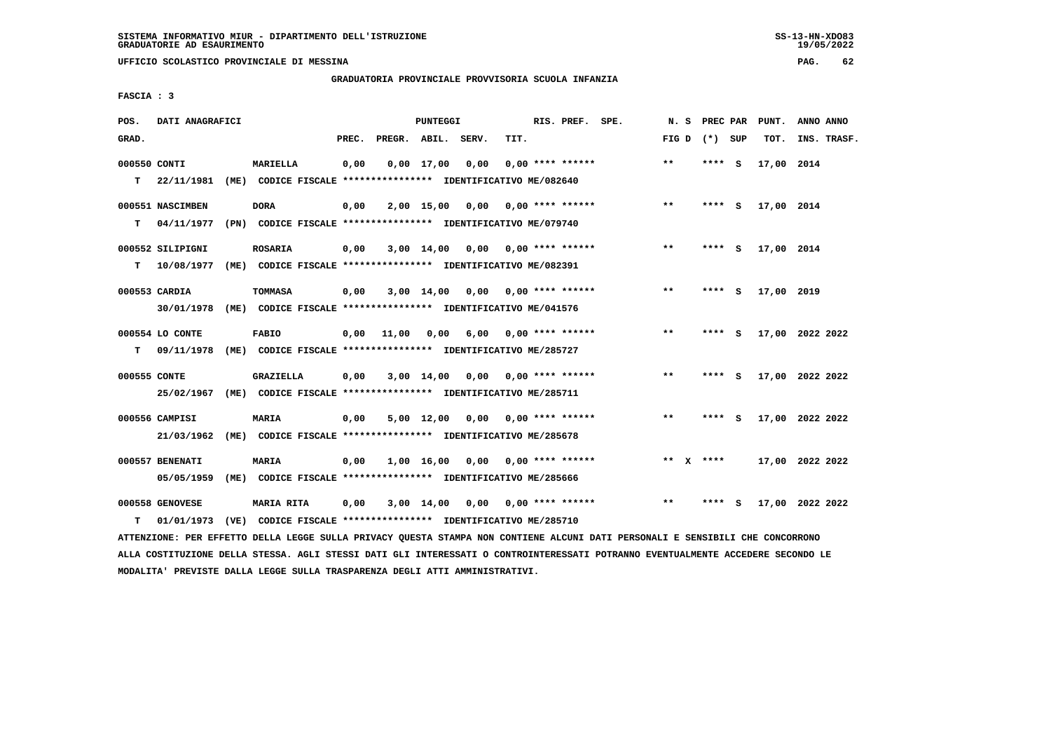**UFFICIO SCOLASTICO PROVINCIALE DI MESSINA PAG. 62**

### **GRADUATORIA PROVINCIALE PROVVISORIA SCUOLA INFANZIA**

 **FASCIA : 3**

| POS.              | DATI ANAGRAFICI              |      |                                                                                  |       |       | PUNTEGGI           |      |      | RIS. PREF. SPE.           | N. S         |             | PREC PAR | PUNT.      | ANNO ANNO       |
|-------------------|------------------------------|------|----------------------------------------------------------------------------------|-------|-------|--------------------|------|------|---------------------------|--------------|-------------|----------|------------|-----------------|
| GRAD.             |                              |      |                                                                                  | PREC. |       | PREGR. ABIL. SERV. |      | TIT. |                           | FIG D        | (*) SUP     |          | TOT.       | INS. TRASF.     |
| 000550 CONTI<br>т | 22/11/1981                   |      | <b>MARIELLA</b><br>(ME) CODICE FISCALE **************** IDENTIFICATIVO ME/082640 | 0,00  |       | $0,00$ 17,00       | 0,00 |      | $0.00$ **** ******        | $***$        | **** S      |          | 17,00 2014 |                 |
|                   |                              |      |                                                                                  |       |       |                    |      |      |                           |              |             |          |            |                 |
|                   | 000551 NASCIMBEN             |      | <b>DORA</b>                                                                      | 0,00  |       | 2,00 15,00         | 0.00 |      | $0.00$ **** ******        | $***$        | **** S      |          | 17,00 2014 |                 |
| т                 | 04/11/1977                   |      | (PN) CODICE FISCALE **************** IDENTIFICATIVO ME/079740                    |       |       |                    |      |      |                           |              |             |          |            |                 |
|                   | 000552 SILIPIGNI             |      | <b>ROSARIA</b>                                                                   | 0,00  |       | 3,00 14,00         |      |      | $0,00$ $0,00$ **** ****** | $***$        | **** S      |          | 17,00 2014 |                 |
| т                 | 10/08/1977                   |      | (ME) CODICE FISCALE **************** IDENTIFICATIVO ME/082391                    |       |       |                    |      |      |                           |              |             |          |            |                 |
|                   | 000553 CARDIA                |      | TOMMASA                                                                          | 0,00  |       | $3,00$ 14,00       | 0,00 |      | $0.00$ **** ******        | $**$         | ****        | - 5      | 17,00 2019 |                 |
|                   | 30/01/1978                   |      | (ME) CODICE FISCALE **************** IDENTIFICATIVO ME/041576                    |       |       |                    |      |      |                           |              |             |          |            |                 |
|                   | 000554 LO CONTE              |      | <b>FABIO</b>                                                                     | 0,00  | 11,00 | 0,00               | 6,00 |      | $0.00$ **** ******        | $**$         | **** S      |          |            | 17,00 2022 2022 |
| т                 | 09/11/1978                   |      | (ME) CODICE FISCALE **************** IDENTIFICATIVO ME/285727                    |       |       |                    |      |      |                           |              |             |          |            |                 |
| 000555 CONTE      |                              |      | <b>GRAZIELLA</b>                                                                 | 0,00  |       | $3,00$ 14,00       | 0,00 |      | $0.00$ **** ******        | $\star\star$ | ****        | - S      |            | 17,00 2022 2022 |
|                   | 25/02/1967                   |      | (ME) CODICE FISCALE **************** IDENTIFICATIVO ME/285711                    |       |       |                    |      |      |                           |              |             |          |            |                 |
|                   |                              |      |                                                                                  |       |       |                    |      |      |                           |              |             |          |            |                 |
|                   | 000556 CAMPISI<br>21/03/1962 |      | <b>MARIA</b><br>(ME) CODICE FISCALE **************** IDENTIFICATIVO ME/285678    | 0,00  |       | 5,00 12,00         | 0,00 |      | 0,00 **** ******          | $***$        | **** S      |          |            | 17,00 2022 2022 |
|                   |                              |      |                                                                                  |       |       |                    |      |      |                           |              |             |          |            |                 |
|                   | 000557 BENENATI              |      | <b>MARIA</b>                                                                     | 0,00  |       | 1,00 16,00         | 0,00 |      | $0.00$ **** ******        |              | ** $X$ **** |          |            | 17,00 2022 2022 |
|                   | 05/05/1959                   | (ME) | CODICE FISCALE **************** IDENTIFICATIVO ME/285666                         |       |       |                    |      |      |                           |              |             |          |            |                 |
|                   | 000558 GENOVESE              |      | MARIA RITA                                                                       | 0,00  |       | $3,00$ 14,00       | 0,00 |      | $0.00$ **** ******        | $* *$        | **** S      |          |            | 17,00 2022 2022 |
| т                 | 01/01/1973                   |      | (VE) CODICE FISCALE **************** IDENTIFICATIVO ME/285710                    |       |       |                    |      |      |                           |              |             |          |            |                 |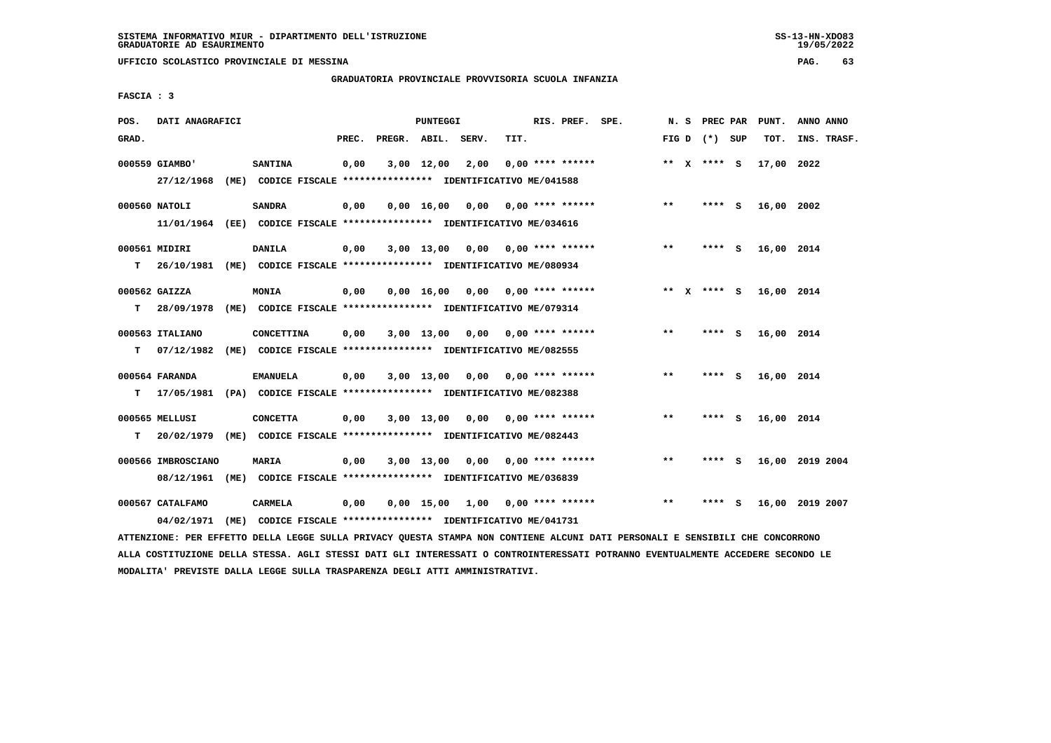**UFFICIO SCOLASTICO PROVINCIALE DI MESSINA PAG. 63**

#### **GRADUATORIA PROVINCIALE PROVVISORIA SCUOLA INFANZIA**

 **FASCIA : 3**

| POS.   | DATI ANAGRAFICI                                                                            |                   |       | PUNTEGGI           |                                                                       |      | RIS. PREF. SPE.         |       | N. S | <b>PREC PAR</b> |   | PUNT.      | ANNO ANNO       |
|--------|--------------------------------------------------------------------------------------------|-------------------|-------|--------------------|-----------------------------------------------------------------------|------|-------------------------|-------|------|-----------------|---|------------|-----------------|
| GRAD.  |                                                                                            |                   | PREC. |                    | PREGR. ABIL. SERV.                                                    | TIT. |                         |       |      | FIG D $(*)$ SUP |   | TOT.       | INS. TRASF.     |
|        | 000559 GIAMBO'<br>27/12/1968                                                               | <b>SANTINA</b>    | 0,00  | $3,00$ 12,00       | 2,00<br>(ME) CODICE FISCALE **************** IDENTIFICATIVO ME/041588 |      | $0.00$ **** ******      |       |      | ** $X$ **** S   |   | 17,00      | 2022            |
|        | 000560 NATOLI<br>11/01/1964 (EE) CODICE FISCALE *************** IDENTIFICATIVO ME/034616   | <b>SANDRA</b>     | 0,00  | $0,00 \quad 16,00$ | 0,00                                                                  |      | $0.00$ **** ******      | $***$ |      | $***$ S         |   | 16,00 2002 |                 |
| т      | 000561 MIDIRI<br>26/10/1981 (ME) CODICE FISCALE *************** IDENTIFICATIVO ME/080934   | <b>DANILA</b>     | 0,00  | 3,00 13,00         |                                                                       |      | $0,00$ 0,00 **** ****** | $* *$ |      | **** S          |   | 16,00 2014 |                 |
| т      | 000562 GAIZZA<br>28/09/1978                                                                | <b>MONIA</b>      | 0,00  | 0.00 16.00         | 0,00<br>(ME) CODICE FISCALE **************** IDENTIFICATIVO ME/079314 |      | $0.00$ **** ******      |       |      | ** $X$ **** S   |   | 16,00 2014 |                 |
| т      | 000563 ITALIANO<br>07/12/1982                                                              | <b>CONCETTINA</b> | 0,00  | 3,00 13,00         | 0,00<br>(ME) CODICE FISCALE **************** IDENTIFICATIVO ME/082555 |      | $0.00$ **** ******      | $***$ |      | **** S          |   | 16,00 2014 |                 |
|        | 000564 FARANDA<br>17/05/1981 (PA) CODICE FISCALE **************** IDENTIFICATIVO ME/082388 | <b>EMANUELA</b>   | 0,00  |                    | 3,00 13,00 0,00                                                       |      | 0,00 **** ******        | $* *$ |      | **** S          |   | 16,00 2014 |                 |
| т<br>т | 000565 MELLUSI<br>20/02/1979                                                               | <b>CONCETTA</b>   | 0,00  | $3,00$ 13,00       | 0,00<br>(ME) CODICE FISCALE **************** IDENTIFICATIVO ME/082443 |      | $0.00$ **** ******      | $* *$ |      | **** S          |   | 16,00 2014 |                 |
|        | 000566 IMBROSCIANO<br>08/12/1961                                                           | <b>MARIA</b>      | 0,00  | 3,00 13,00         | 0,00<br>(ME) CODICE FISCALE **************** IDENTIFICATIVO ME/036839 |      | $0.00$ **** ******      | **    |      | **** S          |   |            | 16,00 2019 2004 |
|        | 000567 CATALFAMO<br>04/02/1971                                                             | <b>CARMELA</b>    | 0,00  | $0,00$ 15,00       | 1,00<br>(ME) CODICE FISCALE **************** IDENTIFICATIVO ME/041731 |      | $0.00$ **** ******      | $**$  |      | ****            | s | 16,00      | 2019 2007       |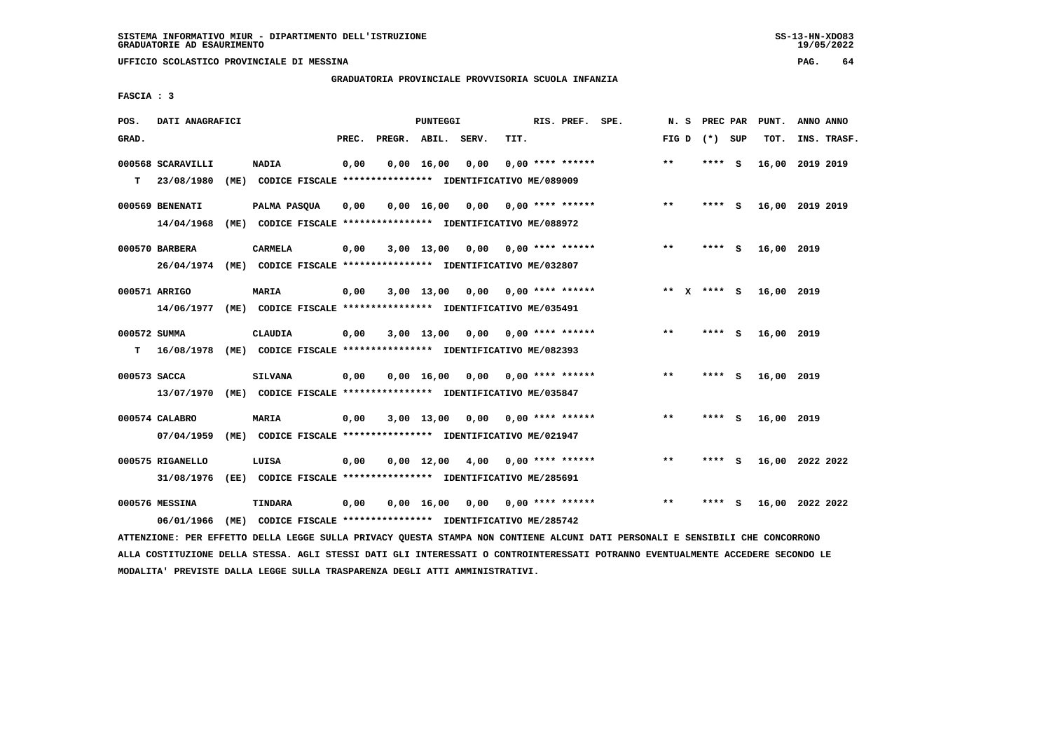**UFFICIO SCOLASTICO PROVINCIALE DI MESSINA PAG. 64**

### **GRADUATORIA PROVINCIALE PROVVISORIA SCUOLA INFANZIA**

 **FASCIA : 3**

| POS.         | DATI ANAGRAFICI   |                                                                         |       | PUNTEGGI           |                    |      | RIS. PREF. SPE.           | N.S          | PREC PAR |          | PUNT.           | ANNO ANNO |             |
|--------------|-------------------|-------------------------------------------------------------------------|-------|--------------------|--------------------|------|---------------------------|--------------|----------|----------|-----------------|-----------|-------------|
| GRAD.        |                   |                                                                         | PREC. |                    | PREGR. ABIL. SERV. | TIT. |                           | FIG D        | (*) SUP  |          | TOT.            |           | INS. TRASF. |
|              | 000568 SCARAVILLI | <b>NADIA</b>                                                            | 0,00  | $0,00$ 16,00       | 0,00               |      | $0.00$ **** ******        | $***$        | **** S   |          | 16,00           | 2019 2019 |             |
| T.           | 23/08/1980        | (ME) CODICE FISCALE **************** IDENTIFICATIVO ME/089009           |       |                    |                    |      |                           |              |          |          |                 |           |             |
|              | 000569 BENENATI   | <b>PALMA PASOUA</b>                                                     | 0,00  | 0.00 16.00         | 0,00               |      | $0.00$ **** ******        | $***$        | ****     | - S      | 16,00 2019 2019 |           |             |
|              | 14/04/1968        | (ME) CODICE FISCALE **************** IDENTIFICATIVO ME/088972           |       |                    |                    |      |                           |              |          |          |                 |           |             |
|              | 000570 BARBERA    | <b>CARMELA</b>                                                          | 0,00  | $3,00$ 13,00       |                    |      | $0,00$ $0,00$ **** ****** | $***$        | ****     | <b>S</b> | 16,00 2019      |           |             |
|              |                   | 26/04/1974 (ME) CODICE FISCALE *************** IDENTIFICATIVO ME/032807 |       |                    |                    |      |                           |              |          |          |                 |           |             |
|              | 000571 ARRIGO     | <b>MARIA</b>                                                            | 0,00  | $3,00$ 13,00       | 0,00               |      | $0.00$ **** ******        | ** x **** S  |          |          | 16,00 2019      |           |             |
|              | 14/06/1977        | (ME) CODICE FISCALE **************** IDENTIFICATIVO ME/035491           |       |                    |                    |      |                           |              |          |          |                 |           |             |
|              |                   |                                                                         |       |                    |                    |      |                           |              |          |          |                 |           |             |
| 000572 SUMMA |                   | CLAUDIA                                                                 | 0,00  | $3,00$ 13,00       | 0.00               |      | $0.00$ **** ******        | $**$         | ****     | - S      | 16,00 2019      |           |             |
| т            | 16/08/1978        | (ME) CODICE FISCALE **************** IDENTIFICATIVO ME/082393           |       |                    |                    |      |                           |              |          |          |                 |           |             |
| 000573 SACCA |                   | <b>SILVANA</b>                                                          | 0,00  | $0,00$ 16,00       | 0,00               |      | 0,00 **** ******          | $***$        | **** S   |          | 16,00 2019      |           |             |
|              | 13/07/1970        | (ME) CODICE FISCALE **************** IDENTIFICATIVO ME/035847           |       |                    |                    |      |                           |              |          |          |                 |           |             |
|              | 000574 CALABRO    | <b>MARIA</b>                                                            | 0,00  | $3,00$ 13,00       | 0,00               |      | 0,00 **** ******          | $**$         | **** S   |          | 16,00 2019      |           |             |
|              | 07/04/1959        | (ME) CODICE FISCALE **************** IDENTIFICATIVO ME/021947           |       |                    |                    |      |                           |              |          |          |                 |           |             |
|              | 000575 RIGANELLO  |                                                                         |       | $0,00$ 12,00       | 4,00               |      | $0.00$ **** ******        | $**$         | ****     | - S      | 16,00 2022 2022 |           |             |
|              | 31/08/1976        | LUISA<br>(EE) CODICE FISCALE **************** IDENTIFICATIVO ME/285691  | 0,00  |                    |                    |      |                           |              |          |          |                 |           |             |
|              |                   |                                                                         |       |                    |                    |      |                           |              |          |          |                 |           |             |
|              | 000576 MESSINA    | <b>TINDARA</b>                                                          | 0,00  | $0,00 \quad 16,00$ | 0,00               |      | $0.00$ **** ******        | $\star\star$ | ****     | - S      | 16,00 2022 2022 |           |             |
|              | 06/01/1966        | (ME) CODICE FISCALE **************** IDENTIFICATIVO ME/285742           |       |                    |                    |      |                           |              |          |          |                 |           |             |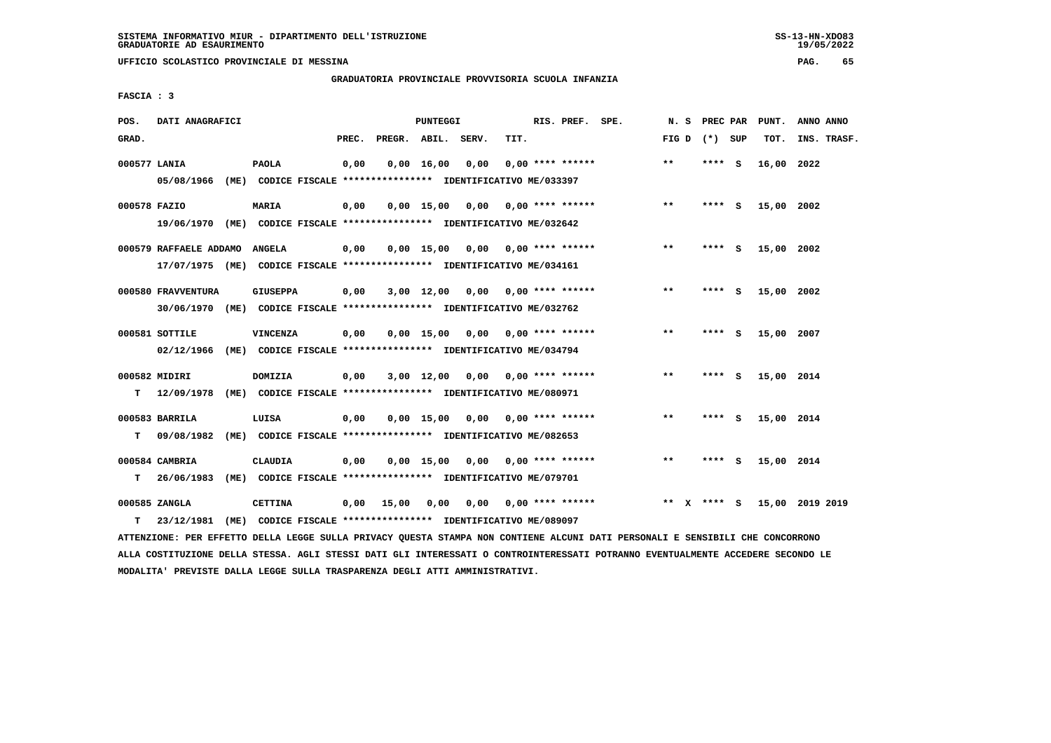**UFFICIO SCOLASTICO PROVINCIALE DI MESSINA PAG. 65**

### **GRADUATORIA PROVINCIALE PROVVISORIA SCUOLA INFANZIA**

 **FASCIA : 3**

| POS.  | DATI ANAGRAFICI             |                                                                                                    | PUNTEGGI                           | RIS. PREF. SPE.           |       | N. S PREC PAR | PUNT.      | ANNO ANNO       |
|-------|-----------------------------|----------------------------------------------------------------------------------------------------|------------------------------------|---------------------------|-------|---------------|------------|-----------------|
| GRAD. |                             | PREC.                                                                                              | PREGR. ABIL. SERV.                 | TIT.                      | FIG D | (*) SUP       | TOT.       | INS. TRASF.     |
|       | 000577 LANIA                | 0,00<br><b>PAOLA</b><br>05/08/1966 (ME) CODICE FISCALE *************** IDENTIFICATIVO ME/033397    | $0,00 \quad 16,00$<br>0,00         | $0.00$ **** ******        | $* *$ | **** S        | 16,00 2022 |                 |
|       | 000578 FAZIO                | <b>MARIA</b><br>0,00<br>19/06/1970 (ME) CODICE FISCALE *************** IDENTIFICATIVO ME/032642    | $0.00$ 15.00 0.00 0.00 **** ****** |                           | $* *$ | $***$ S       | 15,00 2002 |                 |
|       | 000579 RAFFAELE ADDAMO      | 0,00<br><b>ANGELA</b><br>17/07/1975 (ME) CODICE FISCALE *************** IDENTIFICATIVO ME/034161   | $0.00$ 15.00 0.00 0.00 **** ****** |                           | $* *$ | ****<br>- S   | 15,00 2002 |                 |
|       | 000580 FRAVVENTURA          | <b>GIUSEPPA</b><br>0,00<br>30/06/1970 (ME) CODICE FISCALE *************** IDENTIFICATIVO ME/032762 | 3,00 12,00                         | $0,00$ $0,00$ **** ****** | $* *$ | **** S        | 15,00 2002 |                 |
|       | 000581 SOTTILE              | VINCENZA<br>0,00<br>02/12/1966 (ME) CODICE FISCALE *************** IDENTIFICATIVO ME/034794        | 0,00 15,00                         | $0.00$ $0.00$ **** ****** | $* *$ | **** S        | 15,00 2007 |                 |
| T.    | 000582 MIDIRI               | <b>DOMIZIA</b><br>0,00<br>12/09/1978 (ME) CODICE FISCALE **************** IDENTIFICATIVO ME/080971 | 3,00 12,00<br>0,00                 | $0.00$ **** ******        | $* *$ | **** S        | 15,00 2014 |                 |
| T.    | 000583 BARRILA              | LUISA<br>0,00<br>09/08/1982 (ME) CODICE FISCALE **************** IDENTIFICATIVO ME/082653          | $0.00$ 15.00 0.00 0.00 **** ****** |                           | $* *$ | **** S        | 15,00 2014 |                 |
| T.    | 000584 CAMBRIA              | <b>CLAUDIA</b><br>0,00<br>26/06/1983 (ME) CODICE FISCALE **************** IDENTIFICATIVO ME/079701 | 0,00 15,00                         | $0,00$ $0,00$ **** ****** | **    | **** S        | 15,00 2014 |                 |
| т     | 000585 ZANGLA<br>23/12/1981 | 0.00 15.00<br><b>CETTINA</b><br>(ME) CODICE FISCALE **************** IDENTIFICATIVO ME/089097      | 0,00                               | $0,00$ 0,00 **** ******   | ** X  | **** S        |            | 15,00 2019 2019 |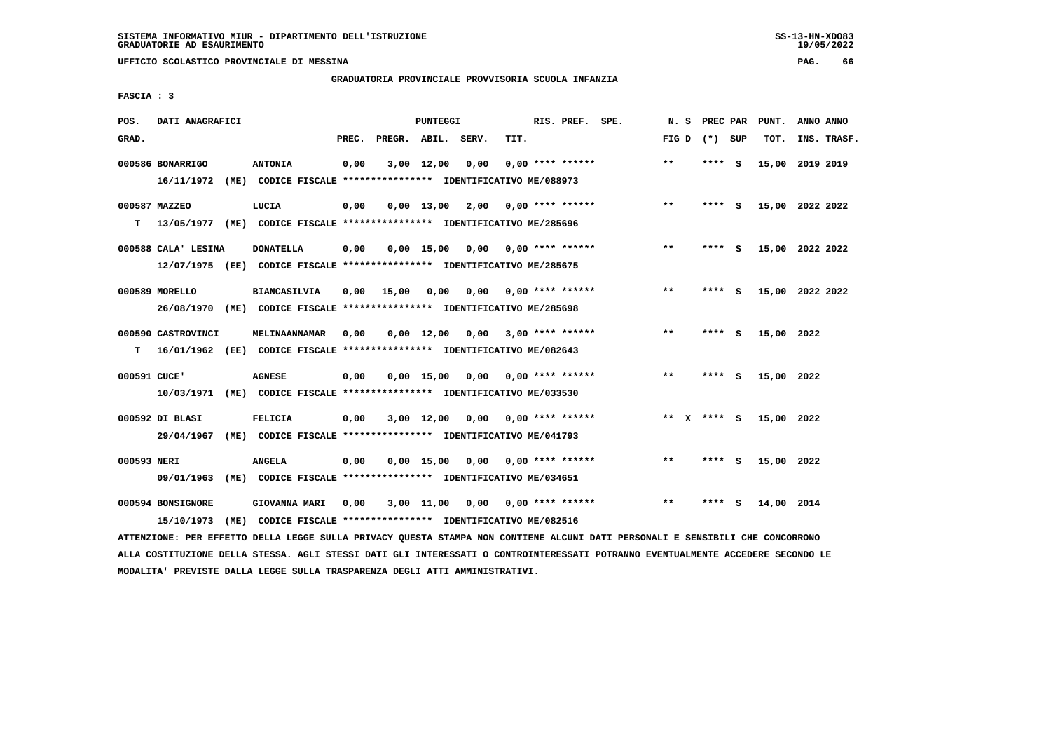**UFFICIO SCOLASTICO PROVINCIALE DI MESSINA PAG. 66**

### **GRADUATORIA PROVINCIALE PROVVISORIA SCUOLA INFANZIA**

 **FASCIA : 3**

| POS.         | DATI ANAGRAFICI                 |      |                                                                                             |       |                    | PUNTEGGI           |                 |      | RIS. PREF. SPE.           | N.S   | PREC PAR      |          | PUNT.      | ANNO ANNO       |
|--------------|---------------------------------|------|---------------------------------------------------------------------------------------------|-------|--------------------|--------------------|-----------------|------|---------------------------|-------|---------------|----------|------------|-----------------|
| GRAD.        |                                 |      |                                                                                             | PREC. | PREGR. ABIL. SERV. |                    |                 | TIT. |                           | FIG D | (*) SUP       |          | TOT.       | INS. TRASF.     |
|              | 000586 BONARRIGO<br>16/11/1972  |      | <b>ANTONIA</b><br>(ME) CODICE FISCALE **************** IDENTIFICATIVO ME/088973             | 0,00  |                    | $3,00$ 12,00       | 0,00            |      | $0.00$ **** ******        | $**$  | **** S        |          |            | 15,00 2019 2019 |
| т            | 000587 MAZZEO<br>13/05/1977     |      | LUCIA<br>(ME) CODICE FISCALE **************** IDENTIFICATIVO ME/285696                      | 0,00  |                    |                    | 0,00 13,00 2,00 |      | $0.00$ **** ******        | $***$ | **** S        |          |            | 15,00 2022 2022 |
|              | 000588 CALA' LESINA             |      | <b>DONATELLA</b><br>12/07/1975 (EE) CODICE FISCALE *************** IDENTIFICATIVO ME/285675 | 0,00  |                    | $0,00$ 15,00       |                 |      |                           | $***$ | **** S        |          |            | 15,00 2022 2022 |
|              | 000589 MORELLO<br>26/08/1970    |      | <b>BIANCASILVIA</b><br>(ME) CODICE FISCALE **************** IDENTIFICATIVO ME/285698        | 0.00  | 15,00              | 0,00               |                 |      | $0.00$ $0.00$ **** ****** | **    | **** S        |          |            | 15,00 2022 2022 |
| т            | 000590 CASTROVINCI              |      | MELINAANNAMAR<br>16/01/1962 (EE) CODICE FISCALE **************** IDENTIFICATIVO ME/082643   | 0,00  |                    | $0,00 \quad 12,00$ | 0,00            |      | $3,00$ **** ******        | **    | **** $S$      |          | 15,00 2022 |                 |
| 000591 CUCE' | 10/03/1971                      |      | <b>AGNESE</b><br>(ME) CODICE FISCALE **************** IDENTIFICATIVO ME/033530              | 0,00  |                    | $0.00$ 15.00       | 0,00            |      | $0.00$ **** ******        | $**$  | ****          | <b>S</b> | 15,00 2022 |                 |
|              | 000592 DI BLASI<br>29/04/1967   | (ME) | <b>FELICIA</b><br>CODICE FISCALE **************** IDENTIFICATIVO ME/041793                  | 0,00  |                    | 3,00 12,00         | 0,00            |      | $0.00$ **** ******        |       | ** $X$ **** S |          | 15,00 2022 |                 |
| 000593 NERI  | 09/01/1963                      |      | <b>ANGELA</b><br>(ME) CODICE FISCALE **************** IDENTIFICATIVO ME/034651              | 0,00  |                    | $0,00$ 15,00       | 0,00            |      | 0,00 **** ******          | **    | ****          | - 5      | 15,00 2022 |                 |
|              | 000594 BONSIGNORE<br>15/10/1973 | (ME) | GIOVANNA MARI<br>CODICE FISCALE **************** IDENTIFICATIVO ME/082516                   | 0,00  |                    | $3,00$ $11,00$     | 0,00            |      | $0.00$ **** ******        | $* *$ | ****          | - S      | 14,00 2014 |                 |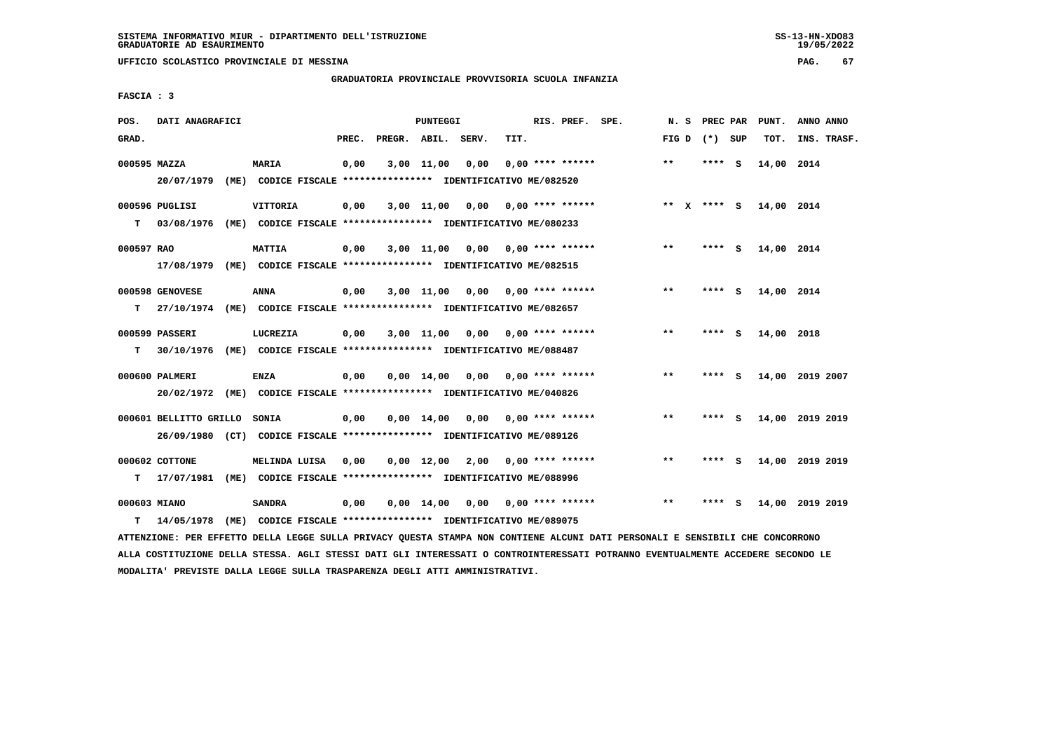**UFFICIO SCOLASTICO PROVINCIALE DI MESSINA PAG. 67**

#### **GRADUATORIA PROVINCIALE PROVVISORIA SCUOLA INFANZIA**

 **FASCIA : 3**

| POS.         | DATI ANAGRAFICI        |                                                                                                                               |       |                    | PUNTEGGI           |                                    |                           | RIS. PREF. SPE. |       |                 |     | N. S PREC PAR PUNT. | ANNO ANNO       |
|--------------|------------------------|-------------------------------------------------------------------------------------------------------------------------------|-------|--------------------|--------------------|------------------------------------|---------------------------|-----------------|-------|-----------------|-----|---------------------|-----------------|
| GRAD.        |                        |                                                                                                                               | PREC. | PREGR. ABIL. SERV. |                    |                                    | TIT.                      |                 |       | FIG D $(*)$ SUP |     | TOT.                | INS. TRASF.     |
| 000595 MAZZA |                        | <b>MARIA</b>                                                                                                                  | 0,00  |                    | 3,00 11,00         | 0,00                               | $0.00$ **** ******        |                 | $**$  | $***$ S         |     | 14,00 2014          |                 |
|              | 20/07/1979             | (ME) CODICE FISCALE **************** IDENTIFICATIVO ME/082520                                                                 |       |                    |                    |                                    |                           |                 |       |                 |     |                     |                 |
|              | 000596 PUGLISI         | <b>VITTORIA</b>                                                                                                               | 0,00  |                    | $3,00$ 11,00       |                                    | $0.00$ $0.00$ **** ****** |                 |       | ** X **** S     |     | 14,00 2014          |                 |
|              |                        | T 03/08/1976 (ME) CODICE FISCALE **************** IDENTIFICATIVO ME/080233                                                    |       |                    |                    |                                    |                           |                 |       |                 |     |                     |                 |
| 000597 RAO   |                        | <b>MATTIA</b>                                                                                                                 | 0,00  |                    | $3,00$ 11,00       | 0,00                               | $0.00$ **** ******        |                 | $**$  | **** S          |     | 14,00 2014          |                 |
|              |                        | 17/08/1979 (ME) CODICE FISCALE *************** IDENTIFICATIVO ME/082515                                                       |       |                    |                    |                                    |                           |                 |       |                 |     |                     |                 |
|              | 000598 GENOVESE        | ANNA                                                                                                                          | 0,00  |                    |                    | 3,00 11,00 0,00                    | $0.00$ **** ******        |                 | $***$ | **** S          |     | 14,00 2014          |                 |
| т            | 27/10/1974             | (ME) CODICE FISCALE *************** IDENTIFICATIVO ME/082657                                                                  |       |                    |                    |                                    |                           |                 |       |                 |     |                     |                 |
|              | 000599 PASSERI         | LUCREZIA                                                                                                                      | 0,00  |                    | $3,00$ $11,00$     | $0,00$ $0,00$ $***$ **** ******    |                           |                 | $***$ | **** S          |     | 14,00 2018          |                 |
| т            |                        | 30/10/1976 (ME) CODICE FISCALE *************** IDENTIFICATIVO ME/088487                                                       |       |                    |                    |                                    |                           |                 |       |                 |     |                     |                 |
|              | 000600 PALMERI         | <b>ENZA</b>                                                                                                                   | 0,00  |                    | $0.00 \quad 14.00$ |                                    | $0.00$ $0.00$ **** ****** |                 | **    | **** S          |     |                     | 14,00 2019 2007 |
|              |                        | 20/02/1972 (ME) CODICE FISCALE *************** IDENTIFICATIVO ME/040826                                                       |       |                    |                    |                                    |                           |                 |       |                 |     |                     |                 |
|              | 000601 BELLITTO GRILLO | <b>SONIA</b>                                                                                                                  | 0,00  |                    |                    | $0,00$ $14,00$ $0,00$              | $0.00$ **** ******        |                 | $***$ | **** S          |     |                     | 14,00 2019 2019 |
|              |                        | 26/09/1980 (CT) CODICE FISCALE *************** IDENTIFICATIVO ME/089126                                                       |       |                    |                    |                                    |                           |                 |       |                 |     |                     |                 |
|              | 000602 COTTONE         | MELINDA LUISA                                                                                                                 | 0,00  |                    |                    | $0,00$ 12,00 2,00 0,00 **** ****** |                           |                 | $***$ | **** S          |     |                     | 14,00 2019 2019 |
| T.           |                        | 17/07/1981 (ME) CODICE FISCALE *************** IDENTIFICATIVO ME/088996                                                       |       |                    |                    |                                    |                           |                 |       |                 |     |                     |                 |
| 000603 MIANO |                        | <b>SANDRA</b>                                                                                                                 | 0,00  |                    | $0,00 \quad 14,00$ | 0,00                               | $0.00$ **** ******        |                 | $* *$ | ****            | - S |                     | 14,00 2019 2019 |
| т            | 14/05/1978             | (ME) CODICE FISCALE **************** IDENTIFICATIVO ME/089075                                                                 |       |                    |                    |                                    |                           |                 |       |                 |     |                     |                 |
|              |                        | ATTENZIONE: PER EFFETTO DELLA LEGGE SULLA PRIVACY QUESTA STAMPA NON CONTIENE ALCUNI DATI PERSONALI E SENSIBILI CHE CONCORRONO |       |                    |                    |                                    |                           |                 |       |                 |     |                     |                 |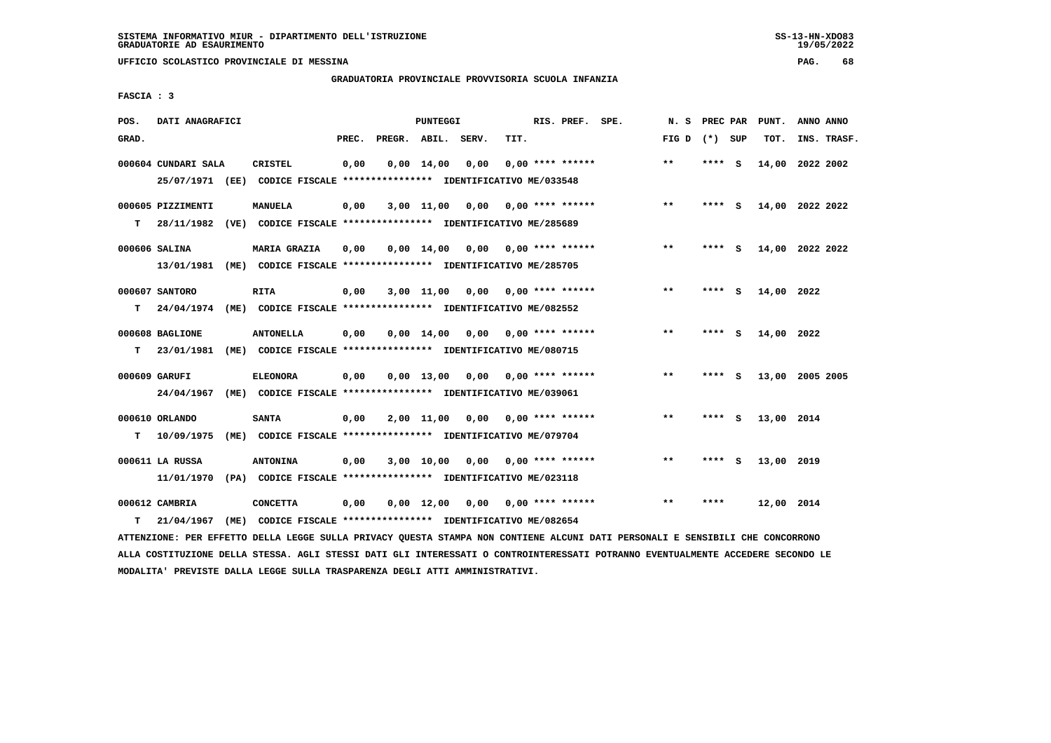**UFFICIO SCOLASTICO PROVINCIALE DI MESSINA PAG. 68**

### **GRADUATORIA PROVINCIALE PROVVISORIA SCUOLA INFANZIA**

 **FASCIA : 3**

| POS.  | DATI ANAGRAFICI                 |      |                                                                                           |       |              | <b>PUNTEGGI</b>    |       |      | RIS. PREF. SPE.    | N.S   | PREC PAR |          | PUNT.      | ANNO ANNO       |
|-------|---------------------------------|------|-------------------------------------------------------------------------------------------|-------|--------------|--------------------|-------|------|--------------------|-------|----------|----------|------------|-----------------|
| GRAD. |                                 |      |                                                                                           | PREC. | PREGR. ABIL. |                    | SERV. | TIT. |                    | FIG D | (*) SUP  |          | TOT.       | INS. TRASF.     |
|       | 000604 CUNDARI SALA             |      | <b>CRISTEL</b><br>25/07/1971 (EE) CODICE FISCALE *************** IDENTIFICATIVO ME/033548 | 0,00  |              | $0,00 \quad 14,00$ | 0,00  |      | $0.00$ **** ****** | $**$  | **** S   |          | 14,00      | 2022 2002       |
| т     | 000605 PIZZIMENTI<br>28/11/1982 |      | <b>MANUELA</b><br>(VE) CODICE FISCALE **************** IDENTIFICATIVO ME/285689           | 0,00  |              | $3,00$ 11,00       | 0,00  |      | $0.00$ **** ****** | $**$  | **** S   |          |            | 14,00 2022 2022 |
|       | 000606 SALINA<br>13/01/1981     |      | <b>MARIA GRAZIA</b><br>(ME) CODICE FISCALE **************** IDENTIFICATIVO ME/285705      | 0,00  |              | $0,00$ 14,00       | 0,00  |      | 0,00 **** ******   | $***$ | **** S   |          |            | 14,00 2022 2022 |
| т     | 000607 SANTORO<br>24/04/1974    |      | <b>RITA</b><br>(ME) CODICE FISCALE **************** IDENTIFICATIVO ME/082552              | 0,00  |              | $3,00$ 11,00       | 0,00  |      | $0.00$ **** ****** | $* *$ | ****     | s        | 14,00      | 2022            |
| т     | 000608 BAGLIONE<br>23/01/1981   |      | <b>ANTONELLA</b><br>(ME) CODICE FISCALE **************** IDENTIFICATIVO ME/080715         | 0.00  |              | $0.00 \quad 14.00$ | 0.00  |      | $0.00$ **** ****** | $**$  | ****     | <b>S</b> | 14,00 2022 |                 |
|       | 000609 GARUFI<br>24/04/1967     |      | <b>ELEONORA</b><br>(ME) CODICE FISCALE **************** IDENTIFICATIVO ME/039061          | 0,00  |              | $0,00$ 13,00       | 0,00  |      | $0.00$ **** ****** | $* *$ | ****     | <b>S</b> |            | 13,00 2005 2005 |
| т     | 000610 ORLANDO<br>10/09/1975    | (ME) | <b>SANTA</b><br>CODICE FISCALE **************** IDENTIFICATIVO ME/079704                  | 0,00  |              | $2,00$ $11,00$     | 0,00  |      | $0.00$ **** ****** | $***$ | ****     | - S      | 13,00 2014 |                 |
|       | 000611 LA RUSSA<br>11/01/1970   |      | <b>ANTONINA</b><br>(PA) CODICE FISCALE **************** IDENTIFICATIVO ME/023118          | 0,00  |              | $3,00$ 10,00       | 0,00  |      | $0.00$ **** ****** | $***$ | ****     | - 5      | 13,00 2019 |                 |
| т     | 000612 CAMBRIA<br>21/04/1967    | (ME) | <b>CONCETTA</b><br>CODICE FISCALE **************** IDENTIFICATIVO ME/082654               | 0,00  |              | $0.00 \quad 12.00$ | 0,00  |      | $0.00$ **** ****** | $* *$ | ****     |          | 12,00 2014 |                 |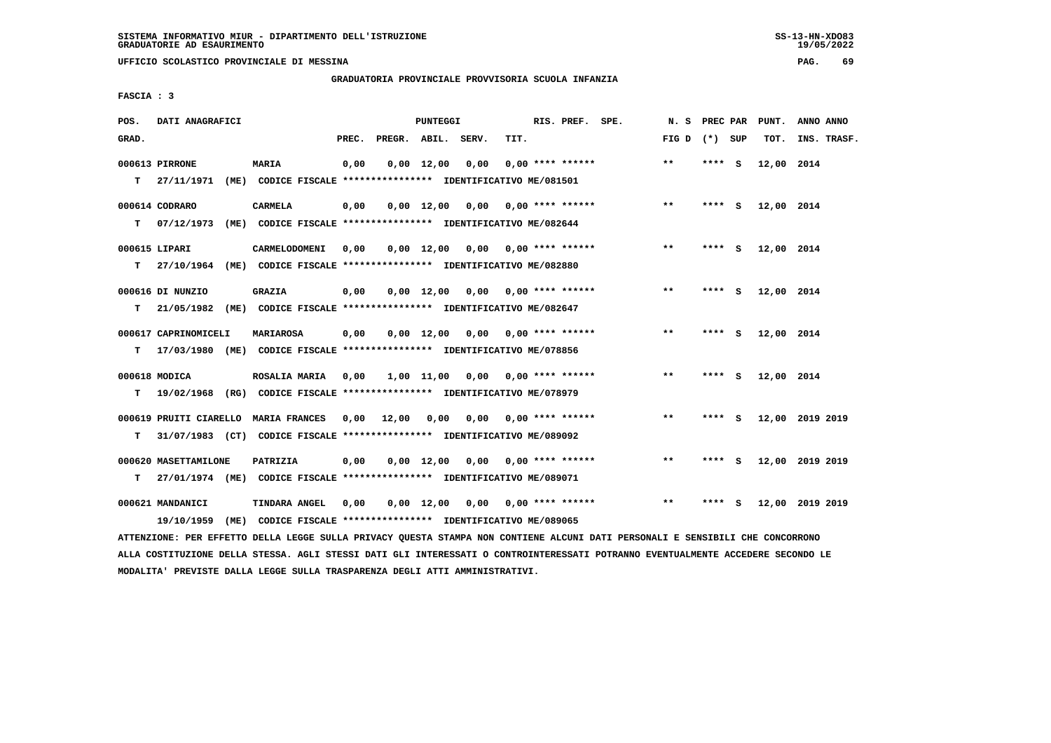### **GRADUATORIA PROVINCIALE PROVVISORIA SCUOLA INFANZIA**

 $19/05/2022$ 

 **FASCIA : 3**

| POS.  | DATI ANAGRAFICI      |                                                                                                                               |      |                          | PUNTEGGI |                                         |      | RIS. PREF. SPE.    |                 |         | N. S PREC PAR PUNT. | ANNO ANNO       |
|-------|----------------------|-------------------------------------------------------------------------------------------------------------------------------|------|--------------------------|----------|-----------------------------------------|------|--------------------|-----------------|---------|---------------------|-----------------|
| GRAD. |                      |                                                                                                                               |      | PREC. PREGR. ABIL. SERV. |          |                                         | TIT. |                    | FIG D $(*)$ SUP |         | TOT.                | INS. TRASF.     |
|       | 000613 PIRRONE       | <b>MARIA</b>                                                                                                                  | 0,00 |                          |          | $0,00 \quad 12,00 \quad 0,00$           |      | $0.00$ **** ****** | $* *$           | **** S  | 12,00 2014          |                 |
|       | $T = 27/11/1971$     | (ME) CODICE FISCALE **************** IDENTIFICATIVO ME/081501                                                                 |      |                          |          |                                         |      |                    |                 |         |                     |                 |
|       | 000614 CODRARO       | <b>CARMELA</b>                                                                                                                | 0,00 |                          |          | $0,00$ 12,00 0,00 0,00 **** ******      |      |                    | $***$           | **** S  | 12,00 2014          |                 |
| T.    | 07/12/1973           | (ME) CODICE FISCALE **************** IDENTIFICATIVO ME/082644                                                                 |      |                          |          |                                         |      |                    |                 |         |                     |                 |
|       | 000615 LIPARI        | CARMELODOMENI                                                                                                                 | 0,00 |                          |          | $0,00$ 12,00 0,00 0,00 **** ******      |      |                    | $**$            | **** S  | 12,00 2014          |                 |
| т     |                      | 27/10/1964 (ME) CODICE FISCALE **************** IDENTIFICATIVO ME/082880                                                      |      |                          |          |                                         |      |                    |                 |         |                     |                 |
|       |                      |                                                                                                                               |      |                          |          |                                         |      |                    |                 |         |                     |                 |
|       | 000616 DI NUNZIO     | <b>GRAZIA</b>                                                                                                                 | 0,00 |                          |          | $0,00$ 12,00 0,00 0,00 **** ******      |      |                    | $***$           | **** S  | 12,00 2014          |                 |
| т     | 21/05/1982           | (ME) CODICE FISCALE **************** IDENTIFICATIVO ME/082647                                                                 |      |                          |          |                                         |      |                    |                 |         |                     |                 |
|       | 000617 CAPRINOMICELI | MARIAROSA                                                                                                                     | 0,00 |                          |          | $0,00$ 12,00 0,00 0,00 **** ******      |      |                    | $***$           | **** S  | 12,00 2014          |                 |
| т     |                      | 17/03/1980 (ME) CODICE FISCALE *************** IDENTIFICATIVO ME/078856                                                       |      |                          |          |                                         |      |                    |                 |         |                     |                 |
|       | 000618 MODICA        | <b>ROSALIA MARIA</b>                                                                                                          | 0.00 |                          |          | 1,00 11,00 0,00 0,00 **** ******        |      |                    | $* *$           | **** S  | 12,00 2014          |                 |
| т     |                      | 19/02/1968 (RG) CODICE FISCALE *************** IDENTIFICATIVO ME/078979                                                       |      |                          |          |                                         |      |                    |                 |         |                     |                 |
|       |                      |                                                                                                                               |      |                          |          |                                         |      |                    |                 |         |                     |                 |
|       |                      | 000619 PRUITI CIARELLO MARIA FRANCES                                                                                          |      |                          |          | $0,00$ 12,00 0,00 0,00 0,00 **** ****** |      |                    | $***$           | **** S  |                     | 12,00 2019 2019 |
| т     |                      | 31/07/1983 (CT) CODICE FISCALE **************** IDENTIFICATIVO ME/089092                                                      |      |                          |          |                                         |      |                    |                 |         |                     |                 |
|       | 000620 MASETTAMILONE | PATRIZIA                                                                                                                      | 0,00 |                          |          | $0,00$ 12,00 0,00 0,00 **** ******      |      |                    | $* *$           | **** S  |                     | 12,00 2019 2019 |
| т     |                      | 27/01/1974 (ME) CODICE FISCALE *************** IDENTIFICATIVO ME/089071                                                       |      |                          |          |                                         |      |                    |                 |         |                     |                 |
|       | 000621 MANDANICI     | TINDARA ANGEL                                                                                                                 | 0,00 |                          |          | $0,00$ 12,00 0,00 0,00 **** ******      |      |                    | $***$           | $***$ S |                     | 12,00 2019 2019 |
|       | 19/10/1959           | (ME) CODICE FISCALE *************** IDENTIFICATIVO ME/089065                                                                  |      |                          |          |                                         |      |                    |                 |         |                     |                 |
|       |                      | ATTENZIONE: PER EFFETTO DELLA LEGGE SULLA PRIVACY QUESTA STAMPA NON CONTIENE ALCUNI DATI PERSONALI E SENSIBILI CHE CONCORRONO |      |                          |          |                                         |      |                    |                 |         |                     |                 |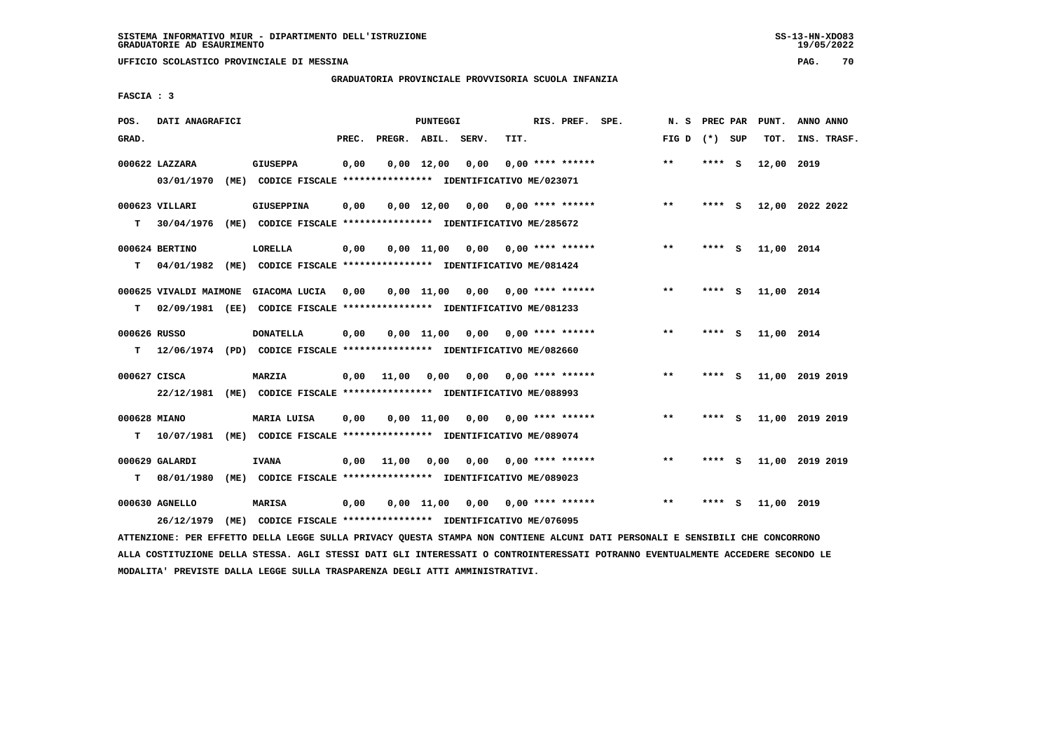**UFFICIO SCOLASTICO PROVINCIALE DI MESSINA PAG. 70**

### **GRADUATORIA PROVINCIALE PROVVISORIA SCUOLA INFANZIA**

 **FASCIA : 3**

| POS.              | DATI ANAGRAFICI              |      |                                                                                              |       |                    | PUNTEGGI       |                                    |      | RIS. PREF. SPE.           | N.S   | <b>PREC PAR</b> |          | PUNT.      | ANNO ANNO       |
|-------------------|------------------------------|------|----------------------------------------------------------------------------------------------|-------|--------------------|----------------|------------------------------------|------|---------------------------|-------|-----------------|----------|------------|-----------------|
| GRAD.             |                              |      |                                                                                              | PREC. | PREGR. ABIL. SERV. |                |                                    | TIT. |                           | FIG D | (*) SUP         |          | TOT.       | INS. TRASF.     |
|                   | 000622 LAZZARA<br>03/01/1970 |      | <b>GIUSEPPA</b><br>(ME) CODICE FISCALE **************** IDENTIFICATIVO ME/023071             | 0,00  |                    | $0,00$ 12,00   | 0,00                               |      | $0.00$ **** ******        | $***$ | $***$ S         |          | 12,00 2019 |                 |
| т                 | 000623 VILLARI<br>30/04/1976 | (ME) | <b>GIUSEPPINA</b><br>CODICE FISCALE **************** IDENTIFICATIVO ME/285672                | 0,00  |                    |                | $0,00$ 12,00 0,00 0,00 **** ****** |      |                           | $* *$ | **** S          |          |            | 12,00 2022 2022 |
| T.                | 000624 BERTINO               |      | <b>LORELLA</b><br>04/01/1982 (ME) CODICE FISCALE **************** IDENTIFICATIVO ME/081424   | 0,00  |                    | $0.00$ 11.00   | 0,00 0,00 **** ******              |      |                           | $***$ | **** S          |          | 11,00 2014 |                 |
|                   | 000625 VIVALDI MAIMONE       |      | GIACOMA LUCIA                                                                                | 0,00  |                    | 0,00 11,00     |                                    |      | $0,00$ $0,00$ **** ****** | $***$ | **** S          |          | 11,00 2014 |                 |
| т<br>000626 RUSSO |                              |      | 02/09/1981 (EE) CODICE FISCALE **************** IDENTIFICATIVO ME/081233<br><b>DONATELLA</b> | 0,00  |                    |                | $0.00$ 11.00 0.00 0.00 **** ****** |      |                           | $***$ | ****            | <b>S</b> | 11,00 2014 |                 |
| т<br>000627 CISCA |                              |      | 12/06/1974 (PD) CODICE FISCALE **************** IDENTIFICATIVO ME/082660<br>MARZIA           |       | $0,00$ 11,00       | 0,00           | 0,00                               |      | $0.00$ **** ******        | $***$ | ****            | - S      |            | 11,00 2019 2019 |
| 000628 MIANO      | 22/12/1981                   |      | (ME) CODICE FISCALE **************** IDENTIFICATIVO ME/088993<br>MARIA LUISA                 | 0,00  |                    | $0,00$ 11,00   | 0,00                               |      | 0,00 **** ******          | $***$ | **** S          |          |            | 11,00 2019 2019 |
| т                 | 10/07/1981                   |      | (ME) CODICE FISCALE **************** IDENTIFICATIVO ME/089074                                |       |                    |                |                                    |      |                           |       |                 |          |            |                 |
| т                 | 000629 GALARDI<br>08/01/1980 |      | <b>IVANA</b><br>(ME) CODICE FISCALE **************** IDENTIFICATIVO ME/089023                | 0.00  | 11,00              | 0,00           |                                    |      | $0,00$ $0,00$ **** ****** | $***$ | **** S          |          |            | 11,00 2019 2019 |
|                   | 000630 AGNELLO<br>26/12/1979 |      | <b>MARISA</b><br>(ME) CODICE FISCALE **************** IDENTIFICATIVO ME/076095               | 0,00  |                    | $0,00$ $11,00$ |                                    |      | $0,00$ $0,00$ **** ****** | $* *$ |                 | S.       | 11,00 2019 |                 |